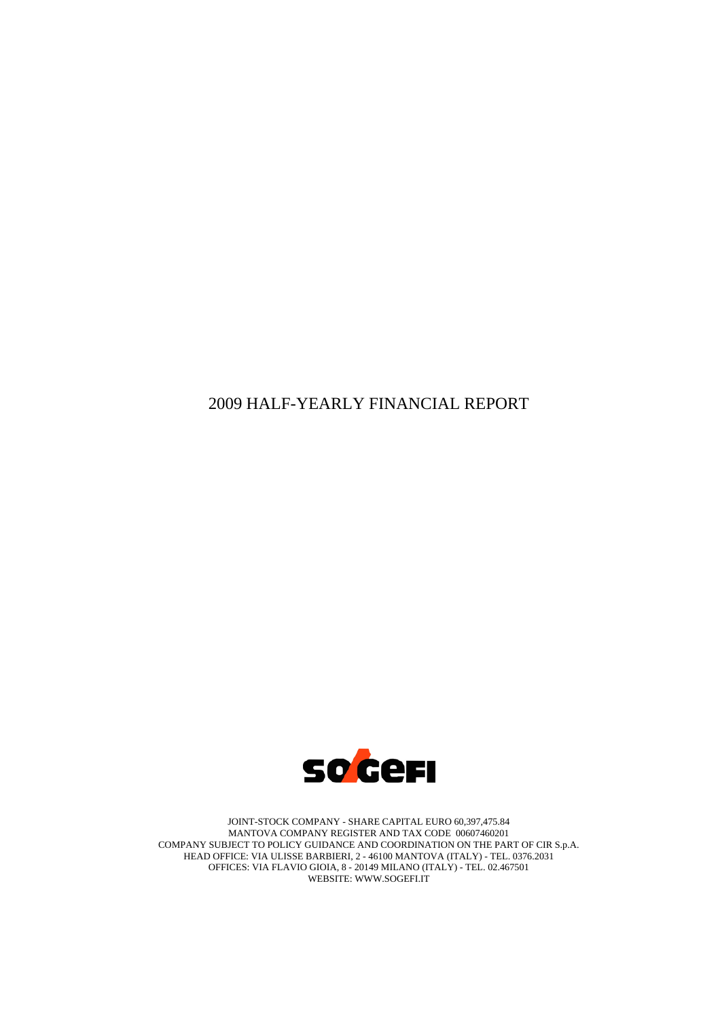# 2009 HALF-YEARLY FINANCIAL REPORT



JOINT-STOCK COMPANY - SHARE CAPITAL EURO 60,397,475.84 MANTOVA COMPANY REGISTER AND TAX CODE 00607460201 COMPANY SUBJECT TO POLICY GUIDANCE AND COORDINATION ON THE PART OF CIR S.p.A. HEAD OFFICE: VIA ULISSE BARBIERI, 2 - 46100 MANTOVA (ITALY) - TEL. 0376.2031 OFFICES: VIA FLAVIO GIOIA, 8 - 20149 MILANO (ITALY) - TEL. 02.467501 WEBSITE: WWW.SOGEFI.IT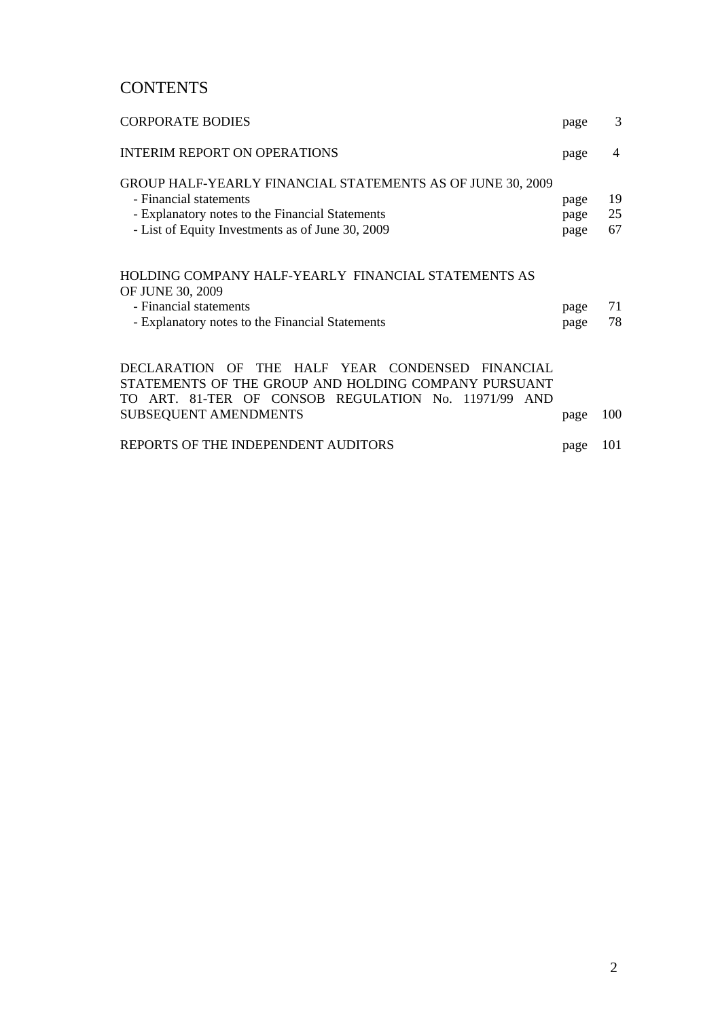# **CONTENTS**

| <b>CORPORATE BODIES</b>                                                                                                                                                                     | page                 | 3              |
|---------------------------------------------------------------------------------------------------------------------------------------------------------------------------------------------|----------------------|----------------|
| <b>INTERIM REPORT ON OPERATIONS</b>                                                                                                                                                         | page                 | 4              |
| GROUP HALF-YEARLY FINANCIAL STATEMENTS AS OF JUNE 30, 2009<br>- Financial statements<br>- Explanatory notes to the Financial Statements<br>- List of Equity Investments as of June 30, 2009 | page<br>page<br>page | 19<br>25<br>67 |
| HOLDING COMPANY HALF-YEARLY FINANCIAL STATEMENTS AS<br>OF JUNE 30, 2009                                                                                                                     |                      |                |
| - Financial statements                                                                                                                                                                      | page                 | 71             |
| - Explanatory notes to the Financial Statements                                                                                                                                             | page                 | 78             |
| DECLARATION OF<br>THE HALF YEAR CONDENSED FINANCIAL<br>STATEMENTS OF THE GROUP AND HOLDING COMPANY PURSUANT<br>TO ART. 81-TER OF CONSOB REGULATION No. 11971/99<br>AND                      |                      |                |
| <b>SUBSEQUENT AMENDMENTS</b>                                                                                                                                                                | page                 | 100            |
| REPORTS OF THE INDEPENDENT AUDITORS                                                                                                                                                         | page                 | 101            |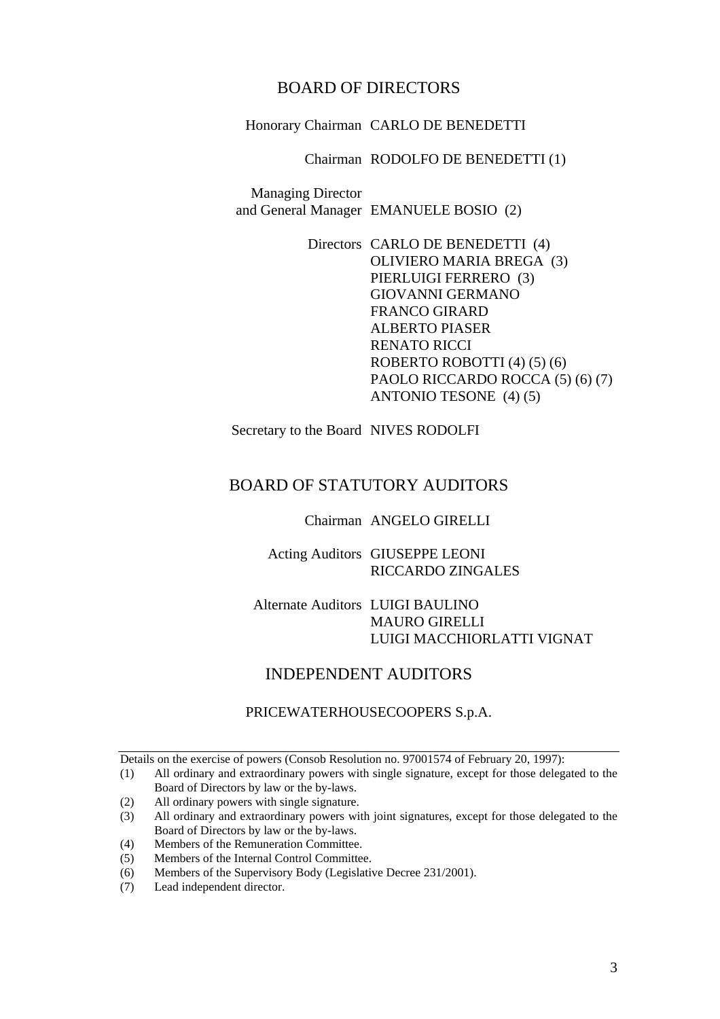# BOARD OF DIRECTORS

Honorary Chairman CARLO DE BENEDETTI

#### Chairman RODOLFO DE BENEDETTI (1)

Managing Director and General Manager EMANUELE BOSIO (2)

> Directors CARLO DE BENEDETTI (4) OLIVIERO MARIA BREGA (3) PIERLUIGI FERRERO (3) GIOVANNI GERMANO FRANCO GIRARD ALBERTO PIASER RENATO RICCI ROBERTO ROBOTTI (4) (5) (6) PAOLO RICCARDO ROCCA (5) (6) (7) ANTONIO TESONE (4) (5)

Secretary to the Board NIVES RODOLFI

# BOARD OF STATUTORY AUDITORS

Chairman ANGELO GIRELLI

Acting Auditors GIUSEPPE LEONI RICCARDO ZINGALES

## Alternate Auditors LUIGI BAULINO MAURO GIRELLI LUIGI MACCHIORLATTI VIGNAT

# INDEPENDENT AUDITORS

### PRICEWATERHOUSECOOPERS S.p.A.

Details on the exercise of powers (Consob Resolution no. 97001574 of February 20, 1997):

(2) All ordinary powers with single signature.

(4) Members of the Remuneration Committee.

(7) Lead independent director.

<sup>(1)</sup> All ordinary and extraordinary powers with single signature, except for those delegated to the Board of Directors by law or the by-laws.

<sup>(3)</sup> All ordinary and extraordinary powers with joint signatures, except for those delegated to the Board of Directors by law or the by-laws.

<sup>(5)</sup> Members of the Internal Control Committee.

<sup>(6)</sup> Members of the Supervisory Body (Legislative Decree 231/2001).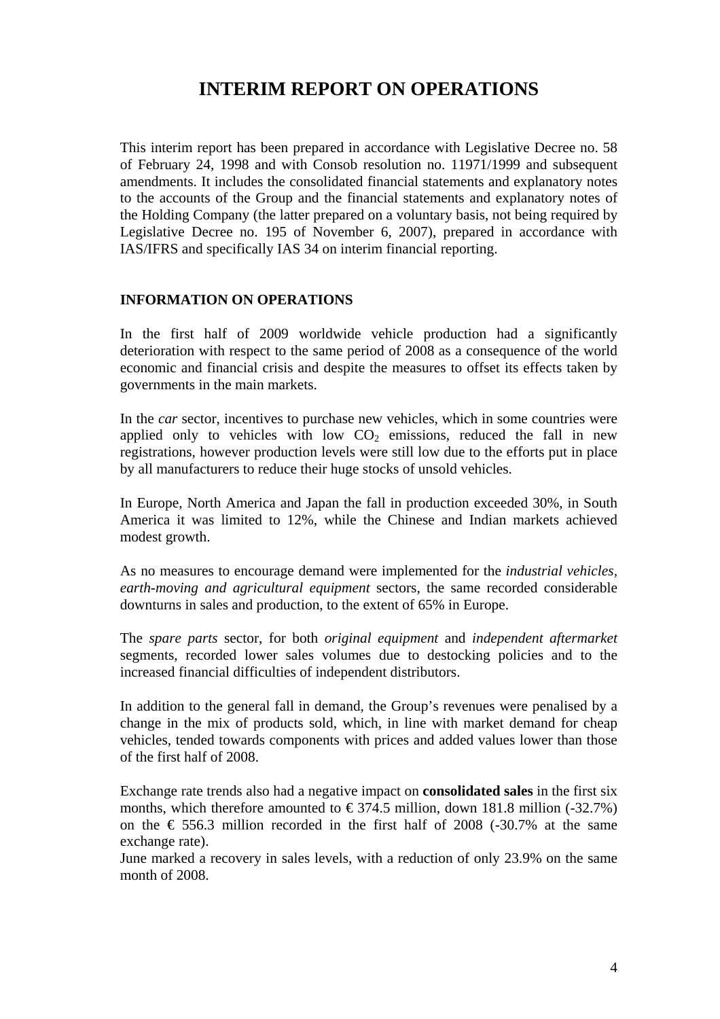# **INTERIM REPORT ON OPERATIONS**

This interim report has been prepared in accordance with Legislative Decree no. 58 of February 24, 1998 and with Consob resolution no. 11971/1999 and subsequent amendments. It includes the consolidated financial statements and explanatory notes to the accounts of the Group and the financial statements and explanatory notes of the Holding Company (the latter prepared on a voluntary basis, not being required by Legislative Decree no. 195 of November 6, 2007), prepared in accordance with IAS/IFRS and specifically IAS 34 on interim financial reporting.

## **INFORMATION ON OPERATIONS**

In the first half of 2009 worldwide vehicle production had a significantly deterioration with respect to the same period of 2008 as a consequence of the world economic and financial crisis and despite the measures to offset its effects taken by governments in the main markets.

In the *car* sector, incentives to purchase new vehicles, which in some countries were applied only to vehicles with low  $CO<sub>2</sub>$  emissions, reduced the fall in new registrations, however production levels were still low due to the efforts put in place by all manufacturers to reduce their huge stocks of unsold vehicles.

In Europe, North America and Japan the fall in production exceeded 30%, in South America it was limited to 12%, while the Chinese and Indian markets achieved modest growth.

As no measures to encourage demand were implemented for the *industrial vehicles, earth-moving and agricultural equipment* sectors, the same recorded considerable downturns in sales and production, to the extent of 65% in Europe.

The *spare parts* sector, for both *original equipment* and *independent aftermarket*  segments*,* recorded lower sales volumes due to destocking policies and to the increased financial difficulties of independent distributors.

In addition to the general fall in demand, the Group's revenues were penalised by a change in the mix of products sold, which, in line with market demand for cheap vehicles, tended towards components with prices and added values lower than those of the first half of 2008.

Exchange rate trends also had a negative impact on **consolidated sales** in the first six months, which therefore amounted to  $\epsilon$  374.5 million, down 181.8 million (-32.7%) on the  $\epsilon$  556.3 million recorded in the first half of 2008 (-30.7% at the same exchange rate).

June marked a recovery in sales levels, with a reduction of only 23.9% on the same month of 2008.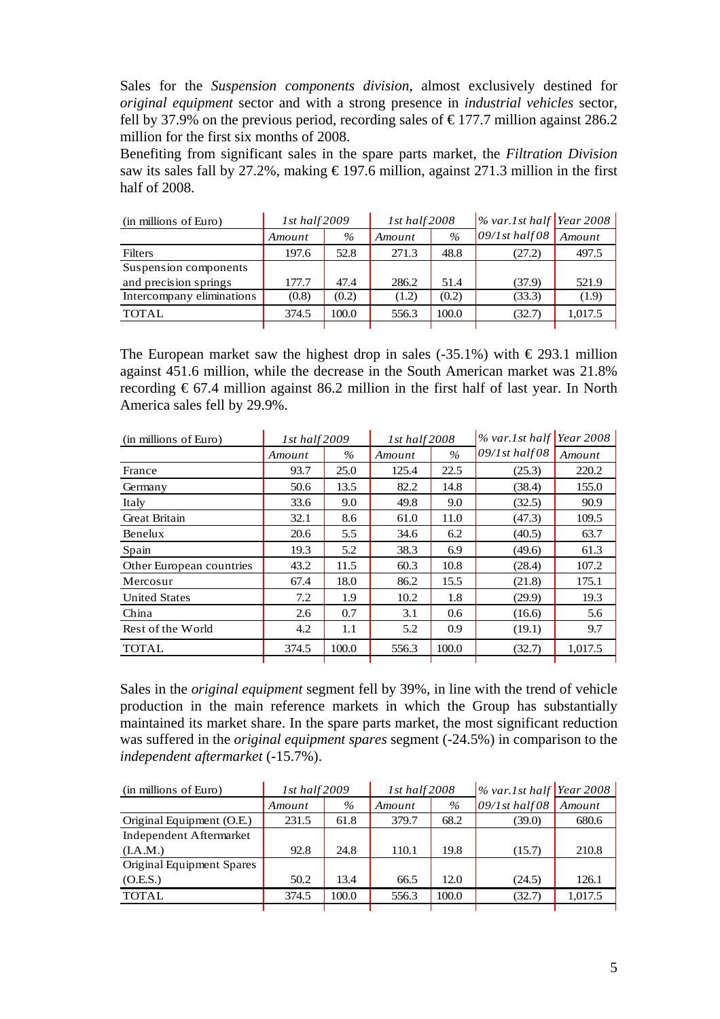Sales for the *Suspension components division,* almost exclusively destined for *original equipment* sector and with a strong presence in *industrial vehicles* sector*,* fell by 37.9% on the previous period, recording sales of  $\epsilon$ 177.7 million against 286.2 million for the first six months of 2008.

Benefiting from significant sales in the spare parts market, the *Filtration Division* saw its sales fall by 27.2%, making  $\epsilon$ 197.6 million, against 271.3 million in the first half of 2008.

| (in millions of Euro)     | $1st$ half $2009$ |       | $1st$ half $2008$ |       |                  |         | $\frac{1}{6}$ var.1st half Year 2008 |  |
|---------------------------|-------------------|-------|-------------------|-------|------------------|---------|--------------------------------------|--|
|                           | Amount            | $\%$  | Amount            | $\%$  | $09/1st$ half 08 | Amount  |                                      |  |
| <b>Filters</b>            | 197.6             | 52.8  | 271.3             | 48.8  | (27.2)           | 497.5   |                                      |  |
| Suspension components     |                   |       |                   |       |                  |         |                                      |  |
| and precision springs     | 177.7             | 47.4  | 286.2             | 51.4  | (37.9)           | 521.9   |                                      |  |
| Intercompany eliminations | (0.8)             | (0.2) | (1.2)             | (0.2) | (33.3)           | (1.9)   |                                      |  |
| <b>TOTAL</b>              | 374.5             | 100.0 | 556.3             | 100.0 | (32.7)           | 1,017.5 |                                      |  |
|                           |                   |       |                   |       |                  |         |                                      |  |

The European market saw the highest drop in sales (-35.1%) with  $\epsilon$  293.1 million against 451.6 million, while the decrease in the South American market was 21.8% recording  $\epsilon$  67.4 million against 86.2 million in the first half of last year. In North America sales fell by 29.9%.

| (in millions of Euro)    | 1st half 2009 |       | 1st half 2008 |       |                   |         | $\%$ var.1st half Year 2008 |  |
|--------------------------|---------------|-------|---------------|-------|-------------------|---------|-----------------------------|--|
|                          | Amount        | $\%$  | Amount        | $\%$  | $09/1$ st half 08 | Amount  |                             |  |
| France                   | 93.7          | 25.0  | 125.4         | 22.5  | (25.3)            | 220.2   |                             |  |
| Germany                  | 50.6          | 13.5  | 82.2          | 14.8  | (38.4)            | 155.0   |                             |  |
| Italy                    | 33.6          | 9.0   | 49.8          | 9.0   | (32.5)            | 90.9    |                             |  |
| <b>Great Britain</b>     | 32.1          | 8.6   | 61.0          | 11.0  | (47.3)            | 109.5   |                             |  |
| Benelux                  | 20.6          | 5.5   | 34.6          | 6.2   | (40.5)            | 63.7    |                             |  |
| Spain                    | 19.3          | 5.2   | 38.3          | 6.9   | (49.6)            | 61.3    |                             |  |
| Other European countries | 43.2          | 11.5  | 60.3          | 10.8  | (28.4)            | 107.2   |                             |  |
| Mercosur                 | 67.4          | 18.0  | 86.2          | 15.5  | (21.8)            | 175.1   |                             |  |
| <b>United States</b>     | 7.2           | 1.9   | 10.2          | 1.8   | (29.9)            | 19.3    |                             |  |
| China                    | 2.6           | 0.7   | 3.1           | 0.6   | (16.6)            | 5.6     |                             |  |
| Rest of the World        | 4.2           | 1.1   | 5.2           | 0.9   | (19.1)            | 9.7     |                             |  |
| <b>TOTAL</b>             | 374.5         | 100.0 | 556.3         | 100.0 | (32.7)            | 1,017.5 |                             |  |

Sales in the *original equipment* segment fell by 39%, in line with the trend of vehicle production in the main reference markets in which the Group has substantially maintained its market share. In the spare parts market, the most significant reduction was suffered in the *original equipment spares* segment (-24.5%) in comparison to the *independent aftermarket* (-15.7%).

| (in millions of Euro)     | 1st half 2009 |       | $1st$ half $2008$ |       |                   |         | $\%$ var.1st half Year 2008 |  |
|---------------------------|---------------|-------|-------------------|-------|-------------------|---------|-----------------------------|--|
|                           | Amount        | $\%$  | Amount            | $\%$  | $09/1$ st half 08 | Amount  |                             |  |
| Original Equipment (O.E.) | 231.5         | 61.8  | 379.7             | 68.2  | (39.0)            | 680.6   |                             |  |
| Independent Aftermarket   |               |       |                   |       |                   |         |                             |  |
| (I.A.M.)                  | 92.8          | 24.8  | 110.1             | 19.8  | (15.7)            | 210.8   |                             |  |
| Original Equipment Spares |               |       |                   |       |                   |         |                             |  |
| (O.E.S.)                  | 50.2          | 13.4  | 66.5              | 12.0  | (24.5)            | 126.1   |                             |  |
| <b>TOTAL</b>              | 374.5         | 100.0 | 556.3             | 100.0 | (32.7)            | 1.017.5 |                             |  |
|                           |               |       |                   |       |                   |         |                             |  |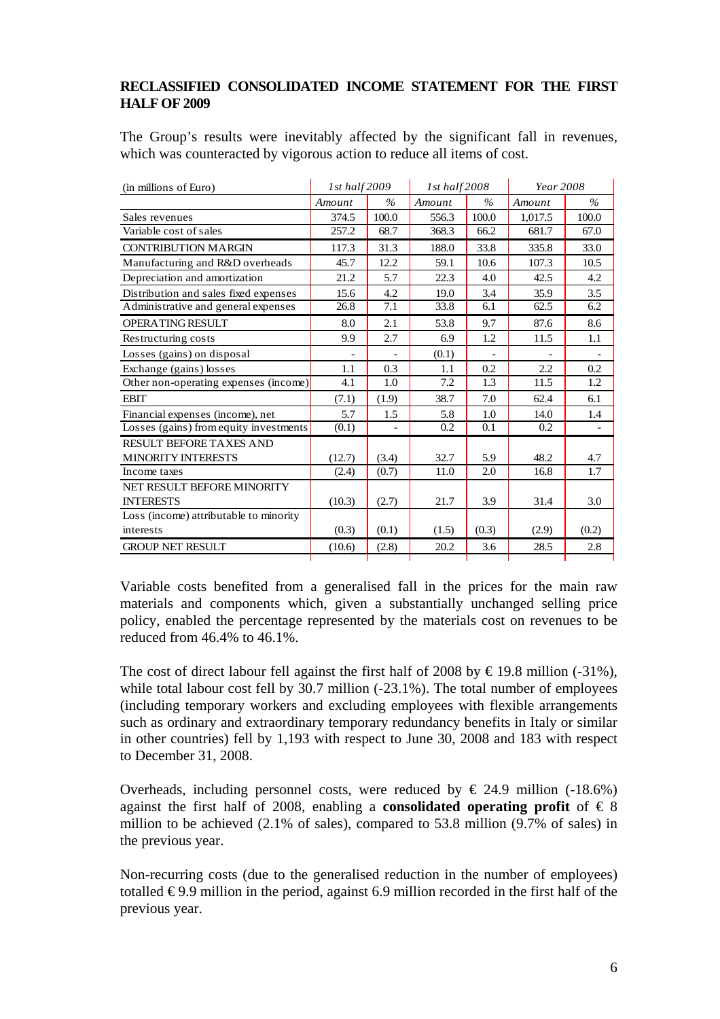# **RECLASSIFIED CONSOLIDATED INCOME STATEMENT FOR THE FIRST HALF OF 2009**

The Group's results were inevitably affected by the significant fall in revenues, which was counteracted by vigorous action to reduce all items of cost.

| (in millions of Euro)                  | 1st half 2009 |       | 1st half 2008 |       | Year 2008 |       |
|----------------------------------------|---------------|-------|---------------|-------|-----------|-------|
|                                        | Amount        | $\%$  | Amount        | $\%$  | Amount    | $\%$  |
| Sales revenues                         | 374.5         | 100.0 | 556.3         | 100.0 | 1,017.5   | 100.0 |
| Variable cost of sales                 | 257.2         | 68.7  | 368.3         | 66.2  | 681.7     | 67.0  |
| <b>CONTRIBUTION MARGIN</b>             | 117.3         | 31.3  | 188.0         | 33.8  | 335.8     | 33.0  |
| Manufacturing and R&D overheads        | 45.7          | 12.2  | 59.1          | 10.6  | 107.3     | 10.5  |
| Depreciation and amortization          | 21.2          | 5.7   | 22.3          | 4.0   | 42.5      | 4.2   |
| Distribution and sales fixed expenses  | 15.6          | 4.2   | 19.0          | 3.4   | 35.9      | 3.5   |
| Administrative and general expenses    | 26.8          | 7.1   | 33.8          | 6.1   | 62.5      | 6.2   |
| OPERATING RESULT                       | 8.0           | 2.1   | 53.8          | 9.7   | 87.6      | 8.6   |
| Restructuring costs                    | 9.9           | 2.7   | 6.9           | 1.2   | 11.5      | 1.1   |
| Losses (gains) on disposal             |               |       | (0.1)         |       |           |       |
| Exchange (gains) losses                | 1.1           | 0.3   | 1.1           | 0.2   | 2.2       | 0.2   |
| Other non-operating expenses (income)  | 4.1           | 1.0   | 7.2           | 1.3   | 11.5      | 1.2   |
| <b>EBIT</b>                            | (7.1)         | (1.9) | 38.7          | 7.0   | 62.4      | 6.1   |
| Financial expenses (income), net       | 5.7           | 1.5   | 5.8           | 1.0   | 14.0      | 1.4   |
| Losses (gains) from equity investments | (0.1)         |       | 0.2           | 0.1   | 0.2       |       |
| RESULT BEFORE TAXES AND                |               |       |               |       |           |       |
| <b>MINORITY INTERESTS</b>              | (12.7)        | (3.4) | 32.7          | 5.9   | 48.2      | 4.7   |
| Income taxes                           | (2.4)         | (0.7) | 11.0          | 2.0   | 16.8      | 1.7   |
| NET RESULT BEFORE MINORITY             |               |       |               |       |           |       |
| <b>INTERESTS</b>                       | (10.3)        | (2.7) | 21.7          | 3.9   | 31.4      | 3.0   |
| Loss (income) attributable to minority |               |       |               |       |           |       |
| interests                              | (0.3)         | (0.1) | (1.5)         | (0.3) | (2.9)     | (0.2) |
| <b>GROUP NET RESULT</b>                | (10.6)        | (2.8) | 20.2          | 3.6   | 28.5      | 2.8   |
|                                        |               |       |               |       |           |       |

Variable costs benefited from a generalised fall in the prices for the main raw materials and components which, given a substantially unchanged selling price policy, enabled the percentage represented by the materials cost on revenues to be reduced from 46.4% to 46.1%.

The cost of direct labour fell against the first half of 2008 by  $\text{\textsterling}19.8$  million (-31%), while total labour cost fell by 30.7 million (-23.1%). The total number of employees (including temporary workers and excluding employees with flexible arrangements such as ordinary and extraordinary temporary redundancy benefits in Italy or similar in other countries) fell by 1,193 with respect to June 30, 2008 and 183 with respect to December 31, 2008.

Overheads, including personnel costs, were reduced by  $\in$  24.9 million (-18.6%) against the first half of 2008, enabling a **consolidated operating profit** of  $\in$  8 million to be achieved (2.1% of sales), compared to 53.8 million (9.7% of sales) in the previous year.

Non-recurring costs (due to the generalised reduction in the number of employees) totalled  $\epsilon$ 9.9 million in the period, against 6.9 million recorded in the first half of the previous year.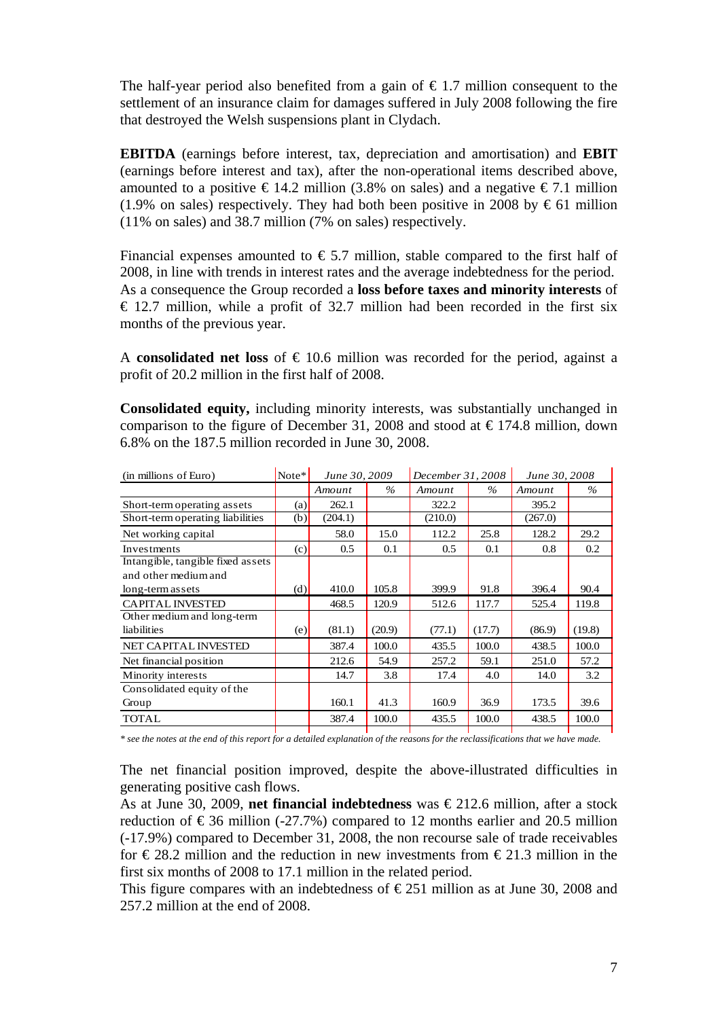The half-year period also benefited from a gain of  $\epsilon$  1.7 million consequent to the settlement of an insurance claim for damages suffered in July 2008 following the fire that destroyed the Welsh suspensions plant in Clydach.

**EBITDA** (earnings before interest, tax, depreciation and amortisation) and **EBIT** (earnings before interest and tax), after the non-operational items described above, amounted to a positive  $\epsilon$  14.2 million (3.8% on sales) and a negative  $\epsilon$ 7.1 million (1.9% on sales) respectively. They had both been positive in 2008 by  $\epsilon$  61 million (11% on sales) and 38.7 million (7% on sales) respectively.

Financial expenses amounted to  $\epsilon$  5.7 million, stable compared to the first half of 2008, in line with trends in interest rates and the average indebtedness for the period. As a consequence the Group recorded a **loss before taxes and minority interests** of  $\epsilon$  12.7 million, while a profit of 32.7 million had been recorded in the first six months of the previous year.

A **consolidated net loss** of  $\epsilon$  10.6 million was recorded for the period, against a profit of 20.2 million in the first half of 2008.

**Consolidated equity,** including minority interests, was substantially unchanged in comparison to the figure of December 31, 2008 and stood at  $\in$  174.8 million, down 6.8% on the 187.5 million recorded in June 30, 2008.

| (in millions of Euro)             | $Note*$ | June 30, 2009 |        | December 31, 2008 |        | June 30, 2008 |        |
|-----------------------------------|---------|---------------|--------|-------------------|--------|---------------|--------|
|                                   |         | Amount        | $\%$   | Amount            | $\%$   | Amount        | $\%$   |
| Short-term operating assets       | (a)     | 262.1         |        | 322.2             |        | 395.2         |        |
| Short-term operating liabilities  | (b)     | (204.1)       |        | (210.0)           |        | (267.0)       |        |
| Net working capital               |         | 58.0          | 15.0   | 112.2             | 25.8   | 128.2         | 29.2   |
| Investments                       | (c)     | 0.5           | 0.1    | 0.5               | 0.1    | 0.8           | 0.2    |
| Intangible, tangible fixed assets |         |               |        |                   |        |               |        |
| and other medium and              |         |               |        |                   |        |               |        |
| long-term assets                  | (d)     | 410.0         | 105.8  | 399.9             | 91.8   | 396.4         | 90.4   |
| <b>CAPITAL INVESTED</b>           |         | 468.5         | 120.9  | 512.6             | 117.7  | 525.4         | 119.8  |
| Other medium and long-term        |         |               |        |                   |        |               |        |
| liabilities                       | (e)     | (81.1)        | (20.9) | (77.1)            | (17.7) | (86.9)        | (19.8) |
| <b>NET CAPITAL INVESTED</b>       |         | 387.4         | 100.0  | 435.5             | 100.0  | 438.5         | 100.0  |
| Net financial position            |         | 212.6         | 54.9   | 257.2             | 59.1   | 251.0         | 57.2   |
| Minority interests                |         | 14.7          | 3.8    | 17.4              | 4.0    | 14.0          | 3.2    |
| Consolidated equity of the        |         |               |        |                   |        |               |        |
| Group                             |         | 160.1         | 41.3   | 160.9             | 36.9   | 173.5         | 39.6   |
| <b>TOTAL</b>                      |         | 387.4         | 100.0  | 435.5             | 100.0  | 438.5         | 100.0  |

*\* see the notes at the end of this report for a detailed explanation of the reasons for the reclassifications that we have made.* 

The net financial position improved, despite the above-illustrated difficulties in generating positive cash flows.

As at June 30, 2009, **net financial indebtedness** was € 212.6 million, after a stock reduction of  $\epsilon$ 36 million (-27.7%) compared to 12 months earlier and 20.5 million (-17.9%) compared to December 31, 2008, the non recourse sale of trade receivables for  $\epsilon$  28.2 million and the reduction in new investments from  $\epsilon$  21.3 million in the first six months of 2008 to 17.1 million in the related period.

This figure compares with an indebtedness of  $\epsilon$ 251 million as at June 30, 2008 and 257.2 million at the end of 2008.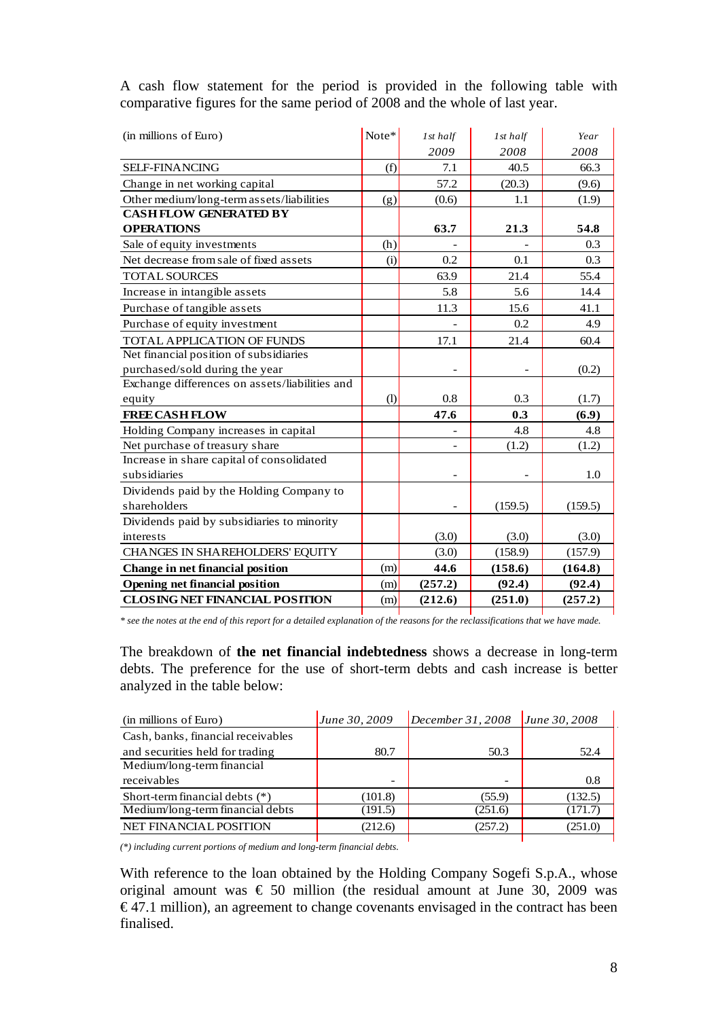| (in millions of Euro)                          | Note* | 1st half | 1st half | Year    |
|------------------------------------------------|-------|----------|----------|---------|
|                                                |       | 2009     | 2008     | 2008    |
| SELF-FINANCING                                 | (f)   | 7.1      | 40.5     | 66.3    |
| Change in net working capital                  |       | 57.2     | (20.3)   | (9.6)   |
| Other medium/long-term assets/liabilities      | (g)   | (0.6)    | 1.1      | (1.9)   |
| <b>CASH FLOW GENERATED BY</b>                  |       |          |          |         |
| <b>OPERATIONS</b>                              |       | 63.7     | 21.3     | 54.8    |
| Sale of equity investments                     | (h)   |          |          | 0.3     |
| Net decrease from sale of fixed assets         | (i)   | 0.2      | 0.1      | 0.3     |
| <b>TOTAL SOURCES</b>                           |       | 63.9     | 21.4     | 55.4    |
| Increase in intangible assets                  |       | 5.8      | 5.6      | 14.4    |
| Purchase of tangible assets                    |       | 11.3     | 15.6     | 41.1    |
| Purchase of equity investment                  |       |          | 0.2      | 4.9     |
| <b>TOTAL APPLICATION OF FUNDS</b>              |       | 17.1     | 21.4     | 60.4    |
| Net financial position of subsidiaries         |       |          |          |         |
| purchased/sold during the year                 |       |          |          | (0.2)   |
| Exchange differences on assets/liabilities and |       |          |          |         |
| equity                                         | (1)   | 0.8      | 0.3      | (1.7)   |
| <b>FREE CASH FLOW</b>                          |       | 47.6     | 0.3      | (6.9)   |
| Holding Company increases in capital           |       |          | 4.8      | 4.8     |
| Net purchase of treasury share                 |       |          | (1.2)    | (1.2)   |
| Increase in share capital of consolidated      |       |          |          |         |
| subsidiaries                                   |       |          |          | 1.0     |
| Dividends paid by the Holding Company to       |       |          |          |         |
| shareholders                                   |       |          | (159.5)  | (159.5) |
| Dividends paid by subsidiaries to minority     |       |          |          |         |
| interests                                      |       | (3.0)    | (3.0)    | (3.0)   |
| CHANGES IN SHAREHOLDERS' EQUITY                |       | (3.0)    | (158.9)  | (157.9) |
| Change in net financial position               | (m)   | 44.6     | (158.6)  | (164.8) |
| <b>Opening net financial position</b>          | (m)   | (257.2)  | (92.4)   | (92.4)  |
| <b>CLOSING NET FINANCIAL POSITION</b>          | (m)   | (212.6)  | (251.0)  | (257.2) |

A cash flow statement for the period is provided in the following table with comparative figures for the same period of 2008 and the whole of last year.

*\* see the notes at the end of this report for a detailed explanation of the reasons for the reclassifications that we have made.*

The breakdown of **the net financial indebtedness** shows a decrease in long-term debts. The preference for the use of short-term debts and cash increase is better analyzed in the table below:

| (in millions of Euro)              | June 30, 2009 | December 31, 2008 | June 30, 2008 |
|------------------------------------|---------------|-------------------|---------------|
| Cash, banks, financial receivables |               |                   |               |
| and securities held for trading    | 80.7          | 50.3              | 52.4          |
| Medium/long-term financial         |               |                   |               |
| receivables                        |               |                   | 0.8           |
| Short-term financial debts $(*)$   | (101.8)       | (55.9)            | (132.5)       |
| Medium/long-term financial debts   | (191.5)       | (251.6)           | (171.7        |
| <b>NET FINANCIAL POSITION</b>      | (212.6)       | (257.2)           | (251.0)       |
|                                    |               |                   |               |

*(\*) including current portions of medium and long-term financial debts.* 

With reference to the loan obtained by the Holding Company Sogefi S.p.A., whose original amount was  $\epsilon$  50 million (the residual amount at June 30, 2009 was  $\epsilon$ 47.1 million), an agreement to change covenants envisaged in the contract has been finalised.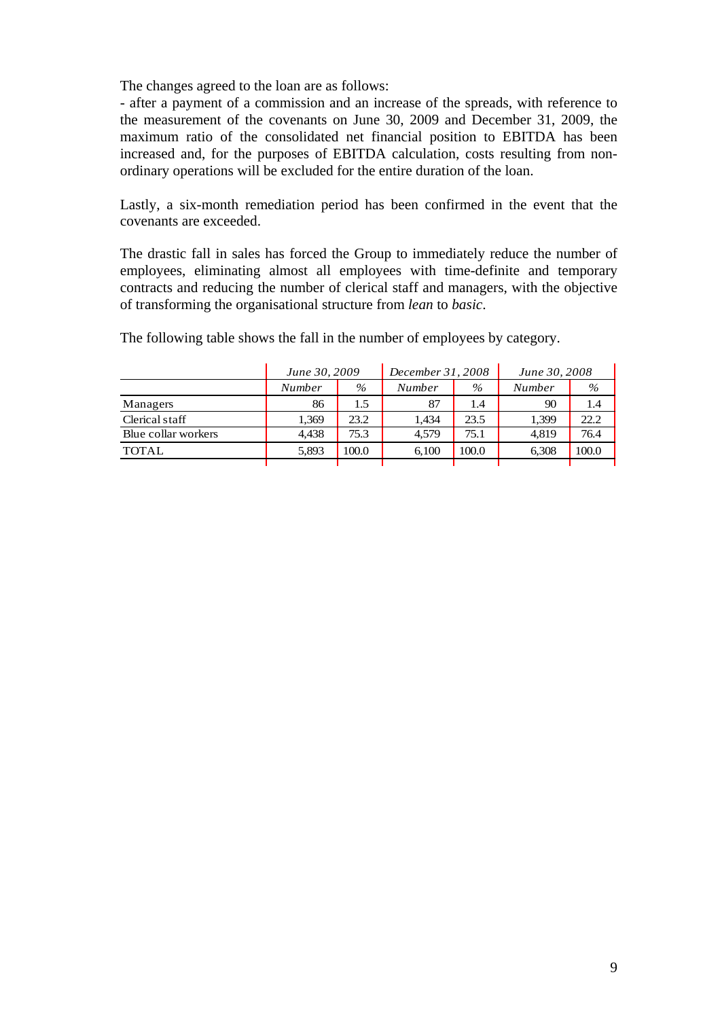The changes agreed to the loan are as follows:

- after a payment of a commission and an increase of the spreads, with reference to the measurement of the covenants on June 30, 2009 and December 31, 2009, the maximum ratio of the consolidated net financial position to EBITDA has been increased and, for the purposes of EBITDA calculation, costs resulting from nonordinary operations will be excluded for the entire duration of the loan.

Lastly, a six-month remediation period has been confirmed in the event that the covenants are exceeded.

The drastic fall in sales has forced the Group to immediately reduce the number of employees, eliminating almost all employees with time-definite and temporary contracts and reducing the number of clerical staff and managers, with the objective of transforming the organisational structure from *lean* to *basic*.

The following table shows the fall in the number of employees by category.

|                     |        | June 30, 2009 |               | December 31, 2008 | June 30, 2008 |       |
|---------------------|--------|---------------|---------------|-------------------|---------------|-------|
|                     | Number | $\%$          | <b>Number</b> | $\%$              | Number        | $\%$  |
| Managers            | 86     | 1.5           | 87            | 1.4               | 90            | 1.4   |
| Clerical staff      | 1,369  | 23.2          | 1.434         | 23.5              | 1,399         | 22.2  |
| Blue collar workers | 4.438  | 75.3          | 4.579         | 75.1              | 4.819         | 76.4  |
| <b>TOTAL</b>        | 5.893  | 100.0         | 6.100         | 100.0             | 6,308         | 100.0 |
|                     |        |               |               |                   |               |       |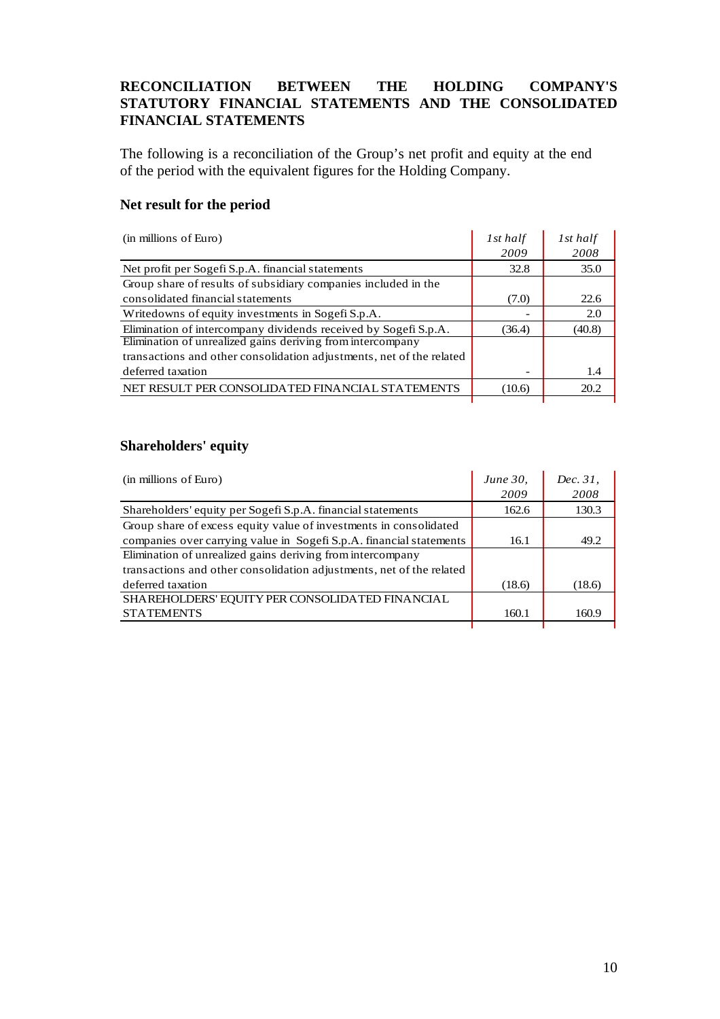# **RECONCILIATION BETWEEN THE HOLDING COMPANY'S STATUTORY FINANCIAL STATEMENTS AND THE CONSOLIDATED FINANCIAL STATEMENTS**

The following is a reconciliation of the Group's net profit and equity at the end of the period with the equivalent figures for the Holding Company.

## **Net result for the period**

| (in millions of Euro)                                                | 1st half | 1st half |
|----------------------------------------------------------------------|----------|----------|
|                                                                      | 2009     | 2008     |
| Net profit per Sogefi S.p.A. financial statements                    | 32.8     | 35.0     |
| Group share of results of subsidiary companies included in the       |          |          |
| consolidated financial statements                                    | (7.0)    | 22.6     |
| Writedowns of equity investments in Sogefi S.p.A.                    |          | 2.0      |
| Elimination of intercompany dividends received by Sogefi S.p.A.      | (36.4)   | (40.8)   |
| Elimination of unrealized gains deriving from intercompany           |          |          |
| transactions and other consolidation adjustments, net of the related |          |          |
| deferred taxation                                                    |          | 1.4      |
| NET RESULT PER CONSOLIDATED FINANCIAL STATEMENTS                     | (10.6)   | 20.2     |

# **Shareholders' equity**

| (in millions of Euro)                                                | <i>June 30,</i> | Dec. 31. |
|----------------------------------------------------------------------|-----------------|----------|
|                                                                      | 2009            | 2008     |
| Shareholders' equity per Sogefi S.p.A. financial statements          | 162.6           | 130.3    |
| Group share of excess equity value of investments in consolidated    |                 |          |
| companies over carrying value in Sogefi S.p.A. financial statements  | 16.1            | 49.2     |
| Elimination of unrealized gains deriving from intercompany           |                 |          |
| transactions and other consolidation adjustments, net of the related |                 |          |
| deferred taxation                                                    | (18.6)          | (18.6)   |
| SHAREHOLDERS' EQUITY PER CONSOLIDATED FINANCIAL                      |                 |          |
| <b>STATEMENTS</b>                                                    | 160.1           | 160.9    |
|                                                                      |                 |          |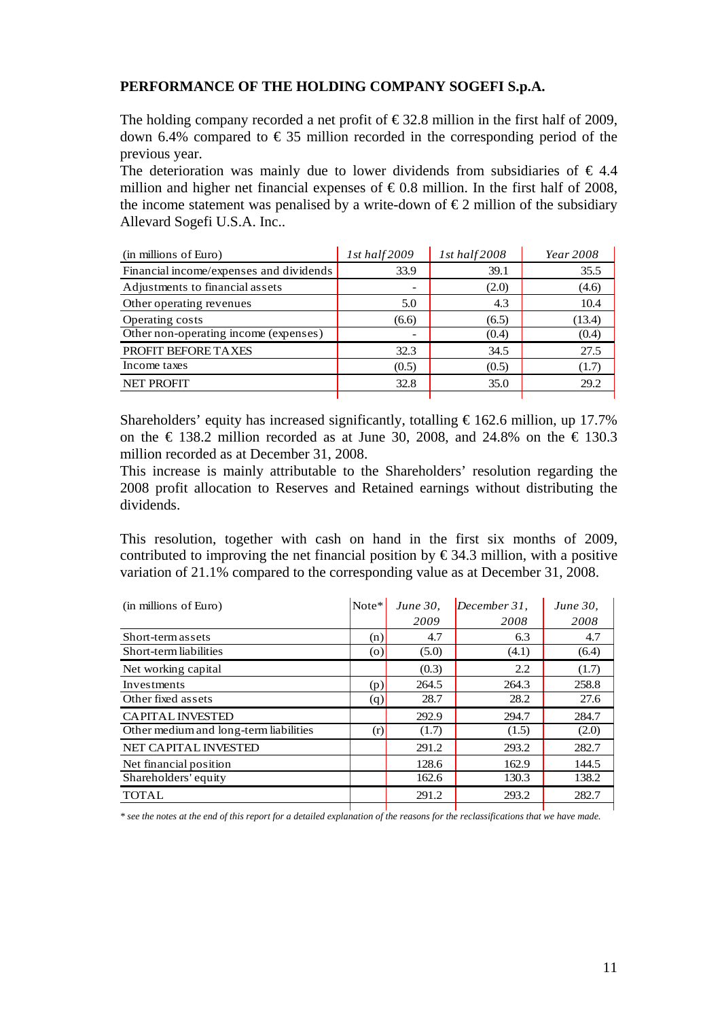## **PERFORMANCE OF THE HOLDING COMPANY SOGEFI S.p.A.**

The holding company recorded a net profit of  $\epsilon$ 32.8 million in the first half of 2009, down 6.4% compared to  $\epsilon$  35 million recorded in the corresponding period of the previous year.

The deterioration was mainly due to lower dividends from subsidiaries of  $\epsilon$  4.4 million and higher net financial expenses of  $\epsilon$ 0.8 million. In the first half of 2008, the income statement was penalised by a write-down of  $\epsilon$ 2 million of the subsidiary Allevard Sogefi U.S.A. Inc..

| (in millions of Euro)                   | 1st half 2009            | 1st half 2008 | Year 2008 |
|-----------------------------------------|--------------------------|---------------|-----------|
| Financial income/expenses and dividends | 33.9                     | 39.1          | 35.5      |
| Adjustments to financial assets         | $\overline{\phantom{0}}$ | (2.0)         | (4.6)     |
| Other operating revenues                | 5.0                      | 4.3           | 10.4      |
| Operating costs                         | (6.6)                    | (6.5)         | (13.4)    |
| Other non-operating income (expenses)   | $\overline{\phantom{a}}$ | (0.4)         | (0.4)     |
| PROFIT BEFORE TAXES                     | 32.3                     | 34.5          | 27.5      |
| Income taxes                            | (0.5)                    | (0.5)         | (1.7)     |
| <b>NET PROFIT</b>                       | 32.8                     | 35.0          | 29.2      |

Shareholders' equity has increased significantly, totalling  $\epsilon$ 162.6 million, up 17.7% on the  $\epsilon$  138.2 million recorded as at June 30, 2008, and 24.8% on the  $\epsilon$  130.3 million recorded as at December 31, 2008.

This increase is mainly attributable to the Shareholders' resolution regarding the 2008 profit allocation to Reserves and Retained earnings without distributing the dividends.

This resolution, together with cash on hand in the first six months of 2009, contributed to improving the net financial position by  $\epsilon$ 34.3 million, with a positive variation of 21.1% compared to the corresponding value as at December 31, 2008.

| (in millions of Euro)                  | Note <sup>*</sup> | <i>June 30,</i> | $December 31$ , | <i>June 30,</i> |
|----------------------------------------|-------------------|-----------------|-----------------|-----------------|
|                                        |                   | 2009            | 2008            | 2008            |
| Short-term assets                      | (n)               | 4.7             | 6.3             | 4.7             |
| Short-term liabilities                 | $\circ$           | (5.0)           | (4.1)           | (6.4)           |
| Net working capital                    |                   | (0.3)           | 2.2             | (1.7)           |
| Investments                            | (p)               | 264.5           | 264.3           | 258.8           |
| Other fixed assets                     | (q)               | 28.7            | 28.2            | 27.6            |
| <b>CAPITAL INVESTED</b>                |                   | 292.9           | 294.7           | 284.7           |
| Other medium and long-term liabilities | (r)               | (1.7)           | (1.5)           | (2.0)           |
| <b>NET CAPITAL INVESTED</b>            |                   | 291.2           | 293.2           | 282.7           |
| Net financial position                 |                   | 128.6           | 162.9           | 144.5           |
| Shareholders' equity                   |                   | 162.6           | 130.3           | 138.2           |
| <b>TOTAL</b>                           |                   | 291.2           | 293.2           | 282.7           |

*\* see the notes at the end of this report for a detailed explanation of the reasons for the reclassifications that we have made.*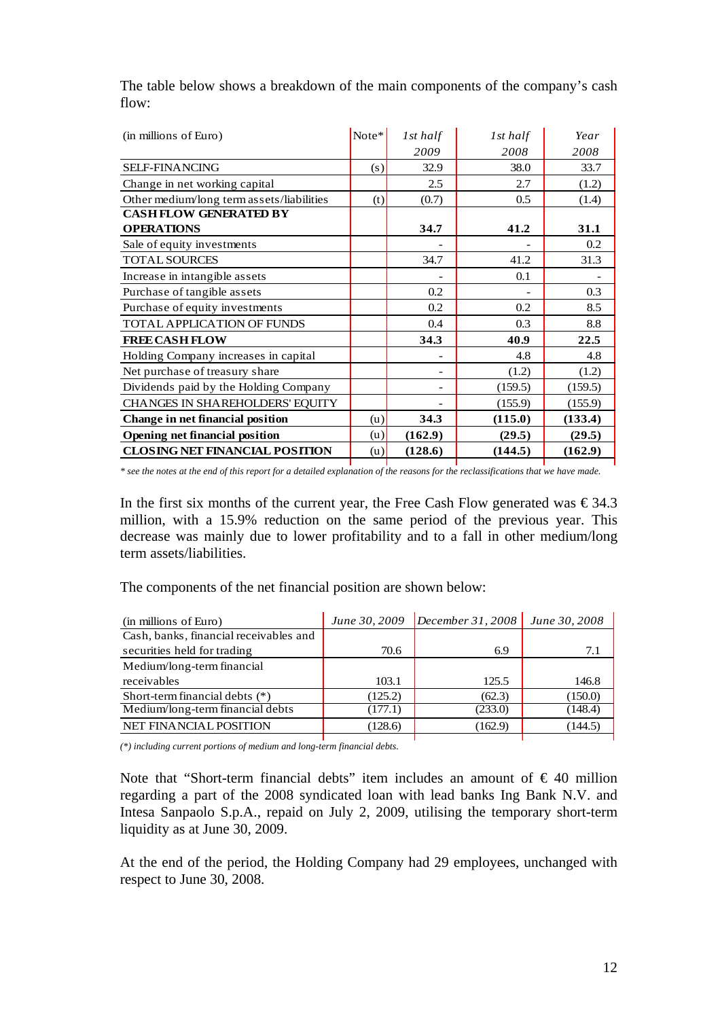| (in millions of Euro)                     | Note* | 1st half | 1st half | Year    |
|-------------------------------------------|-------|----------|----------|---------|
|                                           |       | 2009     | 2008     | 2008    |
| <b>SELF-FINANCING</b>                     | (s)   | 32.9     | 38.0     | 33.7    |
| Change in net working capital             |       | 2.5      | 2.7      | (1.2)   |
| Other medium/long term assets/liabilities | (t)   | (0.7)    | 0.5      | (1.4)   |
| <b>CASH FLOW GENERATED BY</b>             |       |          |          |         |
| <b>OPERATIONS</b>                         |       | 34.7     | 41.2     | 31.1    |
| Sale of equity investments                |       |          |          | 0.2     |
| <b>TOTAL SOURCES</b>                      |       | 34.7     | 41.2     | 31.3    |
| Increase in intangible assets             |       |          | 0.1      |         |
| Purchase of tangible assets               |       | 0.2      |          | 0.3     |
| Purchase of equity investments            |       | 0.2      | 0.2      | 8.5     |
| TOTAL APPLICATION OF FUNDS                |       | 0.4      | 0.3      | 8.8     |
| <b>FREE CASH FLOW</b>                     |       | 34.3     | 40.9     | 22.5    |
| Holding Company increases in capital      |       |          | 4.8      | 4.8     |
| Net purchase of treasury share            |       |          | (1.2)    | (1.2)   |
| Dividends paid by the Holding Company     |       |          | (159.5)  | (159.5) |
| CHANGES IN SHAREHOLDERS' EQUITY           |       |          | (155.9)  | (155.9) |
| Change in net financial position          | (u)   | 34.3     | (115.0)  | (133.4) |
| <b>Opening net financial position</b>     | (u)   | (162.9)  | (29.5)   | (29.5)  |
| <b>CLOSING NET FINANCIAL POSITION</b>     | (u)   | (128.6)  | (144.5)  | (162.9) |

The table below shows a breakdown of the main components of the company's cash flow:

*\* see the notes at the end of this report for a detailed explanation of the reasons for the reclassifications that we have made.* 

In the first six months of the current year, the Free Cash Flow generated was  $\epsilon$  34.3 million, with a 15.9% reduction on the same period of the previous year. This decrease was mainly due to lower profitability and to a fall in other medium/long term assets/liabilities.

The components of the net financial position are shown below:

| (in millions of Euro)                  | June 30, 2009 | $\vert$ December 31, 2008 | June 30, 2008 |
|----------------------------------------|---------------|---------------------------|---------------|
| Cash, banks, financial receivables and |               |                           |               |
| securities held for trading            | 70.6          | 6.9                       | 7.1           |
| Medium/long-term financial             |               |                           |               |
| receivables                            | 103.1         | 125.5                     | 146.8         |
| Short-term financial debts $(*)$       | (125.2)       | (62.3)                    | (150.0)       |
| Medium/long-term financial debts       | (177.1)       | (233.0)                   | (148.4)       |
| <b>NET FINANCIAL POSITION</b>          | (128.6)       | (162.9)                   | (144.5)       |
|                                        |               |                           |               |

*(\*) including current portions of medium and long-term financial debts.* 

Note that "Short-term financial debts" item includes an amount of  $\epsilon$  40 million regarding a part of the 2008 syndicated loan with lead banks Ing Bank N.V. and Intesa Sanpaolo S.p.A., repaid on July 2, 2009, utilising the temporary short-term liquidity as at June 30, 2009.

At the end of the period, the Holding Company had 29 employees, unchanged with respect to June 30, 2008.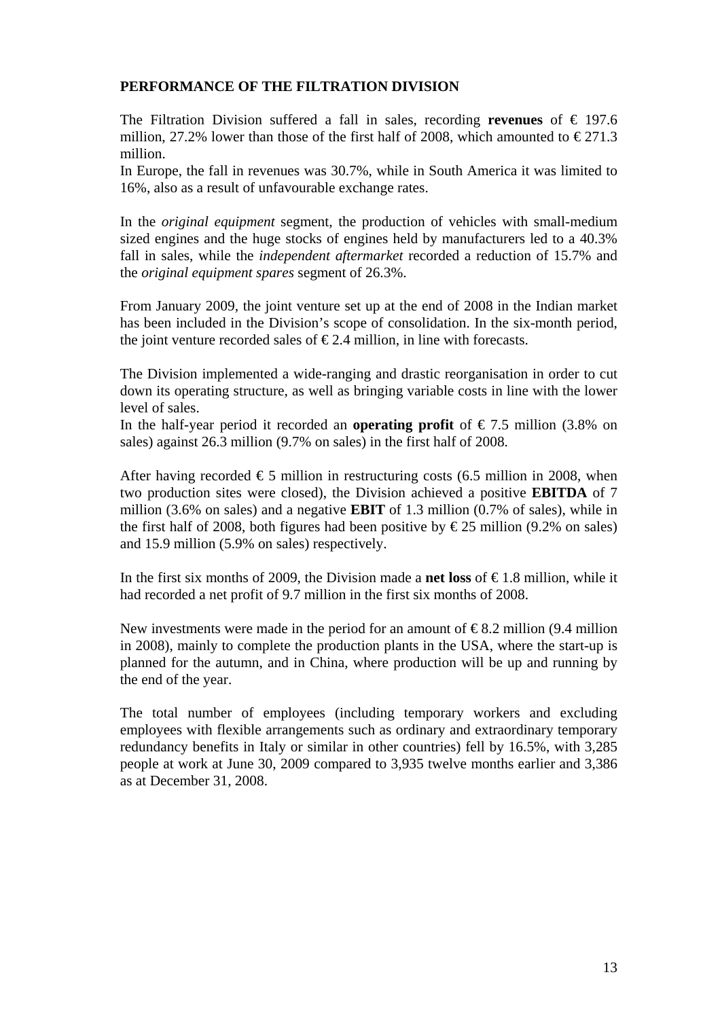## **PERFORMANCE OF THE FILTRATION DIVISION**

The Filtration Division suffered a fall in sales, recording **revenues** of  $\epsilon$  197.6 million, 27.2% lower than those of the first half of 2008, which amounted to  $\epsilon$ 271.3 million.

In Europe, the fall in revenues was 30.7%, while in South America it was limited to 16%, also as a result of unfavourable exchange rates.

In the *original equipment* segment*,* the production of vehicles with small-medium sized engines and the huge stocks of engines held by manufacturers led to a 40.3% fall in sales, while the *independent aftermarket* recorded a reduction of 15.7% and the *original equipment spares* segment of 26.3%.

From January 2009, the joint venture set up at the end of 2008 in the Indian market has been included in the Division's scope of consolidation. In the six-month period, the joint venture recorded sales of  $\epsilon$ 2.4 million, in line with forecasts.

The Division implemented a wide-ranging and drastic reorganisation in order to cut down its operating structure, as well as bringing variable costs in line with the lower level of sales.

In the half-year period it recorded an **operating profit** of  $\epsilon$ 7.5 million (3.8% on sales) against 26.3 million (9.7% on sales) in the first half of 2008.

After having recorded  $\epsilon$ 5 million in restructuring costs (6.5 million in 2008, when two production sites were closed), the Division achieved a positive **EBITDA** of 7 million (3.6% on sales) and a negative **EBIT** of 1.3 million (0.7% of sales), while in the first half of 2008, both figures had been positive by  $\epsilon$ 25 million (9.2% on sales) and 15.9 million (5.9% on sales) respectively.

In the first six months of 2009, the Division made a **net loss** of  $\epsilon$  1.8 million, while it had recorded a net profit of 9.7 million in the first six months of 2008.

New investments were made in the period for an amount of  $\epsilon$ 8.2 million (9.4 million in 2008), mainly to complete the production plants in the USA, where the start-up is planned for the autumn, and in China, where production will be up and running by the end of the year.

The total number of employees (including temporary workers and excluding employees with flexible arrangements such as ordinary and extraordinary temporary redundancy benefits in Italy or similar in other countries) fell by 16.5%, with 3,285 people at work at June 30, 2009 compared to 3,935 twelve months earlier and 3,386 as at December 31, 2008.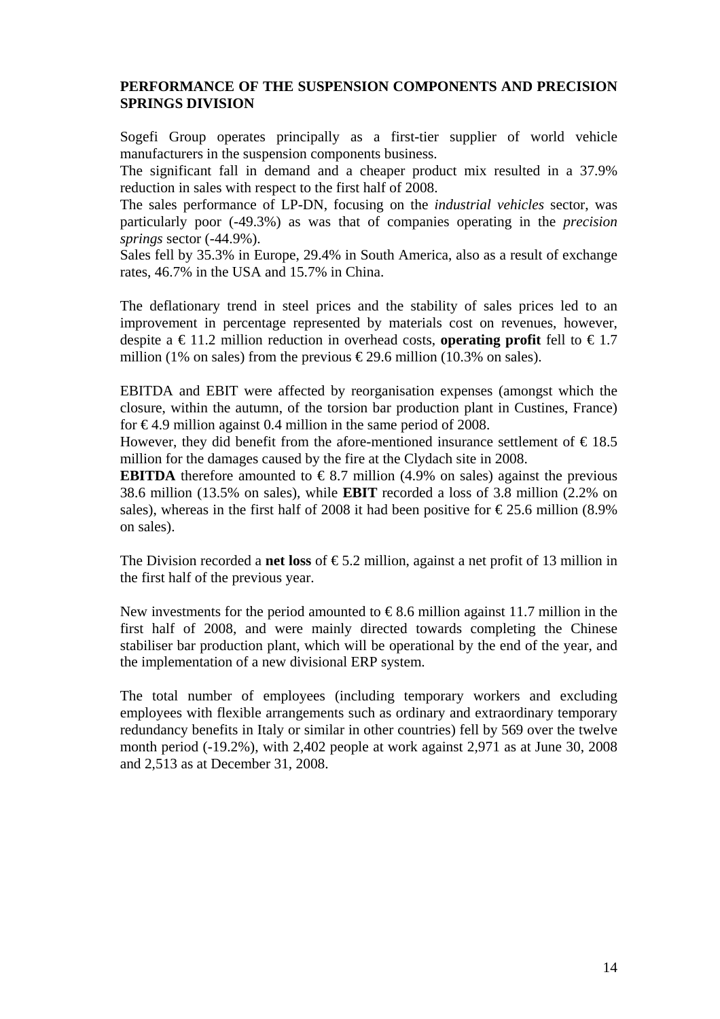# **PERFORMANCE OF THE SUSPENSION COMPONENTS AND PRECISION SPRINGS DIVISION**

Sogefi Group operates principally as a first-tier supplier of world vehicle manufacturers in the suspension components business.

The significant fall in demand and a cheaper product mix resulted in a 37.9% reduction in sales with respect to the first half of 2008.

The sales performance of LP-DN, focusing on the *industrial vehicles* sector, was particularly poor (-49.3%) as was that of companies operating in the *precision springs* sector (-44.9%).

Sales fell by 35.3% in Europe, 29.4% in South America, also as a result of exchange rates, 46.7% in the USA and 15.7% in China.

The deflationary trend in steel prices and the stability of sales prices led to an improvement in percentage represented by materials cost on revenues, however, despite a  $\in$  11.2 million reduction in overhead costs, **operating profit** fell to  $\in$  1.7 million (1% on sales) from the previous  $\epsilon$ 29.6 million (10.3% on sales).

EBITDA and EBIT were affected by reorganisation expenses (amongst which the closure, within the autumn, of the torsion bar production plant in Custines, France) for  $\epsilon$ 4.9 million against 0.4 million in the same period of 2008.

However, they did benefit from the afore-mentioned insurance settlement of  $\epsilon$ 18.5 million for the damages caused by the fire at the Clydach site in 2008.

**EBITDA** therefore amounted to  $\epsilon$ 8.7 million (4.9% on sales) against the previous 38.6 million (13.5% on sales), while **EBIT** recorded a loss of 3.8 million (2.2% on sales), whereas in the first half of 2008 it had been positive for  $\epsilon$ 25.6 million (8.9%) on sales).

The Division recorded a **net loss** of  $\epsilon$ 5.2 million, against a net profit of 13 million in the first half of the previous year.

New investments for the period amounted to  $\epsilon$ 8.6 million against 11.7 million in the first half of 2008, and were mainly directed towards completing the Chinese stabiliser bar production plant, which will be operational by the end of the year, and the implementation of a new divisional ERP system.

The total number of employees (including temporary workers and excluding employees with flexible arrangements such as ordinary and extraordinary temporary redundancy benefits in Italy or similar in other countries) fell by 569 over the twelve month period (-19.2%), with 2,402 people at work against 2,971 as at June 30, 2008 and 2,513 as at December 31, 2008.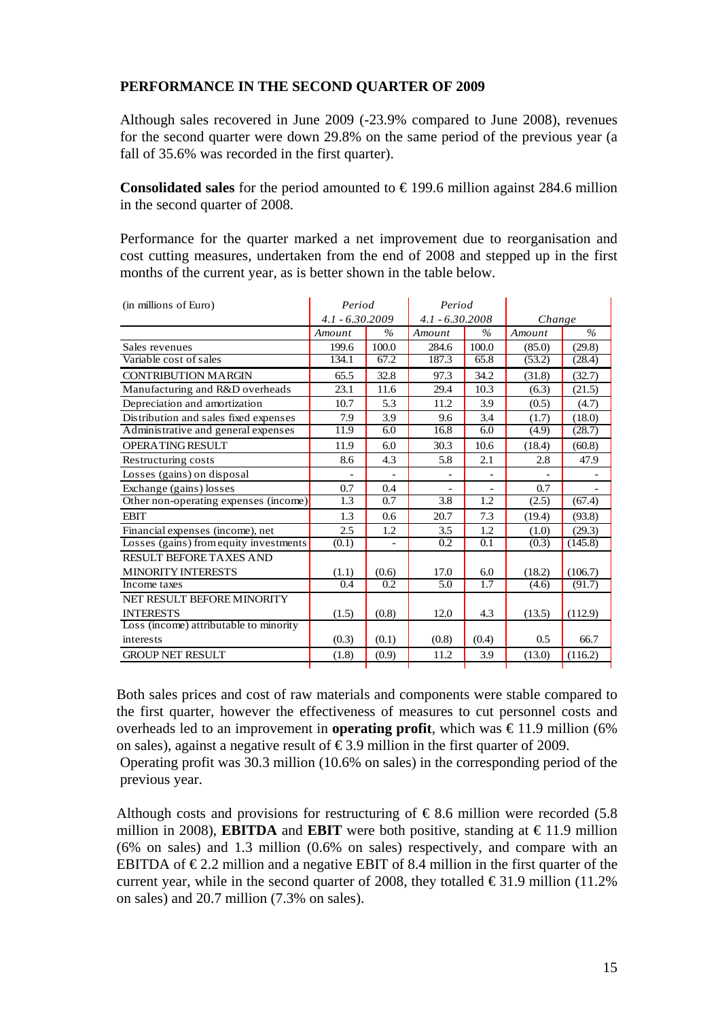# **PERFORMANCE IN THE SECOND QUARTER OF 2009**

Although sales recovered in June 2009 (-23.9% compared to June 2008), revenues for the second quarter were down 29.8% on the same period of the previous year (a fall of 35.6% was recorded in the first quarter).

**Consolidated sales** for the period amounted to  $\in$  199.6 million against 284.6 million in the second quarter of 2008.

Performance for the quarter marked a net improvement due to reorganisation and cost cutting measures, undertaken from the end of 2008 and stepped up in the first months of the current year, as is better shown in the table below.

| (in millions of Euro)                  | Period            | Period        |                   |       |        |         |
|----------------------------------------|-------------------|---------------|-------------------|-------|--------|---------|
|                                        | $4.1 - 6.30.2009$ |               | $4.1 - 6.30.2008$ |       | Change |         |
|                                        | Amount            | $\%$          | Amount            | $\%$  | Amount | $\%$    |
| Sales revenues                         | 199.6             | 100.0         | 284.6             | 100.0 | (85.0) | (29.8)  |
| Variable cost of sales                 | 134.1             | 67.2          | 187.3             | 65.8  | (53.2) | (28.4)  |
| <b>CONTRIBUTION MARGIN</b>             | 65.5              | 32.8          | 97.3              | 34.2  | (31.8) | (32.7)  |
| Manufacturing and R&D overheads        | 23.1              | 11.6          | 29.4              | 10.3  | (6.3)  | (21.5)  |
| Depreciation and amortization          | 10.7              | 5.3           | 11.2              | 3.9   | (0.5)  | (4.7)   |
| Distribution and sales fixed expenses  | 7.9               | 3.9           | 9.6               | 3.4   | (1.7)  | (18.0)  |
| Administrative and general expenses    | 11.9              | 6.0           | 16.8              | 6.0   | (4.9)  | (28.7)  |
| <b>OPERATING RESULT</b>                | 11.9              | 6.0           | 30.3              | 10.6  | (18.4) | (60.8)  |
| Restructuring costs                    | 8.6               | 4.3           | 5.8               | 2.1   | 2.8    | 47.9    |
| Losses (gains) on disposal             |                   |               |                   |       |        |         |
| Exchange (gains) losses                | 0.7               | 0.4           |                   |       | 0.7    |         |
| Other non-operating expenses (income)  | 1.3               | 0.7           | 3.8               | 1.2   | (2.5)  | (67.4)  |
| <b>EBIT</b>                            | 1.3               | $0.6^{\circ}$ | 20.7              | 7.3   | (19.4) | (93.8)  |
| Financial expenses (income), net       | 2.5               | 1.2           | 3.5               | 1.2   | (1.0)  | (29.3)  |
| Losses (gains) from equity investments | (0.1)             |               | 0.2               | 0.1   | (0.3)  | (145.8) |
| RESULT BEFORE TAXES AND                |                   |               |                   |       |        |         |
| <b>MINORITY INTERESTS</b>              | (1.1)             | (0.6)         | 17.0              | 6.0   | (18.2) | (106.7) |
| Income taxes                           | 0.4               | 0.2           | 5.0               | 1.7   | (4.6)  | (91.7)  |
| NET RESULT BEFORE MINORITY             |                   |               |                   |       |        |         |
| <b>INTERESTS</b>                       | (1.5)             | (0.8)         | 12.0              | 4.3   | (13.5) | (112.9) |
| Loss (income) attributable to minority |                   |               |                   |       |        |         |
| interests                              | (0.3)             | (0.1)         | (0.8)             | (0.4) | 0.5    | 66.7    |
| <b>GROUP NET RESULT</b>                | (1.8)             | (0.9)         | 11.2              | 3.9   | (13.0) | (116.2) |
|                                        |                   |               |                   |       |        |         |

Both sales prices and cost of raw materials and components were stable compared to the first quarter, however the effectiveness of measures to cut personnel costs and overheads led to an improvement in **operating profit**, which was  $\in$ 11.9 million (6%) on sales), against a negative result of  $\epsilon$ 3.9 million in the first quarter of 2009.

Operating profit was 30.3 million (10.6% on sales) in the corresponding period of the previous year.

Although costs and provisions for restructuring of  $\epsilon$ 8.6 million were recorded (5.8) million in 2008), **EBITDA** and **EBIT** were both positive, standing at  $\epsilon$ 11.9 million (6% on sales) and 1.3 million (0.6% on sales) respectively, and compare with an EBITDA of  $\epsilon$ 2.2 million and a negative EBIT of 8.4 million in the first quarter of the current year, while in the second quarter of 2008, they totalled  $\epsilon$ 31.9 million (11.2%) on sales) and 20.7 million (7.3% on sales).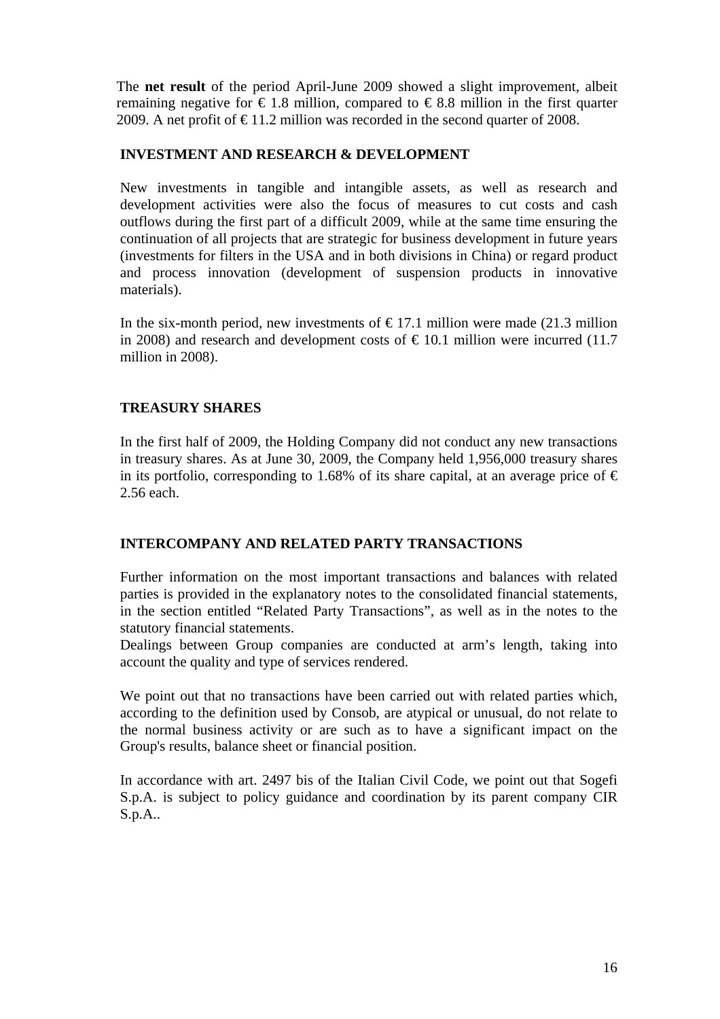The **net result** of the period April-June 2009 showed a slight improvement, albeit remaining negative for  $\epsilon$  1.8 million, compared to  $\epsilon$  8.8 million in the first quarter 2009. A net profit of  $\text{\textsterling}11.2$  million was recorded in the second quarter of 2008.

## **INVESTMENT AND RESEARCH & DEVELOPMENT**

New investments in tangible and intangible assets, as well as research and development activities were also the focus of measures to cut costs and cash outflows during the first part of a difficult 2009, while at the same time ensuring the continuation of all projects that are strategic for business development in future years (investments for filters in the USA and in both divisions in China) or regard product and process innovation (development of suspension products in innovative materials).

In the six-month period, new investments of  $\epsilon$ 17.1 million were made (21.3 million in 2008) and research and development costs of  $\text{\textsterling}10.1$  million were incurred (11.7 million in 2008).

# **TREASURY SHARES**

In the first half of 2009, the Holding Company did not conduct any new transactions in treasury shares. As at June 30, 2009, the Company held 1,956,000 treasury shares in its portfolio, corresponding to 1.68% of its share capital, at an average price of  $\epsilon$ 2.56 each.

# **INTERCOMPANY AND RELATED PARTY TRANSACTIONS**

Further information on the most important transactions and balances with related parties is provided in the explanatory notes to the consolidated financial statements, in the section entitled "Related Party Transactions", as well as in the notes to the statutory financial statements.

Dealings between Group companies are conducted at arm's length, taking into account the quality and type of services rendered.

We point out that no transactions have been carried out with related parties which, according to the definition used by Consob, are atypical or unusual, do not relate to the normal business activity or are such as to have a significant impact on the Group's results, balance sheet or financial position.

In accordance with art. 2497 bis of the Italian Civil Code, we point out that Sogefi S.p.A. is subject to policy guidance and coordination by its parent company CIR S.p.A..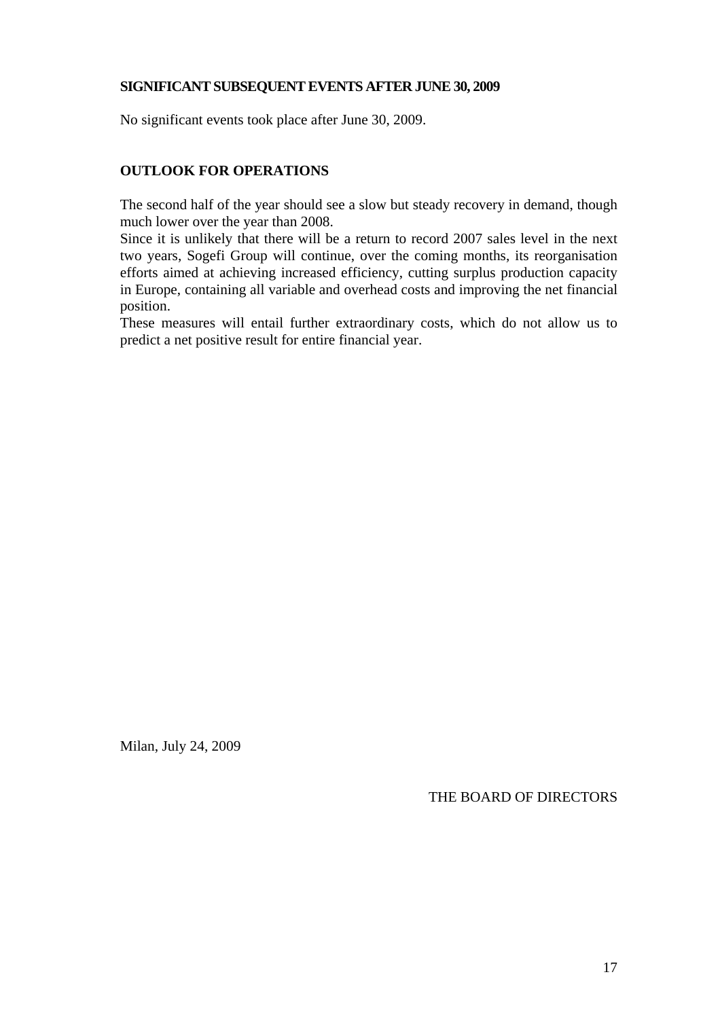## **SIGNIFICANT SUBSEQUENT EVENTS AFTER JUNE 30, 2009**

No significant events took place after June 30, 2009.

# **OUTLOOK FOR OPERATIONS**

The second half of the year should see a slow but steady recovery in demand, though much lower over the year than 2008.

Since it is unlikely that there will be a return to record 2007 sales level in the next two years, Sogefi Group will continue, over the coming months, its reorganisation efforts aimed at achieving increased efficiency, cutting surplus production capacity in Europe, containing all variable and overhead costs and improving the net financial position.

These measures will entail further extraordinary costs, which do not allow us to predict a net positive result for entire financial year.

Milan, July 24, 2009

THE BOARD OF DIRECTORS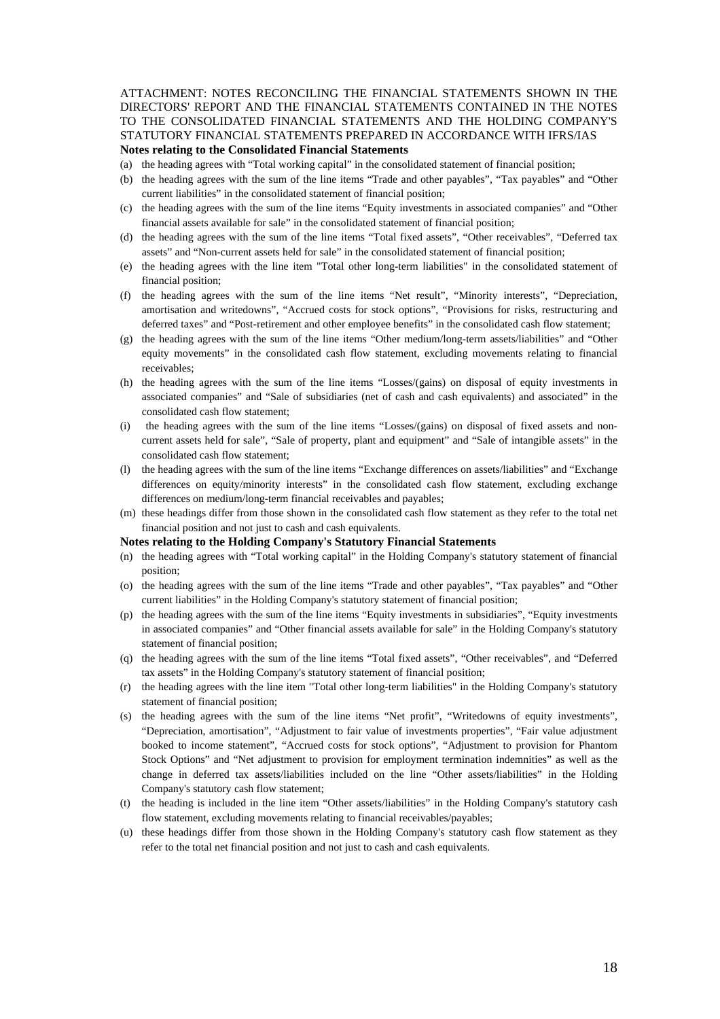#### ATTACHMENT: NOTES RECONCILING THE FINANCIAL STATEMENTS SHOWN IN THE DIRECTORS' REPORT AND THE FINANCIAL STATEMENTS CONTAINED IN THE NOTES TO THE CONSOLIDATED FINANCIAL STATEMENTS AND THE HOLDING COMPANY'S STATUTORY FINANCIAL STATEMENTS PREPARED IN ACCORDANCE WITH IFRS/IAS **Notes relating to the Consolidated Financial Statements**

(a) the heading agrees with "Total working capital" in the consolidated statement of financial position;

- (b) the heading agrees with the sum of the line items "Trade and other payables", "Tax payables" and "Other current liabilities" in the consolidated statement of financial position;
- (c) the heading agrees with the sum of the line items "Equity investments in associated companies" and "Other financial assets available for sale" in the consolidated statement of financial position;
- (d) the heading agrees with the sum of the line items "Total fixed assets", "Other receivables", "Deferred tax assets" and "Non-current assets held for sale" in the consolidated statement of financial position;
- (e) the heading agrees with the line item "Total other long-term liabilities" in the consolidated statement of financial position;
- (f) the heading agrees with the sum of the line items "Net result", "Minority interests", "Depreciation, amortisation and writedowns", "Accrued costs for stock options", "Provisions for risks, restructuring and deferred taxes" and "Post-retirement and other employee benefits" in the consolidated cash flow statement;
- (g) the heading agrees with the sum of the line items "Other medium/long-term assets/liabilities" and "Other equity movements" in the consolidated cash flow statement, excluding movements relating to financial receivables;
- (h) the heading agrees with the sum of the line items "Losses/(gains) on disposal of equity investments in associated companies" and "Sale of subsidiaries (net of cash and cash equivalents) and associated" in the consolidated cash flow statement;
- (i) the heading agrees with the sum of the line items "Losses/(gains) on disposal of fixed assets and noncurrent assets held for sale", "Sale of property, plant and equipment" and "Sale of intangible assets" in the consolidated cash flow statement;
- (l) the heading agrees with the sum of the line items "Exchange differences on assets/liabilities" and "Exchange differences on equity/minority interests" in the consolidated cash flow statement, excluding exchange differences on medium/long-term financial receivables and payables;
- (m) these headings differ from those shown in the consolidated cash flow statement as they refer to the total net financial position and not just to cash and cash equivalents.

#### **Notes relating to the Holding Company's Statutory Financial Statements**

- (n) the heading agrees with "Total working capital" in the Holding Company's statutory statement of financial position;
- (o) the heading agrees with the sum of the line items "Trade and other payables", "Tax payables" and "Other current liabilities" in the Holding Company's statutory statement of financial position;
- (p) the heading agrees with the sum of the line items "Equity investments in subsidiaries", "Equity investments in associated companies" and "Other financial assets available for sale" in the Holding Company's statutory statement of financial position;
- (q) the heading agrees with the sum of the line items "Total fixed assets", "Other receivables", and "Deferred tax assets" in the Holding Company's statutory statement of financial position;
- (r) the heading agrees with the line item "Total other long-term liabilities" in the Holding Company's statutory statement of financial position;
- (s) the heading agrees with the sum of the line items "Net profit", "Writedowns of equity investments", "Depreciation, amortisation", "Adjustment to fair value of investments properties", "Fair value adjustment booked to income statement", "Accrued costs for stock options", "Adjustment to provision for Phantom Stock Options" and "Net adjustment to provision for employment termination indemnities" as well as the change in deferred tax assets/liabilities included on the line "Other assets/liabilities" in the Holding Company's statutory cash flow statement;
- (t) the heading is included in the line item "Other assets/liabilities" in the Holding Company's statutory cash flow statement, excluding movements relating to financial receivables/payables;
- (u) these headings differ from those shown in the Holding Company's statutory cash flow statement as they refer to the total net financial position and not just to cash and cash equivalents.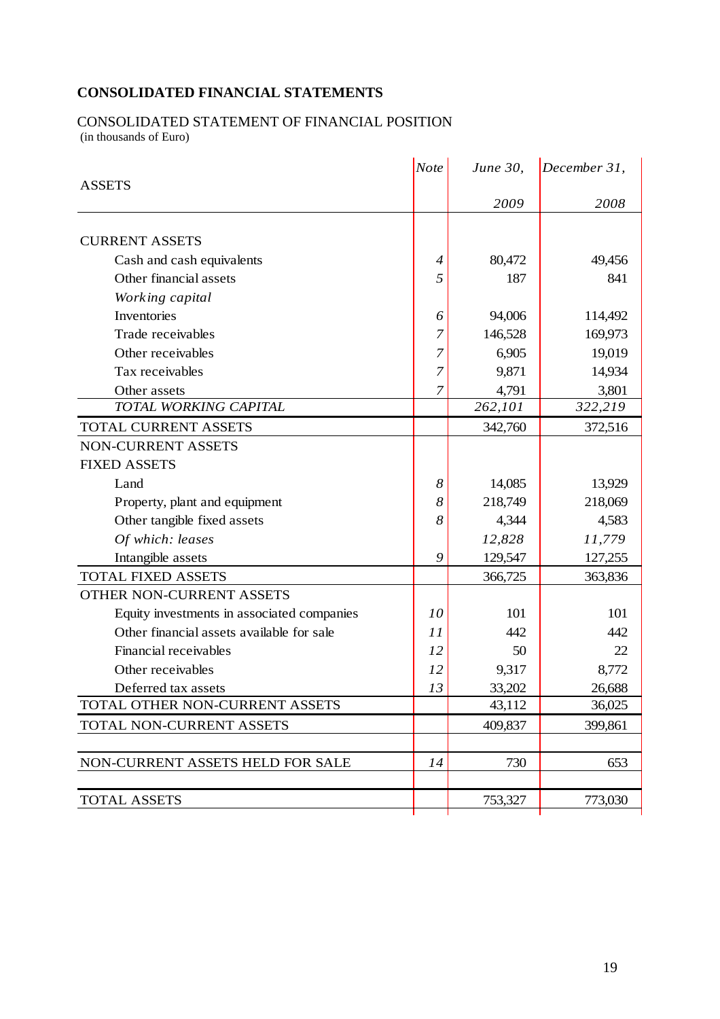# **CONSOLIDATED FINANCIAL STATEMENTS**

# CONSOLIDATED STATEMENT OF FINANCIAL POSITION

(in thousands of Euro)

|                                            |                | <i>June 30,</i> | December 31, |
|--------------------------------------------|----------------|-----------------|--------------|
| <b>ASSETS</b>                              |                |                 |              |
|                                            |                | 2009            | 2008         |
| <b>CURRENT ASSETS</b>                      |                |                 |              |
| Cash and cash equivalents                  | $\overline{4}$ | 80,472          | 49,456       |
| Other financial assets                     | 5              | 187             | 841          |
| Working capital                            |                |                 |              |
| Inventories                                | 6              | 94,006          | 114,492      |
| Trade receivables                          | 7              | 146,528         | 169,973      |
| Other receivables                          | 7              | 6,905           | 19,019       |
| Tax receivables                            | 7              | 9,871           | 14,934       |
| Other assets                               | 7              | 4,791           | 3,801        |
| TOTAL WORKING CAPITAL                      |                | 262,101         | 322,219      |
| <b>TOTAL CURRENT ASSETS</b>                |                | 342,760         | 372,516      |
| NON-CURRENT ASSETS                         |                |                 |              |
| <b>FIXED ASSETS</b>                        |                |                 |              |
| Land                                       | 8              | 14,085          | 13,929       |
| Property, plant and equipment              | 8              | 218,749         | 218,069      |
| Other tangible fixed assets                | 8              | 4,344           | 4,583        |
| Of which: leases                           |                | 12,828          | 11,779       |
| Intangible assets                          | 9              | 129,547         | 127,255      |
| <b>TOTAL FIXED ASSETS</b>                  |                | 366,725         | 363,836      |
| OTHER NON-CURRENT ASSETS                   |                |                 |              |
| Equity investments in associated companies | 10             | 101             | 101          |
| Other financial assets available for sale  | 11             | 442             | 442          |
| Financial receivables                      | 12             | 50              | 22           |
| Other receivables                          | 12             | 9,317           | 8,772        |
| Deferred tax assets                        | 13             | 33,202          | 26,688       |
| TOTAL OTHER NON-CURRENT ASSETS             |                | 43,112          | 36,025       |
| TOTAL NON-CURRENT ASSETS                   |                | 409,837         | 399,861      |
|                                            |                |                 |              |
| NON-CURRENT ASSETS HELD FOR SALE           | 14             | 730             | 653          |
|                                            |                |                 |              |
| <b>TOTAL ASSETS</b>                        |                | 753,327         | 773,030      |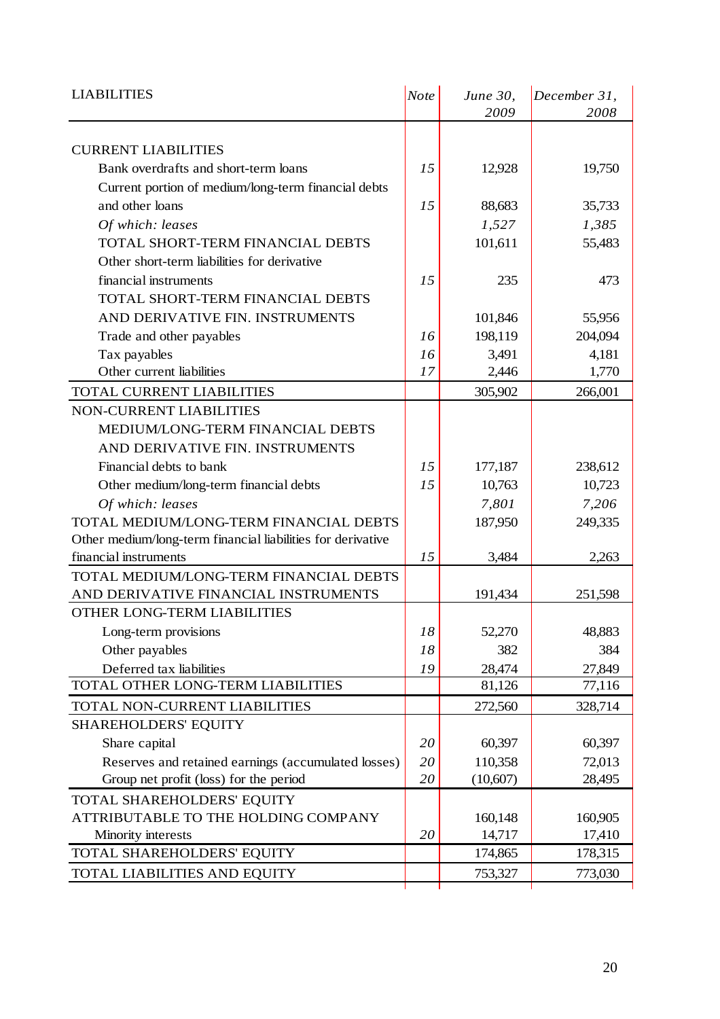| <b>LIABILITIES</b>                                          | <b>Note</b> | June 30,<br>2009 | December 31,<br>2008 |
|-------------------------------------------------------------|-------------|------------------|----------------------|
|                                                             |             |                  |                      |
| <b>CURRENT LIABILITIES</b>                                  |             |                  |                      |
| Bank overdrafts and short-term loans                        | 15          | 12,928           | 19,750               |
| Current portion of medium/long-term financial debts         |             |                  |                      |
| and other loans                                             | 15          | 88,683           | 35,733               |
| Of which: leases                                            |             | 1,527            | 1,385                |
| TOTAL SHORT-TERM FINANCIAL DEBTS                            |             | 101,611          | 55,483               |
| Other short-term liabilities for derivative                 |             |                  |                      |
| financial instruments                                       | 15          | 235              | 473                  |
| TOTAL SHORT-TERM FINANCIAL DEBTS                            |             |                  |                      |
| AND DERIVATIVE FIN. INSTRUMENTS                             |             | 101,846          | 55,956               |
| Trade and other payables                                    | 16          | 198,119          | 204,094              |
| Tax payables                                                | 16          | 3,491            | 4,181                |
| Other current liabilities                                   | 17          | 2,446            | 1,770                |
| <b>TOTAL CURRENT LIABILITIES</b>                            |             | 305,902          | 266,001              |
| NON-CURRENT LIABILITIES                                     |             |                  |                      |
| MEDIUM/LONG-TERM FINANCIAL DEBTS                            |             |                  |                      |
| AND DERIVATIVE FIN. INSTRUMENTS                             |             |                  |                      |
| Financial debts to bank                                     | 15          | 177,187          | 238,612              |
| Other medium/long-term financial debts                      | 15          | 10,763           | 10,723               |
| Of which: leases                                            |             | 7,801            | 7,206                |
| TOTAL MEDIUM/LONG-TERM FINANCIAL DEBTS                      |             | 187,950          | 249,335              |
| Other medium/long-term financial liabilities for derivative |             |                  |                      |
| financial instruments                                       | 15          | 3,484            | 2,263                |
| TOTAL MEDIUM/LONG-TERM FINANCIAL DEBTS                      |             |                  |                      |
| AND DERIVATIVE FINANCIAL INSTRUMENTS                        |             | 191,434          | 251,598              |
| <b>OTHER LONG-TERM LIABILITIES</b>                          |             |                  |                      |
| Long-term provisions                                        | 18          | 52,270           | 48,883               |
| Other payables                                              | 18          | 382              | 384                  |
| Deferred tax liabilities                                    | 19          | 28,474           | 27,849               |
| TOTAL OTHER LONG-TERM LIABILITIES                           |             | 81,126           | 77,116               |
| TOTAL NON-CURRENT LIABILITIES                               |             | 272,560          | 328,714              |
| <b>SHAREHOLDERS' EQUITY</b>                                 |             |                  |                      |
| Share capital                                               | 20          | 60,397           | 60,397               |
| Reserves and retained earnings (accumulated losses)         | 20          | 110,358          | 72,013               |
| Group net profit (loss) for the period                      | 20          | (10,607)         | 28,495               |
| TOTAL SHAREHOLDERS' EQUITY                                  |             |                  |                      |
| ATTRIBUTABLE TO THE HOLDING COMPANY                         |             | 160,148          | 160,905              |
| Minority interests                                          | 20          | 14,717           | 17,410               |
| TOTAL SHAREHOLDERS' EQUITY                                  |             | 174,865          | 178,315              |
| TOTAL LIABILITIES AND EQUITY                                |             | 753,327          | 773,030              |
|                                                             |             |                  |                      |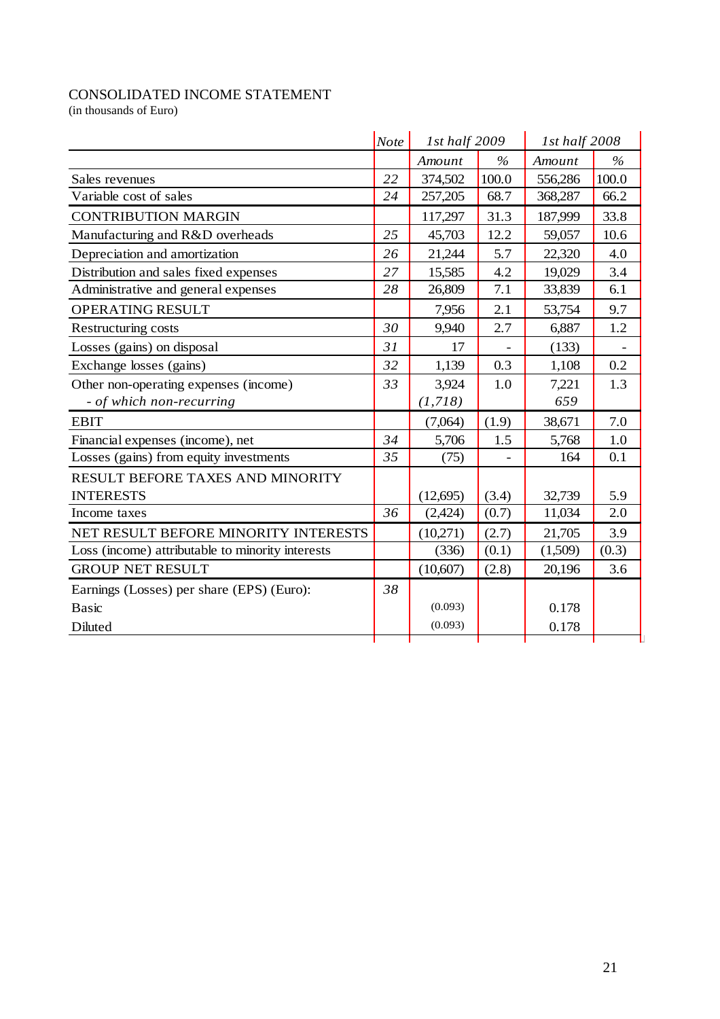# CONSOLIDATED INCOME STATEMENT

(in thousands of Euro)

|                                                  | <b>Note</b> | 1st half 2009 |               | 1st half 2008 |               |
|--------------------------------------------------|-------------|---------------|---------------|---------------|---------------|
|                                                  |             | Amount        | $\frac{0}{0}$ | Amount        | $\frac{0}{0}$ |
| Sales revenues                                   | 22          | 374,502       | 100.0         | 556,286       | 100.0         |
| Variable cost of sales                           | 24          | 257,205       | 68.7          | 368,287       | 66.2          |
| <b>CONTRIBUTION MARGIN</b>                       |             | 117,297       | 31.3          | 187,999       | 33.8          |
| Manufacturing and R&D overheads                  | 25          | 45,703        | 12.2          | 59,057        | 10.6          |
| Depreciation and amortization                    | 26          | 21,244        | 5.7           | 22,320        | 4.0           |
| Distribution and sales fixed expenses            | 27          | 15,585        | 4.2           | 19,029        | 3.4           |
| Administrative and general expenses              | 28          | 26,809        | 7.1           | 33,839        | 6.1           |
| OPERATING RESULT                                 |             | 7,956         | 2.1           | 53,754        | 9.7           |
| Restructuring costs                              | 30          | 9,940         | 2.7           | 6,887         | 1.2           |
| Losses (gains) on disposal                       | 31          | 17            |               | (133)         |               |
| Exchange losses (gains)                          | 32          | 1,139         | 0.3           | 1,108         | 0.2           |
| Other non-operating expenses (income)            | 33          | 3,924         | 1.0           | 7,221         | 1.3           |
| - of which non-recurring                         |             | (1,718)       |               | 659           |               |
| <b>EBIT</b>                                      |             | (7,064)       | (1.9)         | 38,671        | 7.0           |
| Financial expenses (income), net                 | 34          | 5,706         | 1.5           | 5,768         | 1.0           |
| Losses (gains) from equity investments           | 35          | (75)          |               | 164           | 0.1           |
| RESULT BEFORE TAXES AND MINORITY                 |             |               |               |               |               |
| <b>INTERESTS</b>                                 |             | (12,695)      | (3.4)         | 32,739        | 5.9           |
| Income taxes                                     | 36          | (2,424)       | (0.7)         | 11,034        | 2.0           |
| NET RESULT BEFORE MINORITY INTERESTS             |             | (10,271)      | (2.7)         | 21,705        | 3.9           |
| Loss (income) attributable to minority interests |             | (336)         | (0.1)         | (1,509)       | (0.3)         |
| <b>GROUP NET RESULT</b>                          |             | (10,607)      | (2.8)         | 20,196        | 3.6           |
| Earnings (Losses) per share (EPS) (Euro):        | 38          |               |               |               |               |
| <b>Basic</b>                                     |             | (0.093)       |               | 0.178         |               |
| Diluted                                          |             | (0.093)       |               | 0.178         |               |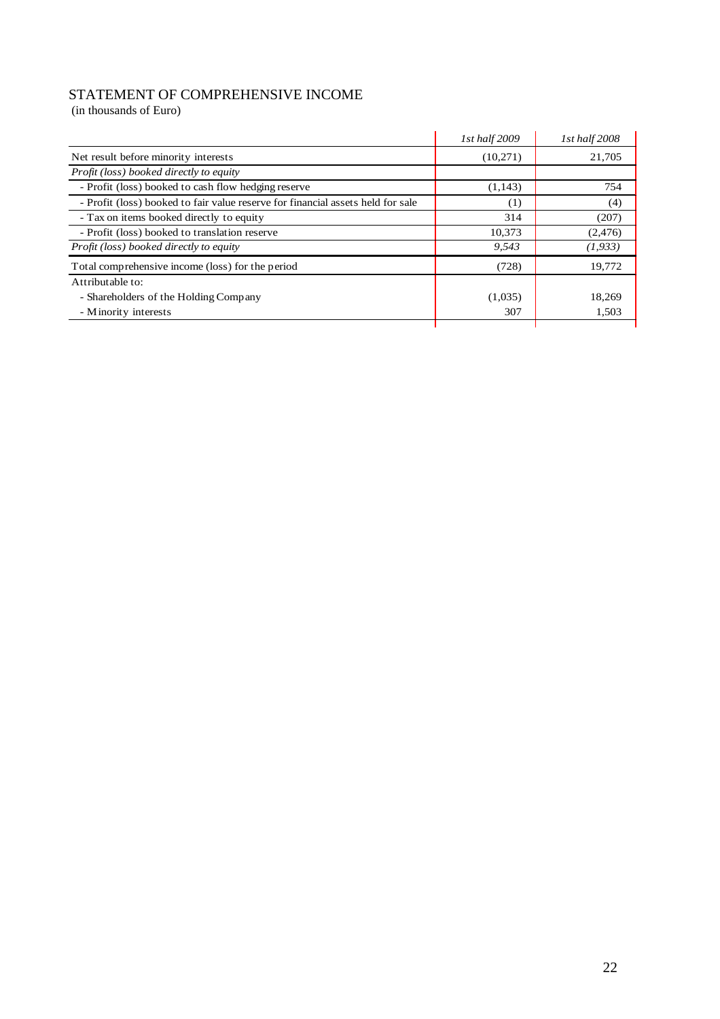# STATEMENT OF COMPREHENSIVE INCOME

(in thousands of Euro)

|                                                                                 | 1st half 2009 | 1st half 2008 |
|---------------------------------------------------------------------------------|---------------|---------------|
| Net result before minority interests                                            | (10,271)      | 21,705        |
| Profit (loss) booked directly to equity                                         |               |               |
| - Profit (loss) booked to cash flow hedging reserve                             | (1,143)       | 754           |
| - Profit (loss) booked to fair value reserve for financial assets held for sale | (1)           | (4)           |
| - Tax on items booked directly to equity                                        | 314           | (207)         |
| - Profit (loss) booked to translation reserve                                   | 10,373        | (2,476)       |
| Profit (loss) booked directly to equity                                         | 9,543         | (1, 933)      |
| Total comprehensive income (loss) for the period                                | (728)         | 19,772        |
| Attributable to:                                                                |               |               |
| - Shareholders of the Holding Company                                           | (1,035)       | 18,269        |
| - Minority interests                                                            | 307           | 1,503         |
|                                                                                 |               |               |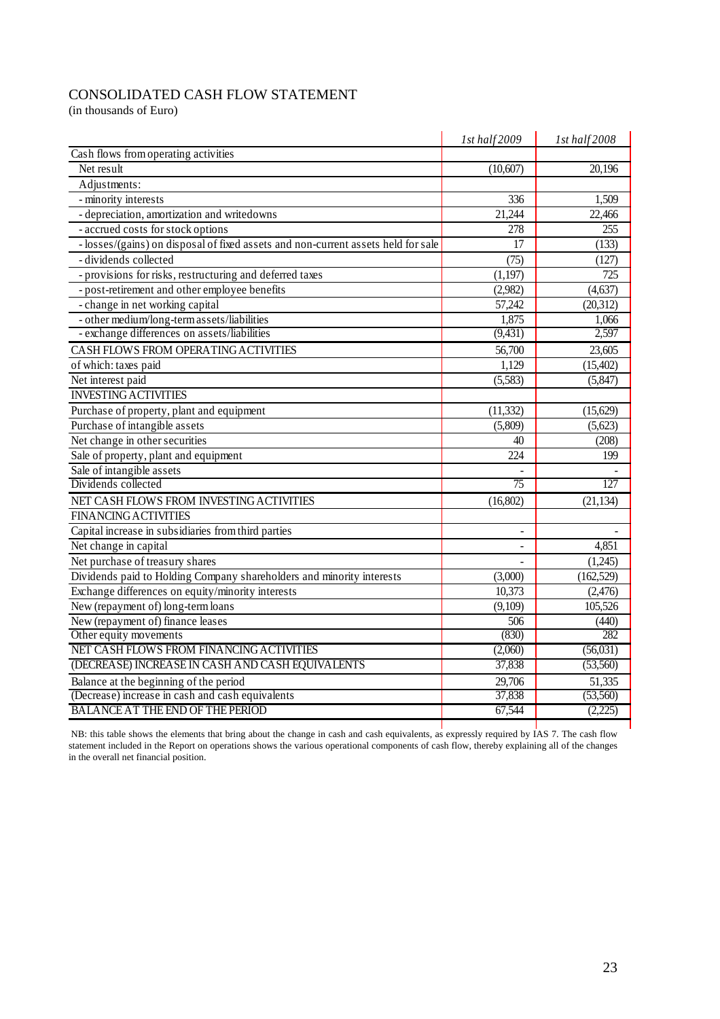# CONSOLIDATED CASH FLOW STATEMENT

(in thousands of Euro)

|                                                                                   | 1st half 2009 | 1st half2008 |
|-----------------------------------------------------------------------------------|---------------|--------------|
| Cash flows from operating activities                                              |               |              |
| Net result                                                                        | (10,607)      | 20,196       |
| Adjustments:                                                                      |               |              |
| - minority interests                                                              | 336           | 1,509        |
| - depreciation, amortization and writedowns                                       | 21,244        | 22,466       |
| - accrued costs for stock options                                                 | 278           | 255          |
| - losses/(gains) on disposal of fixed assets and non-current assets held for sale | 17            | (133)        |
| - dividends collected                                                             | (75)          | (127)        |
| - provisions for risks, restructuring and deferred taxes                          | (1,197)       | 725          |
| - post-retirement and other employee benefits                                     | (2,982)       | (4,637)      |
| - change in net working capital                                                   | 57,242        | (20, 312)    |
| - other medium/long-term assets/liabilities                                       | 1,875         | 1,066        |
| - exchange differences on assets/liabilities                                      | (9, 431)      | 2,597        |
| CASH FLOWS FROM OPERATING ACTIVITIES                                              | 56,700        | 23,605       |
| of which: taxes paid                                                              | 1,129         | (15,402)     |
| Net interest paid                                                                 | (5,583)       | (5, 847)     |
| <b>INVESTING ACTIVITIES</b>                                                       |               |              |
| Purchase of property, plant and equipment                                         | (11, 332)     | (15,629)     |
| Purchase of intangible assets                                                     | (5,809)       | (5,623)      |
| Net change in other securities                                                    | 40            | (208)        |
| Sale of property, plant and equipment                                             | 224           | 199          |
| Sale of intangible assets                                                         |               |              |
| Dividends collected                                                               | 75            | 127          |
| NET CASH FLOWS FROM INVESTING ACTIVITIES                                          | (16,802)      | (21, 134)    |
| <b>FINANCING ACTIVITIES</b>                                                       |               |              |
| Capital increase in subsidiaries from third parties                               |               |              |
| Net change in capital                                                             |               | 4,851        |
| Net purchase of treasury shares                                                   |               | (1,245)      |
| Dividends paid to Holding Company shareholders and minority interests             | (3,000)       | (162, 529)   |
| Exchange differences on equity/minority interests                                 | 10,373        | (2,476)      |
| New (repayment of) long-term loans                                                | (9,109)       | 105,526      |
| New (repayment of) finance leases                                                 | 506           | (440)        |
| Other equity movements                                                            | (830)         | 282          |
| NET CASH FLOWS FROM FINANCING ACTIVITIES                                          | (2,060)       | (56,031)     |
| (DECREASE) INCREASE IN CASH AND CASH EQUIVALENTS                                  | 37,838        | (53,560)     |
| Balance at the beginning of the period                                            | 29,706        | 51,335       |
| (Decrease) increase in cash and cash equivalents                                  | 37,838        | (53,560)     |
| <b>BALANCE AT THE END OF THE PERIOD</b>                                           | 67,544        | (2,225)      |
|                                                                                   |               |              |

 NB: this table shows the elements that bring about the change in cash and cash equivalents, as expressly required by IAS 7. The cash flow statement included in the Report on operations shows the various operational components of cash flow, thereby explaining all of the changes in the overall net financial position.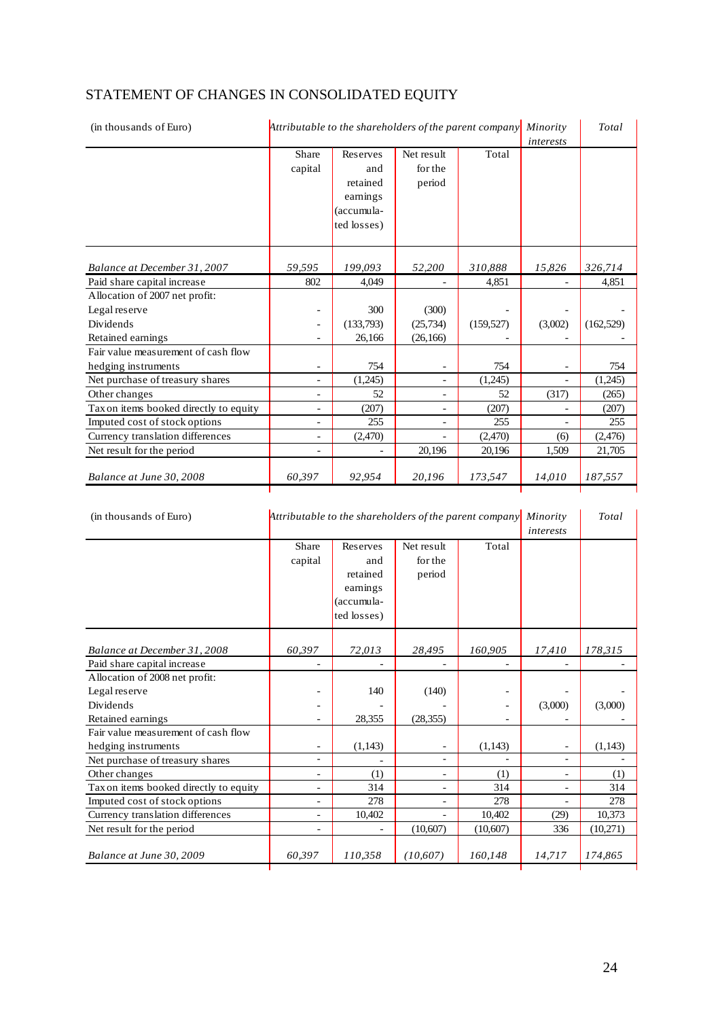# STATEMENT OF CHANGES IN CONSOLIDATED EQUITY

| (in thousands of Euro)<br>Attributable to the shareholders of the parent company |                          |                      |                              |            | Minority<br>interests | Total      |
|----------------------------------------------------------------------------------|--------------------------|----------------------|------------------------------|------------|-----------------------|------------|
|                                                                                  | Share                    | Reserves             | Net result                   | Total      |                       |            |
|                                                                                  | capital                  | and                  | for the                      |            |                       |            |
|                                                                                  |                          | retained<br>earnings | period                       |            |                       |            |
|                                                                                  |                          | (accumula-           |                              |            |                       |            |
|                                                                                  |                          | ted losses)          |                              |            |                       |            |
|                                                                                  |                          |                      |                              |            |                       |            |
|                                                                                  |                          |                      |                              |            |                       |            |
| Balance at December 31, 2007                                                     | 59,595                   | 199,093              | 52,200                       | 310,888    | 15,826                | 326,714    |
| Paid share capital increase                                                      | 802                      | 4,049                |                              | 4,851      |                       | 4,851      |
| Allocation of 2007 net profit:                                                   |                          |                      |                              |            |                       |            |
| Legal reserve                                                                    | -                        | 300                  | (300)                        |            |                       |            |
| Dividends                                                                        |                          | (133,793)            | (25, 734)                    | (159, 527) | (3,002)               | (162, 529) |
| Retained earnings                                                                |                          | 26,166               | (26, 166)                    |            |                       |            |
| Fair value measurement of cash flow                                              |                          |                      |                              |            |                       |            |
| hedging instruments                                                              |                          | 754                  | $\qquad \qquad \blacksquare$ | 754        |                       | 754        |
| Net purchase of treasury shares                                                  | ÷.                       | (1,245)              | $\overline{\phantom{0}}$     | (1,245)    |                       | (1,245)    |
| Other changes                                                                    | $\overline{\phantom{0}}$ | 52                   | ۰                            | 52         | (317)                 | (265)      |
| Tax on items booked directly to equity                                           | $\overline{\phantom{0}}$ | (207)                |                              | (207)      |                       | (207)      |
| Imputed cost of stock options                                                    |                          | 255                  |                              | 255        |                       | 255        |
| Currency translation differences                                                 | $\overline{\phantom{0}}$ | (2,470)              |                              | (2,470)    | (6)                   | (2,476)    |
| Net result for the period                                                        |                          |                      | 20,196                       | 20,196     | 1,509                 | 21,705     |
| Balance at June 30, 2008                                                         | 60,397                   | 92,954               | 20,196                       | 173,547    | 14,010                | 187,557    |

| (in thousands of Euro)                 | Attributable to the shareholders of the parent company |                                                                      |                                 |                          | Minority<br>interests | Total    |
|----------------------------------------|--------------------------------------------------------|----------------------------------------------------------------------|---------------------------------|--------------------------|-----------------------|----------|
|                                        | Share<br>capital                                       | Reserves<br>and<br>retained<br>earnings<br>(accumula-<br>ted losses) | Net result<br>for the<br>period | Total                    |                       |          |
| Balance at December 31, 2008           | 60,397                                                 | 72,013                                                               | 28,495                          | 160,905                  | 17,410                | 178,315  |
| Paid share capital increase            |                                                        |                                                                      |                                 | $\overline{\phantom{a}}$ |                       |          |
| Allocation of 2008 net profit:         |                                                        |                                                                      |                                 |                          |                       |          |
| Legal reserve                          |                                                        | 140                                                                  | (140)                           |                          |                       |          |
| <b>Dividends</b>                       |                                                        |                                                                      |                                 |                          | (3,000)               | (3,000)  |
| Retained earnings                      |                                                        | 28,355                                                               | (28, 355)                       |                          |                       |          |
| Fair value measurement of cash flow    |                                                        |                                                                      |                                 |                          |                       |          |
| hedging instruments                    |                                                        | (1,143)                                                              |                                 | (1,143)                  |                       | (1,143)  |
| Net purchase of treasury shares        | ٠                                                      |                                                                      | $\blacksquare$                  |                          | ۰                     |          |
| Other changes                          | ÷                                                      | (1)                                                                  | $\blacksquare$                  | (1)                      | ٠                     | (1)      |
| Tax on items booked directly to equity |                                                        | 314                                                                  | ۰                               | 314                      | $\blacksquare$        | 314      |
| Imputed cost of stock options          |                                                        | 278                                                                  |                                 | 278                      |                       | 278      |
| Currency translation differences       | ÷                                                      | 10,402                                                               |                                 | 10,402                   | (29)                  | 10,373   |
| Net result for the period              |                                                        |                                                                      | (10,607)                        | (10,607)                 | 336                   | (10,271) |
| Balance at June 30, 2009               | 60,397                                                 | 110,358                                                              | (10,607)                        | 160,148                  | 14,717                | 174,865  |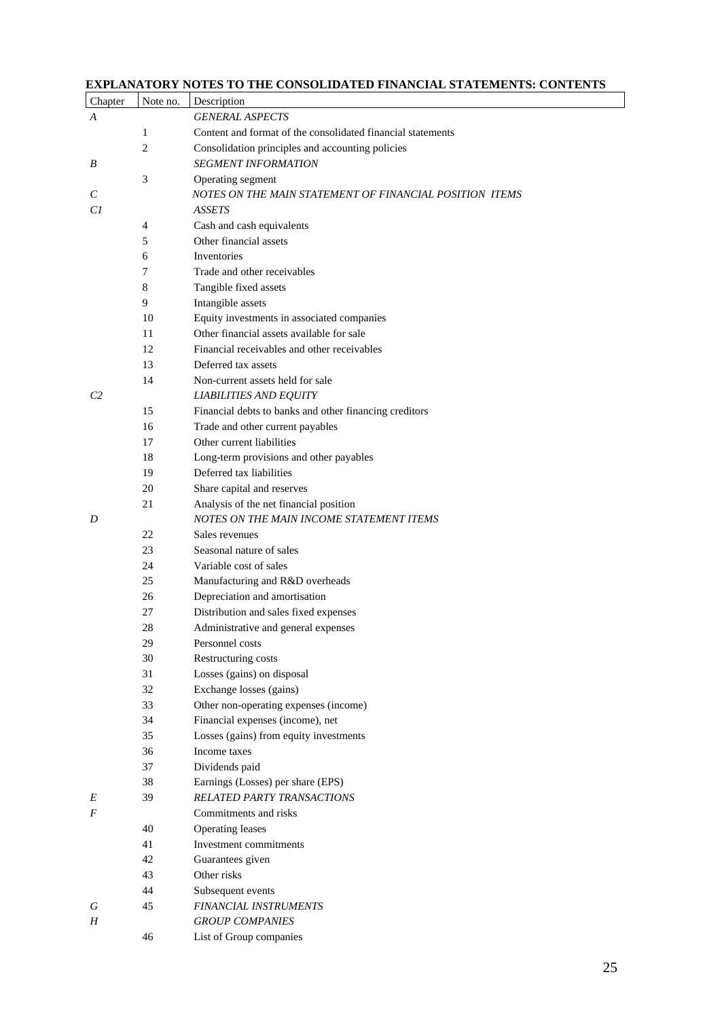#### **EXPLANATORY NOTES TO THE CONSOLIDATED FINANCIAL STATEMENTS: CONTENTS**

| Chapter   | Note no. | Description                                                 |
|-----------|----------|-------------------------------------------------------------|
| A         |          | <b>GENERAL ASPECTS</b>                                      |
|           | 1        | Content and format of the consolidated financial statements |
|           | 2        | Consolidation principles and accounting policies            |
| B         |          | <b>SEGMENT INFORMATION</b>                                  |
|           | 3        | Operating segment                                           |
| C         |          | NOTES ON THE MAIN STATEMENT OF FINANCIAL POSITION ITEMS     |
| Сl        |          | <b>ASSETS</b>                                               |
|           | 4        | Cash and cash equivalents                                   |
|           | 5        | Other financial assets                                      |
|           | 6        | Inventories                                                 |
|           | 7        | Trade and other receivables                                 |
|           | 8        | Tangible fixed assets                                       |
|           | 9        | Intangible assets                                           |
|           | 10       | Equity investments in associated companies                  |
|           | 11       | Other financial assets available for sale                   |
|           | 12       | Financial receivables and other receivables                 |
|           | 13       | Deferred tax assets                                         |
|           | 14       | Non-current assets held for sale                            |
| C2        |          | <b>LIABILITIES AND EQUITY</b>                               |
|           | 15       | Financial debts to banks and other financing creditors      |
|           | 16       | Trade and other current payables                            |
|           | 17       | Other current liabilities                                   |
|           | 18       | Long-term provisions and other payables                     |
|           | 19       | Deferred tax liabilities                                    |
|           | 20       | Share capital and reserves                                  |
|           | 21       | Analysis of the net financial position                      |
| D         |          | NOTES ON THE MAIN INCOME STATEMENT ITEMS                    |
|           | 22       | Sales revenues                                              |
|           | 23       | Seasonal nature of sales                                    |
|           | 24       | Variable cost of sales                                      |
|           | 25       | Manufacturing and R&D overheads                             |
|           | 26       | Depreciation and amortisation                               |
|           | 27       | Distribution and sales fixed expenses                       |
|           | 28       | Administrative and general expenses                         |
|           | 29       | Personnel costs                                             |
|           | 30       | Restructuring costs                                         |
|           | 31       | Losses (gains) on disposal                                  |
|           | 32       | Exchange losses (gains)                                     |
|           | 33       | Other non-operating expenses (income)                       |
|           | 34       | Financial expenses (income), net                            |
|           | 35       | Losses (gains) from equity investments                      |
|           | 36       | Income taxes                                                |
|           | 37       | Dividends paid                                              |
|           | 38       | Earnings (Losses) per share (EPS)                           |
| Е         | 39       | <b>RELATED PARTY TRANSACTIONS</b>                           |
| F         |          | Commitments and risks                                       |
|           | 40       | Operating leases                                            |
|           | 41       | Investment commitments                                      |
|           | 42       | Guarantees given                                            |
|           | 43       | Other risks                                                 |
|           | 44       | Subsequent events                                           |
| G         | 45       | FINANCIAL INSTRUMENTS                                       |
| $H_{\rm}$ |          | <b>GROUP COMPANIES</b>                                      |
|           | 46       | List of Group companies                                     |
|           |          |                                                             |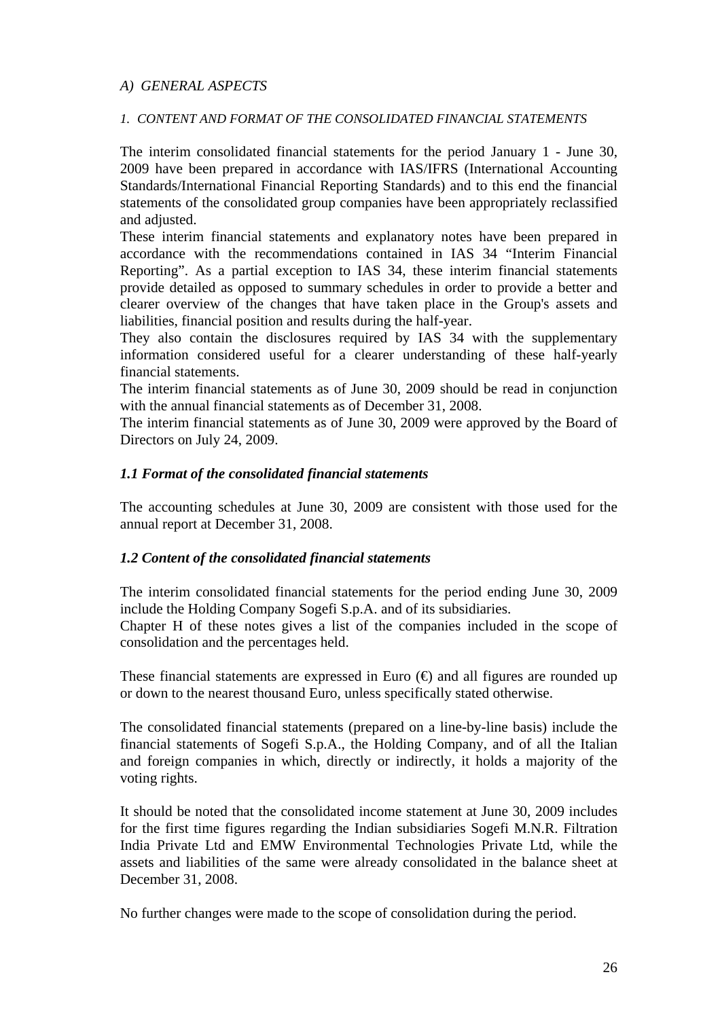## *A) GENERAL ASPECTS*

### *1. CONTENT AND FORMAT OF THE CONSOLIDATED FINANCIAL STATEMENTS*

The interim consolidated financial statements for the period January 1 - June 30, 2009 have been prepared in accordance with IAS/IFRS (International Accounting Standards/International Financial Reporting Standards) and to this end the financial statements of the consolidated group companies have been appropriately reclassified and adjusted.

These interim financial statements and explanatory notes have been prepared in accordance with the recommendations contained in IAS 34 "Interim Financial Reporting". As a partial exception to IAS 34, these interim financial statements provide detailed as opposed to summary schedules in order to provide a better and clearer overview of the changes that have taken place in the Group's assets and liabilities, financial position and results during the half-year.

They also contain the disclosures required by IAS 34 with the supplementary information considered useful for a clearer understanding of these half-yearly financial statements.

The interim financial statements as of June 30, 2009 should be read in conjunction with the annual financial statements as of December 31, 2008.

The interim financial statements as of June 30, 2009 were approved by the Board of Directors on July 24, 2009.

## *1.1 Format of the consolidated financial statements*

The accounting schedules at June 30, 2009 are consistent with those used for the annual report at December 31, 2008.

### *1.2 Content of the consolidated financial statements*

The interim consolidated financial statements for the period ending June 30, 2009 include the Holding Company Sogefi S.p.A. and of its subsidiaries.

Chapter H of these notes gives a list of the companies included in the scope of consolidation and the percentages held.

These financial statements are expressed in Euro  $(\theta)$  and all figures are rounded up or down to the nearest thousand Euro, unless specifically stated otherwise.

The consolidated financial statements (prepared on a line-by-line basis) include the financial statements of Sogefi S.p.A., the Holding Company, and of all the Italian and foreign companies in which, directly or indirectly, it holds a majority of the voting rights.

It should be noted that the consolidated income statement at June 30, 2009 includes for the first time figures regarding the Indian subsidiaries Sogefi M.N.R. Filtration India Private Ltd and EMW Environmental Technologies Private Ltd, while the assets and liabilities of the same were already consolidated in the balance sheet at December 31, 2008.

No further changes were made to the scope of consolidation during the period.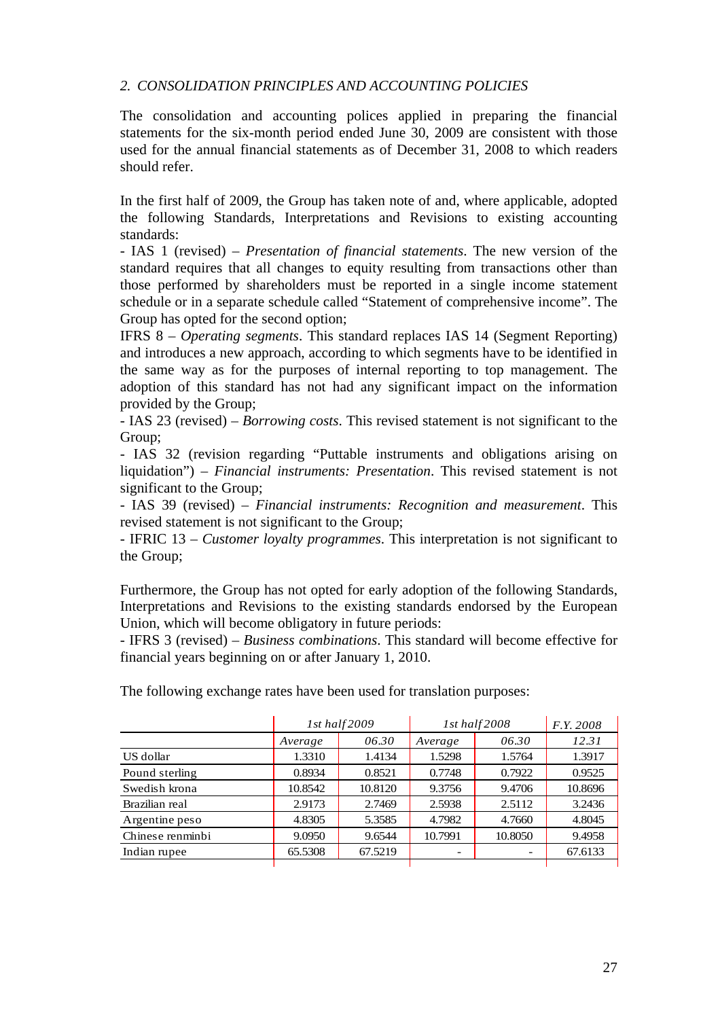## *2. CONSOLIDATION PRINCIPLES AND ACCOUNTING POLICIES*

The consolidation and accounting polices applied in preparing the financial statements for the six-month period ended June 30, 2009 are consistent with those used for the annual financial statements as of December 31, 2008 to which readers should refer.

In the first half of 2009, the Group has taken note of and, where applicable, adopted the following Standards, Interpretations and Revisions to existing accounting standards:

- IAS 1 (revised) – *Presentation of financial statements*. The new version of the standard requires that all changes to equity resulting from transactions other than those performed by shareholders must be reported in a single income statement schedule or in a separate schedule called "Statement of comprehensive income". The Group has opted for the second option;

IFRS 8 – *Operating segments*. This standard replaces IAS 14 (Segment Reporting) and introduces a new approach, according to which segments have to be identified in the same way as for the purposes of internal reporting to top management. The adoption of this standard has not had any significant impact on the information provided by the Group;

- IAS 23 (revised) – *Borrowing costs*. This revised statement is not significant to the Group;

- IAS 32 (revision regarding "Puttable instruments and obligations arising on liquidation") – *Financial instruments: Presentation*. This revised statement is not significant to the Group;

- IAS 39 (revised) – *Financial instruments: Recognition and measurement*. This revised statement is not significant to the Group;

- IFRIC 13 – *Customer loyalty programmes*. This interpretation is not significant to the Group;

Furthermore, the Group has not opted for early adoption of the following Standards, Interpretations and Revisions to the existing standards endorsed by the European Union, which will become obligatory in future periods:

- IFRS 3 (revised) – *Business combinations*. This standard will become effective for financial years beginning on or after January 1, 2010.

|                  |         | 1st half2009 | 1st half2008 | <i>F.Y.</i> 2008         |         |
|------------------|---------|--------------|--------------|--------------------------|---------|
|                  | Average | 06.30        | Average      | 06.30                    | 12.31   |
| US dollar        | 1.3310  | 1.4134       | 1.5298       | 1.5764                   | 1.3917  |
| Pound sterling   | 0.8934  | 0.8521       | 0.7748       | 0.7922                   | 0.9525  |
| Swedish krona    | 10.8542 | 10.8120      | 9.3756       | 9.4706                   | 10.8696 |
| Brazilian real   | 2.9173  | 2.7469       | 2.5938       | 2.5112                   | 3.2436  |
| Argentine peso   | 4.8305  | 5.3585       | 4.7982       | 4.7660                   | 4.8045  |
| Chinese renminbi | 9.0950  | 9.6544       | 10.7991      | 10.8050                  | 9.4958  |
| Indian rupee     | 65.5308 | 67.5219      |              | $\overline{\phantom{a}}$ | 67.6133 |
|                  |         |              |              |                          |         |

The following exchange rates have been used for translation purposes: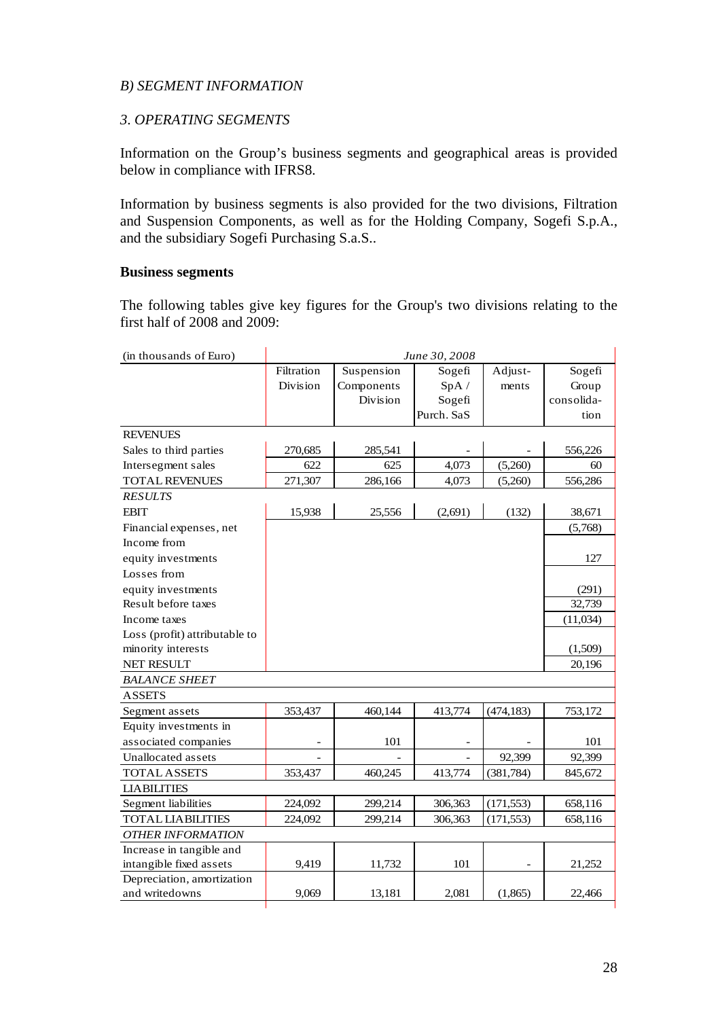## *B) SEGMENT INFORMATION*

# *3*. *OPERATING SEGMENTS*

Information on the Group's business segments and geographical areas is provided below in compliance with IFRS8.

Information by business segments is also provided for the two divisions, Filtration and Suspension Components, as well as for the Holding Company, Sogefi S.p.A., and the subsidiary Sogefi Purchasing S.a.S..

### **Business segments**

The following tables give key figures for the Group's two divisions relating to the first half of 2008 and 2009:

| (in thousands of Euro)        |                 |                 | June 30, 2008 |            |            |
|-------------------------------|-----------------|-----------------|---------------|------------|------------|
|                               | Filtration      | Suspension      | Sogefi        | Adjust-    | Sogefi     |
|                               | <b>Division</b> | Components      | SpA/          | ments      | Group      |
|                               |                 | <b>Division</b> | Sogefi        |            | consolida- |
|                               |                 |                 | Purch. SaS    |            | tion       |
| <b>REVENUES</b>               |                 |                 |               |            |            |
| Sales to third parties        | 270,685         | 285,541         |               |            | 556,226    |
| Intersegment sales            | 622             | 625             | 4,073         | (5,260)    | 60         |
| <b>TOTAL REVENUES</b>         | 271,307         | 286,166         | 4,073         | (5,260)    | 556,286    |
| <b>RESULTS</b>                |                 |                 |               |            |            |
| <b>EBIT</b>                   | 15,938          | 25,556          | (2,691)       | (132)      | 38,671     |
| Financial expenses, net       |                 |                 |               |            | (5,768)    |
| Income from                   |                 |                 |               |            |            |
| equity investments            |                 |                 |               |            | 127        |
| Losses from                   |                 |                 |               |            |            |
| equity investments            |                 |                 |               |            | (291)      |
| Result before taxes           |                 |                 |               |            | 32,739     |
| Income taxes                  |                 |                 |               |            | (11,034)   |
| Loss (profit) attributable to |                 |                 |               |            |            |
| minority interests            |                 |                 |               |            | (1,509)    |
| <b>NET RESULT</b>             |                 |                 |               |            | 20,196     |
| <b>BALANCE SHEET</b>          |                 |                 |               |            |            |
| <b>ASSETS</b>                 |                 |                 |               |            |            |
| Segment assets                | 353,437         | 460,144         | 413,774       | (474, 183) | 753,172    |
| Equity investments in         |                 |                 |               |            |            |
| associated companies          |                 | 101             |               |            | 101        |
| Unallocated assets            |                 |                 |               | 92,399     | 92,399     |
| <b>TOTAL ASSETS</b>           | 353,437         | 460,245         | 413,774       | (381, 784) | 845,672    |
| <b>LIABILITIES</b>            |                 |                 |               |            |            |
| Segment liabilities           | 224,092         | 299,214         | 306,363       | (171, 553) | 658,116    |
| <b>TOTAL LIABILITIES</b>      | 224,092         | 299,214         | 306,363       | (171, 553) | 658,116    |
| <b>OTHER INFORMATION</b>      |                 |                 |               |            |            |
| Increase in tangible and      |                 |                 |               |            |            |
| intangible fixed assets       | 9,419           | 11,732          | 101           |            | 21,252     |
| Depreciation, amortization    |                 |                 |               |            |            |
| and writedowns                | 9,069           | 13,181          | 2,081         | (1,865)    | 22,466     |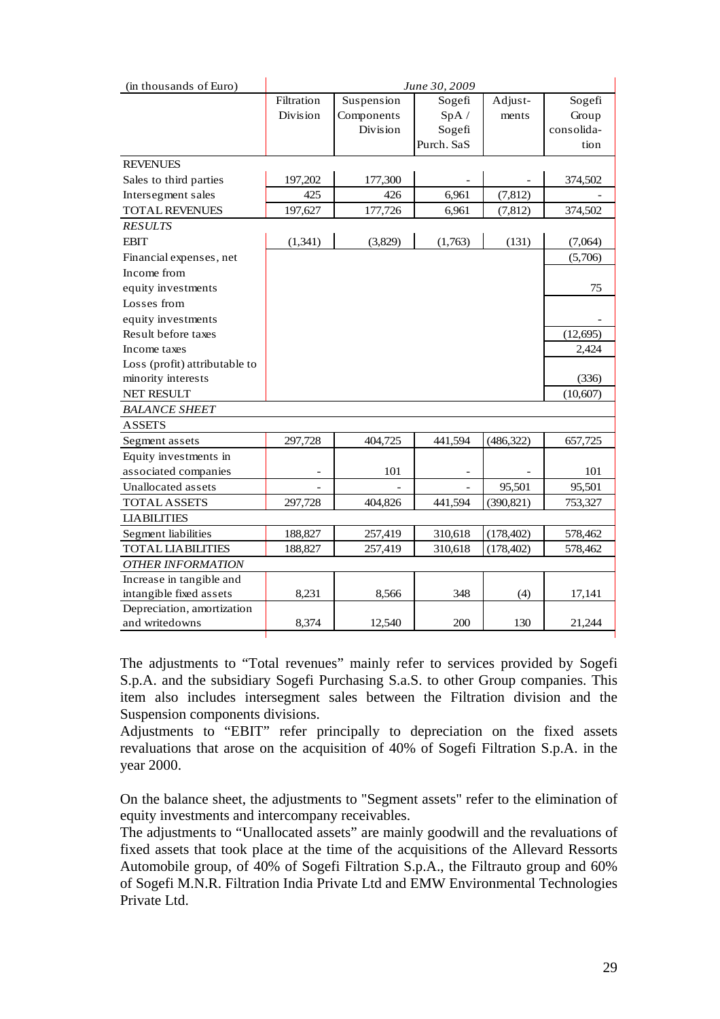| (in thousands of Euro)        |            |            | June 30, 2009 |            |            |  |
|-------------------------------|------------|------------|---------------|------------|------------|--|
|                               | Filtration | Suspension | Sogefi        | Adjust-    | Sogefi     |  |
|                               | Division   | Components | SpA /         | ments      | Group      |  |
|                               |            | Division   | Sogefi        |            | consolida- |  |
|                               |            |            | Purch. SaS    |            | tion       |  |
| <b>REVENUES</b>               |            |            |               |            |            |  |
| Sales to third parties        | 197,202    | 177,300    |               |            | 374,502    |  |
| Intersegment sales            | 425        | 426        | 6,961         | (7, 812)   |            |  |
| <b>TOTAL REVENUES</b>         | 197,627    | 177,726    | 6,961         | (7, 812)   | 374,502    |  |
| <b>RESULTS</b>                |            |            |               |            |            |  |
| <b>EBIT</b>                   | (1, 341)   | (3,829)    | (1,763)       | (131)      | (7,064)    |  |
| Financial expenses, net       |            |            |               |            | (5,706)    |  |
| Income from                   |            |            |               |            |            |  |
| equity investments            |            |            |               |            | 75         |  |
| Losses from                   |            |            |               |            |            |  |
| equity investments            |            |            |               |            |            |  |
| Result before taxes           |            |            |               |            | (12, 695)  |  |
| Income taxes                  |            |            |               |            | 2,424      |  |
| Loss (profit) attributable to |            |            |               |            |            |  |
| minority interests            |            |            |               |            | (336)      |  |
| NET RESULT                    |            |            |               |            | (10,607)   |  |
| <b>BALANCE SHEET</b>          |            |            |               |            |            |  |
| <b>ASSETS</b>                 |            |            |               |            |            |  |
| Segment assets                | 297,728    | 404,725    | 441,594       | (486, 322) | 657,725    |  |
| Equity investments in         |            |            |               |            |            |  |
| associated companies          |            | 101        |               |            | 101        |  |
| Unallocated assets            |            |            |               | 95,501     | 95,501     |  |
| <b>TOTAL ASSETS</b>           | 297,728    | 404,826    | 441,594       | (390, 821) | 753,327    |  |
| <b>LIABILITIES</b>            |            |            |               |            |            |  |
| Segment liabilities           | 188,827    | 257,419    | 310,618       | (178, 402) | 578,462    |  |
| <b>TOTAL LIABILITIES</b>      | 188,827    | 257,419    | 310,618       | (178, 402) | 578,462    |  |
| <b>OTHER INFORMATION</b>      |            |            |               |            |            |  |
| Increase in tangible and      |            |            |               |            |            |  |
| intangible fixed assets       | 8,231      | 8,566      | 348           | (4)        | 17,141     |  |
| Depreciation, amortization    |            |            |               |            |            |  |
| and writedowns                | 8,374      | 12,540     | 200           | 130        | 21,244     |  |

The adjustments to "Total revenues" mainly refer to services provided by Sogefi S.p.A. and the subsidiary Sogefi Purchasing S.a.S. to other Group companies. This item also includes intersegment sales between the Filtration division and the Suspension components divisions.

Adjustments to "EBIT" refer principally to depreciation on the fixed assets revaluations that arose on the acquisition of 40% of Sogefi Filtration S.p.A. in the year 2000.

On the balance sheet, the adjustments to "Segment assets" refer to the elimination of equity investments and intercompany receivables.

The adjustments to "Unallocated assets" are mainly goodwill and the revaluations of fixed assets that took place at the time of the acquisitions of the Allevard Ressorts Automobile group, of 40% of Sogefi Filtration S.p.A., the Filtrauto group and 60% of Sogefi M.N.R. Filtration India Private Ltd and EMW Environmental Technologies Private Ltd.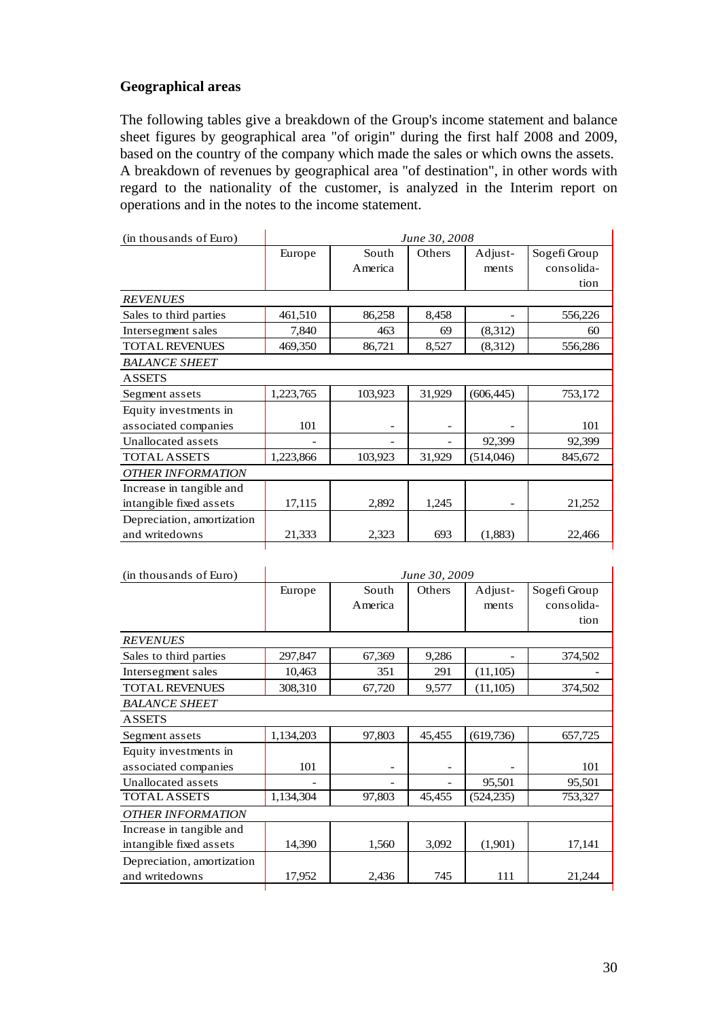# **Geographical areas**

The following tables give a breakdown of the Group's income statement and balance sheet figures by geographical area "of origin" during the first half 2008 and 2009, based on the country of the company which made the sales or which owns the assets. A breakdown of revenues by geographical area "of destination", in other words with regard to the nationality of the customer, is analyzed in the Interim report on operations and in the notes to the income statement.

| (in thousands of Euro)     |           |         | June 30, 2008 |            |              |
|----------------------------|-----------|---------|---------------|------------|--------------|
|                            | Europe    | South   | Others        | Adjust-    | Sogefi Group |
|                            |           | America |               | ments      | consolida-   |
|                            |           |         |               |            | tion         |
| <b>REVENUES</b>            |           |         |               |            |              |
| Sales to third parties     | 461,510   | 86,258  | 8,458         |            | 556,226      |
| Intersegment sales         | 7,840     | 463     | 69            | (8,312)    | 60           |
| <b>TOTAL REVENUES</b>      | 469,350   | 86,721  | 8,527         | (8,312)    | 556,286      |
| <b>BALANCE SHEET</b>       |           |         |               |            |              |
| <b>ASSETS</b>              |           |         |               |            |              |
| Segment assets             | 1,223,765 | 103,923 | 31,929        | (606, 445) | 753,172      |
| Equity investments in      |           |         |               |            |              |
| associated companies       | 101       |         |               |            | 101          |
| Unallocated assets         |           | -       |               | 92,399     | 92,399       |
| <b>TOTAL ASSETS</b>        | 1,223,866 | 103,923 | 31,929        | (514,046)  | 845,672      |
| <b>OTHER INFORMATION</b>   |           |         |               |            |              |
| Increase in tangible and   |           |         |               |            |              |
| intangible fixed assets    | 17,115    | 2,892   | 1,245         |            | 21,252       |
| Depreciation, amortization |           |         |               |            |              |
| and writedowns             | 21,333    | 2,323   | 693           | (1,883)    | 22,466       |

| (in thousands of Euro)                              |           |                          | June 30, 2009 |                  |                                    |
|-----------------------------------------------------|-----------|--------------------------|---------------|------------------|------------------------------------|
|                                                     | Europe    | South<br>America         | Others        | Adjust-<br>ments | Sogefi Group<br>consolida-<br>tion |
| <b>REVENUES</b>                                     |           |                          |               |                  |                                    |
| Sales to third parties                              | 297,847   | 67,369                   | 9,286         |                  | 374,502                            |
| Intersegment sales                                  | 10,463    | 351                      | 291           | (11, 105)        |                                    |
| <b>TOTAL REVENUES</b>                               | 308,310   | 67,720                   | 9,577         | (11,105)         | 374,502                            |
| <b>BALANCE SHEET</b>                                |           |                          |               |                  |                                    |
| <b>ASSETS</b>                                       |           |                          |               |                  |                                    |
| Segment assets                                      | 1,134,203 | 97,803                   | 45,455        | (619, 736)       | 657,725                            |
| Equity investments in<br>associated companies       | 101       | $\overline{\phantom{a}}$ |               |                  | 101                                |
| Unallocated assets                                  |           |                          |               | 95,501           | 95,501                             |
| <b>TOTAL ASSETS</b>                                 | 1,134,304 | 97,803                   | 45,455        | (524, 235)       | 753,327                            |
| <b>OTHER INFORMATION</b>                            |           |                          |               |                  |                                    |
| Increase in tangible and<br>intangible fixed assets | 14,390    | 1,560                    | 3,092         | (1,901)          | 17,141                             |
| Depreciation, amortization<br>and writedowns        | 17,952    | 2,436                    | 745           | 111              | 21,244                             |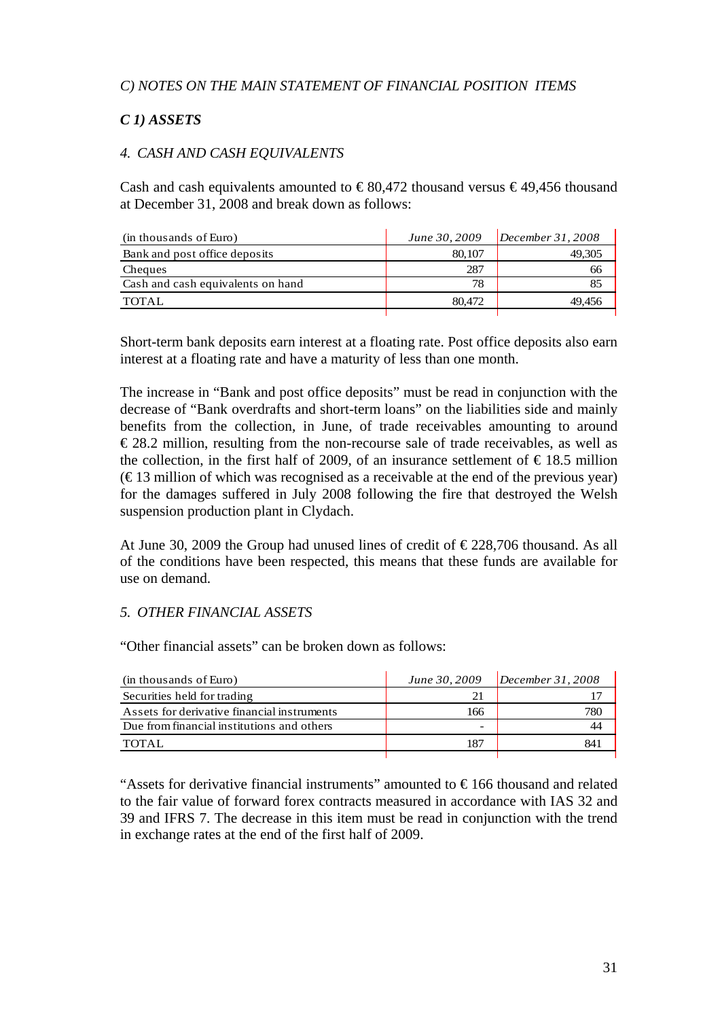# *C) NOTES ON THE MAIN STATEMENT OF FINANCIAL POSITION ITEMS*

# *C 1) ASSETS*

# *4. CASH AND CASH EQUIVALENTS*

Cash and cash equivalents amounted to  $\in$ 80,472 thousand versus  $\in$ 49,456 thousand at December 31, 2008 and break down as follows:

| (in thousands of Euro)            | June 30, 2009 | December 31, 2008 |
|-----------------------------------|---------------|-------------------|
| Bank and post office deposits     | 80,107        | 49.305            |
| Cheques                           | 287           | 66                |
| Cash and cash equivalents on hand | 78            |                   |
| TOTAL                             | 80,472        | 49.456            |
|                                   |               |                   |

Short-term bank deposits earn interest at a floating rate. Post office deposits also earn interest at a floating rate and have a maturity of less than one month.

The increase in "Bank and post office deposits" must be read in conjunction with the decrease of "Bank overdrafts and short-term loans" on the liabilities side and mainly benefits from the collection, in June, of trade receivables amounting to around  $\epsilon$ 28.2 million, resulting from the non-recourse sale of trade receivables, as well as the collection, in the first half of 2009, of an insurance settlement of  $\epsilon$  18.5 million  $(\text{\textsterling}13$  million of which was recognised as a receivable at the end of the previous year) for the damages suffered in July 2008 following the fire that destroyed the Welsh suspension production plant in Clydach.

At June 30, 2009 the Group had unused lines of credit of  $\epsilon$ 228,706 thousand. As all of the conditions have been respected, this means that these funds are available for use on demand.

# *5. OTHER FINANCIAL ASSETS*

"Other financial assets" can be broken down as follows:

| (in thousands of Euro)                      | June 30, 2009 | December 31, 2008 |
|---------------------------------------------|---------------|-------------------|
| Securities held for trading                 |               |                   |
| Assets for derivative financial instruments | 166           |                   |
| Due from financial institutions and others  | -             |                   |
| TOTAL.                                      | 187           |                   |
|                                             |               |                   |

"Assets for derivative financial instruments" amounted to  $\epsilon$ 166 thousand and related to the fair value of forward forex contracts measured in accordance with IAS 32 and 39 and IFRS 7. The decrease in this item must be read in conjunction with the trend in exchange rates at the end of the first half of 2009.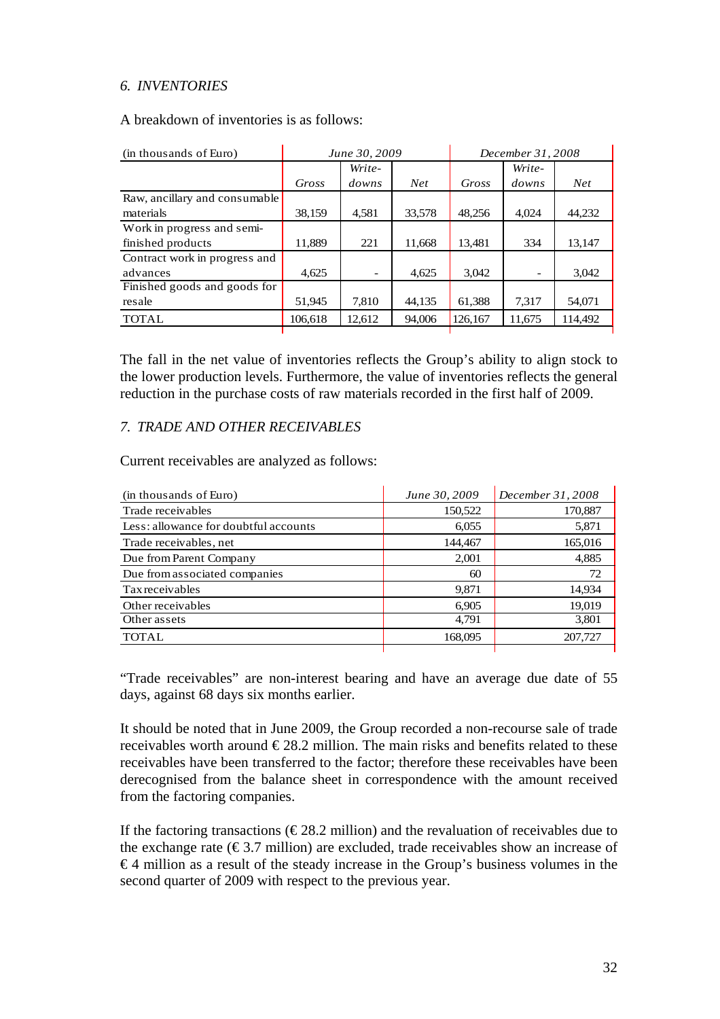## *6. INVENTORIES*

A breakdown of inventories is as follows:

| (in thousands of Euro)        |         | June 30, 2009 |            | December 31, 2008 |        |                 |
|-------------------------------|---------|---------------|------------|-------------------|--------|-----------------|
|                               |         | Write-        |            |                   | Write- |                 |
|                               | Gross   | downs         | <b>Net</b> | Gross             | downs  | Net <sub></sub> |
| Raw, ancillary and consumable |         |               |            |                   |        |                 |
| materials                     | 38,159  | 4,581         | 33,578     | 48.256            | 4.024  | 44,232          |
| Work in progress and semi-    |         |               |            |                   |        |                 |
| finished products             | 11.889  | 221           | 11,668     | 13,481            | 334    | 13,147          |
| Contract work in progress and |         |               |            |                   |        |                 |
| advances                      | 4.625   |               | 4.625      | 3.042             |        | 3,042           |
| Finished goods and goods for  |         |               |            |                   |        |                 |
| resale                        | 51.945  | 7.810         | 44,135     | 61,388            | 7.317  | 54,071          |
| <b>TOTAL</b>                  | 106,618 | 12,612        | 94,006     | 126,167           | 11,675 | 114,492         |

The fall in the net value of inventories reflects the Group's ability to align stock to the lower production levels. Furthermore, the value of inventories reflects the general reduction in the purchase costs of raw materials recorded in the first half of 2009.

## *7. TRADE AND OTHER RECEIVABLES*

Current receivables are analyzed as follows:

| (in thousands of Euro)                | June 30, 2009 | December 31, 2008 |
|---------------------------------------|---------------|-------------------|
| Trade receivables                     | 150,522       | 170,887           |
| Less: allowance for doubtful accounts | 6,055         | 5,871             |
| Trade receivables, net                | 144,467       | 165,016           |
| Due from Parent Company               | 2,001         | 4,885             |
| Due from associated companies         | 60            | 72                |
| Tax receivables                       | 9,871         | 14,934            |
| Other receivables                     | 6,905         | 19,019            |
| Other assets                          | 4,791         | 3,801             |
| <b>TOTAL</b>                          | 168,095       | 207,727           |
|                                       |               |                   |

"Trade receivables" are non-interest bearing and have an average due date of 55 days, against 68 days six months earlier.

It should be noted that in June 2009, the Group recorded a non-recourse sale of trade receivables worth around  $\epsilon$ 28.2 million. The main risks and benefits related to these receivables have been transferred to the factor; therefore these receivables have been derecognised from the balance sheet in correspondence with the amount received from the factoring companies.

If the factoring transactions ( $\epsilon$ 28.2 million) and the revaluation of receivables due to the exchange rate  $(\epsilon 3.7 \text{ million})$  are excluded, trade receivables show an increase of  $€4$  million as a result of the steady increase in the Group's business volumes in the second quarter of 2009 with respect to the previous year.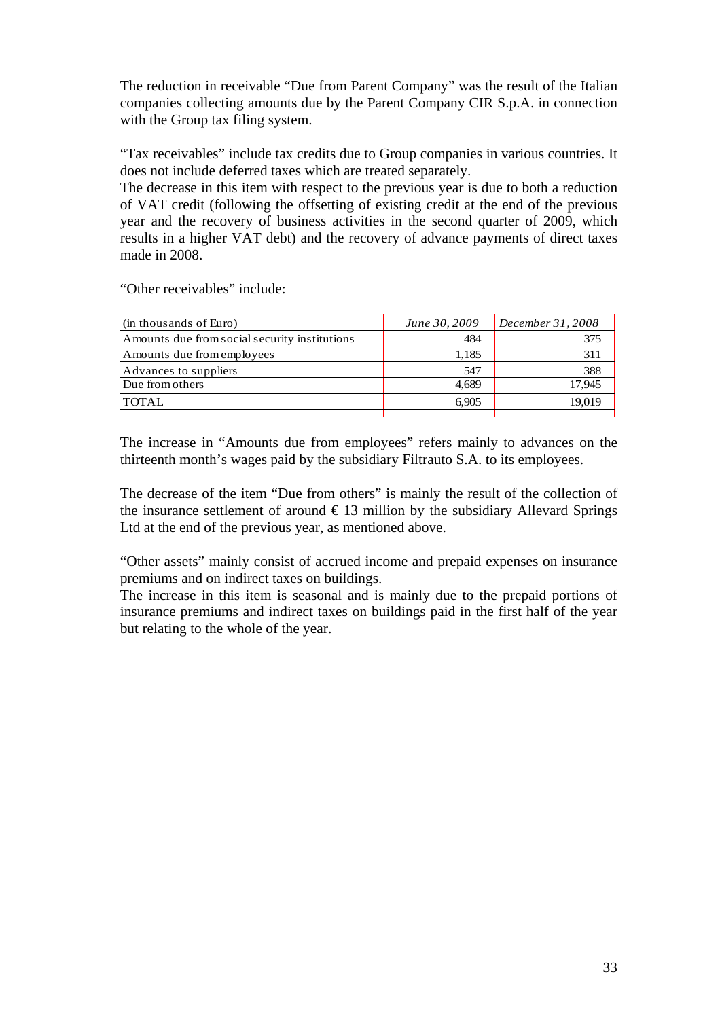The reduction in receivable "Due from Parent Company" was the result of the Italian companies collecting amounts due by the Parent Company CIR S.p.A. in connection with the Group tax filing system.

"Tax receivables" include tax credits due to Group companies in various countries. It does not include deferred taxes which are treated separately.

The decrease in this item with respect to the previous year is due to both a reduction of VAT credit (following the offsetting of existing credit at the end of the previous year and the recovery of business activities in the second quarter of 2009, which results in a higher VAT debt) and the recovery of advance payments of direct taxes made in 2008.

"Other receivables" include:

| (in thousands of Euro)                        | June 30, 2009 | December 31, 2008 |
|-----------------------------------------------|---------------|-------------------|
| Amounts due from social security institutions | 484           |                   |
| Amounts due from employees                    | 1,185         | 311               |
| Advances to suppliers                         | 547           | 388               |
| Due from others                               | 4.689         | 17.945            |
| TOTAL.                                        | 6.905         | 19.019            |
|                                               |               |                   |

The increase in "Amounts due from employees" refers mainly to advances on the thirteenth month's wages paid by the subsidiary Filtrauto S.A. to its employees.

The decrease of the item "Due from others" is mainly the result of the collection of the insurance settlement of around  $\epsilon$  13 million by the subsidiary Allevard Springs Ltd at the end of the previous year, as mentioned above.

"Other assets" mainly consist of accrued income and prepaid expenses on insurance premiums and on indirect taxes on buildings.

The increase in this item is seasonal and is mainly due to the prepaid portions of insurance premiums and indirect taxes on buildings paid in the first half of the year but relating to the whole of the year.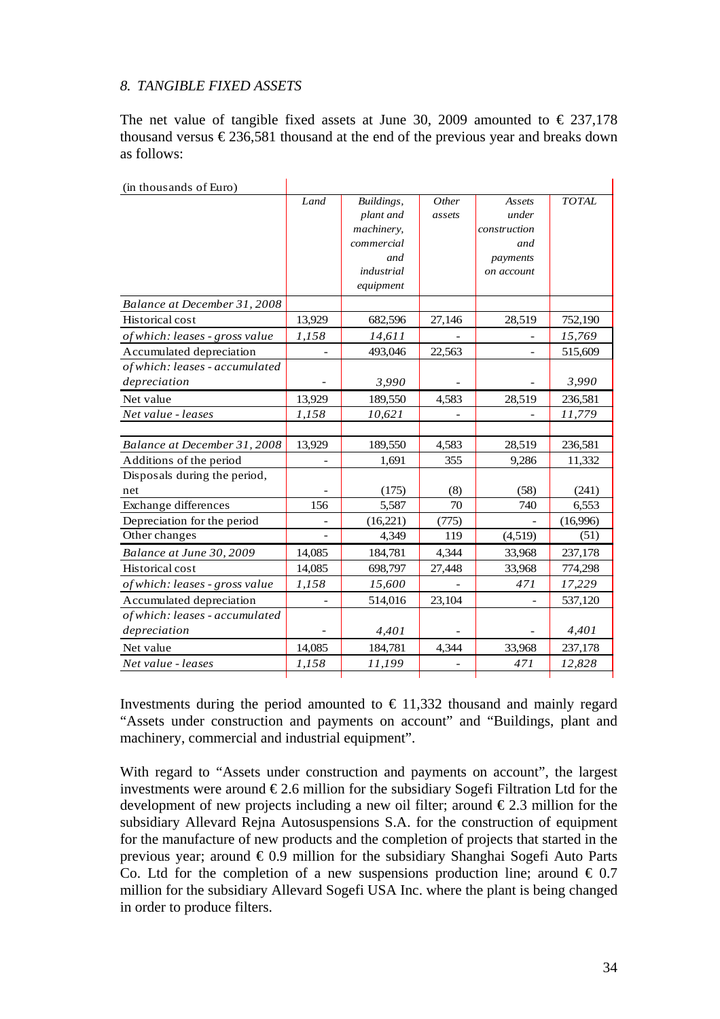## *8. TANGIBLE FIXED ASSETS*

The net value of tangible fixed assets at June 30, 2009 amounted to  $\epsilon$  237,178 thousand versus  $\epsilon$ 236,581 thousand at the end of the previous year and breaks down as follows:

| (in thousands of Euro)         |        |            |                |              |              |
|--------------------------------|--------|------------|----------------|--------------|--------------|
|                                | Land   | Buildings, | Other          | Assets       | <b>TOTAL</b> |
|                                |        | plant and  | assets         | under        |              |
|                                |        | machinery, |                | construction |              |
|                                |        | commercial |                | and          |              |
|                                |        | and        |                | payments     |              |
|                                |        | industrial |                | on account   |              |
|                                |        | equipment  |                |              |              |
| Balance at December 31, 2008   |        |            |                |              |              |
| Historical cost                | 13,929 | 682,596    | 27,146         | 28,519       | 752,190      |
| of which: leases - gross value | 1,158  | 14,611     |                |              | 15,769       |
| Accumulated depreciation       |        | 493,046    | 22,563         |              | 515,609      |
| of which: leases - accumulated |        |            |                |              |              |
| depreciation                   |        | 3,990      |                |              | 3,990        |
| Net value                      | 13,929 | 189,550    | 4,583          | 28,519       | 236,581      |
| Net value - leases             | 1,158  | 10,621     |                |              | 11,779       |
|                                |        |            |                |              |              |
| Balance at December 31, 2008   | 13,929 | 189,550    | 4,583          | 28,519       | 236,581      |
| Additions of the period        |        | 1,691      | 355            | 9,286        | 11,332       |
| Disposals during the period,   |        |            |                |              |              |
| net                            |        | (175)      | (8)            | (58)         | (241)        |
| Exchange differences           | 156    | 5,587      | 70             | 740          | 6,553        |
| Depreciation for the period    |        | (16, 221)  | (775)          |              | (16,996)     |
| Other changes                  |        | 4,349      | 119            | (4,519)      | (51)         |
| Balance at June 30, 2009       | 14,085 | 184,781    | 4,344          | 33,968       | 237,178      |
| Historical cost                | 14,085 | 698,797    | 27,448         | 33,968       | 774,298      |
| of which: leases - gross value | 1,158  | 15,600     |                | 471          | 17,229       |
| Accumulated depreciation       |        | 514,016    | 23,104         |              | 537,120      |
| of which: leases - accumulated |        |            |                |              |              |
| depreciation                   |        | 4,401      |                |              | 4,401        |
| Net value                      | 14,085 | 184,781    | 4,344          | 33,968       | 237,178      |
| Net value - leases             | 1,158  | 11,199     | $\overline{a}$ | 471          | 12,828       |

Investments during the period amounted to  $\epsilon$  11,332 thousand and mainly regard "Assets under construction and payments on account" and "Buildings, plant and machinery, commercial and industrial equipment".

With regard to "Assets under construction and payments on account", the largest investments were around  $\epsilon$ 2.6 million for the subsidiary Sogefi Filtration Ltd for the development of new projects including a new oil filter; around  $\epsilon$ 2.3 million for the subsidiary Allevard Rejna Autosuspensions S.A. for the construction of equipment for the manufacture of new products and the completion of projects that started in the previous year; around € 0.9 million for the subsidiary Shanghai Sogefi Auto Parts Co. Ltd for the completion of a new suspensions production line; around  $\epsilon$  0.7 million for the subsidiary Allevard Sogefi USA Inc. where the plant is being changed in order to produce filters.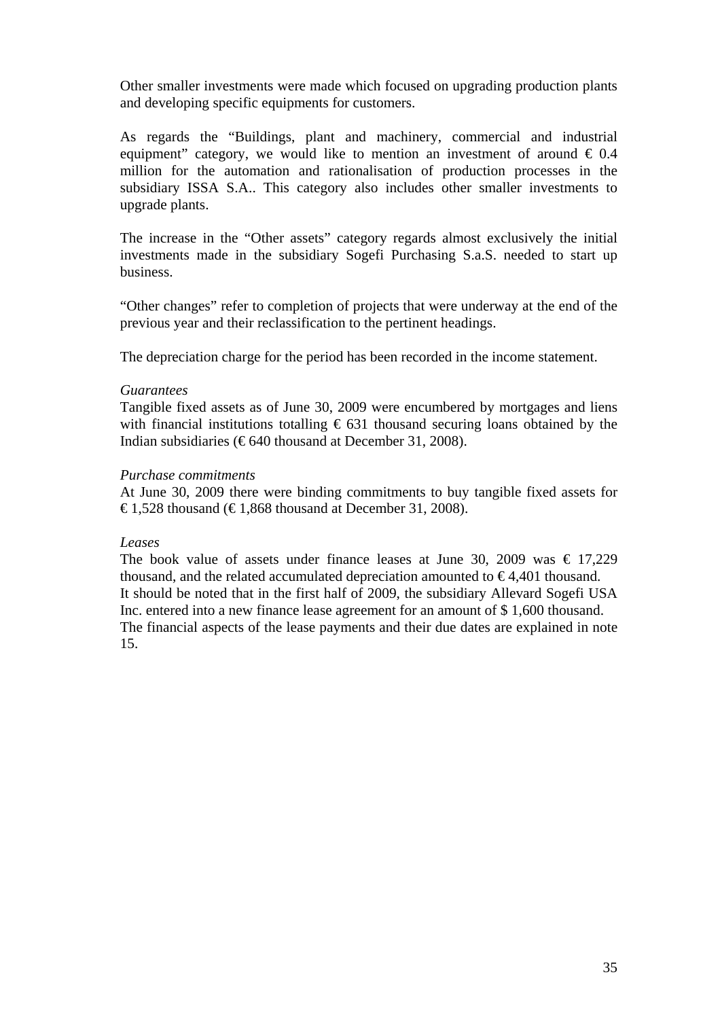Other smaller investments were made which focused on upgrading production plants and developing specific equipments for customers.

As regards the "Buildings, plant and machinery, commercial and industrial equipment" category, we would like to mention an investment of around  $\epsilon$  0.4 million for the automation and rationalisation of production processes in the subsidiary ISSA S.A.. This category also includes other smaller investments to upgrade plants.

The increase in the "Other assets" category regards almost exclusively the initial investments made in the subsidiary Sogefi Purchasing S.a.S. needed to start up business.

"Other changes" refer to completion of projects that were underway at the end of the previous year and their reclassification to the pertinent headings.

The depreciation charge for the period has been recorded in the income statement.

### *Guarantees*

Tangible fixed assets as of June 30, 2009 were encumbered by mortgages and liens with financial institutions totalling  $\epsilon$  631 thousand securing loans obtained by the Indian subsidiaries ( $\epsilon$ 640 thousand at December 31, 2008).

### *Purchase commitments*

At June 30, 2009 there were binding commitments to buy tangible fixed assets for €1,528 thousand (€1,868 thousand at December 31, 2008).

### *Leases*

The book value of assets under finance leases at June 30, 2009 was  $\epsilon$  17,229 thousand, and the related accumulated depreciation amounted to  $\epsilon$ 4.401 thousand. It should be noted that in the first half of 2009, the subsidiary Allevard Sogefi USA Inc. entered into a new finance lease agreement for an amount of \$ 1,600 thousand. The financial aspects of the lease payments and their due dates are explained in note 15.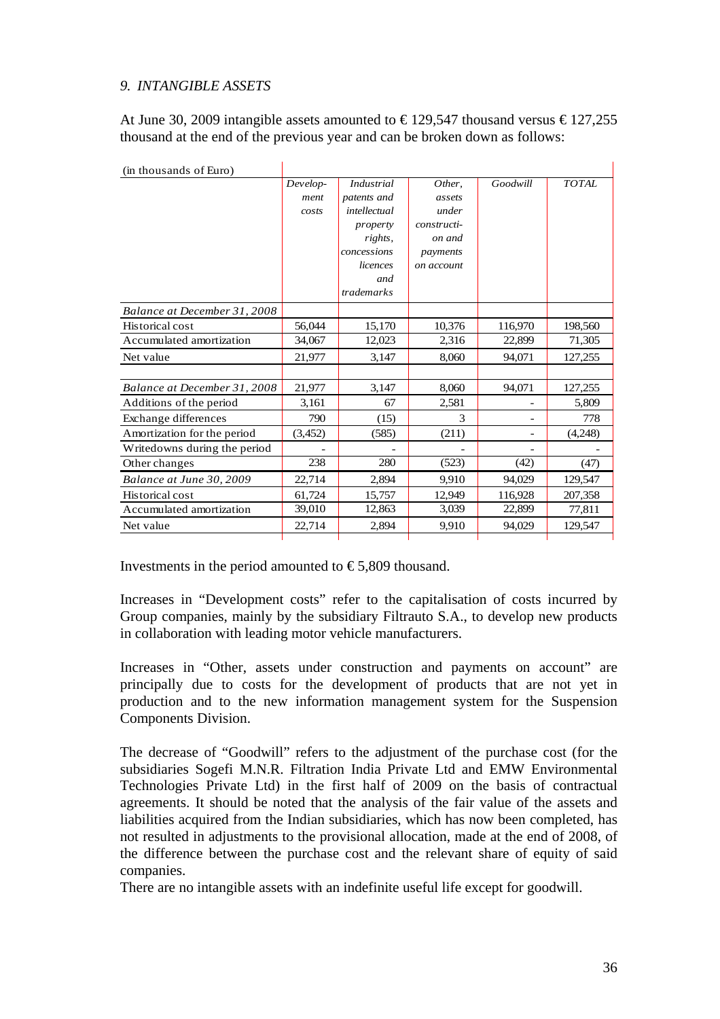# *9. INTANGIBLE ASSETS*

At June 30, 2009 intangible assets amounted to  $\text{\textsterling}129,547$  thousand versus  $\text{\textsterling}127,255$ thousand at the end of the previous year and can be broken down as follows:

| (in thousands of Euro)       |          |              |             |          |              |
|------------------------------|----------|--------------|-------------|----------|--------------|
|                              | Develop- | Industrial   | Other,      | Goodwill | <b>TOTAL</b> |
|                              | ment     | patents and  | assets      |          |              |
|                              | costs    | intellectual | under       |          |              |
|                              |          | property     | constructi- |          |              |
|                              |          | rights,      | on and      |          |              |
|                              |          | concessions  | payments    |          |              |
|                              |          | licences     | on account  |          |              |
|                              |          | and          |             |          |              |
|                              |          | trademarks   |             |          |              |
| Balance at December 31, 2008 |          |              |             |          |              |
| Historical cost              | 56,044   | 15,170       | 10,376      | 116,970  | 198,560      |
| Accumulated amortization     | 34,067   | 12,023       | 2,316       | 22,899   | 71,305       |
| Net value                    | 21,977   | 3,147        | 8,060       | 94,071   | 127,255      |
|                              |          |              |             |          |              |
| Balance at December 31, 2008 | 21,977   | 3,147        | 8,060       | 94,071   | 127,255      |
| Additions of the period      | 3,161    | 67           | 2,581       |          | 5,809        |
| Exchange differences         | 790      | (15)         | 3           |          | 778          |
| Amortization for the period  | (3,452)  | (585)        | (211)       |          | (4,248)      |
| Writedowns during the period |          |              |             |          |              |
| Other changes                | 238      | 280          | (523)       | (42)     | (47)         |
| Balance at June 30, 2009     | 22,714   | 2,894        | 9,910       | 94,029   | 129,547      |
| Historical cost              | 61,724   | 15,757       | 12,949      | 116,928  | 207,358      |
| Accumulated amortization     | 39,010   | 12,863       | 3,039       | 22,899   | 77,811       |
| Net value                    | 22,714   | 2,894        | 9,910       | 94,029   | 129,547      |
|                              |          |              |             |          |              |

Investments in the period amounted to  $\epsilon$ 5,809 thousand.

Increases in "Development costs" refer to the capitalisation of costs incurred by Group companies, mainly by the subsidiary Filtrauto S.A., to develop new products in collaboration with leading motor vehicle manufacturers.

Increases in "Other, assets under construction and payments on account" are principally due to costs for the development of products that are not yet in production and to the new information management system for the Suspension Components Division.

The decrease of "Goodwill" refers to the adjustment of the purchase cost (for the subsidiaries Sogefi M.N.R. Filtration India Private Ltd and EMW Environmental Technologies Private Ltd) in the first half of 2009 on the basis of contractual agreements. It should be noted that the analysis of the fair value of the assets and liabilities acquired from the Indian subsidiaries, which has now been completed, has not resulted in adjustments to the provisional allocation, made at the end of 2008, of the difference between the purchase cost and the relevant share of equity of said companies.

There are no intangible assets with an indefinite useful life except for goodwill.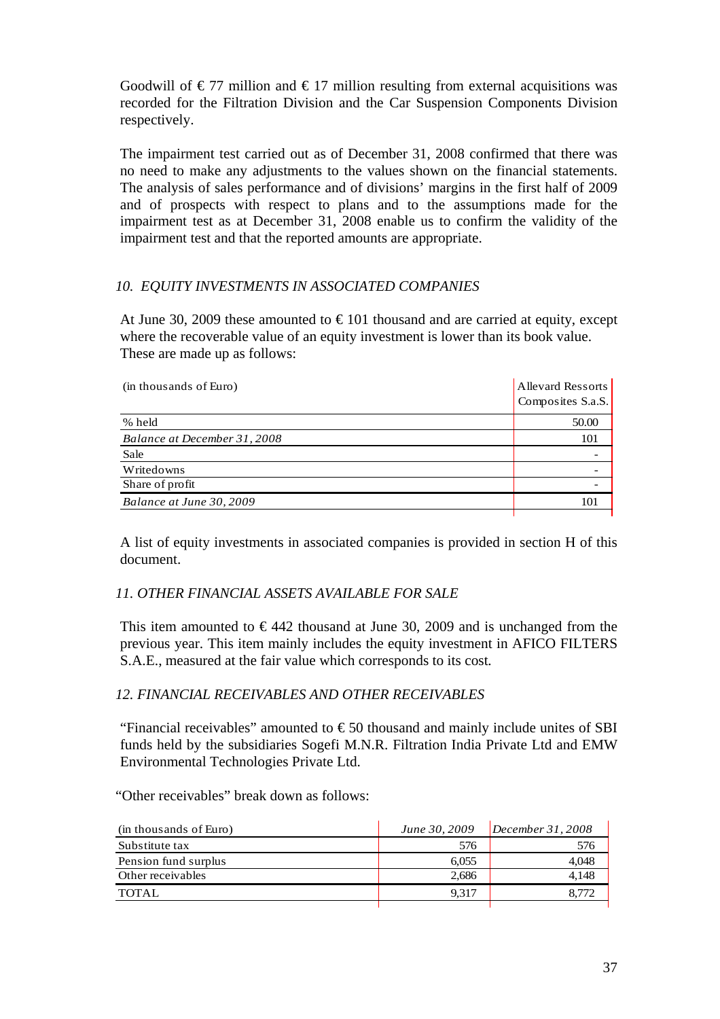Goodwill of  $\epsilon$ 77 million and  $\epsilon$ 17 million resulting from external acquisitions was recorded for the Filtration Division and the Car Suspension Components Division respectively.

The impairment test carried out as of December 31, 2008 confirmed that there was no need to make any adjustments to the values shown on the financial statements. The analysis of sales performance and of divisions' margins in the first half of 2009 and of prospects with respect to plans and to the assumptions made for the impairment test as at December 31, 2008 enable us to confirm the validity of the impairment test and that the reported amounts are appropriate.

## *10. EQUITY INVESTMENTS IN ASSOCIATED COMPANIES*

At June 30, 2009 these amounted to  $\epsilon$ 101 thousand and are carried at equity, except where the recoverable value of an equity investment is lower than its book value. These are made up as follows:

| (in thousands of Euro)       | <b>Allevard Ressorts</b><br>Composites S.a.S. |
|------------------------------|-----------------------------------------------|
| % held                       | 50.00                                         |
| Balance at December 31, 2008 | 101                                           |
| Sale                         |                                               |
| Writedowns                   |                                               |
| Share of profit              |                                               |
| Balance at June 30, 2009     |                                               |
|                              |                                               |

A list of equity investments in associated companies is provided in section H of this document.

## *11. OTHER FINANCIAL ASSETS AVAILABLE FOR SALE*

This item amounted to  $\epsilon$ 442 thousand at June 30, 2009 and is unchanged from the previous year. This item mainly includes the equity investment in AFICO FILTERS S.A.E., measured at the fair value which corresponds to its cost*.* 

## *12. FINANCIAL RECEIVABLES AND OTHER RECEIVABLES*

"Financial receivables" amounted to  $\epsilon$  50 thousand and mainly include unites of SBI funds held by the subsidiaries Sogefi M.N.R. Filtration India Private Ltd and EMW Environmental Technologies Private Ltd.

"Other receivables" break down as follows:

| (in thousands of Euro) | June 30, 2009 | December 31, 2008 |
|------------------------|---------------|-------------------|
| Substitute tax         | 576           | 576               |
| Pension fund surplus   | 6.055         | 4.048             |
| Other receivables      | 2.686         | 4.148             |
| <b>TOTAL</b>           | 9.317         |                   |
|                        |               |                   |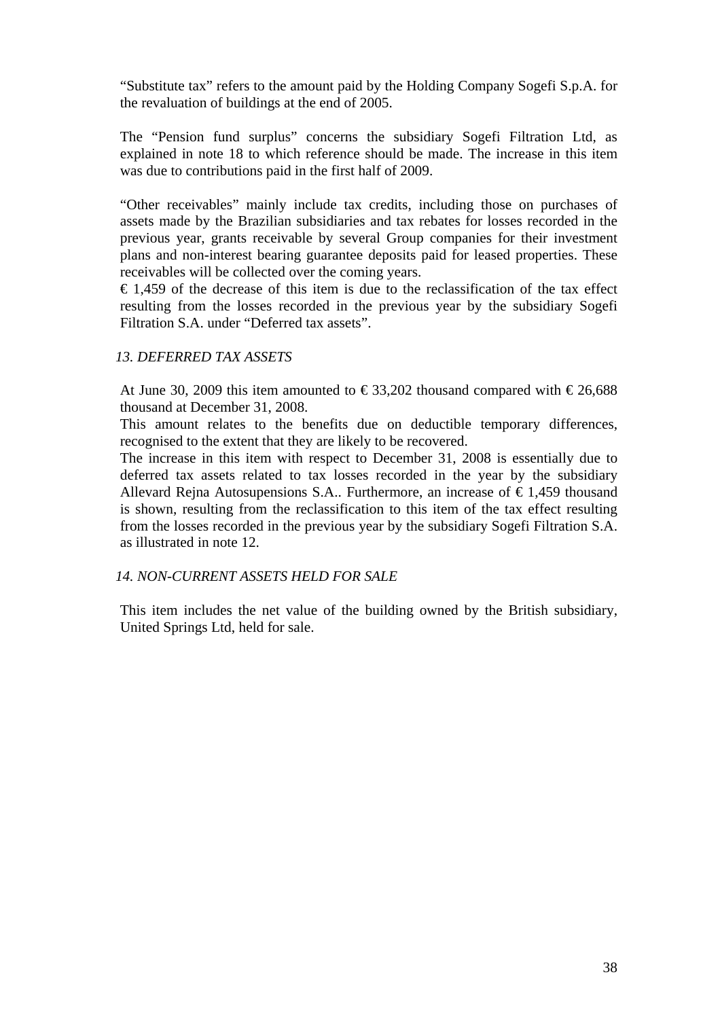"Substitute tax" refers to the amount paid by the Holding Company Sogefi S.p.A. for the revaluation of buildings at the end of 2005.

The "Pension fund surplus" concerns the subsidiary Sogefi Filtration Ltd, as explained in note 18 to which reference should be made. The increase in this item was due to contributions paid in the first half of 2009.

"Other receivables" mainly include tax credits, including those on purchases of assets made by the Brazilian subsidiaries and tax rebates for losses recorded in the previous year, grants receivable by several Group companies for their investment plans and non-interest bearing guarantee deposits paid for leased properties. These receivables will be collected over the coming years.

 $\epsilon$  1,459 of the decrease of this item is due to the reclassification of the tax effect resulting from the losses recorded in the previous year by the subsidiary Sogefi Filtration S.A. under "Deferred tax assets".

#### *13. DEFERRED TAX ASSETS*

At June 30, 2009 this item amounted to  $\epsilon$ 33,202 thousand compared with  $\epsilon$ 26,688 thousand at December 31, 2008.

This amount relates to the benefits due on deductible temporary differences, recognised to the extent that they are likely to be recovered.

The increase in this item with respect to December 31, 2008 is essentially due to deferred tax assets related to tax losses recorded in the year by the subsidiary Allevard Rejna Autosupensions S.A.. Furthermore, an increase of  $\epsilon$ 1,459 thousand is shown, resulting from the reclassification to this item of the tax effect resulting from the losses recorded in the previous year by the subsidiary Sogefi Filtration S.A. as illustrated in note 12.

#### *14. NON-CURRENT ASSETS HELD FOR SALE*

This item includes the net value of the building owned by the British subsidiary, United Springs Ltd, held for sale.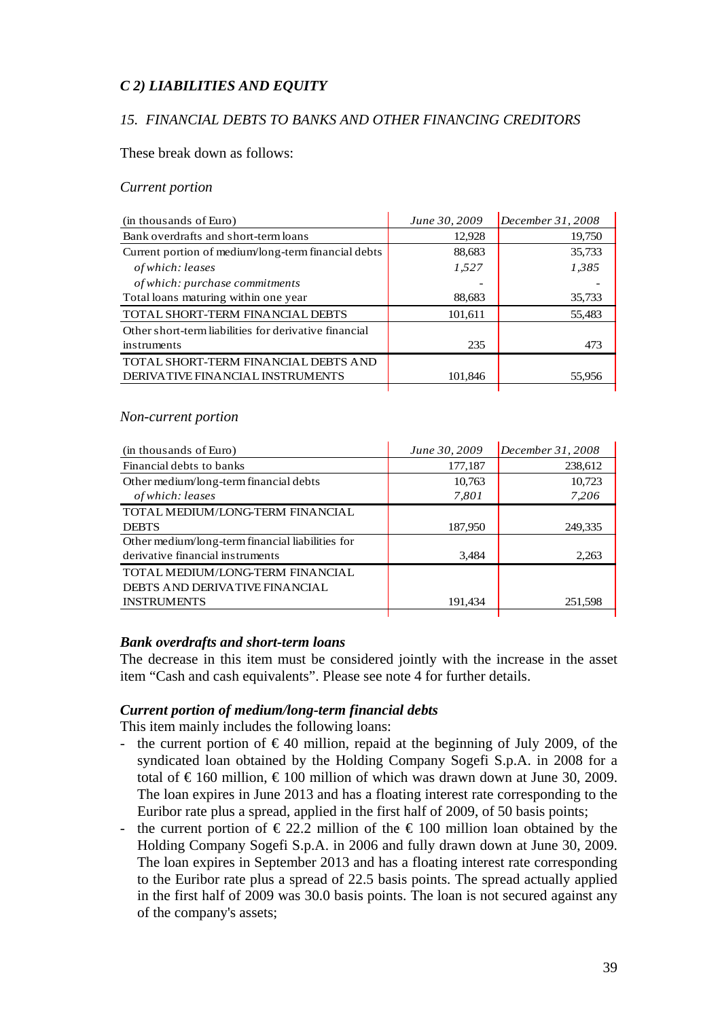## *C 2) LIABILITIES AND EQUITY*

### *15. FINANCIAL DEBTS TO BANKS AND OTHER FINANCING CREDITORS*

These break down as follows:

#### *Current portion*

| (in thousands of Euro)                                | June 30, 2009 | December 31, 2008 |
|-------------------------------------------------------|---------------|-------------------|
| Bank overdrafts and short-term loans                  | 12,928        | 19,750            |
| Current portion of medium/long-term financial debts   | 88,683        | 35,733            |
| of which: leases                                      | 1,527         | 1,385             |
| of which: purchase commitments                        |               |                   |
| Total loans maturing within one year                  | 88,683        | 35,733            |
| <b>TOTAL SHORT-TERM FINANCIAL DEBTS</b>               | 101,611       | 55,483            |
| Other short-term liabilities for derivative financial |               |                   |
| instruments                                           | 235           | 473               |
| TOTAL SHORT-TERM FINANCIAL DEBTS AND                  |               |                   |
| DERIVATIVE FINANCIAL INSTRUMENTS                      | 101,846       | 55,956            |
|                                                       |               |                   |

#### *Non-current portion*

| (in thousands of Euro)                           | June 30, 2009 | December 31, 2008 |
|--------------------------------------------------|---------------|-------------------|
| Financial debts to banks                         | 177,187       | 238,612           |
| Other medium/long-term financial debts           | 10,763        | 10,723            |
| of which: leases                                 | 7,801         | 7,206             |
| TOTAL MEDIUM/LONG-TERM FINANCIAL                 |               |                   |
| <b>DEBTS</b>                                     | 187,950       | 249,335           |
| Other medium/long-term financial liabilities for |               |                   |
| derivative financial instruments                 | 3,484         | 2.263             |
| TOTAL MEDIUM/LONG-TERM FINANCIAL                 |               |                   |
| DEBTS AND DERIVATIVE FINANCIAL                   |               |                   |
| <b>INSTRUMENTS</b>                               | 191,434       | 251,598           |
|                                                  |               |                   |

#### *Bank overdrafts and short-term loans*

The decrease in this item must be considered jointly with the increase in the asset item "Cash and cash equivalents". Please see note 4 for further details.

#### *Current portion of medium/long-term financial debts*

This item mainly includes the following loans:

- the current portion of  $\epsilon$ 40 million, repaid at the beginning of July 2009, of the syndicated loan obtained by the Holding Company Sogefi S.p.A. in 2008 for a total of  $\epsilon$ 160 million,  $\epsilon$ 100 million of which was drawn down at June 30, 2009. The loan expires in June 2013 and has a floating interest rate corresponding to the Euribor rate plus a spread, applied in the first half of 2009, of 50 basis points;
- the current portion of  $\epsilon$  22.2 million of the  $\epsilon$  100 million loan obtained by the Holding Company Sogefi S.p.A. in 2006 and fully drawn down at June 30, 2009. The loan expires in September 2013 and has a floating interest rate corresponding to the Euribor rate plus a spread of 22.5 basis points. The spread actually applied in the first half of 2009 was 30.0 basis points. The loan is not secured against any of the company's assets;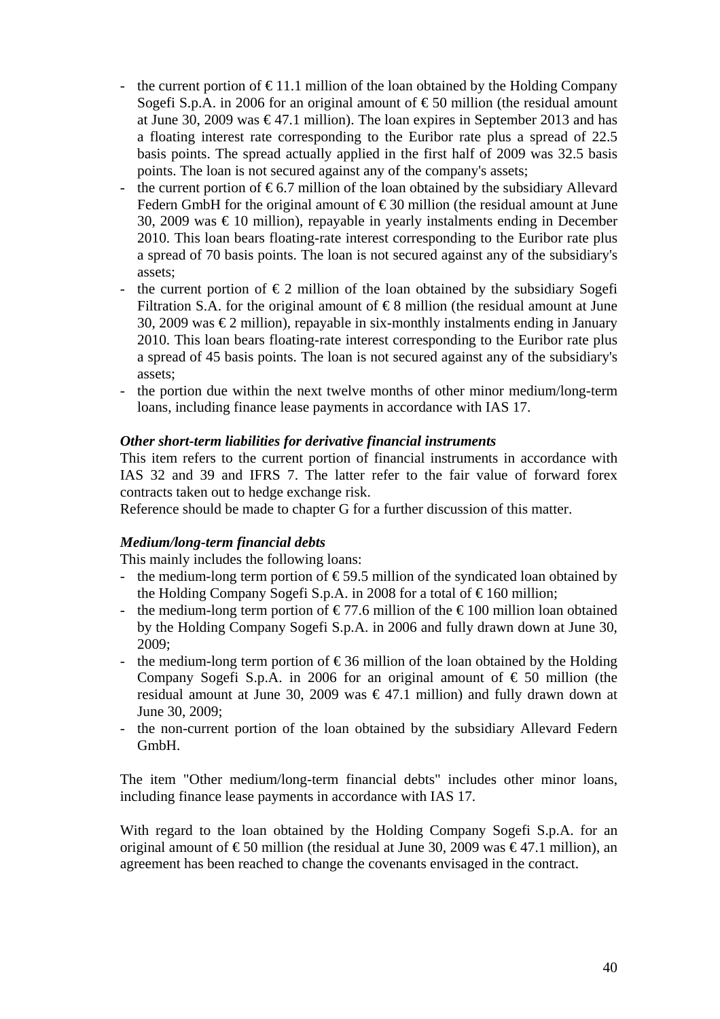- the current portion of  $\epsilon$ 11.1 million of the loan obtained by the Holding Company Sogefi S.p.A. in 2006 for an original amount of  $\epsilon$ 50 million (the residual amount at June 30, 2009 was  $\epsilon$ 47.1 million). The loan expires in September 2013 and has a floating interest rate corresponding to the Euribor rate plus a spread of 22.5 basis points. The spread actually applied in the first half of 2009 was 32.5 basis points. The loan is not secured against any of the company's assets;
- the current portion of  $\epsilon$ 6.7 million of the loan obtained by the subsidiary Allevard Federn GmbH for the original amount of  $\epsilon$ 30 million (the residual amount at June 30, 2009 was  $\epsilon$  10 million), repayable in yearly instalments ending in December 2010. This loan bears floating-rate interest corresponding to the Euribor rate plus a spread of 70 basis points. The loan is not secured against any of the subsidiary's assets;
- the current portion of  $\epsilon$ 2 million of the loan obtained by the subsidiary Sogefi Filtration S.A. for the original amount of  $\epsilon$ 8 million (the residual amount at June 30, 2009 was  $\epsilon$ 2 million), repayable in six-monthly instalments ending in January 2010. This loan bears floating-rate interest corresponding to the Euribor rate plus a spread of 45 basis points. The loan is not secured against any of the subsidiary's assets;
- the portion due within the next twelve months of other minor medium/long-term loans, including finance lease payments in accordance with IAS 17.

## *Other short-term liabilities for derivative financial instruments*

This item refers to the current portion of financial instruments in accordance with IAS 32 and 39 and IFRS 7. The latter refer to the fair value of forward forex contracts taken out to hedge exchange risk.

Reference should be made to chapter G for a further discussion of this matter.

## *Medium/long-term financial debts*

This mainly includes the following loans:

- the medium-long term portion of  $\epsilon$ 59.5 million of the syndicated loan obtained by the Holding Company Sogefi S.p.A. in 2008 for a total of  $\epsilon$ 160 million;
- the medium-long term portion of  $\epsilon$ 77.6 million of the  $\epsilon$ 100 million loan obtained by the Holding Company Sogefi S.p.A. in 2006 and fully drawn down at June 30, 2009;
- the medium-long term portion of  $\epsilon$ 36 million of the loan obtained by the Holding Company Sogefi S.p.A. in 2006 for an original amount of  $\epsilon$  50 million (the residual amount at June 30, 2009 was  $\epsilon$ 47.1 million) and fully drawn down at June 30, 2009;
- the non-current portion of the loan obtained by the subsidiary Allevard Federn GmbH.

The item "Other medium/long-term financial debts" includes other minor loans, including finance lease payments in accordance with IAS 17.

With regard to the loan obtained by the Holding Company Sogefi S.p.A. for an original amount of  $\epsilon$ 50 million (the residual at June 30, 2009 was  $\epsilon$ 47.1 million), an agreement has been reached to change the covenants envisaged in the contract.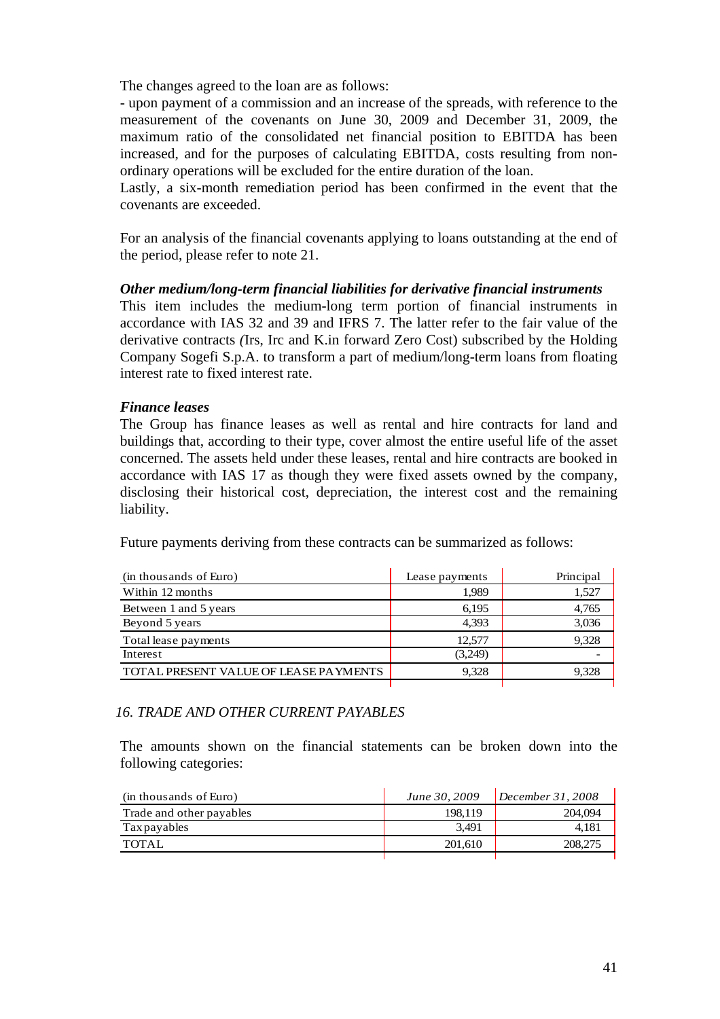The changes agreed to the loan are as follows:

- upon payment of a commission and an increase of the spreads, with reference to the measurement of the covenants on June 30, 2009 and December 31, 2009, the maximum ratio of the consolidated net financial position to EBITDA has been increased, and for the purposes of calculating EBITDA, costs resulting from nonordinary operations will be excluded for the entire duration of the loan.

Lastly, a six-month remediation period has been confirmed in the event that the covenants are exceeded.

For an analysis of the financial covenants applying to loans outstanding at the end of the period, please refer to note 21.

#### *Other medium/long-term financial liabilities for derivative financial instruments*

This item includes the medium-long term portion of financial instruments in accordance with IAS 32 and 39 and IFRS 7. The latter refer to the fair value of the derivative contracts *(*Irs, Irc and K.in forward Zero Cost) subscribed by the Holding Company Sogefi S.p.A. to transform a part of medium/long-term loans from floating interest rate to fixed interest rate.

## *Finance leases*

The Group has finance leases as well as rental and hire contracts for land and buildings that, according to their type, cover almost the entire useful life of the asset concerned. The assets held under these leases, rental and hire contracts are booked in accordance with IAS 17 as though they were fixed assets owned by the company, disclosing their historical cost, depreciation, the interest cost and the remaining liability.

Future payments deriving from these contracts can be summarized as follows:

| (in thousands of Euro)                | Lease payments | Principal |
|---------------------------------------|----------------|-----------|
| Within 12 months                      | 1,989          | 1,527     |
| Between 1 and 5 years                 | 6,195          | 4,765     |
| Beyond 5 years                        | 4,393          | 3,036     |
| Total lease payments                  | 12,577         | 9,328     |
| Interest                              | (3,249)        |           |
| TOTAL PRESENT VALUE OF LEASE PAYMENTS | 9.328          | 9.328     |
|                                       |                |           |

#### *16. TRADE AND OTHER CURRENT PAYABLES*

The amounts shown on the financial statements can be broken down into the following categories:

| (in thousands of Euro)   | June 30, 2009 | December 31, 2008 |
|--------------------------|---------------|-------------------|
| Trade and other payables | 198.119       | 204,094           |
| Tax payables             | 3.491         | 4.181             |
| TOTAL                    | 201.610       | 208,275           |
|                          |               |                   |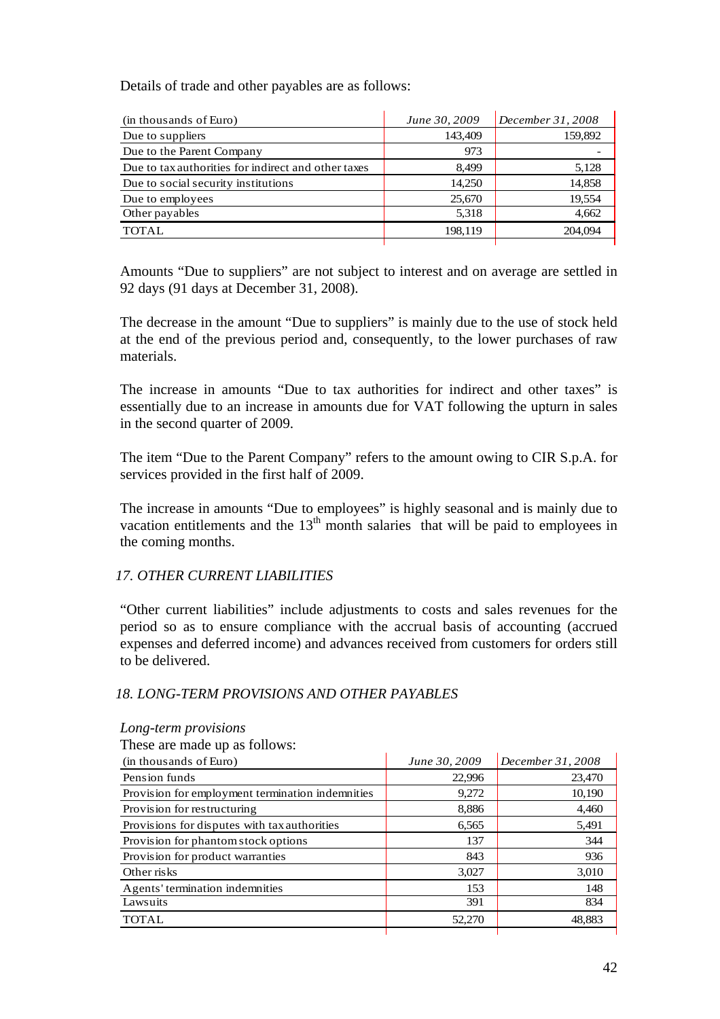Details of trade and other payables are as follows:

| (in thousands of Euro)                              | June 30, 2009 | December 31, 2008 |
|-----------------------------------------------------|---------------|-------------------|
| Due to suppliers                                    | 143,409       | 159,892           |
| Due to the Parent Company                           | 973           |                   |
| Due to tax authorities for indirect and other taxes | 8.499         | 5,128             |
| Due to social security institutions                 | 14,250        | 14,858            |
| Due to employees                                    | 25,670        | 19,554            |
| Other payables                                      | 5,318         | 4.662             |
| <b>TOTAL</b>                                        | 198.119       | 204,094           |
|                                                     |               |                   |

Amounts "Due to suppliers" are not subject to interest and on average are settled in 92 days (91 days at December 31, 2008).

The decrease in the amount "Due to suppliers" is mainly due to the use of stock held at the end of the previous period and, consequently, to the lower purchases of raw materials.

The increase in amounts "Due to tax authorities for indirect and other taxes" is essentially due to an increase in amounts due for VAT following the upturn in sales in the second quarter of 2009.

The item "Due to the Parent Company" refers to the amount owing to CIR S.p.A. for services provided in the first half of 2009.

The increase in amounts "Due to employees" is highly seasonal and is mainly due to vacation entitlements and the  $13<sup>th</sup>$  month salaries that will be paid to employees in the coming months.

## *17. OTHER CURRENT LIABILITIES*

"Other current liabilities" include adjustments to costs and sales revenues for the period so as to ensure compliance with the accrual basis of accounting (accrued expenses and deferred income) and advances received from customers for orders still to be delivered.

#### *18. LONG-TERM PROVISIONS AND OTHER PAYABLES*

| These are made up as follows:                    |               |                   |
|--------------------------------------------------|---------------|-------------------|
| (in thousands of Euro)                           | June 30, 2009 | December 31, 2008 |
| Pension funds                                    | 22,996        | 23,470            |
| Provision for employment termination indemnities | 9,272         | 10,190            |
| Provision for restructuring                      | 8,886         | 4,460             |
| Provisions for disputes with tax authorities     | 6,565         | 5,491             |
| Provision for phantom stock options              | 137           | 344               |
| Provision for product warranties                 | 843           | 936               |
| Other risks                                      | 3,027         | 3,010             |
| Agents' termination indemnities                  | 153           | 148               |
| Lawsuits                                         | 391           | 834               |
| <b>TOTAL</b>                                     | 52,270        | 48,883            |
|                                                  |               |                   |

*Long-term provisions*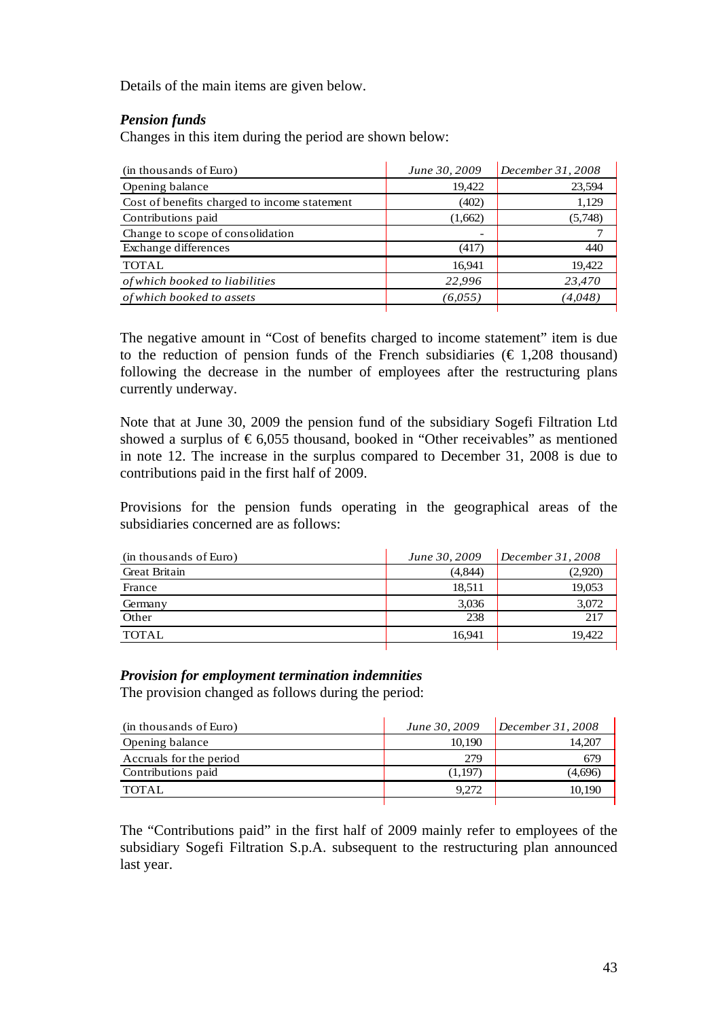Details of the main items are given below.

## *Pension funds*

Changes in this item during the period are shown below:

| (in thousands of Euro)                       | June 30, 2009            | December $31,2008$ |
|----------------------------------------------|--------------------------|--------------------|
| Opening balance                              | 19,422                   | 23,594             |
| Cost of benefits charged to income statement | (402)                    | 1,129              |
| Contributions paid                           | (1,662)                  | (5,748)            |
| Change to scope of consolidation             | $\overline{\phantom{a}}$ |                    |
| Exchange differences                         | (417)                    | 440                |
| <b>TOTAL</b>                                 | 16,941                   | 19,422             |
| of which booked to liabilities               | 22,996                   | 23,470             |
| of which booked to assets                    | (6.055)                  | (4.048)            |

The negative amount in "Cost of benefits charged to income statement" item is due to the reduction of pension funds of the French subsidiaries ( $\epsilon$  1,208 thousand) following the decrease in the number of employees after the restructuring plans currently underway.

Note that at June 30, 2009 the pension fund of the subsidiary Sogefi Filtration Ltd showed a surplus of  $\epsilon$ 6,055 thousand, booked in "Other receivables" as mentioned in note 12. The increase in the surplus compared to December 31, 2008 is due to contributions paid in the first half of 2009.

Provisions for the pension funds operating in the geographical areas of the subsidiaries concerned are as follows:

| June 30, 2009 | December 31, 2008 |
|---------------|-------------------|
| (4,844)       | (2,920)           |
| 18.511        | 19,053            |
| 3,036         | 3,072             |
| 238           | 217               |
| 16.941        | 19.422            |
|               |                   |

#### *Provision for employment termination indemnities*

The provision changed as follows during the period:

| (in thousands of Euro)  | June 30, 2009 | December 31, 2008 |
|-------------------------|---------------|-------------------|
| Opening balance         | 10.190        | 14.207            |
| Accruals for the period | 279           | 679               |
| Contributions paid      | (1,197)       | (4.696)           |
| <b>TOTAL</b>            | 9.272         | 10.190            |
|                         |               |                   |

The "Contributions paid" in the first half of 2009 mainly refer to employees of the subsidiary Sogefi Filtration S.p.A. subsequent to the restructuring plan announced last year.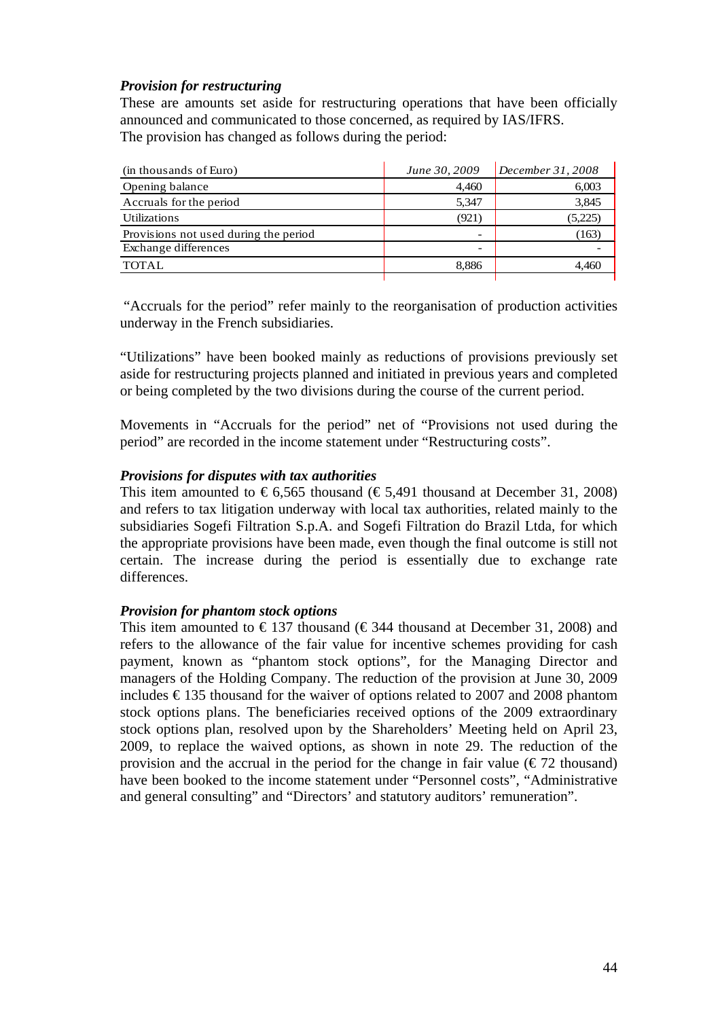## *Provision for restructuring*

These are amounts set aside for restructuring operations that have been officially announced and communicated to those concerned, as required by IAS/IFRS. The provision has changed as follows during the period:

| June 30, 2009            | December 31, 2008 |
|--------------------------|-------------------|
| 4.460                    | 6,003             |
| 5,347                    | 3,845             |
| (921)                    | (5,225)           |
| $\overline{\phantom{a}}$ | (163)             |
| $\overline{\phantom{a}}$ |                   |
| 8,886                    | 4.460             |
|                          |                   |

 "Accruals for the period" refer mainly to the reorganisation of production activities underway in the French subsidiaries.

"Utilizations" have been booked mainly as reductions of provisions previously set aside for restructuring projects planned and initiated in previous years and completed or being completed by the two divisions during the course of the current period.

Movements in "Accruals for the period" net of "Provisions not used during the period" are recorded in the income statement under "Restructuring costs".

#### *Provisions for disputes with tax authorities*

This item amounted to  $\epsilon$ 6,565 thousand ( $\epsilon$ 5,491 thousand at December 31, 2008) and refers to tax litigation underway with local tax authorities, related mainly to the subsidiaries Sogefi Filtration S.p.A. and Sogefi Filtration do Brazil Ltda, for which the appropriate provisions have been made, even though the final outcome is still not certain. The increase during the period is essentially due to exchange rate differences.

#### *Provision for phantom stock options*

This item amounted to  $\epsilon$ 137 thousand ( $\epsilon$ 344 thousand at December 31, 2008) and refers to the allowance of the fair value for incentive schemes providing for cash payment, known as "phantom stock options", for the Managing Director and managers of the Holding Company. The reduction of the provision at June 30, 2009 includes  $\epsilon$ 135 thousand for the waiver of options related to 2007 and 2008 phantom stock options plans. The beneficiaries received options of the 2009 extraordinary stock options plan, resolved upon by the Shareholders' Meeting held on April 23, 2009, to replace the waived options, as shown in note 29. The reduction of the provision and the accrual in the period for the change in fair value ( $\epsilon$ 72 thousand) have been booked to the income statement under "Personnel costs", "Administrative and general consulting" and "Directors' and statutory auditors' remuneration".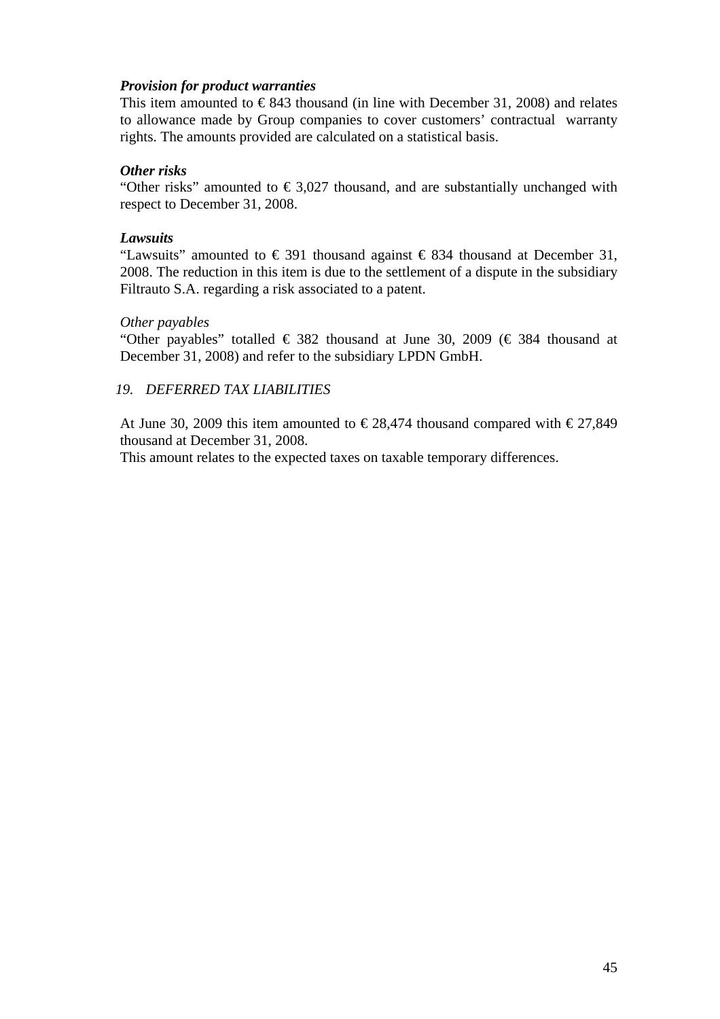## *Provision for product warranties*

This item amounted to  $\epsilon$ 843 thousand (in line with December 31, 2008) and relates to allowance made by Group companies to cover customers' contractual warranty rights. The amounts provided are calculated on a statistical basis.

#### *Other risks*

"Other risks" amounted to  $\epsilon$ 3,027 thousand, and are substantially unchanged with respect to December 31, 2008.

#### *Lawsuits*

"Lawsuits" amounted to  $\in$  391 thousand against  $\in$  834 thousand at December 31, 2008. The reduction in this item is due to the settlement of a dispute in the subsidiary Filtrauto S.A. regarding a risk associated to a patent.

#### *Other payables*

"Other payables" totalled  $\in$  382 thousand at June 30, 2009 ( $\in$  384 thousand at December 31, 2008) and refer to the subsidiary LPDN GmbH.

#### *19. DEFERRED TAX LIABILITIES*

At June 30, 2009 this item amounted to  $\epsilon$  28,474 thousand compared with  $\epsilon$ 27,849 thousand at December 31, 2008.

This amount relates to the expected taxes on taxable temporary differences.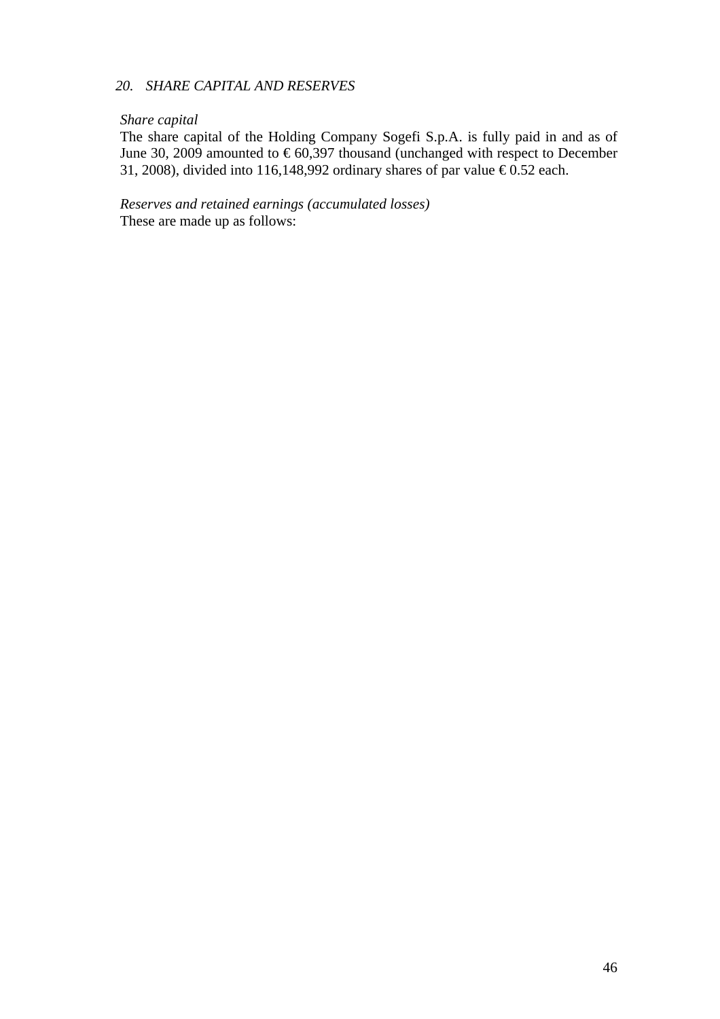### *20. SHARE CAPITAL AND RESERVES*

#### *Share capital*

The share capital of the Holding Company Sogefi S.p.A. is fully paid in and as of June 30, 2009 amounted to  $\epsilon$ 60,397 thousand (unchanged with respect to December 31, 2008), divided into 116,148,992 ordinary shares of par value  $\epsilon$ 0.52 each.

*Reserves and retained earnings (accumulated losses)*  These are made up as follows: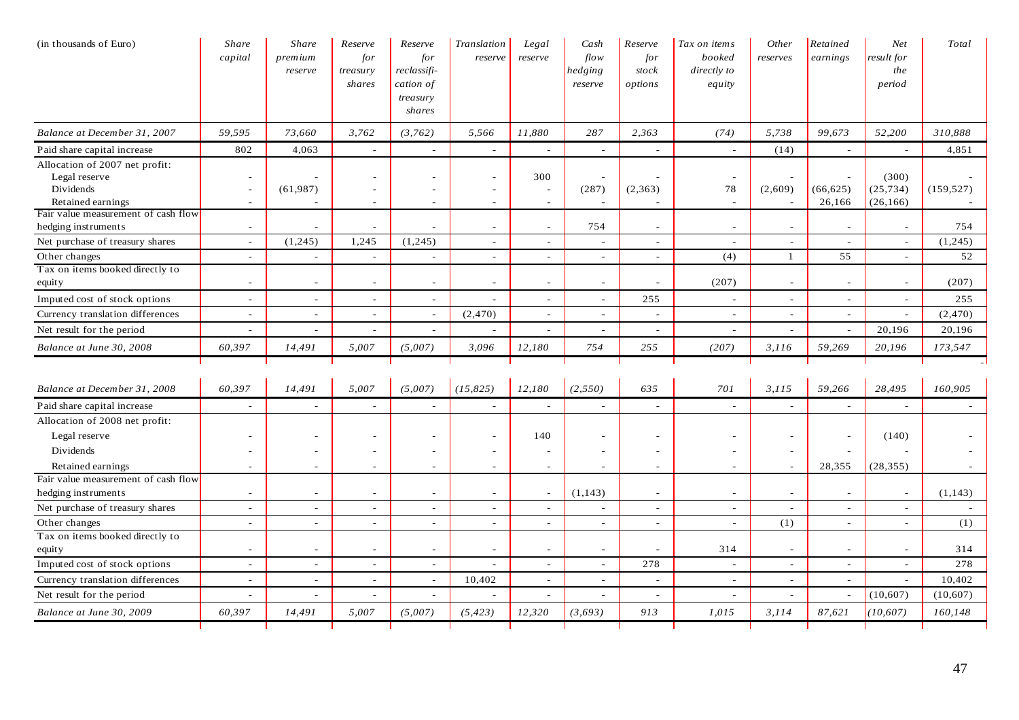| (in thousands of Euro)                                                            | Share<br>capital         | Share<br>premium<br>reserve | Reserve<br>for<br>treasury<br>shares | Reserve<br>for<br>reclassifi-<br>cation of<br>treasury<br>shares | Translation<br>reserve                  | Legal<br>reserve                          | Cash<br>flow<br>hedging<br>reserve | Reserve<br>for<br>stock<br>options | Tax on items<br>booked<br>directly to<br>equity | Other<br>reserves        | Retained<br>earnings     | Net<br>result for<br>the<br>period | Total      |
|-----------------------------------------------------------------------------------|--------------------------|-----------------------------|--------------------------------------|------------------------------------------------------------------|-----------------------------------------|-------------------------------------------|------------------------------------|------------------------------------|-------------------------------------------------|--------------------------|--------------------------|------------------------------------|------------|
| Balance at December 31, 2007                                                      | 59,595                   | 73,660                      | 3,762                                | (3,762)                                                          | 5,566                                   | 11,880                                    | 287                                | 2,363                              | (74)                                            | 5,738                    | 99,673                   | 52,200                             | 310,888    |
| Paid share capital increase                                                       | 802                      | 4,063                       | $\sim$                               | $\overline{\phantom{a}}$                                         | $\sim$                                  | $\overline{\phantom{a}}$                  | $\sim$                             | $\sim$                             | $\sim$                                          | (14)                     | $\sim$                   | $\sim$                             | 4,851      |
| Allocation of 2007 net profit:<br>Legal reserve<br>Dividends<br>Retained earnings | $\sim$<br>$\sim$         | (61,987)                    | $\sim$                               | $\overline{\phantom{a}}$                                         | ۰<br>$\overline{\phantom{a}}$<br>$\sim$ | 300<br>$\overline{\phantom{a}}$<br>$\sim$ | (287)                              | (2,363)                            | 78<br>$\sim$                                    | (2,609)                  | (66, 625)<br>26,166      | (300)<br>(25, 734)<br>(26, 166)    | (159, 527) |
| Fair value measurement of cash flow<br>hedging instruments                        | $\overline{\phantom{a}}$ |                             |                                      |                                                                  | $\sim$                                  | $\sim$                                    | 754                                | $\overline{\phantom{a}}$           |                                                 |                          | $\overline{\phantom{a}}$ |                                    | 754        |
| Net purchase of treasury shares                                                   | $\sim$                   | (1,245)                     | 1,245                                | (1,245)                                                          | $\overline{a}$                          | $\sim$                                    | $\overline{\phantom{a}}$           | $\sim$                             | $\sim$                                          | $\sim$                   | $\sim$                   | $\sim$                             | (1,245)    |
| Other changes                                                                     | $\sim$                   | $\sim$                      | $\sim$                               | $\overline{a}$                                                   | $\sim$                                  | $\sim$                                    | $\sim$                             | $\sim$                             | (4)                                             | $\mathbf{1}$             | 55                       | $\sim$                             | 52         |
| Tax on items booked directly to<br>equity                                         | $\overline{\phantom{a}}$ | ÷                           | $\overline{\phantom{a}}$             | $\overline{a}$                                                   | $\overline{\phantom{a}}$                | $\overline{a}$                            | $\overline{\phantom{a}}$           | $\overline{\phantom{a}}$           | (207)                                           | $\sim$                   | $\overline{\phantom{a}}$ | $\sim$                             | (207)      |
| Imputed cost of stock options                                                     | $\overline{\phantom{a}}$ | $\sim$                      | $\overline{\phantom{a}}$             | $\overline{\phantom{a}}$                                         | $\overline{\phantom{a}}$                | $\overline{\phantom{a}}$                  | $\overline{\phantom{a}}$           | 255                                | $\overline{\phantom{a}}$                        | $\overline{\phantom{a}}$ | $\sim$                   | $\overline{\phantom{a}}$           | 255        |
| Currency translation differences                                                  | $\sim$                   | $\overline{\phantom{a}}$    | $\sim$                               | $\sim$                                                           | (2, 470)                                | $\sim$                                    | $\overline{a}$                     | $\sim$                             | $\sim$                                          | $\overline{\phantom{a}}$ | $\sim$                   | $\sim$                             | (2,470)    |
| Net result for the period                                                         | $\sim$                   | $\overline{\phantom{a}}$    |                                      |                                                                  | $\mathcal{L}_{\mathcal{A}}$             | ÷,                                        | $\sim$                             | $\overline{\phantom{a}}$           |                                                 |                          | $\blacksquare$           | 20,196                             | 20,196     |
| Balance at June 30, 2008                                                          | 60,397                   | 14,491                      | 5,007                                | (5,007)                                                          | 3,096                                   | 12,180                                    | 754                                | 255                                | (207)                                           | 3,116                    | 59,269                   | 20,196                             | 173,547    |
|                                                                                   |                          |                             |                                      |                                                                  |                                         |                                           |                                    |                                    |                                                 |                          |                          |                                    |            |
| Balance at December 31, 2008                                                      | 60,397                   | 14,491                      | 5,007                                | (5,007)                                                          | (15, 825)                               | 12,180                                    | (2,550)                            | 635                                | 701                                             | 3, 115                   | 59,266                   | 28,495                             | 160,905    |
| Paid share capital increase                                                       |                          | $\overline{\phantom{a}}$    |                                      |                                                                  | $\overline{a}$                          |                                           |                                    |                                    |                                                 |                          |                          |                                    |            |
| Allocation of 2008 net profit:<br>Legal reserve                                   |                          | ÷,                          |                                      |                                                                  | $\overline{\phantom{a}}$                | 140                                       |                                    |                                    |                                                 |                          |                          | (140)                              |            |
| Dividends<br>Retained earnings                                                    | $\overline{\phantom{a}}$ | ٠<br>$\sim$                 | $\overline{\phantom{a}}$             | $\overline{a}$                                                   | $\sim$<br>$\mathcal{L}_{\mathcal{A}}$   | $\overline{a}$<br>$\sim$                  | $\overline{\phantom{a}}$           | $\overline{\phantom{a}}$           | $\overline{\phantom{a}}$                        |                          | 28,355                   | (28, 355)                          |            |
| Fair value measurement of cash flow<br>hedging instruments                        | $\sim$                   | $\overline{\phantom{a}}$    |                                      | $\overline{a}$                                                   | $\sim$                                  | $\overline{\phantom{a}}$                  | (1, 143)                           | $\sim$                             | $\sim$                                          | $\sim$                   | $\sim$                   | $\overline{\phantom{a}}$           | (1, 143)   |
| Net purchase of treasury shares                                                   | $\sim$                   | $\sim$                      | $\overline{\phantom{a}}$             | $\overline{\phantom{a}}$                                         | $\overline{a}$                          | $\sim$                                    | $\overline{\phantom{a}}$           | $\sim$                             | $\sim$                                          | $\sim$                   | $\overline{\phantom{a}}$ | $\sim$                             |            |
| Other changes                                                                     | $\sim$                   | $\sim$                      | $\sim$                               | ÷                                                                | $\sim$                                  | $\overline{a}$                            | $\sim$                             | $\sim$                             | $\sim$                                          | (1)                      | $\sim$                   | $\sim$                             | (1)        |
| Tax on items booked directly to<br>equity                                         | $\overline{\phantom{0}}$ | $\sim$                      |                                      |                                                                  | $\sim$                                  | $\sim$                                    | $\overline{\phantom{a}}$           |                                    | 314                                             | $\overline{\phantom{a}}$ | $\overline{\phantom{0}}$ | $\overline{\phantom{a}}$           | 314        |
| Imputed cost of stock options                                                     | $\overline{\phantom{a}}$ | $\sim$                      |                                      |                                                                  | $\overline{a}$                          | $\overline{a}$                            | $\overline{\phantom{a}}$           | 278                                | $\overline{\phantom{a}}$                        | $\sim$                   | $\overline{\phantom{a}}$ |                                    | 278        |
| Currency translation differences                                                  | $\sim$                   | $\sim$                      | $\sim$                               | $\sim$                                                           | 10,402                                  | $\sim$                                    | $\overline{\phantom{a}}$           | $\sim$                             | $\sim$                                          | $\sim$                   | $\sim$                   |                                    | 10,402     |
| Net result for the period                                                         |                          | $\blacksquare$              |                                      |                                                                  | $\sim$                                  | $\overline{a}$                            |                                    | $\overline{\phantom{a}}$           | $\overline{\phantom{a}}$                        |                          |                          | (10,607)                           | (10,607)   |
| Balance at June 30, 2009                                                          | 60,397                   | 14,491                      | 5,007                                | (5,007)                                                          | (5, 423)                                | 12,320                                    | (3,693)                            | 913                                | 1,015                                           | 3,114                    | 87,621                   | (10, 607)                          | 160,148    |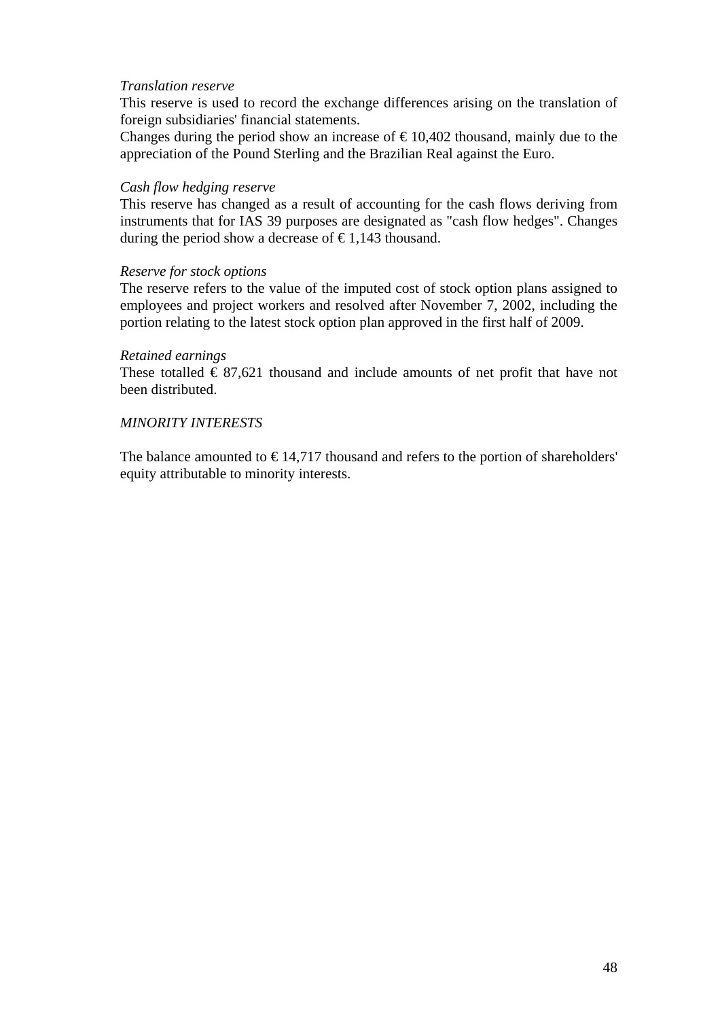### *Translation reserve*

This reserve is used to record the exchange differences arising on the translation of foreign subsidiaries' financial statements.

Changes during the period show an increase of  $\epsilon$ 10,402 thousand, mainly due to the appreciation of the Pound Sterling and the Brazilian Real against the Euro.

#### *Cash flow hedging reserve*

This reserve has changed as a result of accounting for the cash flows deriving from instruments that for IAS 39 purposes are designated as "cash flow hedges". Changes during the period show a decrease of  $\epsilon$ 1.143 thousand.

#### *Reserve for stock options*

The reserve refers to the value of the imputed cost of stock option plans assigned to employees and project workers and resolved after November 7, 2002, including the portion relating to the latest stock option plan approved in the first half of 2009.

#### *Retained earnings*

These totalled  $\epsilon$  87,621 thousand and include amounts of net profit that have not been distributed.

#### *MINORITY INTERESTS*

The balance amounted to  $\epsilon$ 14,717 thousand and refers to the portion of shareholders' equity attributable to minority interests.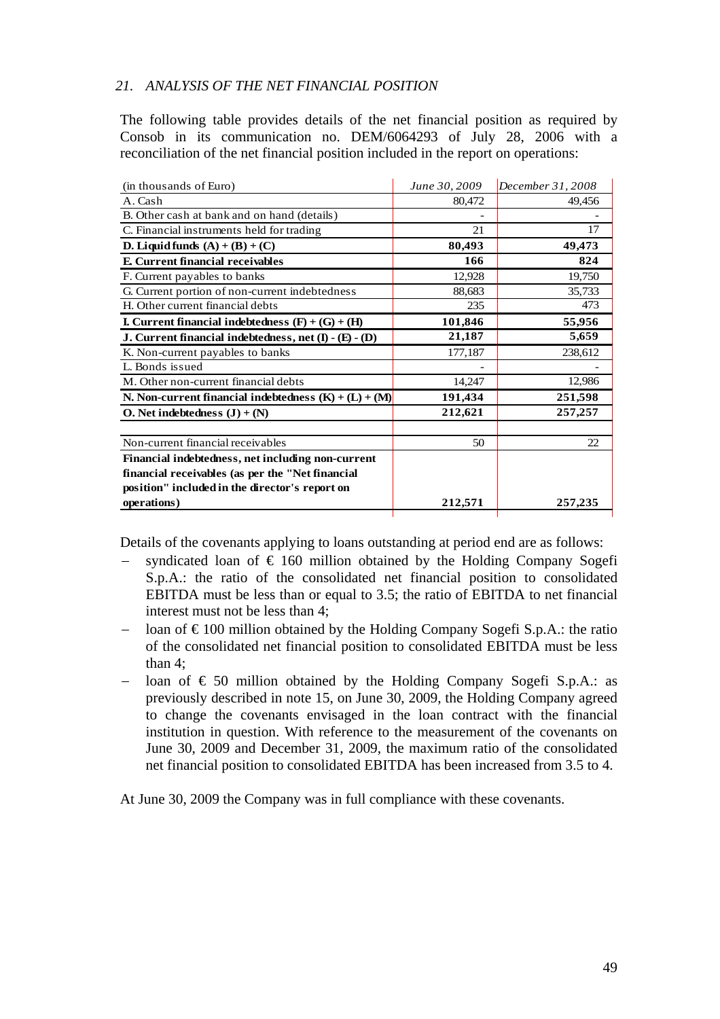## *21. ANALYSIS OF THE NET FINANCIAL POSITION*

The following table provides details of the net financial position as required by Consob in its communication no. DEM/6064293 of July 28, 2006 with a reconciliation of the net financial position included in the report on operations:

| (in thousands of Euro)                                     | June 30, 2009 | December 31, 2008 |
|------------------------------------------------------------|---------------|-------------------|
| A. Cash                                                    | 80,472        | 49,456            |
| B. Other cash at bank and on hand (details)                |               |                   |
| C. Financial instruments held for trading                  | 21            | 17                |
| D. Liquid funds $(A) + (B) + (C)$                          | 80,493        | 49,473            |
| <b>E.</b> Current financial receivables                    | 166           | 824               |
| F. Current payables to banks                               | 12,928        | 19,750            |
| G. Current portion of non-current indebtedness             | 88,683        | 35,733            |
| H. Other current financial debts                           | 235           | 473               |
| <b>I.</b> Current financial indebtedness $(F) + (G) + (H)$ | 101,846       | 55,956            |
| J. Current financial indebtedness, net (I) - (E) - (D)     | 21,187        | 5,659             |
| K. Non-current payables to banks                           | 177,187       | 238,612           |
| L. Bonds issued                                            |               |                   |
| M. Other non-current financial debts                       | 14,247        | 12,986            |
| N. Non-current financial indebtedness $(K) + (L) + (M)$    | 191,434       | 251,598           |
| O. Net indebtedness $(J) + (N)$                            | 212,621       | 257, 257          |
| Non-current financial receivables                          | 50            | 22                |
| Financial indebtedness, net including non-current          |               |                   |
| financial receivables (as per the "Net financial           |               |                   |
| position" included in the director's report on             |               |                   |
| operations)                                                | 212,571       | 257,235           |
|                                                            |               |                   |

Details of the covenants applying to loans outstanding at period end are as follows:

- −syndicated loan of  $\epsilon$  160 million obtained by the Holding Company Sogefi S.p.A.: the ratio of the consolidated net financial position to consolidated EBITDA must be less than or equal to 3.5; the ratio of EBITDA to net financial interest must not be less than 4;
- loan of  $\epsilon$ 100 million obtained by the Holding Company Sogefi S.p.A.: the ratio of the consolidated net financial position to consolidated EBITDA must be less than 4;
- loan of  $\epsilon$  50 million obtained by the Holding Company Sogefi S.p.A.: as previously described in note 15, on June 30, 2009, the Holding Company agreed to change the covenants envisaged in the loan contract with the financial institution in question. With reference to the measurement of the covenants on June 30, 2009 and December 31, 2009, the maximum ratio of the consolidated net financial position to consolidated EBITDA has been increased from 3.5 to 4.

At June 30, 2009 the Company was in full compliance with these covenants.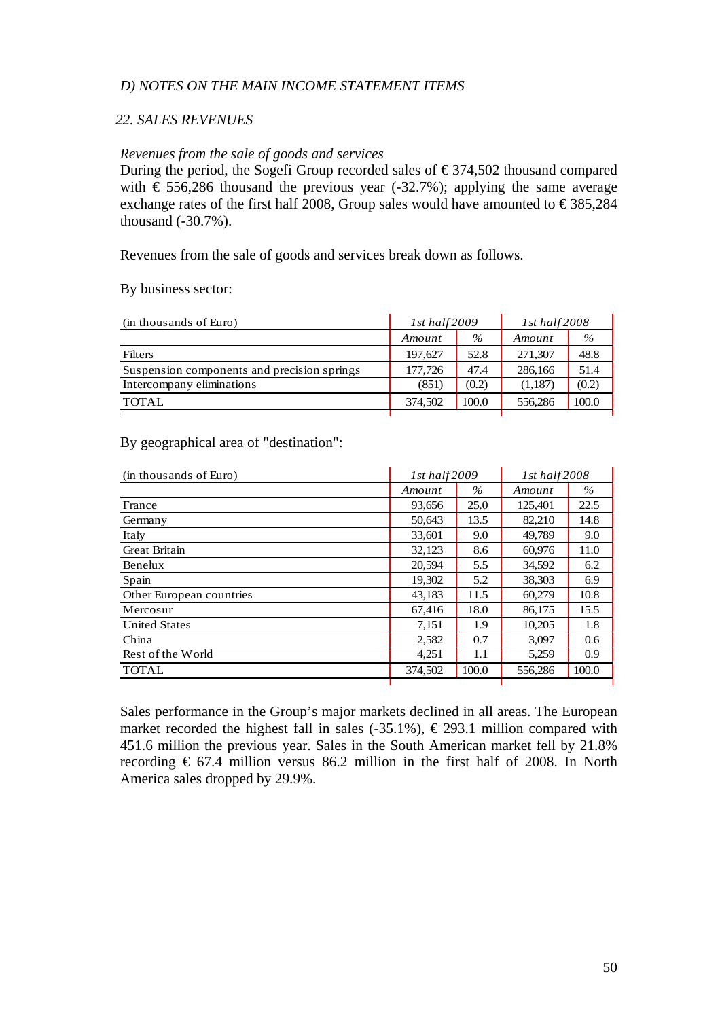#### *D) NOTES ON THE MAIN INCOME STATEMENT ITEMS*

### *22. SALES REVENUES*

#### *Revenues from the sale of goods and services*

During the period, the Sogefi Group recorded sales of  $\epsilon$ 374,502 thousand compared with  $\epsilon$  556,286 thousand the previous year (-32.7%); applying the same average exchange rates of the first half 2008, Group sales would have amounted to  $\epsilon$ 385,284 thousand (-30.7%).

Revenues from the sale of goods and services break down as follows.

#### By business sector:

| (in thousands of Euro)                      | $1st$ half $2009$ |       | $1st$ half $2008$ |       |
|---------------------------------------------|-------------------|-------|-------------------|-------|
|                                             | Amount            | $\%$  | Amount            | $\%$  |
| <b>Filters</b>                              | 197,627           | 52.8  | 271,307           | 48.8  |
| Suspension components and precision springs | 177,726           | 47.4  | 286,166           | 51.4  |
| Intercompany eliminations                   | (851)             | (0.2) | (1,187)           | (0.2) |
| <b>TOTAL</b>                                | 374,502           | 100.0 | 556,286           | 100.0 |
|                                             |                   |       |                   |       |

#### By geographical area of "destination":

| (in thousands of Euro)   | 1st half 2009 |       | 1st half 2008 |       |
|--------------------------|---------------|-------|---------------|-------|
|                          | Amount        | $\%$  | Amount        | $\%$  |
| France                   | 93,656        | 25.0  | 125,401       | 22.5  |
| Germany                  | 50,643        | 13.5  | 82,210        | 14.8  |
| Italy                    | 33,601        | 9.0   | 49,789        | 9.0   |
| <b>Great Britain</b>     | 32,123        | 8.6   | 60,976        | 11.0  |
| Benelux                  | 20,594        | 5.5   | 34,592        | 6.2   |
| Spain                    | 19,302        | 5.2   | 38,303        | 6.9   |
| Other European countries | 43,183        | 11.5  | 60.279        | 10.8  |
| Mercosur                 | 67,416        | 18.0  | 86,175        | 15.5  |
| <b>United States</b>     | 7,151         | 1.9   | 10,205        | 1.8   |
| China                    | 2,582         | 0.7   | 3,097         | 0.6   |
| Rest of the World        | 4,251         | 1.1   | 5,259         | 0.9   |
| <b>TOTAL</b>             | 374,502       | 100.0 | 556,286       | 100.0 |

Sales performance in the Group's major markets declined in all areas. The European market recorded the highest fall in sales (-35.1%),  $\epsilon$  293.1 million compared with 451.6 million the previous year. Sales in the South American market fell by 21.8% recording  $\epsilon$  67.4 million versus 86.2 million in the first half of 2008. In North America sales dropped by 29.9%.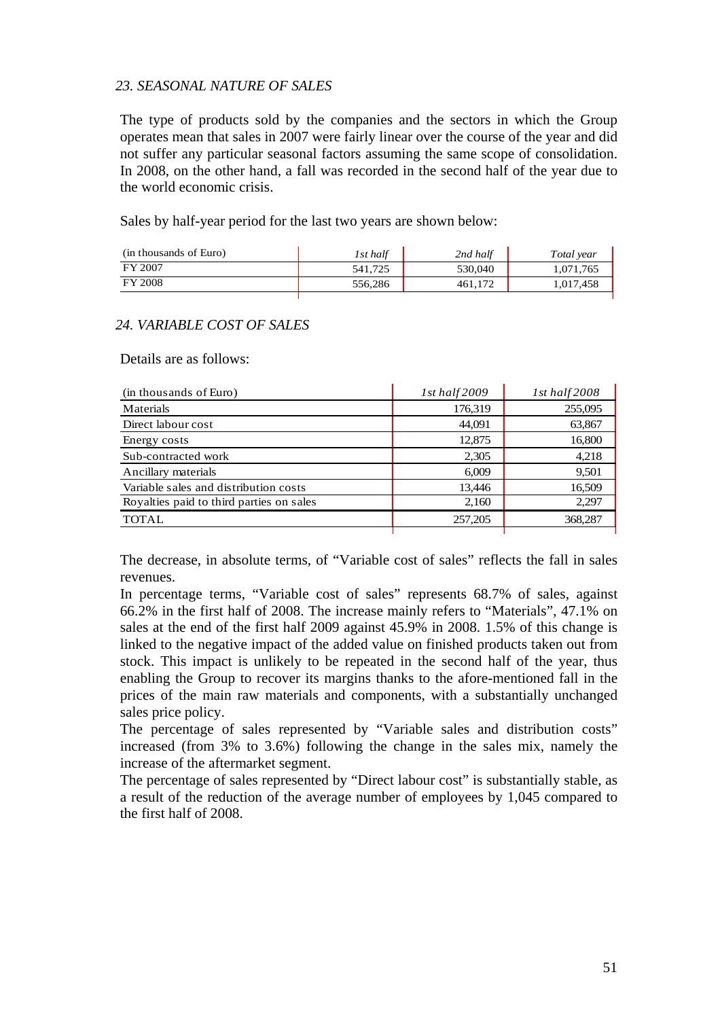### *23. SEASONAL NATURE OF SALES*

The type of products sold by the companies and the sectors in which the Group operates mean that sales in 2007 were fairly linear over the course of the year and did not suffer any particular seasonal factors assuming the same scope of consolidation. In 2008, on the other hand, a fall was recorded in the second half of the year due to the world economic crisis.

Sales by half-year period for the last two years are shown below:

| (in thousands of Euro) | 1st half | 2nd half | Total vear |
|------------------------|----------|----------|------------|
| FY 2007                | 541.725  | 530,040  | 1,071,765  |
| <b>FY 2008</b>         | 556,286  | 461.172  | 1,017,458  |

## *24. VARIABLE COST OF SALES*

Details are as follows:

| (in thousands of Euro)                   | 1st half $2009$ | 1st half 2008 |
|------------------------------------------|-----------------|---------------|
| Materials                                | 176,319         | 255,095       |
| Direct labour cost                       | 44,091          | 63,867        |
| Energy costs                             | 12,875          | 16,800        |
| Sub-contracted work                      | 2,305           | 4,218         |
| Ancillary materials                      | 6,009           | 9,501         |
| Variable sales and distribution costs    | 13.446          | 16.509        |
| Royalties paid to third parties on sales | 2,160           | 2,297         |
| <b>TOTAL</b>                             | 257,205         | 368,287       |
|                                          |                 |               |

The decrease, in absolute terms, of "Variable cost of sales" reflects the fall in sales revenues.

In percentage terms, "Variable cost of sales" represents 68.7% of sales, against 66.2% in the first half of 2008. The increase mainly refers to "Materials", 47.1% on sales at the end of the first half 2009 against 45.9% in 2008. 1.5% of this change is linked to the negative impact of the added value on finished products taken out from stock. This impact is unlikely to be repeated in the second half of the year, thus enabling the Group to recover its margins thanks to the afore-mentioned fall in the prices of the main raw materials and components, with a substantially unchanged sales price policy.

The percentage of sales represented by "Variable sales and distribution costs" increased (from 3% to 3.6%) following the change in the sales mix, namely the increase of the aftermarket segment.

The percentage of sales represented by "Direct labour cost" is substantially stable, as a result of the reduction of the average number of employees by 1,045 compared to the first half of 2008.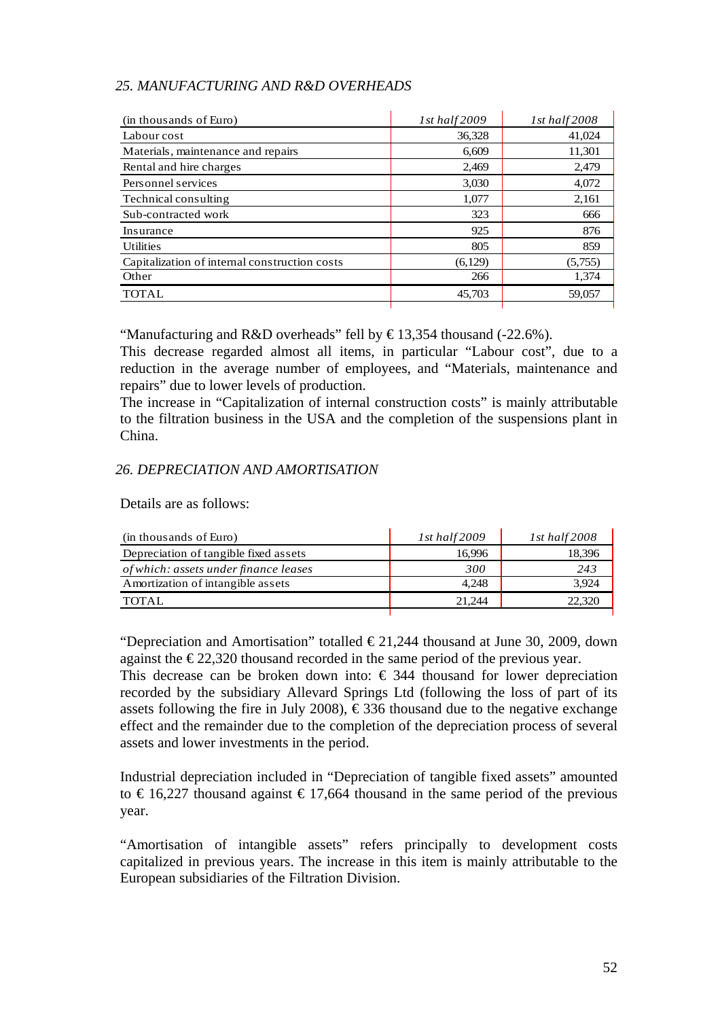## *25. MANUFACTURING AND R&D OVERHEADS*

| $1st$ half $2009$ | 1st half $2008$ |
|-------------------|-----------------|
| 36,328            | 41,024          |
| 6,609             | 11,301          |
| 2.469             | 2.479           |
| 3,030             | 4,072           |
| 1,077             | 2,161           |
| 323               | 666             |
| 925               | 876             |
| 805               | 859             |
| (6,129)           | (5,755)         |
| 266               | 1,374           |
| 45,703            | 59,057          |
|                   |                 |

"Manufacturing and R&D overheads" fell by  $\text{\textsterling}13,354$  thousand (-22.6%).

This decrease regarded almost all items, in particular "Labour cost", due to a reduction in the average number of employees, and "Materials, maintenance and repairs" due to lower levels of production.

The increase in "Capitalization of internal construction costs" is mainly attributable to the filtration business in the USA and the completion of the suspensions plant in China.

## *26. DEPRECIATION AND AMORTISATION*

Details are as follows:

| (in thousands of Euro)                | $1st$ half $2009$ | $1st$ half $2008$ |
|---------------------------------------|-------------------|-------------------|
| Depreciation of tangible fixed assets | 16.996            | 18.396            |
| of which: assets under finance leases | 300               | 243               |
| Amortization of intangible assets     | 4.248             | 3.924             |
| TOTAL                                 | 21.244            | 22,320            |
|                                       |                   |                   |

"Depreciation and Amortisation" totalled  $\in 21,244$  thousand at June 30, 2009, down against the  $\epsilon$ 22,320 thousand recorded in the same period of the previous year.

This decrease can be broken down into:  $\epsilon$  344 thousand for lower depreciation recorded by the subsidiary Allevard Springs Ltd (following the loss of part of its assets following the fire in July 2008),  $\epsilon$ 336 thousand due to the negative exchange effect and the remainder due to the completion of the depreciation process of several assets and lower investments in the period.

Industrial depreciation included in "Depreciation of tangible fixed assets" amounted to  $\epsilon$  16,227 thousand against  $\epsilon$  17,664 thousand in the same period of the previous year.

"Amortisation of intangible assets" refers principally to development costs capitalized in previous years. The increase in this item is mainly attributable to the European subsidiaries of the Filtration Division.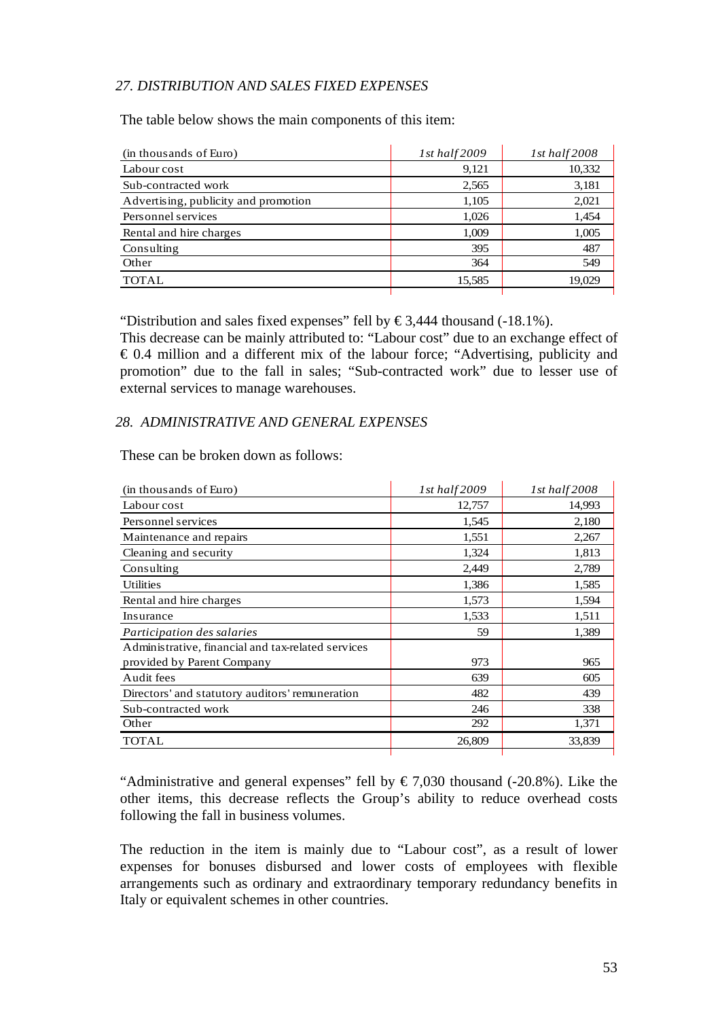## *27. DISTRIBUTION AND SALES FIXED EXPENSES*

The table below shows the main components of this item:

| (in thousands of Euro)               | $1st$ half $2009$ | 1st half $2008$ |
|--------------------------------------|-------------------|-----------------|
| Labour cost                          | 9,121             | 10,332          |
| Sub-contracted work                  | 2,565             | 3,181           |
| Advertising, publicity and promotion | 1,105             | 2,021           |
| Personnel services                   | 1,026             | 1,454           |
| Rental and hire charges              | 1,009             | 1,005           |
| Consulting                           | 395               | 487             |
| Other                                | 364               | 549             |
| <b>TOTAL</b>                         | 15,585            | 19.029          |

"Distribution and sales fixed expenses" fell by  $\epsilon$ 3,444 thousand (-18.1%).

This decrease can be mainly attributed to: "Labour cost" due to an exchange effect of  $\epsilon$  0.4 million and a different mix of the labour force; "Advertising, publicity and promotion" due to the fall in sales; "Sub-contracted work" due to lesser use of external services to manage warehouses.

#### *28. ADMINISTRATIVE AND GENERAL EXPENSES*

These can be broken down as follows:

| (in thousands of Euro)                             | 1st half2009 | $1st$ half $2008$ |
|----------------------------------------------------|--------------|-------------------|
| Labour cost                                        | 12,757       | 14,993            |
| Personnel services                                 | 1,545        | 2,180             |
| Maintenance and repairs                            | 1,551        | 2,267             |
| Cleaning and security                              | 1,324        | 1,813             |
| Consulting                                         | 2,449        | 2,789             |
| <b>Utilities</b>                                   | 1,386        | 1,585             |
| Rental and hire charges                            | 1,573        | 1,594             |
| Insurance                                          | 1,533        | 1,511             |
| Participation des salaries                         | 59           | 1,389             |
| Administrative, financial and tax-related services |              |                   |
| provided by Parent Company                         | 973          | 965               |
| Audit fees                                         | 639          | 605               |
| Directors' and statutory auditors' remuneration    | 482          | 439               |
| Sub-contracted work                                | 246          | 338               |
| Other                                              | 292          | 1,371             |
| TOTAL                                              | 26,809       | 33,839            |

"Administrative and general expenses" fell by  $\epsilon$  7,030 thousand (-20.8%). Like the other items, this decrease reflects the Group's ability to reduce overhead costs following the fall in business volumes.

The reduction in the item is mainly due to "Labour cost", as a result of lower expenses for bonuses disbursed and lower costs of employees with flexible arrangements such as ordinary and extraordinary temporary redundancy benefits in Italy or equivalent schemes in other countries.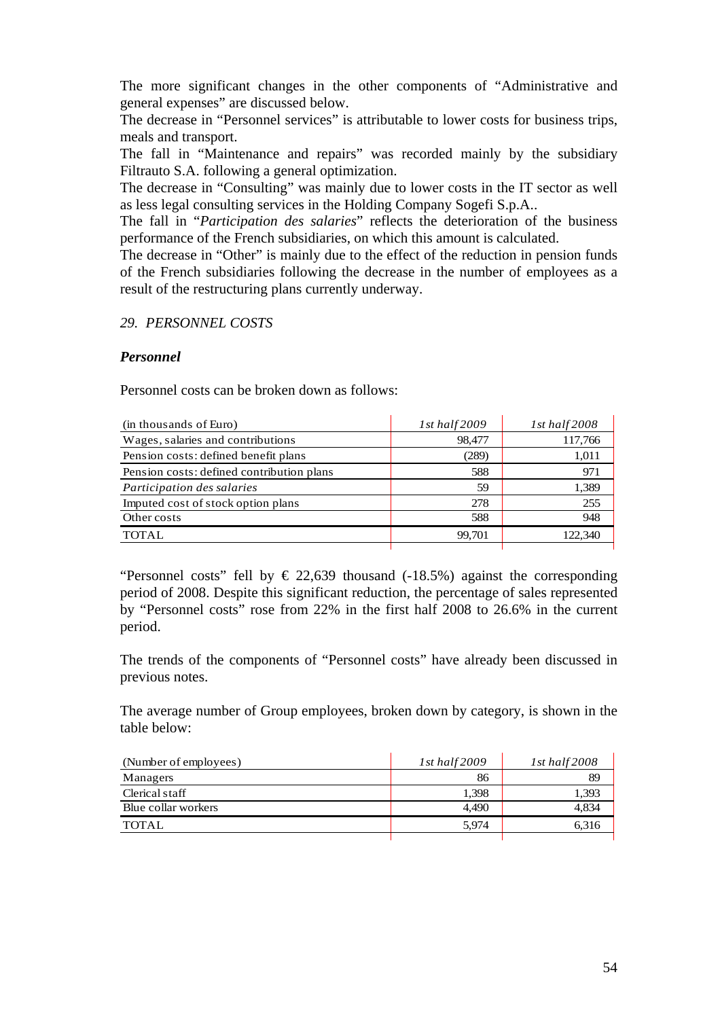The more significant changes in the other components of "Administrative and general expenses" are discussed below.

The decrease in "Personnel services" is attributable to lower costs for business trips, meals and transport.

The fall in "Maintenance and repairs" was recorded mainly by the subsidiary Filtrauto S.A. following a general optimization.

The decrease in "Consulting" was mainly due to lower costs in the IT sector as well as less legal consulting services in the Holding Company Sogefi S.p.A..

The fall in "*Participation des salaries*" reflects the deterioration of the business performance of the French subsidiaries, on which this amount is calculated.

The decrease in "Other" is mainly due to the effect of the reduction in pension funds of the French subsidiaries following the decrease in the number of employees as a result of the restructuring plans currently underway.

## *29. PERSONNEL COSTS*

## *Personnel*

Personnel costs can be broken down as follows:

| (in thousands of Euro)                    | 1st half $2009$ | 1st half $2008$ |
|-------------------------------------------|-----------------|-----------------|
| Wages, salaries and contributions         | 98,477          | 117,766         |
| Pension costs: defined benefit plans      | (289)           | 1,011           |
| Pension costs: defined contribution plans | 588             | 971             |
| Participation des salaries                | 59              | 1,389           |
| Imputed cost of stock option plans        | 278             | 255             |
| Other costs                               | 588             | 948             |
| TOTAL                                     | 99,701          | 122.340         |
|                                           |                 |                 |

"Personnel costs" fell by  $\in$  22,639 thousand (-18.5%) against the corresponding period of 2008. Despite this significant reduction, the percentage of sales represented by "Personnel costs" rose from 22% in the first half 2008 to 26.6% in the current period.

The trends of the components of "Personnel costs" have already been discussed in previous notes.

The average number of Group employees, broken down by category, is shown in the table below:

| (Number of employees) | $1st$ half $2009$ | $1st$ half $2008$ |
|-----------------------|-------------------|-------------------|
| Managers              | 86                | 89                |
| Clerical staff        | 1.398             | 1,393             |
| Blue collar workers   | 4.490             | 4.834             |
| <b>TOTAL</b>          | 5.974             | 6.316             |
|                       |                   |                   |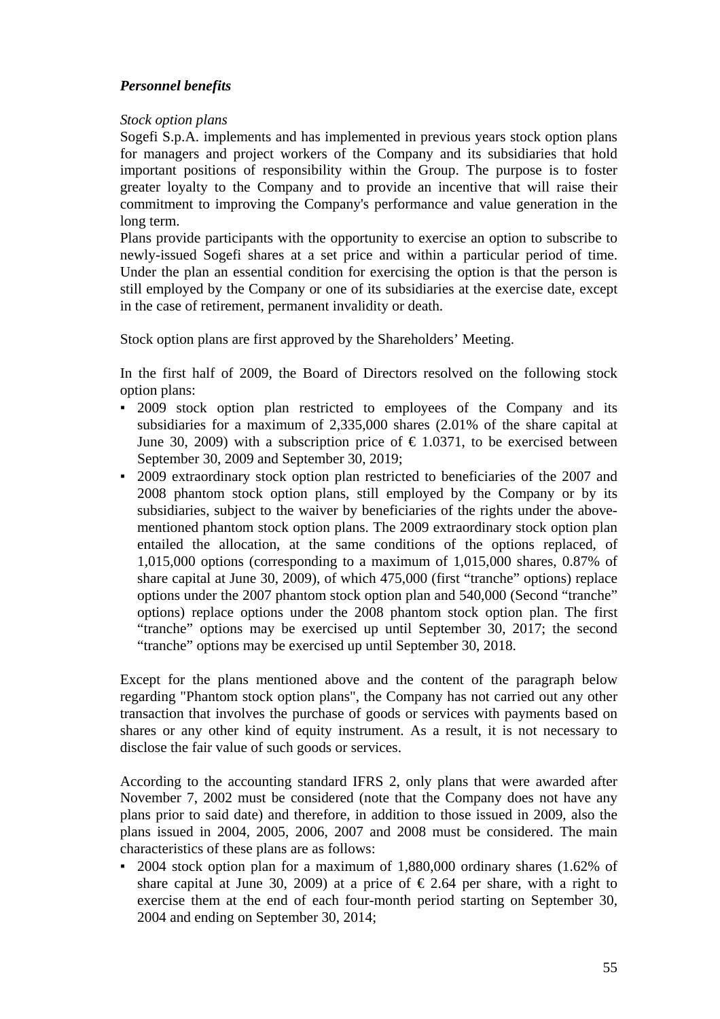## *Personnel benefits*

## *Stock option plans*

Sogefi S.p.A. implements and has implemented in previous years stock option plans for managers and project workers of the Company and its subsidiaries that hold important positions of responsibility within the Group. The purpose is to foster greater loyalty to the Company and to provide an incentive that will raise their commitment to improving the Company's performance and value generation in the long term.

Plans provide participants with the opportunity to exercise an option to subscribe to newly-issued Sogefi shares at a set price and within a particular period of time. Under the plan an essential condition for exercising the option is that the person is still employed by the Company or one of its subsidiaries at the exercise date, except in the case of retirement, permanent invalidity or death.

Stock option plans are first approved by the Shareholders' Meeting.

In the first half of 2009, the Board of Directors resolved on the following stock option plans:

- 2009 stock option plan restricted to employees of the Company and its subsidiaries for a maximum of 2,335,000 shares (2.01% of the share capital at June 30, 2009) with a subscription price of  $\epsilon$  1.0371, to be exercised between September 30, 2009 and September 30, 2019;
- 2009 extraordinary stock option plan restricted to beneficiaries of the 2007 and 2008 phantom stock option plans, still employed by the Company or by its subsidiaries, subject to the waiver by beneficiaries of the rights under the abovementioned phantom stock option plans. The 2009 extraordinary stock option plan entailed the allocation, at the same conditions of the options replaced, of 1,015,000 options (corresponding to a maximum of 1,015,000 shares, 0.87% of share capital at June 30, 2009), of which 475,000 (first "tranche" options) replace options under the 2007 phantom stock option plan and 540,000 (Second "tranche" options) replace options under the 2008 phantom stock option plan. The first "tranche" options may be exercised up until September 30, 2017; the second "tranche" options may be exercised up until September 30, 2018.

Except for the plans mentioned above and the content of the paragraph below regarding "Phantom stock option plans", the Company has not carried out any other transaction that involves the purchase of goods or services with payments based on shares or any other kind of equity instrument. As a result, it is not necessary to disclose the fair value of such goods or services.

According to the accounting standard IFRS 2, only plans that were awarded after November 7, 2002 must be considered (note that the Company does not have any plans prior to said date) and therefore, in addition to those issued in 2009, also the plans issued in 2004, 2005, 2006, 2007 and 2008 must be considered. The main characteristics of these plans are as follows:

2004 stock option plan for a maximum of  $1,880,000$  ordinary shares (1.62% of share capital at June 30, 2009) at a price of  $\epsilon$  2.64 per share, with a right to exercise them at the end of each four-month period starting on September 30, 2004 and ending on September 30, 2014;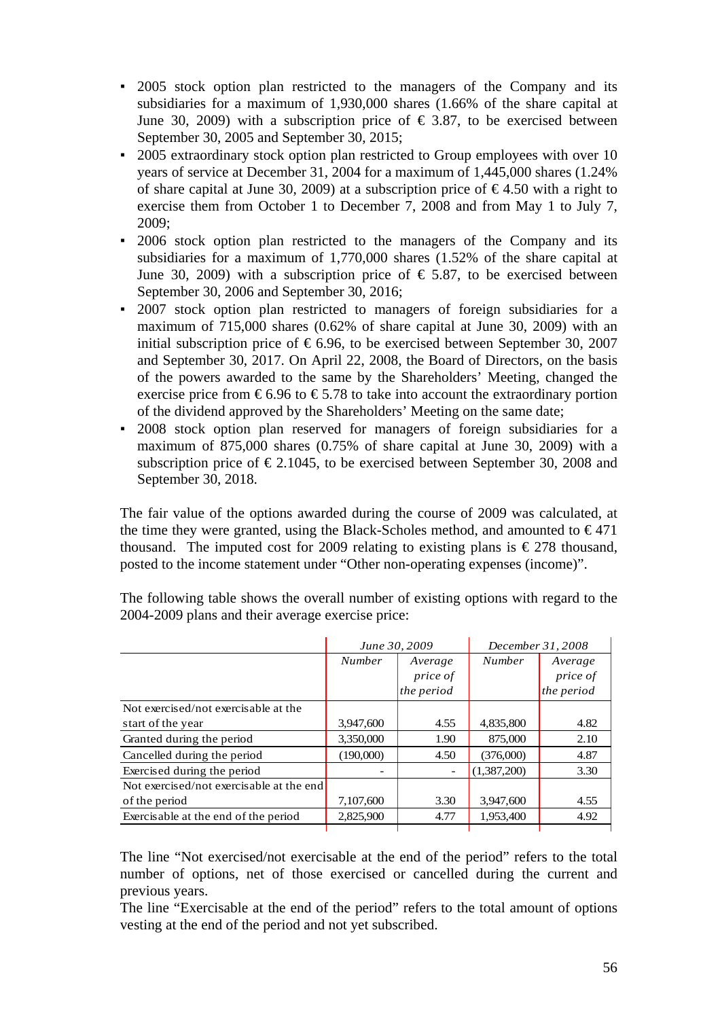- 2005 stock option plan restricted to the managers of the Company and its subsidiaries for a maximum of 1,930,000 shares (1.66% of the share capital at June 30, 2009) with a subscription price of  $\epsilon$  3.87, to be exercised between September 30, 2005 and September 30, 2015;
- 2005 extraordinary stock option plan restricted to Group employees with over 10 years of service at December 31, 2004 for a maximum of 1,445,000 shares (1.24% of share capital at June 30, 2009) at a subscription price of  $\epsilon$ 4.50 with a right to exercise them from October 1 to December 7, 2008 and from May 1 to July 7, 2009;
- 2006 stock option plan restricted to the managers of the Company and its subsidiaries for a maximum of 1,770,000 shares (1.52% of the share capital at June 30, 2009) with a subscription price of  $\epsilon$  5.87, to be exercised between September 30, 2006 and September 30, 2016;
- 2007 stock option plan restricted to managers of foreign subsidiaries for a maximum of 715,000 shares (0.62% of share capital at June 30, 2009) with an initial subscription price of  $\epsilon$  6.96, to be exercised between September 30, 2007 and September 30, 2017. On April 22, 2008, the Board of Directors, on the basis of the powers awarded to the same by the Shareholders' Meeting, changed the exercise price from  $\epsilon$ 6.96 to  $\epsilon$ 5.78 to take into account the extraordinary portion of the dividend approved by the Shareholders' Meeting on the same date;
- 2008 stock option plan reserved for managers of foreign subsidiaries for a maximum of 875,000 shares (0.75% of share capital at June 30, 2009) with a subscription price of  $\epsilon$  2.1045, to be exercised between September 30, 2008 and September 30, 2018.

The fair value of the options awarded during the course of 2009 was calculated, at the time they were granted, using the Black-Scholes method, and amounted to  $\epsilon$ 471 thousand. The imputed cost for 2009 relating to existing plans is  $\epsilon$  278 thousand, posted to the income statement under "Other non-operating expenses (income)".

|                                          | June 30, 2009 |            | December 31, 2008 |            |
|------------------------------------------|---------------|------------|-------------------|------------|
|                                          | <b>Number</b> | Average    | <b>Number</b>     | Average    |
|                                          |               | price of   |                   | price of   |
|                                          |               | the period |                   | the period |
| Not exercised/not exercisable at the     |               |            |                   |            |
| start of the year                        | 3,947,600     | 4.55       | 4,835,800         | 4.82       |
| Granted during the period                | 3,350,000     | 1.90       | 875,000           | 2.10       |
| Cancelled during the period              | (190,000)     | 4.50       | (376,000)         | 4.87       |
| Exercised during the period              |               |            | (1,387,200)       | 3.30       |
| Not exercised/not exercisable at the end |               |            |                   |            |
| of the period                            | 7,107,600     | 3.30       | 3,947,600         | 4.55       |
| Exercisable at the end of the period     | 2,825,900     | 4.77       | 1,953,400         | 4.92       |

The following table shows the overall number of existing options with regard to the 2004-2009 plans and their average exercise price:

The line "Not exercised/not exercisable at the end of the period" refers to the total number of options, net of those exercised or cancelled during the current and previous years.

The line "Exercisable at the end of the period" refers to the total amount of options vesting at the end of the period and not yet subscribed.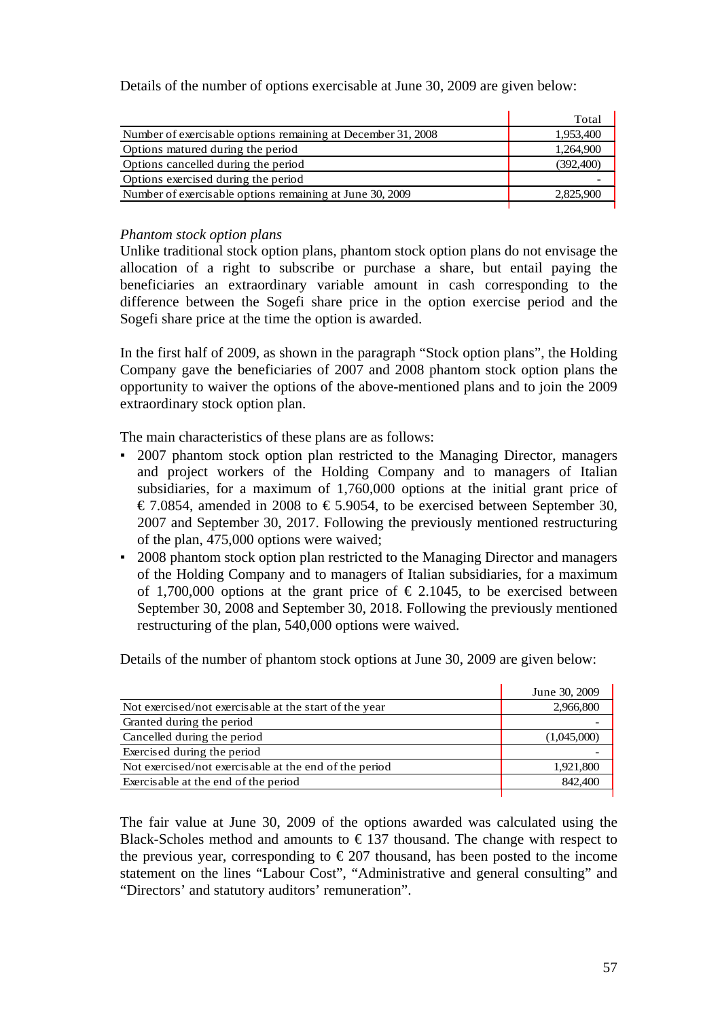Details of the number of options exercisable at June 30, 2009 are given below:

|                                                              | Total     |
|--------------------------------------------------------------|-----------|
| Number of exercisable options remaining at December 31, 2008 | 1,953,400 |
| Options matured during the period                            | 1,264,900 |
| Options cancelled during the period                          | (392,400) |
| Options exercised during the period                          |           |
| Number of exercisable options remaining at June 30, 2009     | 2,825,900 |
|                                                              |           |

### *Phantom stock option plans*

Unlike traditional stock option plans, phantom stock option plans do not envisage the allocation of a right to subscribe or purchase a share, but entail paying the beneficiaries an extraordinary variable amount in cash corresponding to the difference between the Sogefi share price in the option exercise period and the Sogefi share price at the time the option is awarded.

In the first half of 2009, as shown in the paragraph "Stock option plans", the Holding Company gave the beneficiaries of 2007 and 2008 phantom stock option plans the opportunity to waiver the options of the above-mentioned plans and to join the 2009 extraordinary stock option plan.

The main characteristics of these plans are as follows:

- 2007 phantom stock option plan restricted to the Managing Director, managers and project workers of the Holding Company and to managers of Italian subsidiaries, for a maximum of 1,760,000 options at the initial grant price of € 7.0854, amended in 2008 to € 5.9054, to be exercised between September 30, 2007 and September 30, 2017. Following the previously mentioned restructuring of the plan, 475,000 options were waived;
- 2008 phantom stock option plan restricted to the Managing Director and managers of the Holding Company and to managers of Italian subsidiaries, for a maximum of 1,700,000 options at the grant price of  $\epsilon$  2.1045, to be exercised between September 30, 2008 and September 30, 2018. Following the previously mentioned restructuring of the plan, 540,000 options were waived.

Details of the number of phantom stock options at June 30, 2009 are given below:

|                                                        | June 30, 2009 |
|--------------------------------------------------------|---------------|
| Not exercised/not exercisable at the start of the year | 2,966,800     |
| Granted during the period                              |               |
| Cancelled during the period                            | (1,045,000)   |
| Exercised during the period                            |               |
| Not exercised/not exercisable at the end of the period | 1,921,800     |
| Exercisable at the end of the period                   | 842,400       |
|                                                        |               |

The fair value at June 30, 2009 of the options awarded was calculated using the Black-Scholes method and amounts to  $\epsilon$  137 thousand. The change with respect to the previous year, corresponding to  $\epsilon$  207 thousand, has been posted to the income statement on the lines "Labour Cost", "Administrative and general consulting" and "Directors' and statutory auditors' remuneration".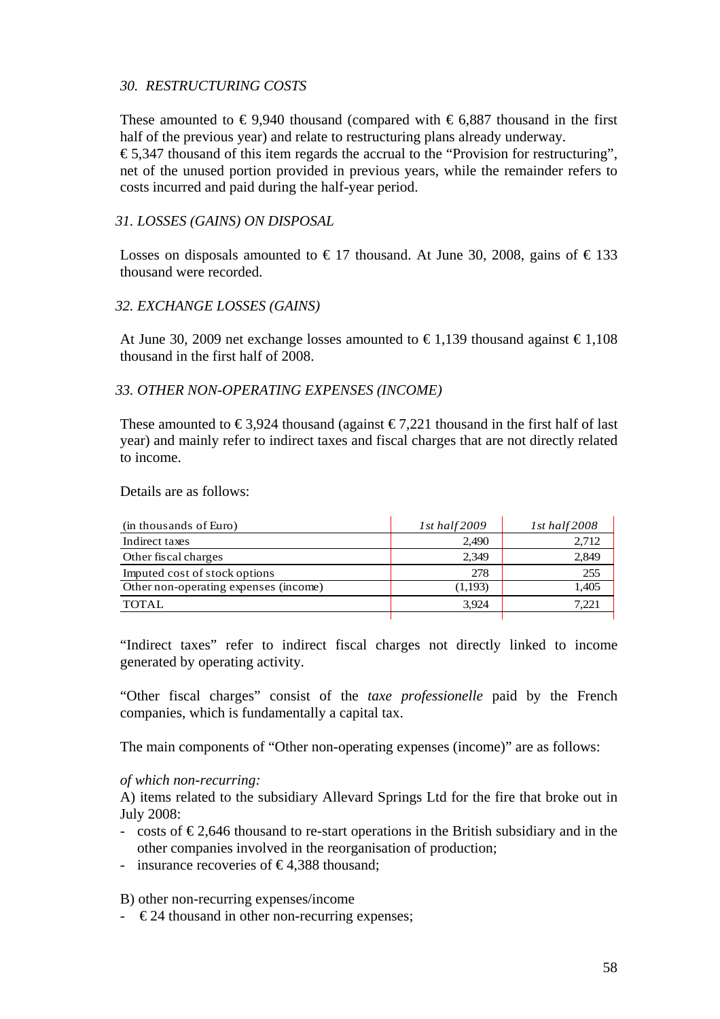## *30. RESTRUCTURING COSTS*

These amounted to  $\epsilon$ 9,940 thousand (compared with  $\epsilon$ 6,887 thousand in the first half of the previous year) and relate to restructuring plans already underway.

 $\epsilon$  5,347 thousand of this item regards the accrual to the "Provision for restructuring", net of the unused portion provided in previous years, while the remainder refers to costs incurred and paid during the half-year period.

### *31. LOSSES (GAINS) ON DISPOSAL*

Losses on disposals amounted to  $\in$  17 thousand. At June 30, 2008, gains of  $\in$  133 thousand were recorded.

## *32. EXCHANGE LOSSES (GAINS)*

At June 30, 2009 net exchange losses amounted to  $\epsilon$ 1.139 thousand against  $\epsilon$ 1.108 thousand in the first half of 2008.

## *33. OTHER NON-OPERATING EXPENSES (INCOME)*

These amounted to  $\epsilon$ 3.924 thousand (against  $\epsilon$ 7.221 thousand in the first half of last year) and mainly refer to indirect taxes and fiscal charges that are not directly related to income.

Details are as follows:

| (in thousands of Euro)                | 1st half $2009$ | $1st$ half $2008$ |
|---------------------------------------|-----------------|-------------------|
| Indirect taxes                        | 2.490           | 2,712             |
| Other fiscal charges                  | 2.349           | 2,849             |
| Imputed cost of stock options         | 278             | 255               |
| Other non-operating expenses (income) | (1,193)         | 1,405             |
| <b>TOTAL</b>                          | 3.924           | 7.221             |
|                                       |                 |                   |

"Indirect taxes" refer to indirect fiscal charges not directly linked to income generated by operating activity.

"Other fiscal charges" consist of the *taxe professionelle* paid by the French companies, which is fundamentally a capital tax.

The main components of "Other non-operating expenses (income)" are as follows:

#### *of which non-recurring:*

A) items related to the subsidiary Allevard Springs Ltd for the fire that broke out in July 2008:

- costs of  $\epsilon$ 2,646 thousand to re-start operations in the British subsidiary and in the other companies involved in the reorganisation of production;
- insurance recoveries of  $\epsilon$ 4,388 thousand;

B) other non-recurring expenses/income

 $\epsilon$   $\in$  24 thousand in other non-recurring expenses;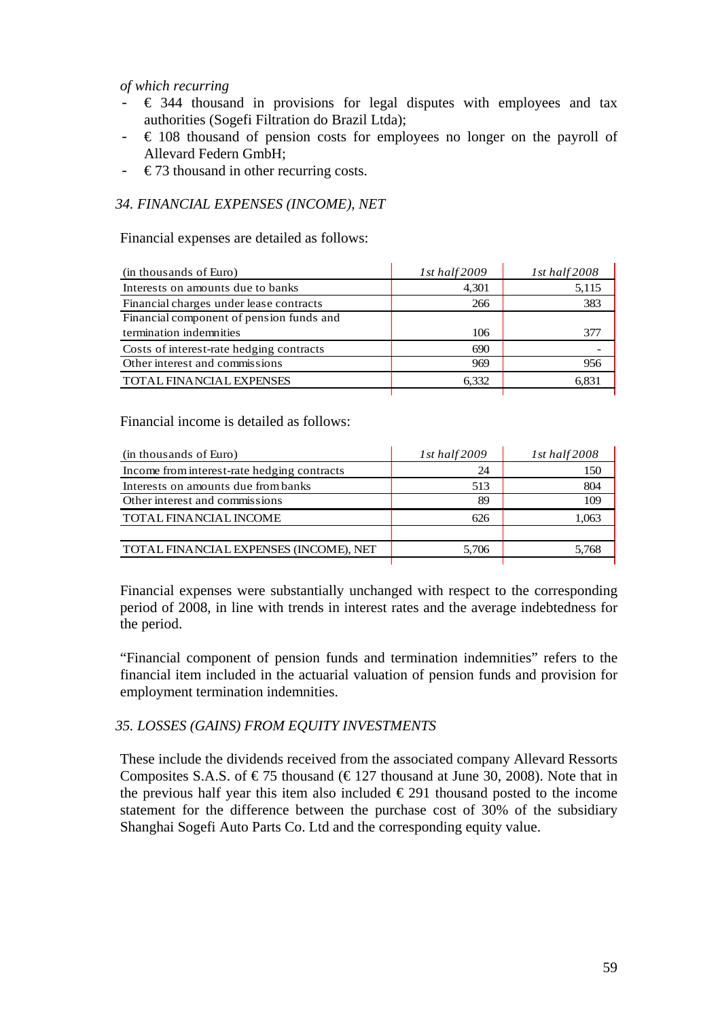### *of which recurring*

- $\epsilon$  344 thousand in provisions for legal disputes with employees and tax authorities (Sogefi Filtration do Brazil Ltda);
- $\in$  108 thousand of pension costs for employees no longer on the payroll of Allevard Federn GmbH;
- $\div$  €73 thousand in other recurring costs.

## *34. FINANCIAL EXPENSES (INCOME), NET*

Financial expenses are detailed as follows:

| (in thousands of Euro)                   | $1st$ half $2009$ | $1st$ half $2008$ |
|------------------------------------------|-------------------|-------------------|
| Interests on amounts due to banks        | 4,301             | 5,115             |
| Financial charges under lease contracts  | 266               | 383               |
| Financial component of pension funds and |                   |                   |
| termination indemnities                  | 106               | 377               |
| Costs of interest-rate hedging contracts | 690               |                   |
| Other interest and commissions           | 969               | 956               |
| <b>TOTAL FINANCIAL EXPENSES</b>          | 6.332             | 6.831             |
|                                          |                   |                   |

Financial income is detailed as follows:

| (in thousands of Euro)                      | $1st$ half $2009$ | $1st$ half $2008$ |
|---------------------------------------------|-------------------|-------------------|
| Income from interest-rate hedging contracts | 24                | 150               |
| Interests on amounts due from banks         | 513               | 804               |
| Other interest and commissions              | 89                | 109               |
| <b>TOTAL FINANCIAL INCOME</b>               | 626               | 1.063             |
|                                             |                   |                   |
| TOTAL FINANCIAL EXPENSES (INCOME), NET      | 5.706             | 5.768             |
|                                             |                   |                   |

Financial expenses were substantially unchanged with respect to the corresponding period of 2008, in line with trends in interest rates and the average indebtedness for the period.

"Financial component of pension funds and termination indemnities" refers to the financial item included in the actuarial valuation of pension funds and provision for employment termination indemnities.

#### *35. LOSSES (GAINS) FROM EQUITY INVESTMENTS*

These include the dividends received from the associated company Allevard Ressorts Composites S.A.S. of  $\epsilon$ 75 thousand ( $\epsilon$ 127 thousand at June 30, 2008). Note that in the previous half year this item also included  $\epsilon$  291 thousand posted to the income statement for the difference between the purchase cost of 30% of the subsidiary Shanghai Sogefi Auto Parts Co. Ltd and the corresponding equity value.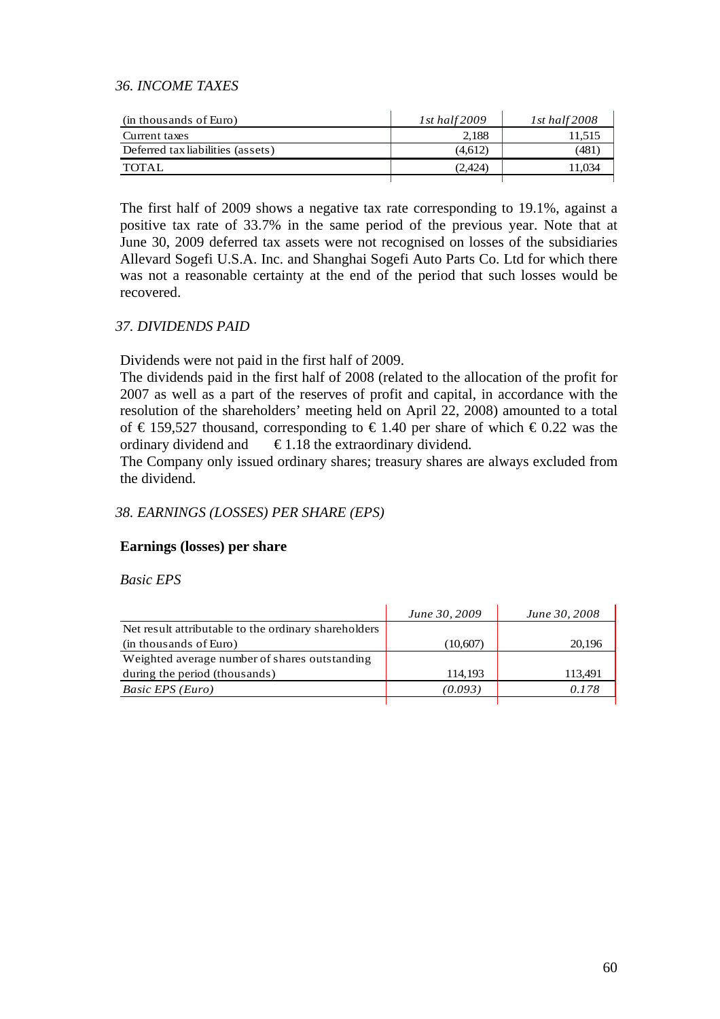## *36. INCOME TAXES*

| (in thousands of Euro)            | 1st half $2009$ | $1st$ half $2008$ |
|-----------------------------------|-----------------|-------------------|
| Current taxes                     | 2.188           | 11.515            |
| Deferred tax liabilities (assets) | (4.612)         | (481              |
| TOTAL                             | (2,424)         | 11.034            |
|                                   |                 |                   |

The first half of 2009 shows a negative tax rate corresponding to 19.1%, against a positive tax rate of 33.7% in the same period of the previous year. Note that at June 30, 2009 deferred tax assets were not recognised on losses of the subsidiaries Allevard Sogefi U.S.A. Inc. and Shanghai Sogefi Auto Parts Co. Ltd for which there was not a reasonable certainty at the end of the period that such losses would be recovered.

## *37. DIVIDENDS PAID*

Dividends were not paid in the first half of 2009.

The dividends paid in the first half of 2008 (related to the allocation of the profit for 2007 as well as a part of the reserves of profit and capital, in accordance with the resolution of the shareholders' meeting held on April 22, 2008) amounted to a total of €159,527 thousand, corresponding to €1.40 per share of which €0.22 was the ordinary dividend and  $\epsilon$ 1.18 the extraordinary dividend.

The Company only issued ordinary shares; treasury shares are always excluded from the dividend.

## *38. EARNINGS (LOSSES) PER SHARE (EPS)*

#### **Earnings (losses) per share**

*Basic EPS* 

| June 30, 2009 | June 30, 2008 |
|---------------|---------------|
|               |               |
| (10,607)      | 20.196        |
|               |               |
| 114.193       | 113.491       |
| (0.093)       | 0.178         |
|               |               |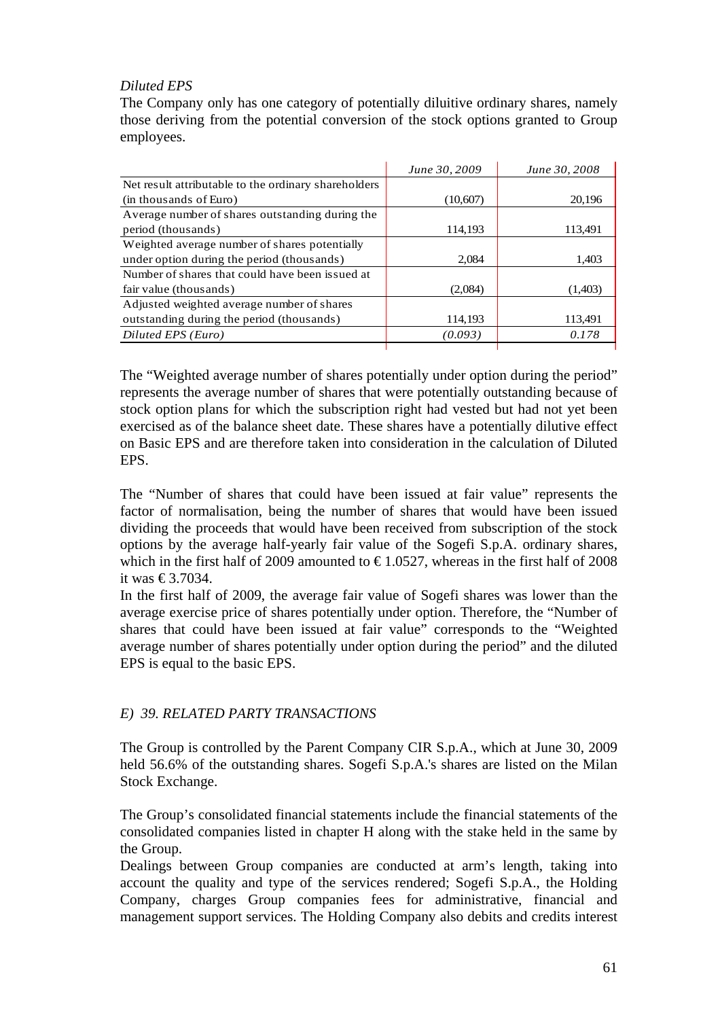## *Diluted EPS*

The Company only has one category of potentially diluitive ordinary shares, namely those deriving from the potential conversion of the stock options granted to Group employees.

|                                                      | June 30, 2009 | June 30, 2008 |
|------------------------------------------------------|---------------|---------------|
| Net result attributable to the ordinary shareholders |               |               |
| (in thousands of Euro)                               | (10,607)      | 20,196        |
| Average number of shares outstanding during the      |               |               |
| period (thousands)                                   | 114,193       | 113,491       |
| Weighted average number of shares potentially        |               |               |
| under option during the period (thousands)           | 2.084         | 1,403         |
| Number of shares that could have been issued at      |               |               |
| fair value (thousands)                               | (2,084)       | (1,403)       |
| Adjusted weighted average number of shares           |               |               |
| outstanding during the period (thousands)            | 114,193       | 113,491       |
| Diluted EPS (Euro)                                   | (0.093)       | 0.178         |

The "Weighted average number of shares potentially under option during the period" represents the average number of shares that were potentially outstanding because of stock option plans for which the subscription right had vested but had not yet been exercised as of the balance sheet date. These shares have a potentially dilutive effect on Basic EPS and are therefore taken into consideration in the calculation of Diluted EPS.

The "Number of shares that could have been issued at fair value" represents the factor of normalisation, being the number of shares that would have been issued dividing the proceeds that would have been received from subscription of the stock options by the average half-yearly fair value of the Sogefi S.p.A. ordinary shares, which in the first half of 2009 amounted to  $\text{\textsterling}1.0527$ , whereas in the first half of 2008 it was €3.7034.

In the first half of 2009, the average fair value of Sogefi shares was lower than the average exercise price of shares potentially under option. Therefore, the "Number of shares that could have been issued at fair value" corresponds to the "Weighted average number of shares potentially under option during the period" and the diluted EPS is equal to the basic EPS.

## *E) 39. RELATED PARTY TRANSACTIONS*

The Group is controlled by the Parent Company CIR S.p.A., which at June 30, 2009 held 56.6% of the outstanding shares. Sogefi S.p.A.'s shares are listed on the Milan Stock Exchange.

The Group's consolidated financial statements include the financial statements of the consolidated companies listed in chapter H along with the stake held in the same by the Group.

Dealings between Group companies are conducted at arm's length, taking into account the quality and type of the services rendered; Sogefi S.p.A., the Holding Company, charges Group companies fees for administrative, financial and management support services. The Holding Company also debits and credits interest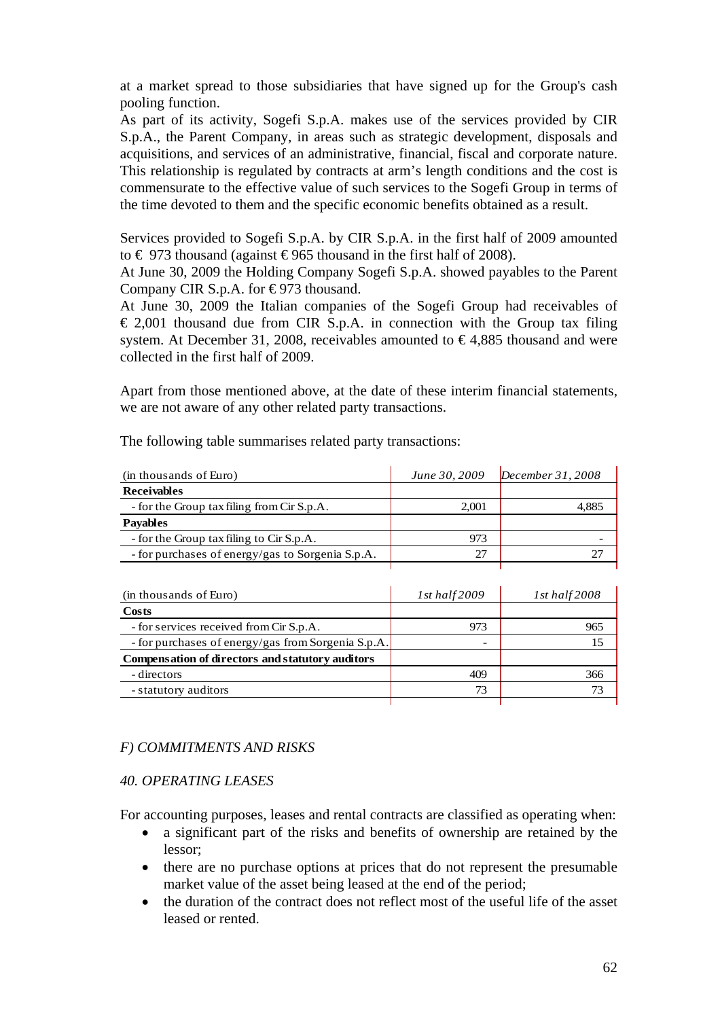at a market spread to those subsidiaries that have signed up for the Group's cash pooling function.

As part of its activity, Sogefi S.p.A. makes use of the services provided by CIR S.p.A., the Parent Company, in areas such as strategic development, disposals and acquisitions, and services of an administrative, financial, fiscal and corporate nature. This relationship is regulated by contracts at arm's length conditions and the cost is commensurate to the effective value of such services to the Sogefi Group in terms of the time devoted to them and the specific economic benefits obtained as a result.

Services provided to Sogefi S.p.A. by CIR S.p.A. in the first half of 2009 amounted to  $\in$  973 thousand (against  $\in$ 965 thousand in the first half of 2008).

At June 30, 2009 the Holding Company Sogefi S.p.A. showed payables to the Parent Company CIR S.p.A. for  $\epsilon$ 973 thousand.

At June 30, 2009 the Italian companies of the Sogefi Group had receivables of  $\epsilon$  2,001 thousand due from CIR S.p.A. in connection with the Group tax filing system. At December 31, 2008, receivables amounted to  $\epsilon$ 4,885 thousand and were collected in the first half of 2009.

Apart from those mentioned above, at the date of these interim financial statements, we are not aware of any other related party transactions.

| (in thousands of Euro)                           | June 30, 2009 | December $31,2008$ |
|--------------------------------------------------|---------------|--------------------|
| <b>Receivables</b>                               |               |                    |
| - for the Group tax filing from Cir S.p.A.       | 2.001         | 4.885              |
| <b>Pavables</b>                                  |               |                    |
| - for the Group tax filing to Cir S.p.A.         | 973           |                    |
| - for purchases of energy/gas to Sorgenia S.p.A. | 27            |                    |
|                                                  |               |                    |

The following table summarises related party transactions:

| (in thousands of Euro)                             | $1st$ half $2009$ | $1st$ half $2008$ |
|----------------------------------------------------|-------------------|-------------------|
| Costs                                              |                   |                   |
| - for services received from Cir S.p.A.            | 973               | 965               |
| - for purchases of energy/gas from Sorgenia S.p.A. |                   |                   |
| Compensation of directors and statutory auditors   |                   |                   |
| - directors                                        | 409               | 366               |
| - statutory auditors                               | 73                |                   |
|                                                    |                   |                   |

## *F) COMMITMENTS AND RISKS*

#### *40. OPERATING LEASES*

For accounting purposes, leases and rental contracts are classified as operating when:

- a significant part of the risks and benefits of ownership are retained by the lessor;
- there are no purchase options at prices that do not represent the presumable market value of the asset being leased at the end of the period;
- the duration of the contract does not reflect most of the useful life of the asset leased or rented.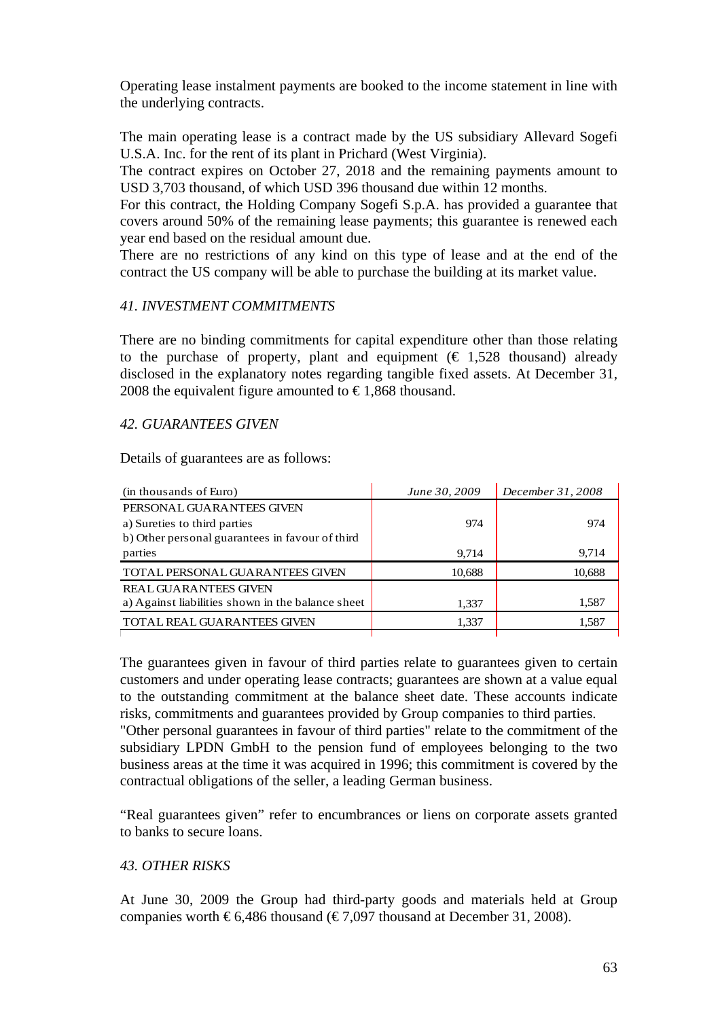Operating lease instalment payments are booked to the income statement in line with the underlying contracts.

The main operating lease is a contract made by the US subsidiary Allevard Sogefi U.S.A. Inc. for the rent of its plant in Prichard (West Virginia).

The contract expires on October 27, 2018 and the remaining payments amount to USD 3,703 thousand, of which USD 396 thousand due within 12 months.

For this contract, the Holding Company Sogefi S.p.A. has provided a guarantee that covers around 50% of the remaining lease payments; this guarantee is renewed each year end based on the residual amount due.

There are no restrictions of any kind on this type of lease and at the end of the contract the US company will be able to purchase the building at its market value.

## *41. INVESTMENT COMMITMENTS*

There are no binding commitments for capital expenditure other than those relating to the purchase of property, plant and equipment ( $\epsilon$  1,528 thousand) already disclosed in the explanatory notes regarding tangible fixed assets. At December 31, 2008 the equivalent figure amounted to  $\epsilon$ 1,868 thousand.

#### *42. GUARANTEES GIVEN*

Details of guarantees are as follows:

| (in thousands of Euro)                            | June 30, 2009 | December 31, 2008 |
|---------------------------------------------------|---------------|-------------------|
| PERSONAL GUARANTEES GIVEN                         |               |                   |
| a) Sureties to third parties                      | 974           | 974               |
| b) Other personal guarantees in favour of third   |               |                   |
| parties                                           | 9.714         | 9.714             |
| TOTAL PERSONAL GUARANTEES GIVEN                   | 10,688        | 10,688            |
| <b>REAL GUARANTEES GIVEN</b>                      |               |                   |
| a) Against liabilities shown in the balance sheet | 1,337         | 1,587             |
| <b>TOTAL REAL GUARANTEES GIVEN</b>                | 1,337         | 1,587             |
|                                                   |               |                   |

The guarantees given in favour of third parties relate to guarantees given to certain customers and under operating lease contracts; guarantees are shown at a value equal to the outstanding commitment at the balance sheet date. These accounts indicate risks, commitments and guarantees provided by Group companies to third parties.

"Other personal guarantees in favour of third parties" relate to the commitment of the subsidiary LPDN GmbH to the pension fund of employees belonging to the two business areas at the time it was acquired in 1996; this commitment is covered by the contractual obligations of the seller, a leading German business.

"Real guarantees given" refer to encumbrances or liens on corporate assets granted to banks to secure loans.

#### *43. OTHER RISKS*

At June 30, 2009 the Group had third-party goods and materials held at Group companies worth  $\epsilon$ 6,486 thousand ( $\epsilon$ 7,097 thousand at December 31, 2008).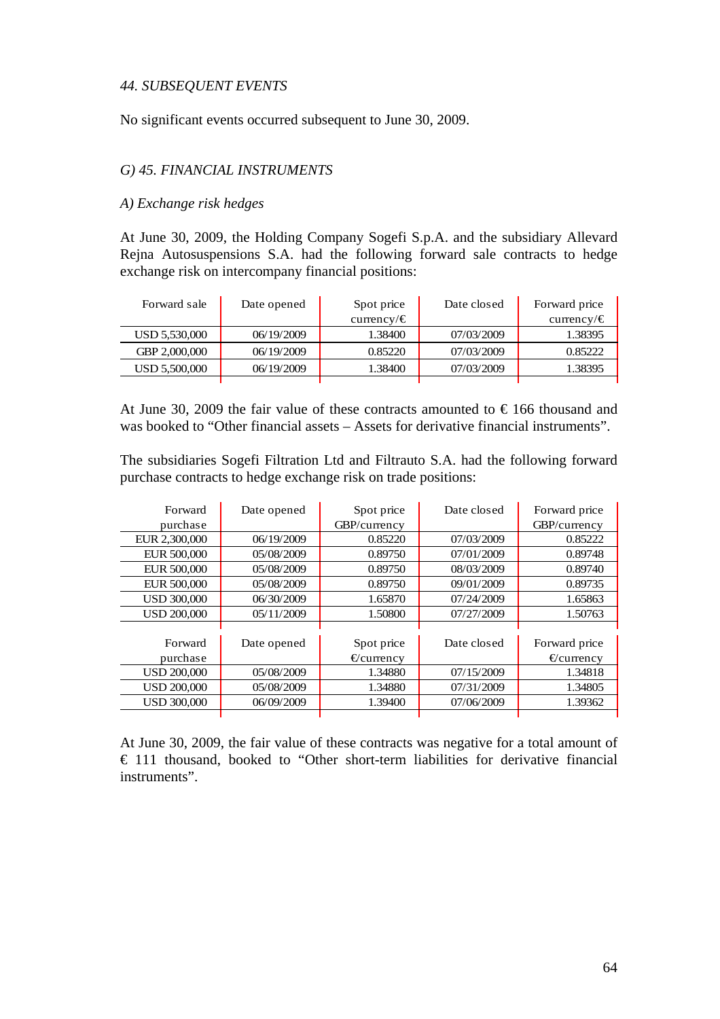#### *44. SUBSEQUENT EVENTS*

No significant events occurred subsequent to June 30, 2009.

#### *G) 45. FINANCIAL INSTRUMENTS*

#### *A) Exchange risk hedges*

At June 30, 2009, the Holding Company Sogefi S.p.A. and the subsidiary Allevard Rejna Autosuspensions S.A. had the following forward sale contracts to hedge exchange risk on intercompany financial positions:

| Forward sale  | Date opened | Spot price      | Date closed | Forward price   |
|---------------|-------------|-----------------|-------------|-----------------|
|               |             | currency/ $\in$ |             | currency/ $\in$ |
| USD 5,530,000 | 06/19/2009  | 1.38400         | 07/03/2009  | 1.38395         |
| GBP 2,000,000 | 06/19/2009  | 0.85220         | 07/03/2009  | 0.85222         |
| USD 5,500,000 | 06/19/2009  | 1.38400         | 07/03/2009  | 1.38395         |
|               |             |                 |             |                 |

At June 30, 2009 the fair value of these contracts amounted to  $\epsilon$  166 thousand and was booked to "Other financial assets – Assets for derivative financial instruments".

The subsidiaries Sogefi Filtration Ltd and Filtrauto S.A. had the following forward purchase contracts to hedge exchange risk on trade positions:

| Forward            | Date opened | Spot price          | Date closed | Forward price       |
|--------------------|-------------|---------------------|-------------|---------------------|
| purchase           |             | GBP/currency        |             | GBP/currency        |
| EUR 2,300,000      | 06/19/2009  | 0.85220             | 07/03/2009  | 0.85222             |
| EUR 500,000        | 05/08/2009  | 0.89750             | 07/01/2009  | 0.89748             |
| EUR 500,000        | 05/08/2009  | 0.89750             | 08/03/2009  | 0.89740             |
| EUR 500,000        | 05/08/2009  | 0.89750             | 09/01/2009  | 0.89735             |
| <b>USD 300,000</b> | 06/30/2009  | 1.65870             | 07/24/2009  | 1.65863             |
| <b>USD 200,000</b> | 05/11/2009  | 1.50800             | 07/27/2009  | 1.50763             |
|                    |             |                     |             |                     |
| Forward            | Date opened | Spot price          | Date closed | Forward price       |
| purchase           |             | $\epsilon$ currency |             | $\epsilon$ currency |
| <b>USD 200,000</b> | 05/08/2009  | 1.34880             | 07/15/2009  | 1.34818             |
| <b>USD 200,000</b> | 05/08/2009  | 1.34880             | 07/31/2009  | 1.34805             |
| <b>USD 300,000</b> | 06/09/2009  | 1.39400             | 07/06/2009  | 1.39362             |
|                    |             |                     |             |                     |

At June 30, 2009, the fair value of these contracts was negative for a total amount of € 111 thousand, booked to "Other short-term liabilities for derivative financial instruments".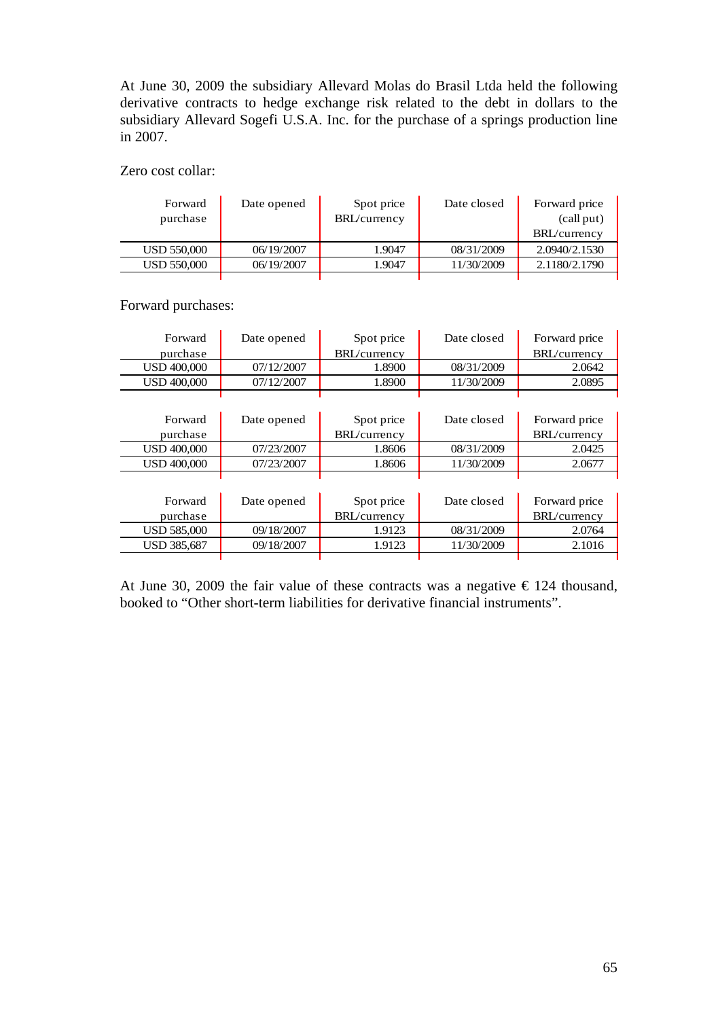At June 30, 2009 the subsidiary Allevard Molas do Brasil Ltda held the following derivative contracts to hedge exchange risk related to the debt in dollars to the subsidiary Allevard Sogefi U.S.A. Inc. for the purchase of a springs production line in 2007.

Zero cost collar:

| Forward     | Date opened | Spot price   | Date closed | Forward price |
|-------------|-------------|--------------|-------------|---------------|
| purchase    |             | BRL/currency |             | (call put)    |
|             |             |              |             | BRL/currency  |
| USD 550,000 | 06/19/2007  | 1.9047       | 08/31/2009  | 2.0940/2.1530 |
| USD 550,000 | 06/19/2007  | .9047        | 11/30/2009  | 2.1180/2.1790 |
|             |             |              |             |               |

Forward purchases:

| Forward            | Date opened | Spot price           | Date closed | Forward price        |
|--------------------|-------------|----------------------|-------------|----------------------|
| purchase           |             | BRL/currency         |             | <b>BRL</b> /currency |
| <b>USD 400,000</b> | 07/12/2007  | 1.8900               | 08/31/2009  | 2.0642               |
| <b>USD 400,000</b> | 07/12/2007  | 1.8900               | 11/30/2009  | 2.0895               |
|                    |             |                      |             |                      |
|                    |             |                      |             |                      |
| Forward            | Date opened | Spot price           | Date closed | Forward price        |
| purchase           |             | BRL/currency         |             | <b>BRL</b> /currency |
| <b>USD 400.000</b> | 07/23/2007  | 1.8606               | 08/31/2009  | 2.0425               |
| <b>USD 400,000</b> | 07/23/2007  | 1.8606               | 11/30/2009  | 2.0677               |
|                    |             |                      |             |                      |
|                    |             |                      |             |                      |
| Forward            | Date opened | Spot price           | Date closed | Forward price        |
| purchase           |             | <b>BRL</b> /currency |             | BRL/currency         |
| <b>USD 585,000</b> | 09/18/2007  | 1.9123               | 08/31/2009  | 2.0764               |
| <b>USD 385,687</b> | 09/18/2007  | 1.9123               | 11/30/2009  | 2.1016               |
|                    |             |                      |             |                      |

At June 30, 2009 the fair value of these contracts was a negative  $\epsilon$  124 thousand, booked to "Other short-term liabilities for derivative financial instruments".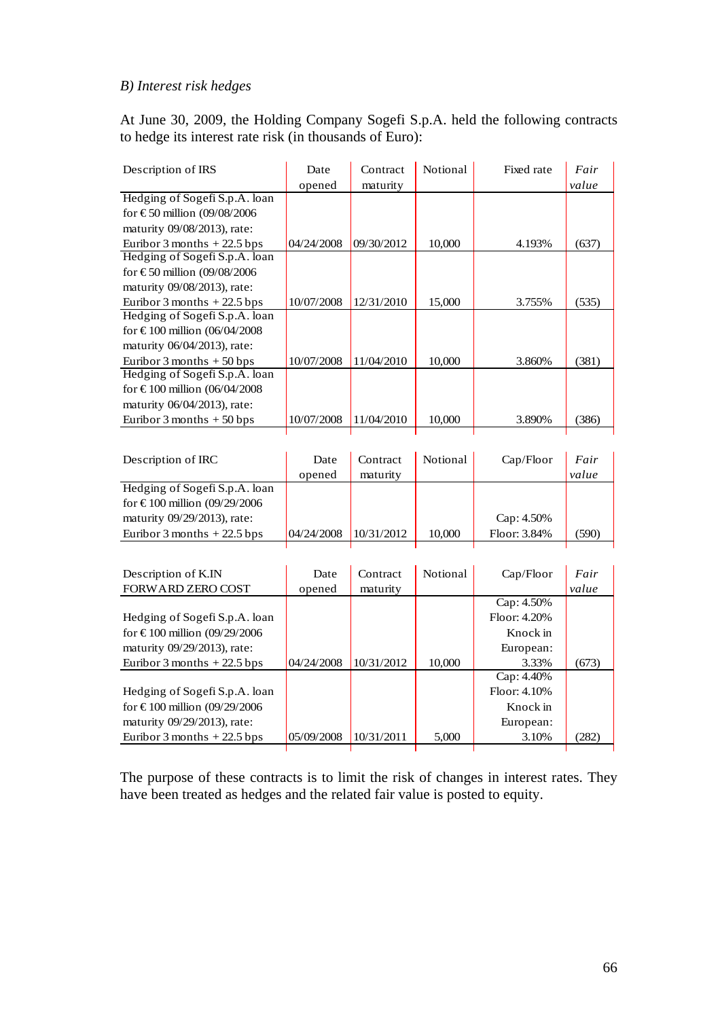## *B) Interest risk hedges*

At June 30, 2009, the Holding Company Sogefi S.p.A. held the following contracts to hedge its interest rate risk (in thousands of Euro):

| Description of IRS                                | Date       | Contract   | Notional | Fixed rate   | Fair  |
|---------------------------------------------------|------------|------------|----------|--------------|-------|
|                                                   | opened     | maturity   |          |              | value |
| Hedging of Sogefi S.p.A. loan                     |            |            |          |              |       |
| for $\text{\textsterling}50$ million (09/08/2006  |            |            |          |              |       |
| maturity 09/08/2013), rate:                       |            |            |          |              |       |
| Euribor 3 months $+22.5$ bps                      | 04/24/2008 | 09/30/2012 | 10,000   | 4.193%       | (637) |
| Hedging of Sogefi S.p.A. loan                     |            |            |          |              |       |
| for €50 million (09/08/2006                       |            |            |          |              |       |
| maturity 09/08/2013), rate:                       |            |            |          |              |       |
| Euribor 3 months $+22.5$ bps                      | 10/07/2008 | 12/31/2010 | 15,000   | 3.755%       | (535) |
| Hedging of Sogefi S.p.A. loan                     |            |            |          |              |       |
| for $\text{\textsterling}100$ million (06/04/2008 |            |            |          |              |       |
| maturity 06/04/2013), rate:                       |            |            |          |              |       |
| Euribor 3 months $+50$ bps                        | 10/07/2008 | 11/04/2010 | 10,000   | 3.860%       | (381) |
| Hedging of Sogefi S.p.A. loan                     |            |            |          |              |       |
| for $\text{\textsterling}100$ million (06/04/2008 |            |            |          |              |       |
| maturity 06/04/2013), rate:                       |            |            |          |              |       |
| Euribor 3 months $+50$ bps                        | 10/07/2008 | 11/04/2010 | 10,000   | 3.890%       | (386) |
|                                                   |            |            |          |              |       |
|                                                   |            |            |          |              |       |
| Description of IRC                                | Date       | Contract   | Notional | Cap/Floor    | Fair  |
|                                                   | opened     | maturity   |          |              | value |
| Hedging of Sogefi S.p.A. loan                     |            |            |          |              |       |
| for $\text{\textsterling}100$ million (09/29/2006 |            |            |          |              |       |
| maturity 09/29/2013), rate:                       |            |            |          | Cap: 4.50%   |       |
| Euribor 3 months $+22.5$ bps                      | 04/24/2008 | 10/31/2012 | 10,000   | Floor: 3.84% | (590) |
|                                                   |            |            |          |              |       |
| Description of K.IN                               | Date       | Contract   | Notional | Cap/Floor    | Fair  |
| FORWARD ZERO COST                                 | opened     | maturity   |          |              | value |
|                                                   |            |            |          | Cap: 4.50%   |       |
| Hedging of Sogefi S.p.A. loan                     |            |            |          | Floor: 4.20% |       |
| for €100 million (09/29/2006                      |            |            |          | Knock in     |       |
| maturity 09/29/2013), rate:                       |            |            |          | European:    |       |
|                                                   |            | 10/31/2012 |          | 3.33%        |       |
| Euribor 3 months $+22.5$ bps                      | 04/24/2008 |            | 10,000   | Cap: 4.40%   | (673) |
| Hedging of Sogefi S.p.A. loan                     |            |            |          | Floor: 4.10% |       |
| for $\text{\textsterling}100$ million (09/29/2006 |            |            |          | Knock in     |       |
|                                                   |            |            |          |              |       |
| maturity 09/29/2013), rate:                       |            |            |          | European:    |       |
| Euribor 3 months $+22.5$ bps                      | 05/09/2008 | 10/31/2011 | 5,000    | 3.10%        | (282) |

The purpose of these contracts is to limit the risk of changes in interest rates. They have been treated as hedges and the related fair value is posted to equity.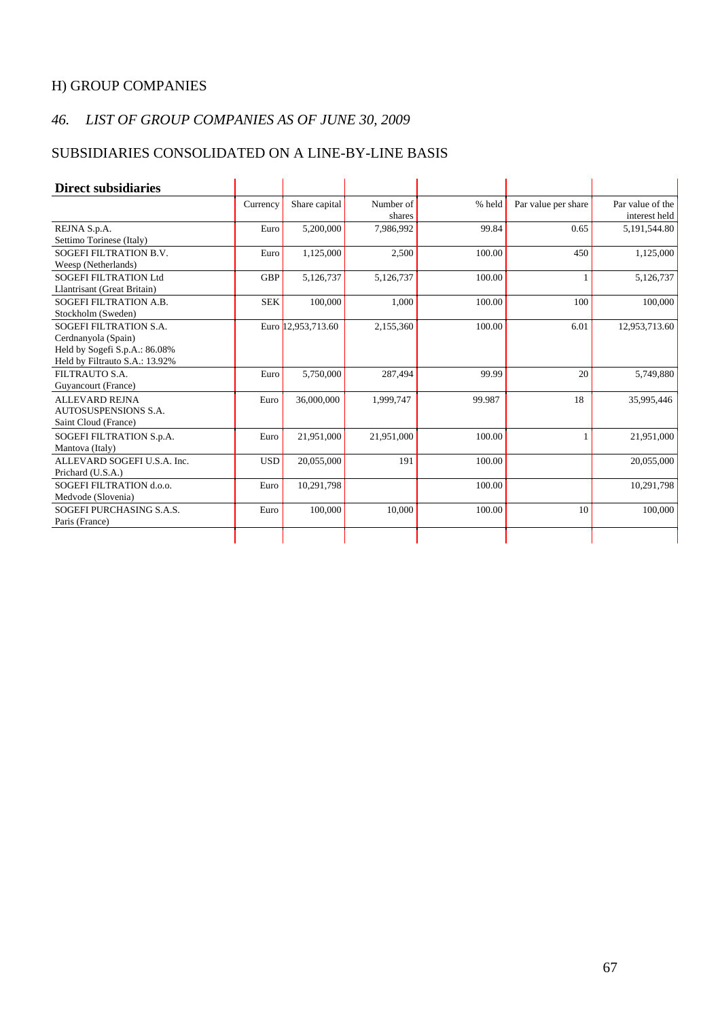## H) GROUP COMPANIES

## *46. LIST OF GROUP COMPANIES AS OF JUNE 30, 2009*

## SUBSIDIARIES CONSOLIDATED ON A LINE-BY-LINE BASIS

| <b>Direct subsidiaries</b>                                                                                              |            |                    |                     |        |                     |                                   |
|-------------------------------------------------------------------------------------------------------------------------|------------|--------------------|---------------------|--------|---------------------|-----------------------------------|
|                                                                                                                         | Currency   | Share capital      | Number of<br>shares | % held | Par value per share | Par value of the<br>interest held |
| REJNA S.p.A.<br>Settimo Torinese (Italy)                                                                                | Euro       | 5,200,000          | 7,986,992           | 99.84  | 0.65                | 5,191,544.80                      |
| <b>SOGEFI FILTRATION B.V.</b><br>Weesp (Netherlands)                                                                    | Euro       | 1,125,000          | 2,500               | 100.00 | 450                 | 1,125,000                         |
| <b>SOGEFI FILTRATION Ltd</b><br>Llantrisant (Great Britain)                                                             | <b>GBP</b> | 5,126,737          | 5,126,737           | 100.00 |                     | 5,126,737                         |
| SOGEFI FILTRATION A.B.<br>Stockholm (Sweden)                                                                            | <b>SEK</b> | 100,000            | 1,000               | 100.00 | 100                 | 100,000                           |
| <b>SOGEFI FILTRATION S.A.</b><br>Cerdnanyola (Spain)<br>Held by Sogefi S.p.A.: 86.08%<br>Held by Filtrauto S.A.: 13.92% |            | Euro 12,953,713.60 | 2,155,360           | 100.00 | 6.01                | 12,953,713.60                     |
| FILTRAUTO S.A.<br>Guyancourt (France)                                                                                   | Euro       | 5,750,000          | 287,494             | 99.99  | 20                  | 5,749,880                         |
| <b>ALLEVARD REJNA</b><br><b>AUTOSUSPENSIONS S.A.</b><br>Saint Cloud (France)                                            | Euro       | 36,000,000         | 1,999,747           | 99.987 | 18                  | 35,995,446                        |
| SOGEFI FILTRATION S.p.A.<br>Mantova (Italy)                                                                             | Euro       | 21,951,000         | 21,951,000          | 100.00 |                     | 21,951,000                        |
| ALLEVARD SOGEFI U.S.A. Inc.<br>Prichard (U.S.A.)                                                                        | <b>USD</b> | 20,055,000         | 191                 | 100.00 |                     | 20,055,000                        |
| SOGEFI FILTRATION d.o.o.<br>Medvode (Slovenia)                                                                          | Euro       | 10,291,798         |                     | 100.00 |                     | 10,291,798                        |
| SOGEFI PURCHASING S.A.S.<br>Paris (France)                                                                              | Euro       | 100,000            | 10,000              | 100.00 | 10                  | 100,000                           |
|                                                                                                                         |            |                    |                     |        |                     |                                   |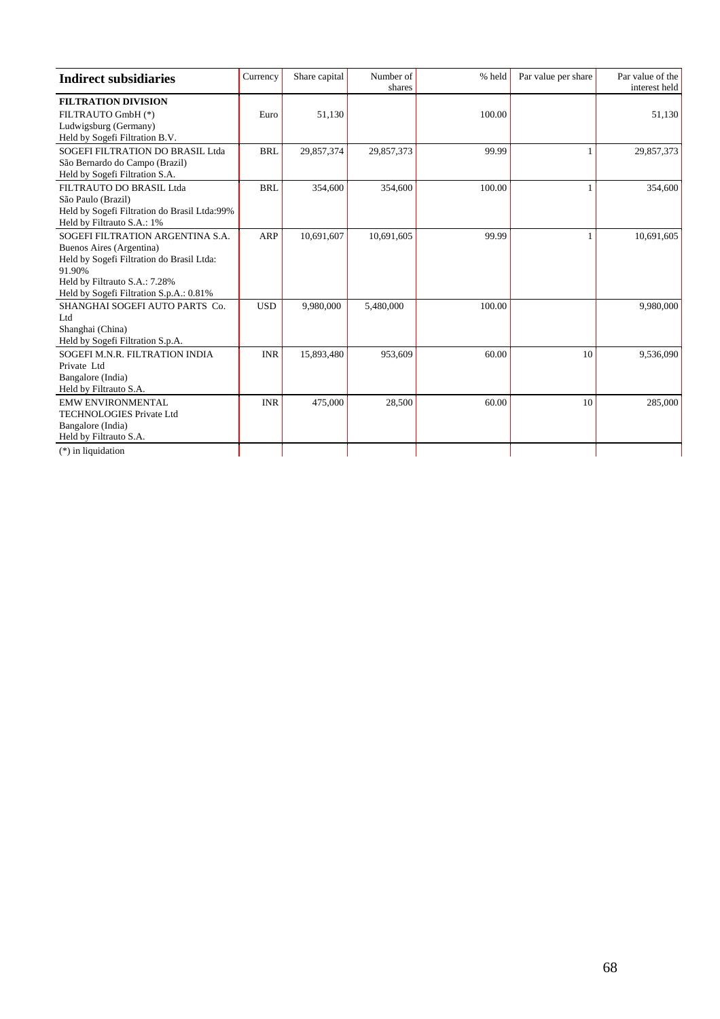| <b>Indirect subsidiaries</b>                                                                                                                                                                    | Currency   | Share capital | Number of<br>shares | % held | Par value per share | Par value of the<br>interest held |
|-------------------------------------------------------------------------------------------------------------------------------------------------------------------------------------------------|------------|---------------|---------------------|--------|---------------------|-----------------------------------|
| <b>FILTRATION DIVISION</b><br>FILTRAUTO GmbH (*)<br>Ludwigsburg (Germany)<br>Held by Sogefi Filtration B.V.                                                                                     | Euro       | 51,130        |                     | 100.00 |                     | 51,130                            |
| SOGEFI FILTRATION DO BRASIL Ltda<br>São Bernardo do Campo (Brazil)<br>Held by Sogefi Filtration S.A.                                                                                            | <b>BRL</b> | 29,857,374    | 29,857,373          | 99.99  | 1                   | 29,857,373                        |
| FILTRAUTO DO BRASIL Ltda<br>São Paulo (Brazil)<br>Held by Sogefi Filtration do Brasil Ltda:99%<br>Held by Filtrauto S.A.: 1%                                                                    | <b>BRL</b> | 354,600       | 354,600             | 100.00 |                     | 354,600                           |
| SOGEFI FILTRATION ARGENTINA S.A.<br>Buenos Aires (Argentina)<br>Held by Sogefi Filtration do Brasil Ltda:<br>91.90%<br>Held by Filtrauto S.A.: 7.28%<br>Held by Sogefi Filtration S.p.A.: 0.81% | ARP        | 10,691,607    | 10,691,605          | 99.99  | 1                   | 10,691,605                        |
| SHANGHAI SOGEFI AUTO PARTS Co.<br>Ltd<br>Shanghai (China)<br>Held by Sogefi Filtration S.p.A.                                                                                                   | <b>USD</b> | 9,980,000     | 5,480,000           | 100.00 |                     | 9,980,000                         |
| SOGEFI M.N.R. FILTRATION INDIA<br>Private Ltd<br>Bangalore (India)<br>Held by Filtrauto S.A.                                                                                                    | <b>INR</b> | 15,893,480    | 953,609             | 60.00  | 10                  | 9,536,090                         |
| <b>EMW ENVIRONMENTAL</b><br><b>TECHNOLOGIES Private Ltd</b><br>Bangalore (India)<br>Held by Filtrauto S.A.<br>$(*)$ in liquidation                                                              | <b>INR</b> | 475,000       | 28,500              | 60.00  | 10                  | 285,000                           |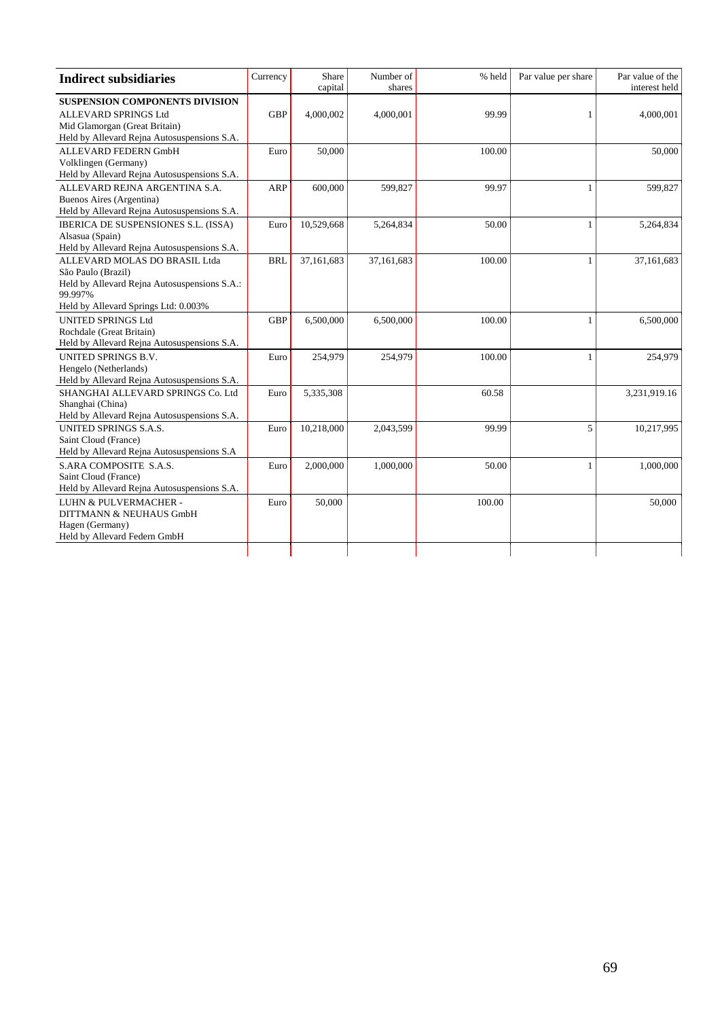| <b>Indirect subsidiaries</b>                                                                                                                           | Currency   | Share<br>capital | Number of<br>shares | % held | Par value per share | Par value of the<br>interest held |
|--------------------------------------------------------------------------------------------------------------------------------------------------------|------------|------------------|---------------------|--------|---------------------|-----------------------------------|
| <b>SUSPENSION COMPONENTS DIVISION</b><br>ALLEVARD SPRINGS Ltd<br>Mid Glamorgan (Great Britain)<br>Held by Allevard Rejna Autosuspensions S.A.          | <b>GBP</b> | 4,000,002        | 4,000,001           | 99.99  |                     | 4,000,001                         |
| ALLEVARD FEDERN GmbH<br>Volklingen (Germany)<br>Held by Allevard Rejna Autosuspensions S.A.                                                            | Euro       | 50,000           |                     | 100.00 |                     | 50,000                            |
| ALLEVARD REJNA ARGENTINA S.A.<br>Buenos Aires (Argentina)<br>Held by Allevard Rejna Autosuspensions S.A.                                               | ARP        | 600,000          | 599,827             | 99.97  |                     | 599,827                           |
| IBERICA DE SUSPENSIONES S.L. (ISSA)<br>Alsasua (Spain)<br>Held by Allevard Rejna Autosuspensions S.A.                                                  | Euro       | 10,529,668       | 5,264,834           | 50.00  | 1                   | 5,264,834                         |
| ALLEVARD MOLAS DO BRASIL Ltda<br>São Paulo (Brazil)<br>Held by Allevard Rejna Autosuspensions S.A.:<br>99.997%<br>Held by Allevard Springs Ltd: 0.003% | <b>BRL</b> | 37,161,683       | 37,161,683          | 100.00 |                     | 37,161,683                        |
| <b>UNITED SPRINGS Ltd</b><br>Rochdale (Great Britain)<br>Held by Allevard Rejna Autosuspensions S.A.                                                   | <b>GBP</b> | 6,500,000        | 6,500,000           | 100.00 |                     | 6,500,000                         |
| <b>UNITED SPRINGS B.V.</b><br>Hengelo (Netherlands)<br>Held by Allevard Rejna Autosuspensions S.A.                                                     | Euro       | 254,979          | 254,979             | 100.00 | 1                   | 254,979                           |
| SHANGHAI ALLEVARD SPRINGS Co. Ltd<br>Shanghai (China)<br>Held by Allevard Rejna Autosuspensions S.A.                                                   | Euro       | 5,335,308        |                     | 60.58  |                     | 3,231,919.16                      |
| <b>UNITED SPRINGS S.A.S.</b><br>Saint Cloud (France)<br>Held by Allevard Rejna Autosuspensions S.A.                                                    | Euro       | 10,218,000       | 2,043,599           | 99.99  | 5                   | 10,217,995                        |
| S.ARA COMPOSITE S.A.S.<br>Saint Cloud (France)<br>Held by Allevard Rejna Autosuspensions S.A.                                                          | Euro       | 2,000,000        | 1,000,000           | 50.00  |                     | 1,000,000                         |
| LUHN & PULVERMACHER -<br>DITTMANN & NEUHAUS GmbH<br>Hagen (Germany)<br>Held by Allevard Federn GmbH                                                    | Euro       | 50,000           |                     | 100.00 |                     | 50,000                            |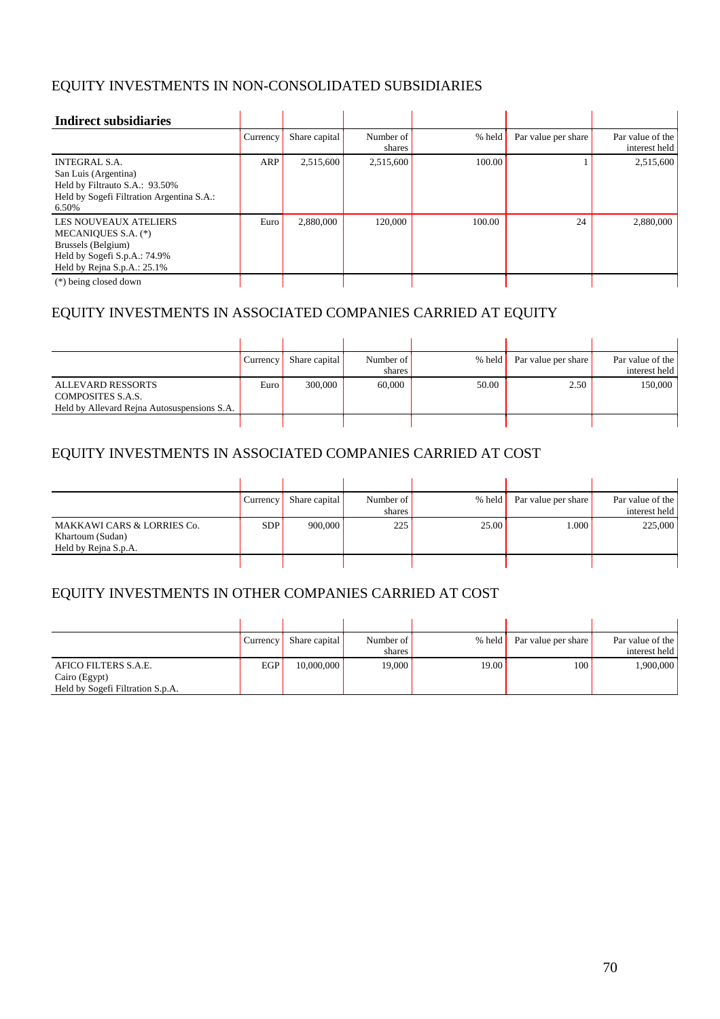## EQUITY INVESTMENTS IN NON-CONSOLIDATED SUBSIDIARIES

| <b>Indirect subsidiaries</b>                                                                                                             |          |               |                     |        |                     |                                   |
|------------------------------------------------------------------------------------------------------------------------------------------|----------|---------------|---------------------|--------|---------------------|-----------------------------------|
|                                                                                                                                          | Currency | Share capital | Number of<br>shares | % held | Par value per share | Par value of the<br>interest held |
| <b>INTEGRAL S.A.</b><br>San Luis (Argentina)<br>Held by Filtrauto S.A.: 93.50%<br>Held by Sogefi Filtration Argentina S.A.:<br>6.50%     | ARP      | 2,515,600     | 2,515,600           | 100.00 |                     | 2,515,600                         |
| <b>LES NOUVEAUX ATELIERS</b><br>MECANIQUES S.A. (*)<br>Brussels (Belgium)<br>Held by Sogefi S.p.A.: 74.9%<br>Held by Rejna S.p.A.: 25.1% | Euro     | 2.880,000     | 120,000             | 100.00 | 24                  | 2,880,000                         |
| $(*)$ being closed down                                                                                                                  |          |               |                     |        |                     |                                   |

## EQUITY INVESTMENTS IN ASSOCIATED COMPANIES CARRIED AT EQUITY

|                                                                                              | Currency | Share capital | Number of<br>shares | % held | Par value per share | Par value of the<br>interest held |
|----------------------------------------------------------------------------------------------|----------|---------------|---------------------|--------|---------------------|-----------------------------------|
| <b>ALLEVARD RESSORTS</b><br>COMPOSITES S.A.S.<br>Held by Allevard Rejna Autosuspensions S.A. | Euro     | 300,000       | 60,000              | 50.00  | 2.50                | 150,000                           |

## EQUITY INVESTMENTS IN ASSOCIATED COMPANIES CARRIED AT COST

|                                                                        | Currency   | Share capital | Number of<br>shares | % held | Par value per share | Par value of the<br>interest held |
|------------------------------------------------------------------------|------------|---------------|---------------------|--------|---------------------|-----------------------------------|
| MAKKAWI CARS & LORRIES Co.<br>Khartoum (Sudan)<br>Held by Rejna S.p.A. | <b>SDP</b> | 900,000       | 225                 | 25.00  | 1.000               | 225,000                           |

## EQUITY INVESTMENTS IN OTHER COMPANIES CARRIED AT COST

|                                  | Currency | Share capital | Number of | % held | Par value per share | Par value of the |
|----------------------------------|----------|---------------|-----------|--------|---------------------|------------------|
|                                  |          |               | shares    |        |                     | interest held    |
| AFICO FILTERS S.A.E.             | EGP      | 10,000,000    | 19,000    | 19.00  | 100                 | 000,000,1        |
| Cairo (Egypt)                    |          |               |           |        |                     |                  |
| Held by Sogefi Filtration S.p.A. |          |               |           |        |                     |                  |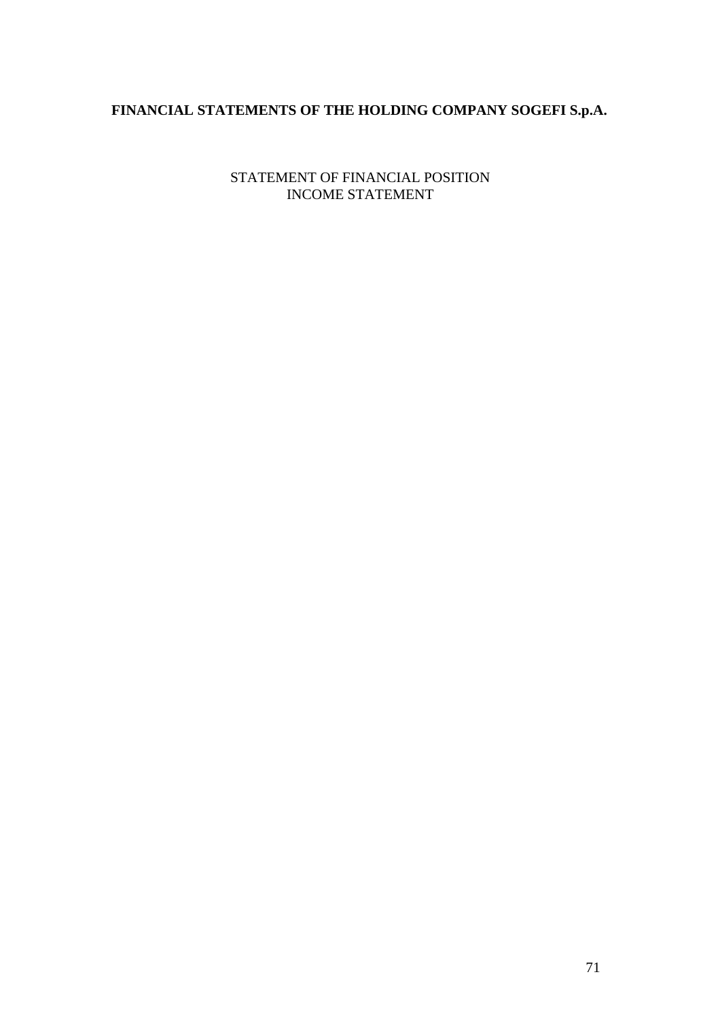# **FINANCIAL STATEMENTS OF THE HOLDING COMPANY SOGEFI S.p.A.**

STATEMENT OF FINANCIAL POSITION INCOME STATEMENT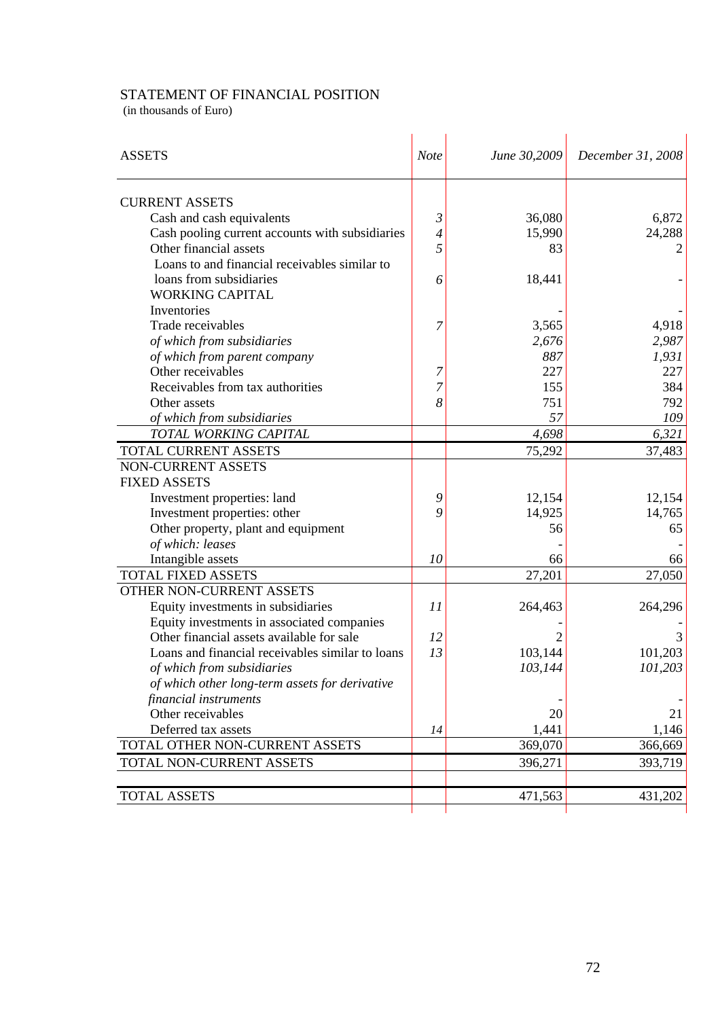## STATEMENT OF FINANCIAL POSITION

(in thousands of Euro)

| <b>ASSETS</b>                                    | <b>Note</b>              | June 30,2009 | December 31, 2008 |
|--------------------------------------------------|--------------------------|--------------|-------------------|
|                                                  |                          |              |                   |
| <b>CURRENT ASSETS</b>                            |                          |              |                   |
| Cash and cash equivalents                        | $\mathfrak{Z}$           | 36,080       | 6,872             |
| Cash pooling current accounts with subsidiaries  | $\overline{\mathcal{A}}$ | 15,990       | 24,288            |
| Other financial assets                           | 5                        | 83           |                   |
| Loans to and financial receivables similar to    |                          |              |                   |
| loans from subsidiaries                          | 6                        | 18,441       |                   |
| <b>WORKING CAPITAL</b>                           |                          |              |                   |
| Inventories                                      |                          |              |                   |
| Trade receivables                                | 7                        | 3,565        | 4,918             |
| of which from subsidiaries                       |                          | 2,676        | 2,987             |
| of which from parent company                     |                          | 887          | 1,931             |
| Other receivables                                | 7                        | 227          | 227               |
| Receivables from tax authorities                 | 7                        | 155          | 384               |
| Other assets                                     | 8                        | 751          | 792               |
| of which from subsidiaries                       |                          | 57           | 109               |
| TOTAL WORKING CAPITAL                            |                          | 4,698        | 6,321             |
| TOTAL CURRENT ASSETS                             |                          | 75,292       | 37,483            |
| NON-CURRENT ASSETS                               |                          |              |                   |
| <b>FIXED ASSETS</b>                              |                          |              |                   |
| Investment properties: land                      | 9                        | 12,154       | 12,154            |
| Investment properties: other                     | 9                        | 14,925       | 14,765            |
| Other property, plant and equipment              |                          | 56           | 65                |
| of which: leases                                 |                          |              |                   |
| Intangible assets                                | 10                       | 66           | 66                |
| <b>TOTAL FIXED ASSETS</b>                        |                          | 27,201       | 27,050            |
| OTHER NON-CURRENT ASSETS                         |                          |              |                   |
| Equity investments in subsidiaries               | 11                       | 264,463      | 264,296           |
| Equity investments in associated companies       |                          |              |                   |
| Other financial assets available for sale        | 12                       |              |                   |
| Loans and financial receivables similar to loans | 13                       | 103,144      | 101,203           |
| of which from subsidiaries                       |                          | 103,144      | 101,203           |
| of which other long-term assets for derivative   |                          |              |                   |
| financial instruments                            |                          |              |                   |
| Other receivables                                |                          | 20           | 21                |
| Deferred tax assets                              | 14                       | 1,441        | 1,146             |
| TOTAL OTHER NON-CURRENT ASSETS                   |                          | 369,070      | 366,669           |
| TOTAL NON-CURRENT ASSETS                         |                          | 396,271      | 393,719           |
|                                                  |                          |              |                   |
| <b>TOTAL ASSETS</b>                              |                          | 471,563      | 431,202           |
|                                                  |                          |              |                   |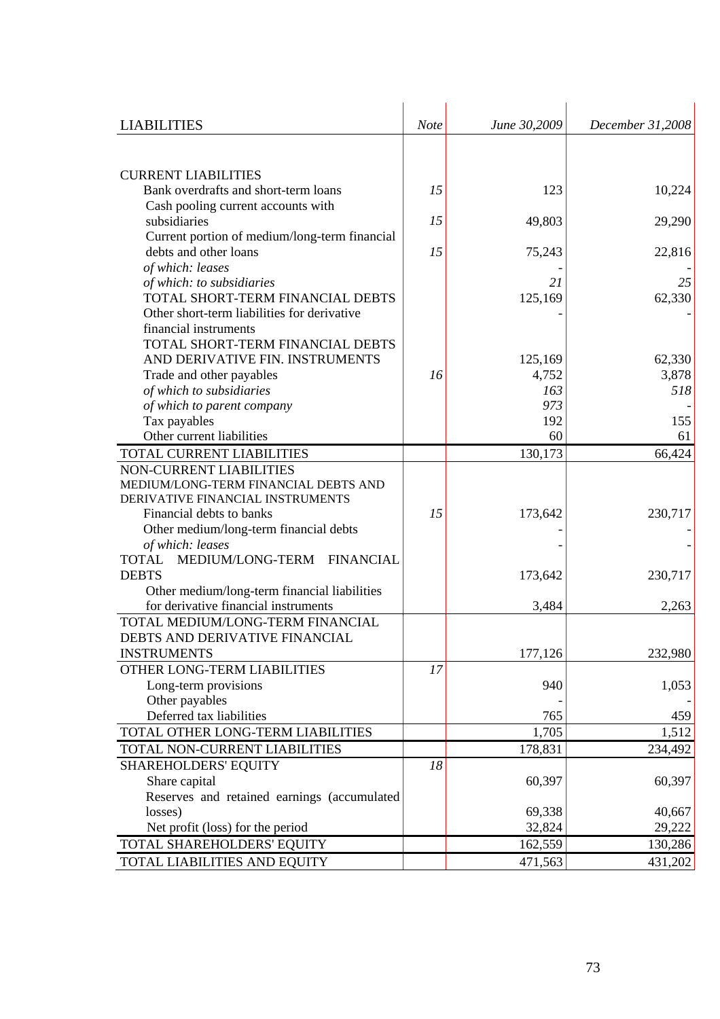| <b>LIABILITIES</b>                                                     | <b>Note</b> | June 30,2009 | December 31,2008 |
|------------------------------------------------------------------------|-------------|--------------|------------------|
|                                                                        |             |              |                  |
|                                                                        |             |              |                  |
| <b>CURRENT LIABILITIES</b><br>Bank overdrafts and short-term loans     |             | 123          |                  |
|                                                                        | 15          |              | 10,224           |
| Cash pooling current accounts with<br>subsidiaries                     | 15          | 49,803       | 29,290           |
|                                                                        |             |              |                  |
| Current portion of medium/long-term financial<br>debts and other loans | 15          | 75,243       |                  |
| of which: leases                                                       |             |              | 22,816           |
| of which: to subsidiaries                                              |             | 21           | 25               |
| TOTAL SHORT-TERM FINANCIAL DEBTS                                       |             | 125,169      | 62,330           |
| Other short-term liabilities for derivative                            |             |              |                  |
| financial instruments                                                  |             |              |                  |
| TOTAL SHORT-TERM FINANCIAL DEBTS                                       |             |              |                  |
| AND DERIVATIVE FIN. INSTRUMENTS                                        |             | 125,169      | 62,330           |
| Trade and other payables                                               | 16          | 4,752        | 3,878            |
| of which to subsidiaries                                               |             | 163          | 518              |
| of which to parent company                                             |             | 973          |                  |
| Tax payables                                                           |             | 192          | 155              |
| Other current liabilities                                              |             | 60           | 61               |
| TOTAL CURRENT LIABILITIES                                              |             | 130,173      | 66,424           |
| NON-CURRENT LIABILITIES                                                |             |              |                  |
| MEDIUM/LONG-TERM FINANCIAL DEBTS AND                                   |             |              |                  |
| DERIVATIVE FINANCIAL INSTRUMENTS                                       |             |              |                  |
| Financial debts to banks                                               | 15          | 173,642      | 230,717          |
| Other medium/long-term financial debts                                 |             |              |                  |
| of which: leases                                                       |             |              |                  |
| MEDIUM/LONG-TERM<br><b>FINANCIAL</b><br><b>TOTAL</b>                   |             |              |                  |
| <b>DEBTS</b>                                                           |             | 173,642      | 230,717          |
| Other medium/long-term financial liabilities                           |             |              |                  |
| for derivative financial instruments                                   |             | 3,484        | 2,263            |
| TOTAL MEDIUM/LONG-TERM FINANCIAL                                       |             |              |                  |
| DEBTS AND DERIVATIVE FINANCIAL                                         |             |              |                  |
| <b>INSTRUMENTS</b>                                                     |             | 177,126      | 232,980          |
| OTHER LONG-TERM LIABILITIES                                            | 17          |              |                  |
| Long-term provisions                                                   |             | 940          | 1,053            |
| Other payables                                                         |             |              |                  |
| Deferred tax liabilities                                               |             | 765          | 459              |
| TOTAL OTHER LONG-TERM LIABILITIES                                      |             | 1,705        | 1,512            |
| TOTAL NON-CURRENT LIABILITIES                                          |             | 178,831      | 234,492          |
| SHAREHOLDERS' EQUITY                                                   | 18          |              |                  |
| Share capital                                                          |             | 60,397       | 60,397           |
| Reserves and retained earnings (accumulated                            |             |              |                  |
| losses)                                                                |             | 69,338       | 40,667           |
| Net profit (loss) for the period                                       |             | 32,824       | 29,222           |
| TOTAL SHAREHOLDERS' EQUITY                                             |             | 162,559      | 130,286          |
|                                                                        |             |              |                  |
| TOTAL LIABILITIES AND EQUITY                                           |             | 471,563      | 431,202          |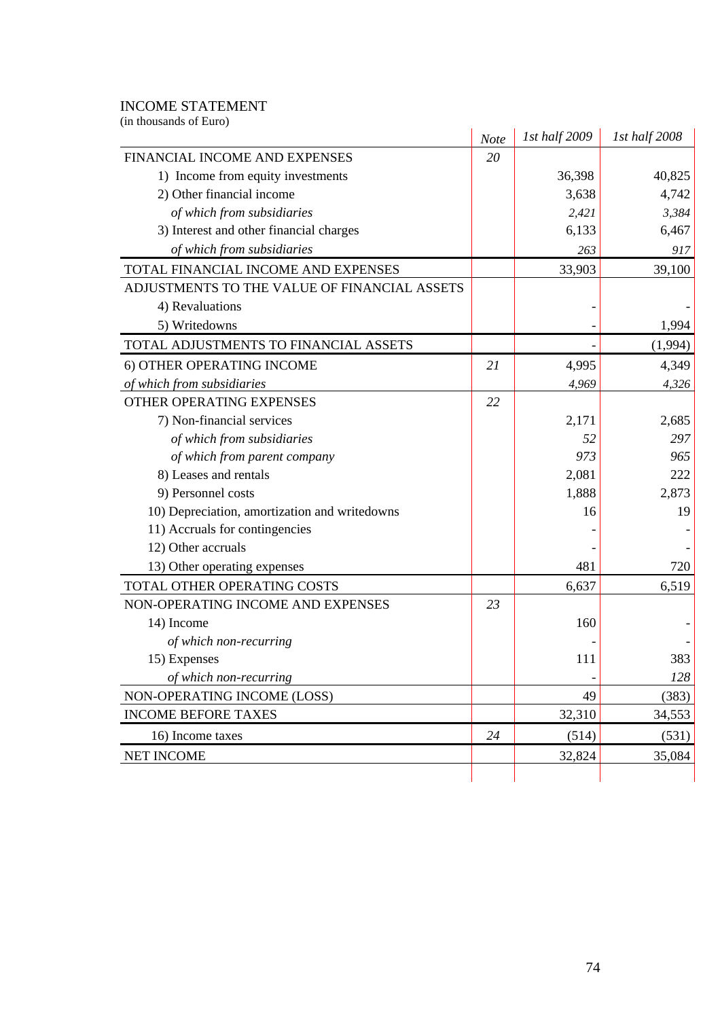#### INCOME STATEMENT

| (in thousands of Euro)                        |      | 1st half 2009 | 1st half 2008 |
|-----------------------------------------------|------|---------------|---------------|
|                                               | Note |               |               |
| FINANCIAL INCOME AND EXPENSES                 | 20   |               |               |
| 1) Income from equity investments             |      | 36,398        | 40,825        |
| 2) Other financial income                     |      | 3,638         | 4,742         |
| of which from subsidiaries                    |      | 2,421         | 3,384         |
| 3) Interest and other financial charges       |      | 6,133         | 6,467         |
| of which from subsidiaries                    |      | 263           | 917           |
| TOTAL FINANCIAL INCOME AND EXPENSES           |      | 33,903        | 39,100        |
| ADJUSTMENTS TO THE VALUE OF FINANCIAL ASSETS  |      |               |               |
| 4) Revaluations                               |      |               |               |
| 5) Writedowns                                 |      |               | 1,994         |
| TOTAL ADJUSTMENTS TO FINANCIAL ASSETS         |      |               | (1,994)       |
| 6) OTHER OPERATING INCOME                     | 21   | 4,995         | 4,349         |
| of which from subsidiaries                    |      | 4,969         | 4,326         |
| OTHER OPERATING EXPENSES                      | 22   |               |               |
| 7) Non-financial services                     |      | 2,171         | 2,685         |
| of which from subsidiaries                    |      | 52            | 297           |
| of which from parent company                  |      | 973           | 965           |
| 8) Leases and rentals                         |      | 2,081         | 222           |
| 9) Personnel costs                            |      | 1,888         | 2,873         |
| 10) Depreciation, amortization and writedowns |      | 16            | 19            |
| 11) Accruals for contingencies                |      |               |               |
| 12) Other accruals                            |      |               |               |
| 13) Other operating expenses                  |      | 481           | 720           |
| TOTAL OTHER OPERATING COSTS                   |      | 6,637         | 6,519         |
| NON-OPERATING INCOME AND EXPENSES             | 23   |               |               |
| 14) Income                                    |      | 160           |               |
| of which non-recurring                        |      |               |               |
| 15) Expenses                                  |      | 111           | 383           |
| of which non-recurring                        |      |               | 128           |
| NON-OPERATING INCOME (LOSS)                   |      | 49            | (383)         |
| <b>INCOME BEFORE TAXES</b>                    |      | 32,310        | 34,553        |
| 16) Income taxes                              | 24   | (514)         | (531)         |
| <b>NET INCOME</b>                             |      | 32,824        | 35,084        |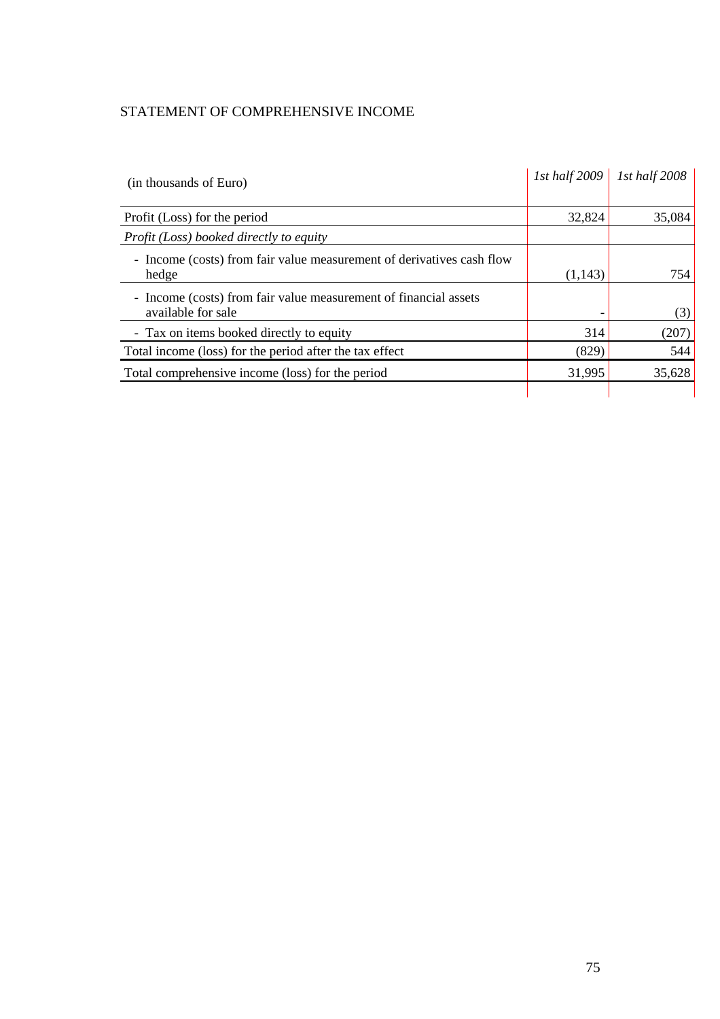# STATEMENT OF COMPREHENSIVE INCOME

| (in thousands of Euro)                                                                 | $1st$ half $2009$ | 1st half 2008 |
|----------------------------------------------------------------------------------------|-------------------|---------------|
| Profit (Loss) for the period                                                           | 32,824            | 35,084        |
| Profit (Loss) booked directly to equity                                                |                   |               |
| - Income (costs) from fair value measurement of derivatives cash flow<br>hedge         | (1,143)           | 754           |
| - Income (costs) from fair value measurement of financial assets<br>available for sale |                   | (3)           |
| - Tax on items booked directly to equity                                               | 314               | (207)         |
| Total income (loss) for the period after the tax effect                                | (829)             | 544           |
| Total comprehensive income (loss) for the period                                       | 31,995            | 35,628        |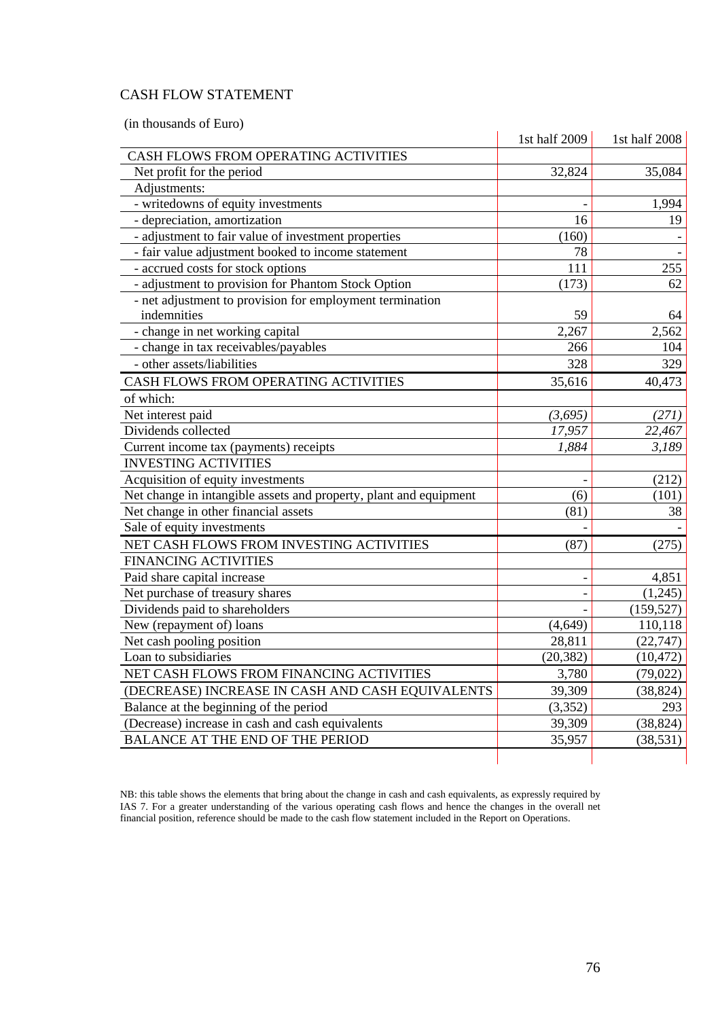# CASH FLOW STATEMENT

(in thousands of Euro)

|                                                                   | 1st half 2009 | 1st half 2008 |
|-------------------------------------------------------------------|---------------|---------------|
| CASH FLOWS FROM OPERATING ACTIVITIES                              |               |               |
| Net profit for the period                                         | 32,824        | 35,084        |
| Adjustments:                                                      |               |               |
| - writedowns of equity investments                                |               | 1,994         |
| - depreciation, amortization                                      | 16            | 19            |
| - adjustment to fair value of investment properties               | (160)         |               |
| - fair value adjustment booked to income statement                | 78            |               |
| - accrued costs for stock options                                 | 111           | 255           |
| - adjustment to provision for Phantom Stock Option                | (173)         | 62            |
| - net adjustment to provision for employment termination          |               |               |
| indemnities                                                       | 59            | 64            |
| - change in net working capital                                   | 2,267         | 2,562         |
| - change in tax receivables/payables                              | 266           | 104           |
| - other assets/liabilities                                        | 328           | 329           |
| CASH FLOWS FROM OPERATING ACTIVITIES                              | 35,616        | 40,473        |
| of which:                                                         |               |               |
| Net interest paid                                                 | (3,695)       | (271)         |
| Dividends collected                                               | 17,957        | 22,467        |
| Current income tax (payments) receipts                            | 1,884         | 3,189         |
| <b>INVESTING ACTIVITIES</b>                                       |               |               |
| Acquisition of equity investments                                 |               | (212)         |
| Net change in intangible assets and property, plant and equipment | (6)           | (101)         |
| Net change in other financial assets                              | (81)          | 38            |
| Sale of equity investments                                        |               |               |
| NET CASH FLOWS FROM INVESTING ACTIVITIES                          | (87)          | (275)         |
| <b>FINANCING ACTIVITIES</b>                                       |               |               |
| Paid share capital increase                                       |               | 4,851         |
| Net purchase of treasury shares                                   |               | (1,245)       |
| Dividends paid to shareholders                                    |               | (159, 527)    |
| New (repayment of) loans                                          | (4,649)       | 110,118       |
| Net cash pooling position                                         | 28,811        | (22, 747)     |
| Loan to subsidiaries                                              | (20, 382)     | (10, 472)     |
| NET CASH FLOWS FROM FINANCING ACTIVITIES                          | 3,780         | (79, 022)     |
| (DECREASE) INCREASE IN CASH AND CASH EQUIVALENTS                  | 39,309        | (38, 824)     |
| Balance at the beginning of the period                            | (3,352)       | 293           |
| (Decrease) increase in cash and cash equivalents                  | 39,309        | (38, 824)     |
| <b>BALANCE AT THE END OF THE PERIOD</b>                           | 35,957        | (38, 531)     |
|                                                                   |               |               |

NB: this table shows the elements that bring about the change in cash and cash equivalents, as expressly required by IAS 7. For a greater understanding of the various operating cash flows and hence the changes in the overall net financial position, reference should be made to the cash flow statement included in the Report on Operations.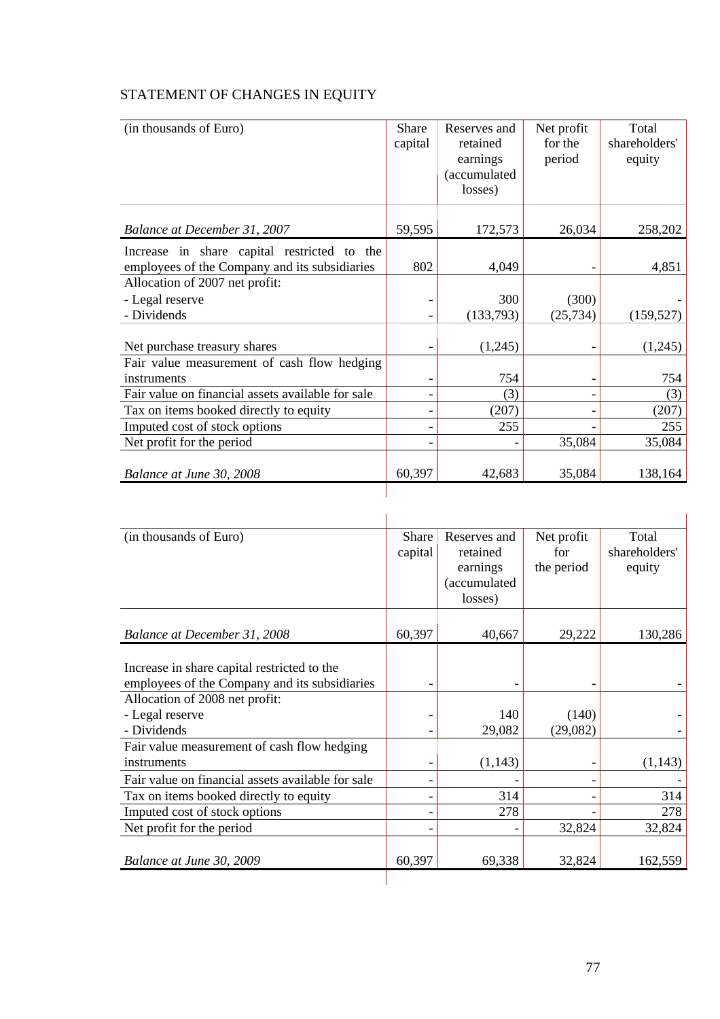# STATEMENT OF CHANGES IN EQUITY

| (in thousands of Euro)                            | Share   | Reserves and | Net profit | Total         |
|---------------------------------------------------|---------|--------------|------------|---------------|
|                                                   | capital | retained     | for the    | shareholders' |
|                                                   |         | earnings     | period     | equity        |
|                                                   |         | (accumulated |            |               |
|                                                   |         | losses)      |            |               |
|                                                   |         |              |            |               |
| Balance at December 31, 2007                      | 59,595  | 172,573      | 26,034     | 258,202       |
| Increase in share capital restricted to the       |         |              |            |               |
| employees of the Company and its subsidiaries     | 802     | 4,049        |            | 4,851         |
| Allocation of 2007 net profit:                    |         |              |            |               |
| - Legal reserve                                   |         | 300          | (300)      |               |
| - Dividends                                       |         | (133,793)    | (25, 734)  | (159, 527)    |
|                                                   |         |              |            |               |
| Net purchase treasury shares                      |         | (1,245)      |            | (1,245)       |
| Fair value measurement of cash flow hedging       |         |              |            |               |
| instruments                                       |         | 754          | ۰          | 754           |
| Fair value on financial assets available for sale |         | (3)          |            | (3)           |
| Tax on items booked directly to equity            |         | (207)        |            | (207)         |
| Imputed cost of stock options                     |         | 255          |            | 255           |
| Net profit for the period                         |         |              | 35,084     | 35,084        |
| Balance at June 30, 2008                          | 60,397  | 42,683       | 35,084     | 138,164       |
|                                                   |         |              |            |               |

| (in thousands of Euro)                            | Share   | Reserves and | Net profit | Total         |
|---------------------------------------------------|---------|--------------|------------|---------------|
|                                                   | capital | retained     | for        | shareholders' |
|                                                   |         | earnings     | the period | equity        |
|                                                   |         | (accumulated |            |               |
|                                                   |         | losses)      |            |               |
|                                                   |         |              |            |               |
| Balance at December 31, 2008                      | 60,397  | 40,667       | 29,222     | 130,286       |
|                                                   |         |              |            |               |
| Increase in share capital restricted to the       |         |              |            |               |
| employees of the Company and its subsidiaries     |         |              |            |               |
| Allocation of 2008 net profit:                    |         |              |            |               |
| - Legal reserve                                   |         | 140          | (140)      |               |
| - Dividends                                       |         | 29,082       | (29,082)   |               |
| Fair value measurement of cash flow hedging       |         |              |            |               |
| instruments                                       |         | (1,143)      |            | (1,143)       |
| Fair value on financial assets available for sale |         |              |            |               |
| Tax on items booked directly to equity            |         | 314          |            | 314           |
| Imputed cost of stock options                     |         | 278          |            | 278           |
| Net profit for the period                         |         |              | 32,824     | 32,824        |
|                                                   |         |              |            |               |
| Balance at June 30, 2009                          | 60,397  | 69,338       | 32,824     | 162,559       |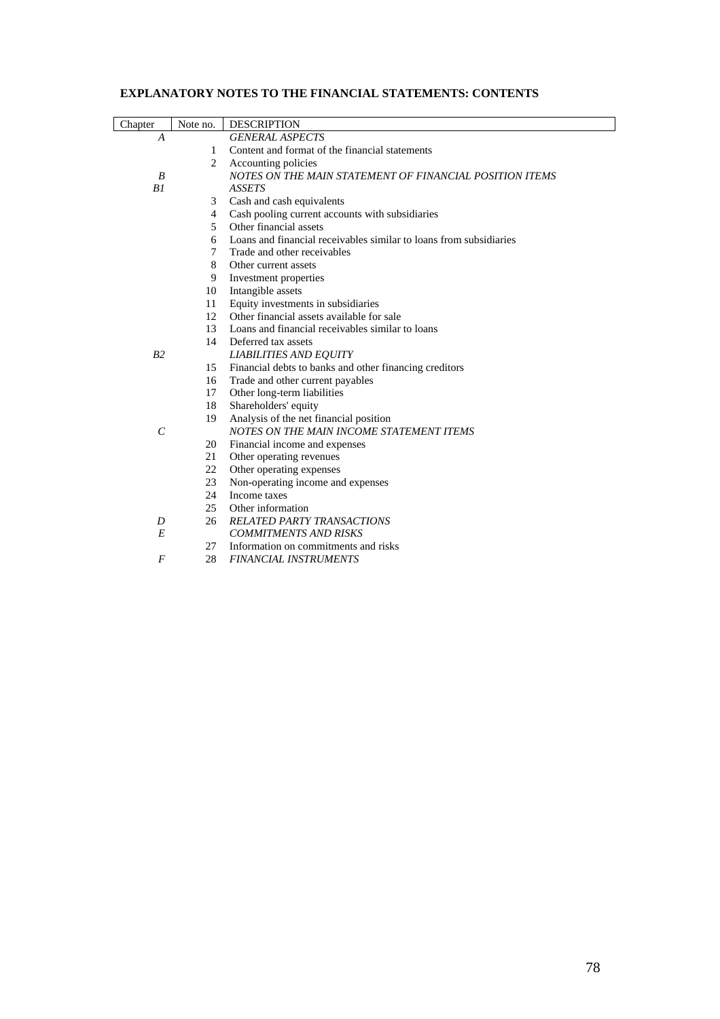# **EXPLANATORY NOTES TO THE FINANCIAL STATEMENTS: CONTENTS**

| Chapter        | Note no.       | <b>DESCRIPTION</b>                                                 |
|----------------|----------------|--------------------------------------------------------------------|
| A              |                | <b>GENERAL ASPECTS</b>                                             |
|                | 1              | Content and format of the financial statements                     |
|                | 2              | Accounting policies                                                |
| B              |                | NOTES ON THE MAIN STATEMENT OF FINANCIAL POSITION ITEMS            |
| B1             |                | <b>ASSETS</b>                                                      |
|                | 3              | Cash and cash equivalents                                          |
|                | $\overline{4}$ | Cash pooling current accounts with subsidiaries                    |
|                | 5              | Other financial assets                                             |
|                | 6              | Loans and financial receivables similar to loans from subsidiaries |
|                | $\tau$         | Trade and other receivables                                        |
|                | 8              | Other current assets                                               |
|                | 9              | Investment properties                                              |
|                | 10             | Intangible assets                                                  |
|                | 11             | Equity investments in subsidiaries                                 |
|                | 12             | Other financial assets available for sale                          |
|                | 13             | Loans and financial receivables similar to loans                   |
|                | 14             | Deferred tax assets                                                |
| B <sub>2</sub> |                | <b>LIABILITIES AND EQUITY</b>                                      |
|                | 15             | Financial debts to banks and other financing creditors             |
|                | 16             | Trade and other current payables                                   |
|                | 17             | Other long-term liabilities                                        |
|                | 18             | Shareholders' equity                                               |
|                | 19             | Analysis of the net financial position                             |
| $\mathcal{C}$  |                | NOTES ON THE MAIN INCOME STATEMENT ITEMS                           |
|                | 20             | Financial income and expenses                                      |
|                | 21             | Other operating revenues                                           |
|                | 22             | Other operating expenses                                           |
|                | 23             | Non-operating income and expenses                                  |
|                | 24             | Income taxes                                                       |
|                | 25             | Other information                                                  |
| D              | 26             | RELATED PARTY TRANSACTIONS                                         |
| E              |                | <b>COMMITMENTS AND RISKS</b>                                       |
|                | 27             | Information on commitments and risks                               |
| $\overline{F}$ | 28             | <b>FINANCIAL INSTRUMENTS</b>                                       |
|                |                |                                                                    |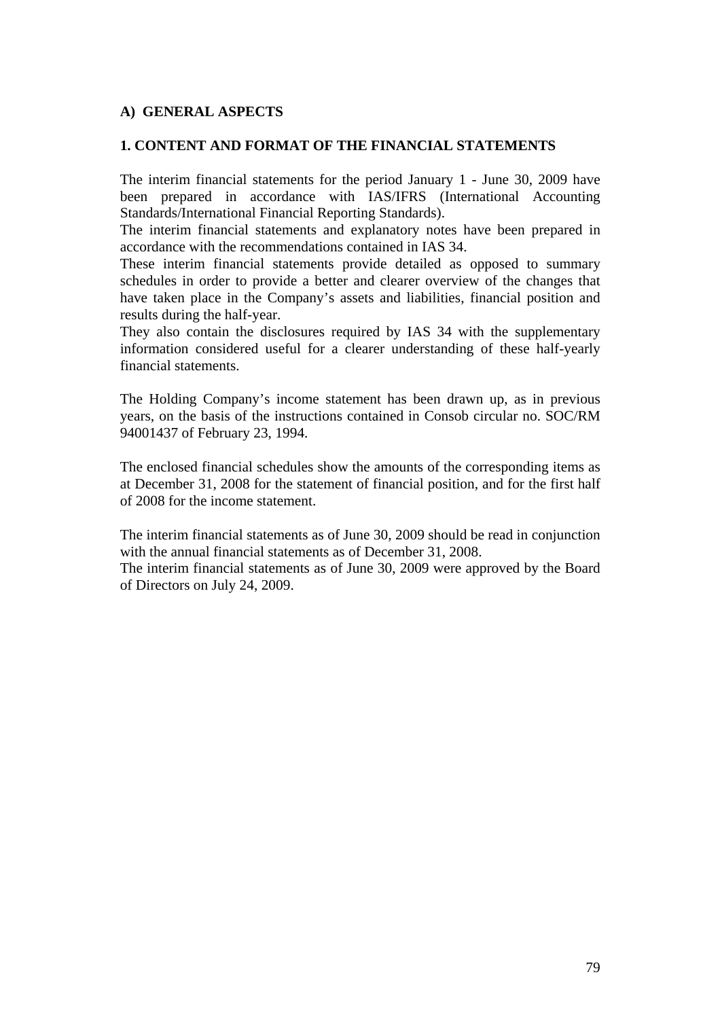#### **A) GENERAL ASPECTS**

#### **1. CONTENT AND FORMAT OF THE FINANCIAL STATEMENTS**

The interim financial statements for the period January 1 - June 30, 2009 have been prepared in accordance with IAS/IFRS (International Accounting Standards/International Financial Reporting Standards).

The interim financial statements and explanatory notes have been prepared in accordance with the recommendations contained in IAS 34.

These interim financial statements provide detailed as opposed to summary schedules in order to provide a better and clearer overview of the changes that have taken place in the Company's assets and liabilities, financial position and results during the half-year.

They also contain the disclosures required by IAS 34 with the supplementary information considered useful for a clearer understanding of these half-yearly financial statements.

The Holding Company's income statement has been drawn up, as in previous years, on the basis of the instructions contained in Consob circular no. SOC/RM 94001437 of February 23, 1994.

The enclosed financial schedules show the amounts of the corresponding items as at December 31, 2008 for the statement of financial position, and for the first half of 2008 for the income statement.

The interim financial statements as of June 30, 2009 should be read in conjunction with the annual financial statements as of December 31, 2008.

The interim financial statements as of June 30, 2009 were approved by the Board of Directors on July 24, 2009.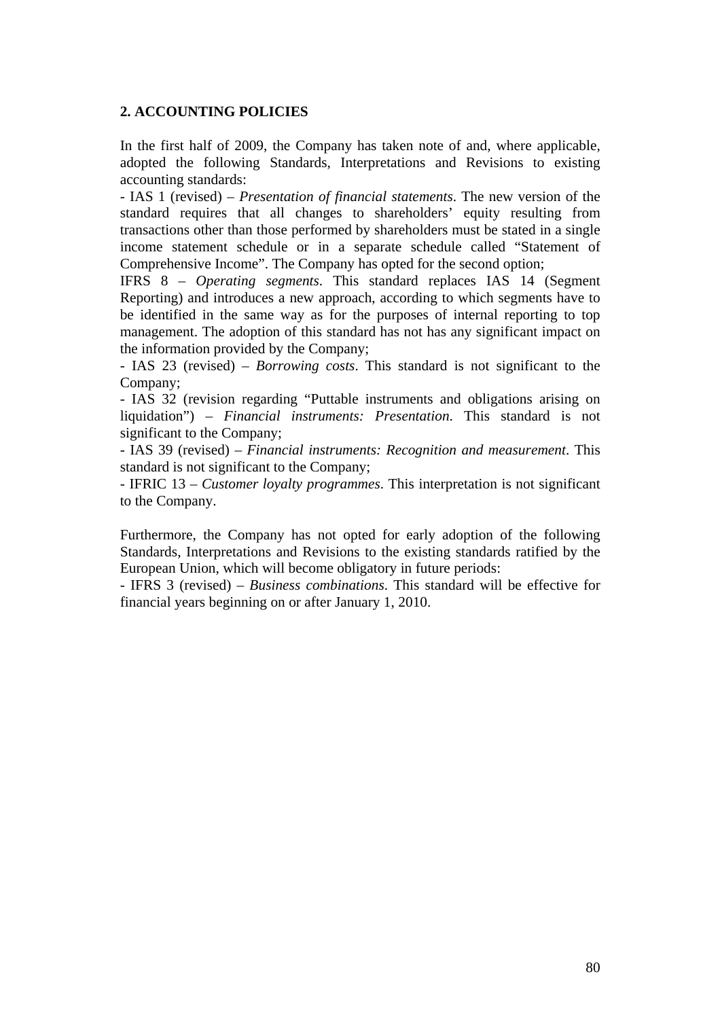#### **2. ACCOUNTING POLICIES**

In the first half of 2009, the Company has taken note of and, where applicable, adopted the following Standards, Interpretations and Revisions to existing accounting standards:

- IAS 1 (revised) – *Presentation of financial statements*. The new version of the standard requires that all changes to shareholders' equity resulting from transactions other than those performed by shareholders must be stated in a single income statement schedule or in a separate schedule called "Statement of Comprehensive Income". The Company has opted for the second option;

IFRS 8 – *Operating segments*. This standard replaces IAS 14 (Segment Reporting) and introduces a new approach, according to which segments have to be identified in the same way as for the purposes of internal reporting to top management. The adoption of this standard has not has any significant impact on the information provided by the Company;

- IAS 23 (revised) – *Borrowing costs*. This standard is not significant to the Company;

- IAS 32 (revision regarding "Puttable instruments and obligations arising on liquidation") – *Financial instruments: Presentation*. This standard is not significant to the Company;

- IAS 39 (revised) – *Financial instruments: Recognition and measurement*. This standard is not significant to the Company;

- IFRIC 13 – *Customer loyalty programmes*. This interpretation is not significant to the Company.

Furthermore, the Company has not opted for early adoption of the following Standards, Interpretations and Revisions to the existing standards ratified by the European Union, which will become obligatory in future periods:

- IFRS 3 (revised) – *Business combinations*. This standard will be effective for financial years beginning on or after January 1, 2010.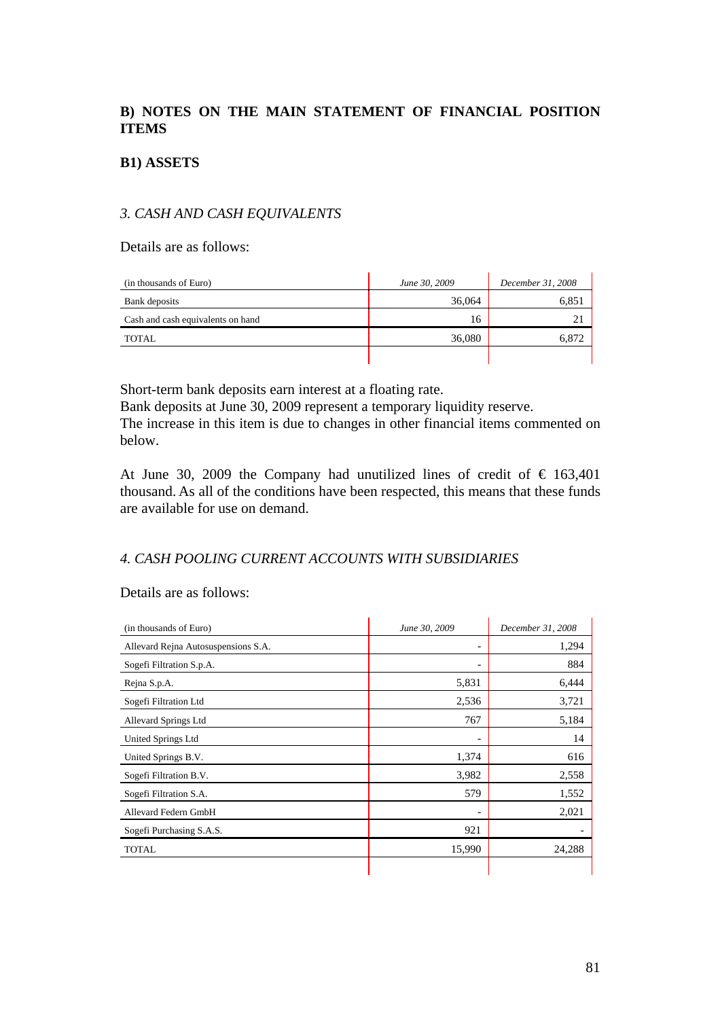# **B) NOTES ON THE MAIN STATEMENT OF FINANCIAL POSITION ITEMS**

## **B1) ASSETS**

#### *3. CASH AND CASH EQUIVALENTS*

Details are as follows:

| (in thousands of Euro)            | June 30, 2009 | December 31, 2008 |
|-----------------------------------|---------------|-------------------|
| Bank deposits                     | 36,064        | 6,851             |
| Cash and cash equivalents on hand | 16            | 21                |
| <b>TOTAL</b>                      | 36,080        | 6,872             |
|                                   |               |                   |

Short-term bank deposits earn interest at a floating rate.

Bank deposits at June 30, 2009 represent a temporary liquidity reserve. The increase in this item is due to changes in other financial items commented on below.

At June 30, 2009 the Company had unutilized lines of credit of  $\epsilon$  163,401 thousand. As all of the conditions have been respected, this means that these funds are available for use on demand.

# *4. CASH POOLING CURRENT ACCOUNTS WITH SUBSIDIARIES*

#### Details are as follows:

| (in thousands of Euro)              | June 30, 2009 | December 31, 2008 |
|-------------------------------------|---------------|-------------------|
| Allevard Rejna Autosuspensions S.A. | -             | 1,294             |
| Sogefi Filtration S.p.A.            | -             | 884               |
| Rejna S.p.A.                        | 5,831         | 6,444             |
| Sogefi Filtration Ltd               | 2,536         | 3,721             |
| Allevard Springs Ltd                | 767           | 5,184             |
| United Springs Ltd                  | -             | 14                |
| United Springs B.V.                 | 1,374         | 616               |
| Sogefi Filtration B.V.              | 3,982         | 2,558             |
| Sogefi Filtration S.A.              | 579           | 1,552             |
| Allevard Federn GmbH                |               | 2,021             |
| Sogefi Purchasing S.A.S.            | 921           |                   |
| <b>TOTAL</b>                        | 15,990        | 24,288            |
|                                     |               |                   |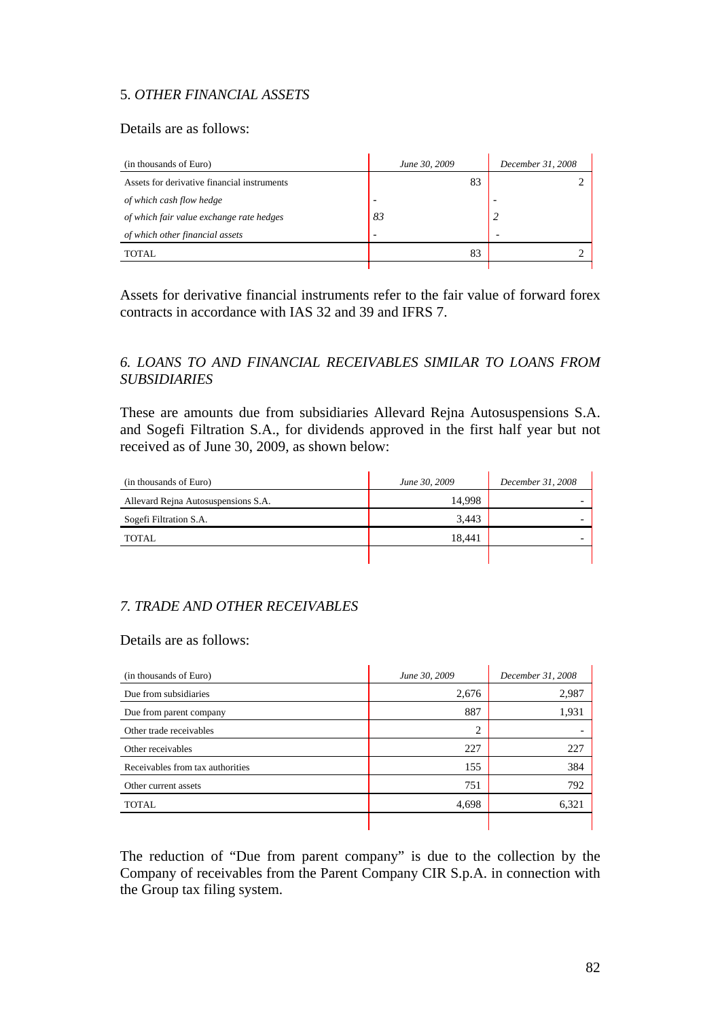# 5. *OTHER FINANCIAL ASSETS*

## Details are as follows:

| (in thousands of Euro)                      | June 30, 2009            | December 31, 2008 |  |
|---------------------------------------------|--------------------------|-------------------|--|
| Assets for derivative financial instruments | 83                       |                   |  |
| of which cash flow hedge                    | -                        |                   |  |
| of which fair value exchange rate hedges    | 83                       |                   |  |
| of which other financial assets             | $\overline{\phantom{0}}$ |                   |  |
| TOTAL.                                      | 83                       |                   |  |
|                                             |                          |                   |  |

Assets for derivative financial instruments refer to the fair value of forward forex contracts in accordance with IAS 32 and 39 and IFRS 7.

# *6. LOANS TO AND FINANCIAL RECEIVABLES SIMILAR TO LOANS FROM SUBSIDIARIES*

These are amounts due from subsidiaries Allevard Rejna Autosuspensions S.A. and Sogefi Filtration S.A., for dividends approved in the first half year but not received as of June 30, 2009, as shown below:

| (in thousands of Euro)              | June 30, 2009 | December 31, 2008 |
|-------------------------------------|---------------|-------------------|
| Allevard Rejna Autosuspensions S.A. | 14.998        |                   |
| Sogefi Filtration S.A.              | 3.443         |                   |
| <b>TOTAL</b>                        | 18.441        |                   |
|                                     |               |                   |

# *7. TRADE AND OTHER RECEIVABLES*

#### Details are as follows:

| (in thousands of Euro)           | June 30, 2009 | December 31, 2008 |
|----------------------------------|---------------|-------------------|
| Due from subsidiaries            | 2,676         | 2,987             |
| Due from parent company          | 887           | 1,931             |
| Other trade receivables          | 2             |                   |
| Other receivables                | 227           | 227               |
| Receivables from tax authorities | 155           | 384               |
| Other current assets             | 751           | 792               |
| <b>TOTAL</b>                     | 4,698         | 6,321             |
|                                  |               |                   |

The reduction of "Due from parent company" is due to the collection by the Company of receivables from the Parent Company CIR S.p.A. in connection with the Group tax filing system.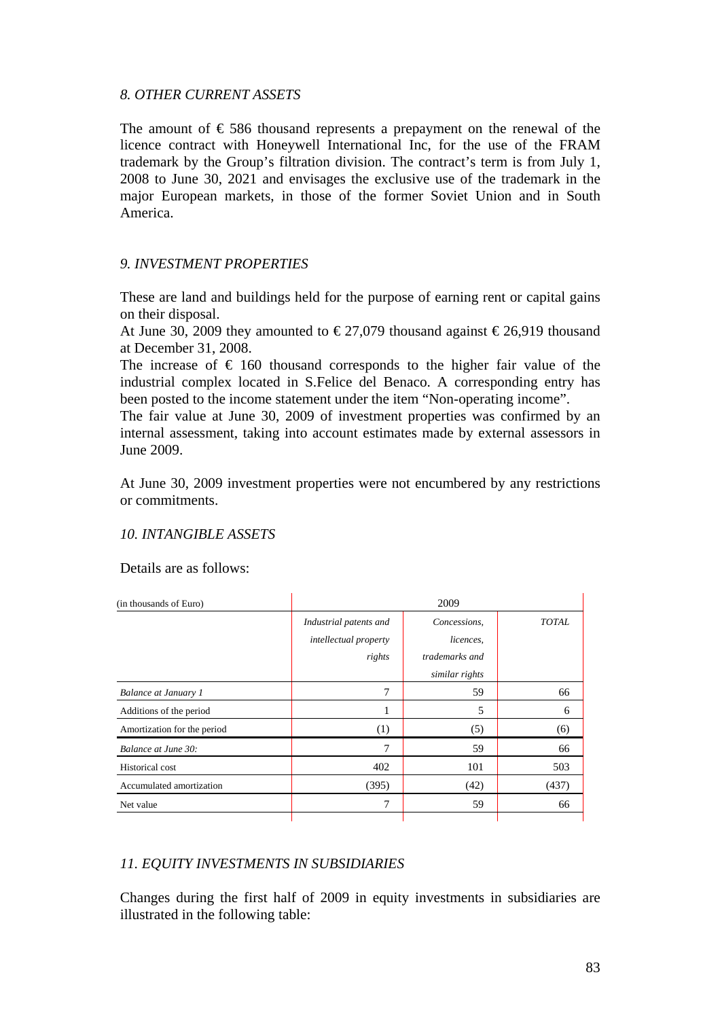#### *8. OTHER CURRENT ASSETS*

The amount of  $\epsilon$  586 thousand represents a prepayment on the renewal of the licence contract with Honeywell International Inc, for the use of the FRAM trademark by the Group's filtration division. The contract's term is from July 1, 2008 to June 30, 2021 and envisages the exclusive use of the trademark in the major European markets, in those of the former Soviet Union and in South America.

#### *9. INVESTMENT PROPERTIES*

These are land and buildings held for the purpose of earning rent or capital gains on their disposal.

At June 30, 2009 they amounted to  $\epsilon$ 27,079 thousand against  $\epsilon$ 26,919 thousand at December 31, 2008.

The increase of  $\epsilon$  160 thousand corresponds to the higher fair value of the industrial complex located in S.Felice del Benaco. A corresponding entry has been posted to the income statement under the item "Non-operating income".

The fair value at June 30, 2009 of investment properties was confirmed by an internal assessment, taking into account estimates made by external assessors in June 2009.

At June 30, 2009 investment properties were not encumbered by any restrictions or commitments.

#### *10. INTANGIBLE ASSETS*

Details are as follows:

| (in thousands of Euro)      |                                                                  | 2009                                                          |              |
|-----------------------------|------------------------------------------------------------------|---------------------------------------------------------------|--------------|
|                             | Industrial patents and<br><i>intellectual property</i><br>rights | Concessions,<br>licences.<br>trademarks and<br>similar rights | <b>TOTAL</b> |
| <b>Balance at January 1</b> | 7                                                                | 59                                                            | 66           |
| Additions of the period     |                                                                  | 5                                                             | 6            |
| Amortization for the period | (1)                                                              | (5)                                                           | (6)          |
| Balance at June 30:         | 7                                                                | 59                                                            | 66           |
| <b>Historical</b> cost      | 402                                                              | 101                                                           | 503          |
| Accumulated amortization    | (395)                                                            | (42)                                                          | (437)        |
| Net value                   | 7                                                                | 59                                                            | 66           |

# *11. EQUITY INVESTMENTS IN SUBSIDIARIES*

Changes during the first half of 2009 in equity investments in subsidiaries are illustrated in the following table: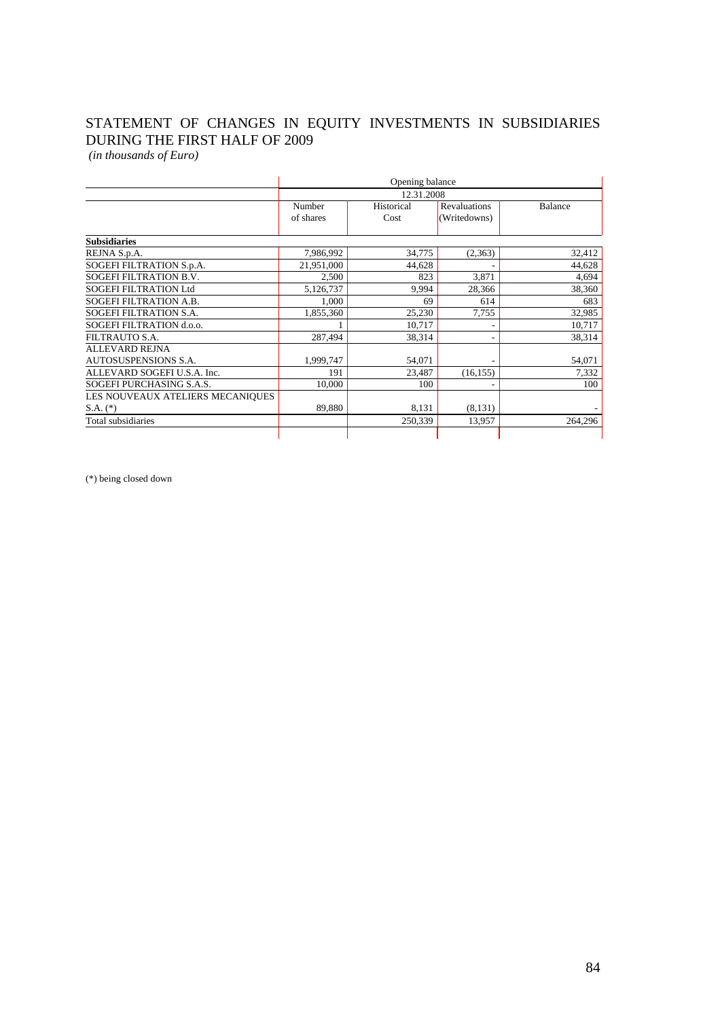# STATEMENT OF CHANGES IN EQUITY INVESTMENTS IN SUBSIDIARIES DURING THE FIRST HALF OF 2009

 *(in thousands of Euro)*

|                                  | Opening balance |            |              |                |
|----------------------------------|-----------------|------------|--------------|----------------|
|                                  | 12.31.2008      |            |              |                |
|                                  | Number          | Historical | Revaluations | <b>Balance</b> |
|                                  | of shares       | Cost       | (Writedowns) |                |
| <b>Subsidiaries</b>              |                 |            |              |                |
| REJNA S.p.A.                     | 7,986,992       | 34,775     | (2,363)      | 32,412         |
| SOGEFI FILTRATION S.p.A.         | 21,951,000      | 44,628     |              | 44,628         |
| <b>SOGEFI FILTRATION B.V.</b>    | 2,500           | 823        | 3,871        | 4,694          |
| <b>SOGEFI FILTRATION Ltd</b>     | 5,126,737       | 9,994      | 28,366       | 38,360         |
| SOGEFI FILTRATION A.B.           | 1,000           | 69         | 614          | 683            |
| SOGEFI FILTRATION S.A.           | 1,855,360       | 25,230     | 7,755        | 32,985         |
| SOGEFI FILTRATION d.o.o.         |                 | 10,717     |              | 10,717         |
| FILTRAUTO S.A.                   | 287,494         | 38,314     |              | 38,314         |
| <b>ALLEVARD REJNA</b>            |                 |            |              |                |
| <b>AUTOSUSPENSIONS S.A.</b>      | 1,999,747       | 54,071     |              | 54,071         |
| ALLEVARD SOGEFI U.S.A. Inc.      | 191             | 23,487     | (16, 155)    | 7,332          |
| SOGEFI PURCHASING S.A.S.         | 10,000          | 100        |              | 100            |
| LES NOUVEAUX ATELIERS MECANIQUES |                 |            |              |                |
| $S.A.$ $(*)$                     | 89,880          | 8.131      | (8, 131)     |                |
| Total subsidiaries               |                 | 250,339    | 13,957       | 264,296        |
|                                  |                 |            |              |                |

(\*) being closed down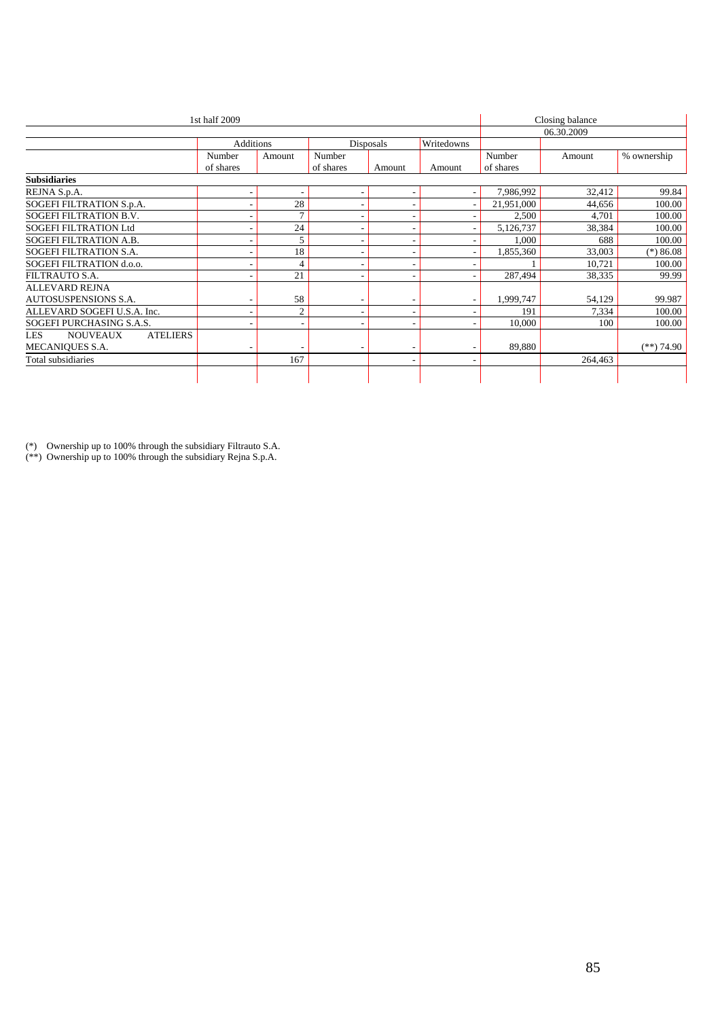| 1st half 2009                             |                  |                |                          |           | Closing balance |            |         |              |
|-------------------------------------------|------------------|----------------|--------------------------|-----------|-----------------|------------|---------|--------------|
|                                           |                  |                |                          |           |                 | 06.30.2009 |         |              |
|                                           | <b>Additions</b> |                |                          | Disposals | Writedowns      |            |         |              |
|                                           | Number           | Amount         | Number                   |           |                 | Number     | Amount  | % ownership  |
|                                           | of shares        |                | of shares                | Amount    | Amount          | of shares  |         |              |
| <b>Subsidiaries</b>                       |                  |                |                          |           |                 |            |         |              |
| REJNA S.p.A.                              |                  | ٠              | $\overline{\phantom{a}}$ |           | ٠               | 7,986,992  | 32,412  | 99.84        |
| SOGEFI FILTRATION S.p.A.                  |                  | 28             |                          |           |                 | 21,951,000 | 44,656  | 100.00       |
| SOGEFI FILTRATION B.V.                    |                  | $\mathcal{I}$  | $\overline{\phantom{a}}$ |           |                 | 2,500      | 4,701   | 100.00       |
| <b>SOGEFI FILTRATION Ltd</b>              |                  | 24             | $\overline{\phantom{a}}$ |           |                 | 5,126,737  | 38,384  | 100.00       |
| SOGEFI FILTRATION A.B.                    |                  | 5              | $\overline{\phantom{a}}$ |           |                 | 1,000      | 688     | 100.00       |
| SOGEFI FILTRATION S.A.                    |                  | 18             |                          |           |                 | 1,855,360  | 33,003  | $(*)86.08$   |
| SOGEFI FILTRATION d.o.o.                  |                  | $\overline{4}$ | $\overline{\phantom{a}}$ |           |                 |            | 10,721  | 100.00       |
| FILTRAUTO S.A.                            |                  | 21             | $\overline{\phantom{a}}$ |           |                 | 287,494    | 38,335  | 99.99        |
| <b>ALLEVARD REJNA</b>                     |                  |                |                          |           |                 |            |         |              |
| AUTOSUSPENSIONS S.A.                      |                  | 58             |                          |           |                 | 1,999,747  | 54,129  | 99.987       |
| ALLEVARD SOGEFI U.S.A. Inc.               |                  | $\overline{2}$ | $\overline{\phantom{a}}$ |           |                 | 191        | 7,334   | 100.00       |
| SOGEFI PURCHASING S.A.S.                  |                  | ٠              | $\overline{\phantom{a}}$ |           |                 | 10.000     | 100     | 100.00       |
| <b>NOUVEAUX</b><br><b>ATELIERS</b><br>LES |                  |                |                          |           |                 |            |         |              |
| MECANIOUES S.A.                           |                  |                |                          |           |                 | 89,880     |         | $(**)$ 74.90 |
| Total subsidiaries                        |                  | 167            |                          |           |                 |            | 264,463 |              |
|                                           |                  |                |                          |           |                 |            |         |              |

(\*) Ownership up to 100% through the subsidiary Filtrauto S.A.

(\*\*) Ownership up to 100% through the subsidiary Rejna S.p.A.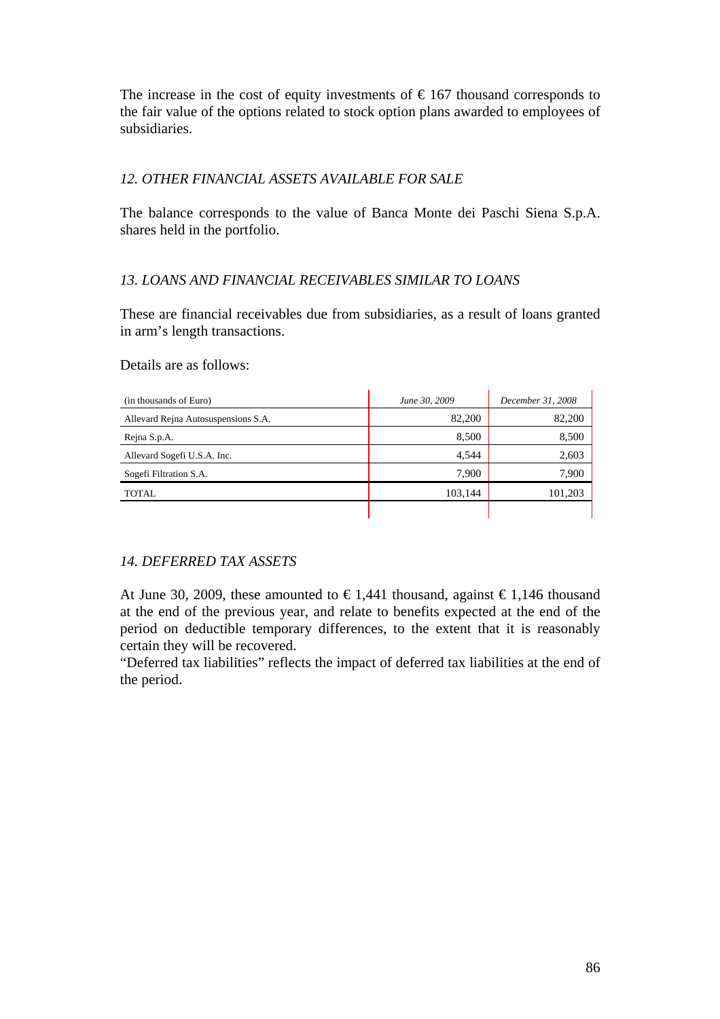The increase in the cost of equity investments of  $\epsilon$ 167 thousand corresponds to the fair value of the options related to stock option plans awarded to employees of subsidiaries.

# *12. OTHER FINANCIAL ASSETS AVAILABLE FOR SALE*

The balance corresponds to the value of Banca Monte dei Paschi Siena S.p.A. shares held in the portfolio.

# *13. LOANS AND FINANCIAL RECEIVABLES SIMILAR TO LOANS*

These are financial receivables due from subsidiaries, as a result of loans granted in arm's length transactions.

#### Details are as follows:

| (in thousands of Euro)              | June 30, 2009 | December 31, 2008 |
|-------------------------------------|---------------|-------------------|
| Allevard Rejna Autosuspensions S.A. | 82,200        | 82,200            |
| Rejna S.p.A.                        | 8,500         | 8,500             |
| Allevard Sogefi U.S.A. Inc.         | 4.544         | 2,603             |
| Sogefi Filtration S.A.              | 7,900         | 7,900             |
| <b>TOTAL</b>                        | 103,144       | 101,203           |
|                                     |               |                   |

# *14. DEFERRED TAX ASSETS*

At June 30, 2009, these amounted to  $\epsilon 1,441$  thousand, against  $\epsilon 1,146$  thousand at the end of the previous year, and relate to benefits expected at the end of the period on deductible temporary differences, to the extent that it is reasonably certain they will be recovered.

"Deferred tax liabilities" reflects the impact of deferred tax liabilities at the end of the period.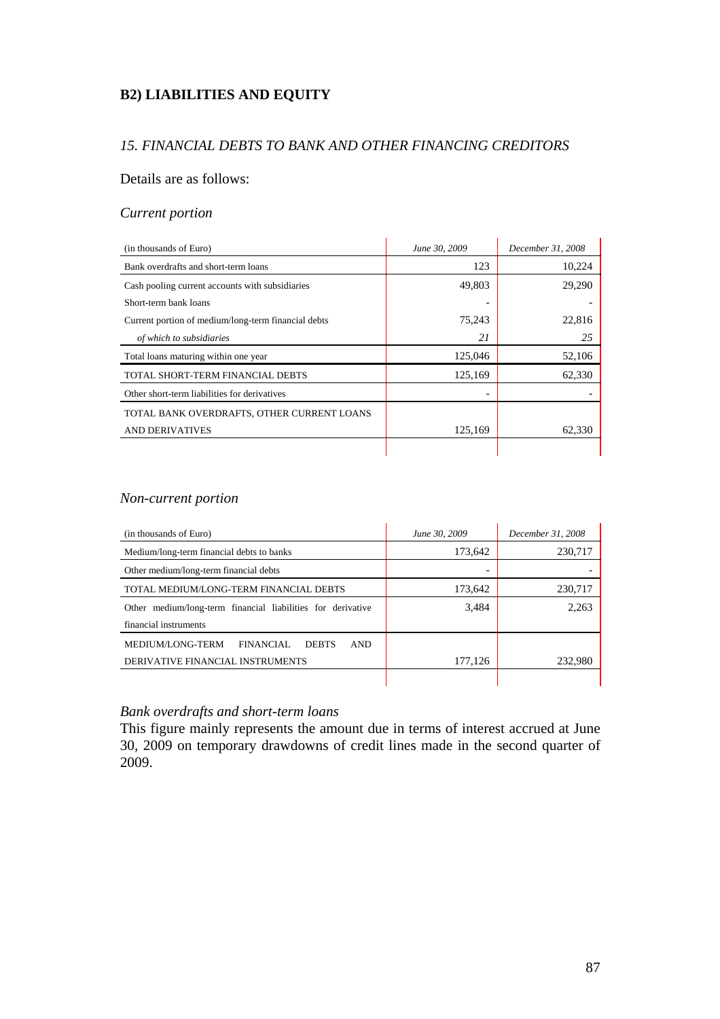# **B2) LIABILITIES AND EQUITY**

# *15. FINANCIAL DEBTS TO BANK AND OTHER FINANCING CREDITORS*

#### Details are as follows:

#### *Current portion*

| (in thousands of Euro)                              | June 30, 2009 | December 31, 2008 |
|-----------------------------------------------------|---------------|-------------------|
| Bank overdrafts and short-term loans                | 123           | 10,224            |
| Cash pooling current accounts with subsidiaries     | 49,803        | 29,290            |
| Short-term bank loans                               |               |                   |
| Current portion of medium/long-term financial debts | 75,243        | 22,816            |
| of which to subsidiaries                            | 21            | 25                |
| Total loans maturing within one year                | 125,046       | 52,106            |
| TOTAL SHORT-TERM FINANCIAL DEBTS                    | 125,169       | 62,330            |
| Other short-term liabilities for derivatives        |               |                   |
| TOTAL BANK OVERDRAFTS, OTHER CURRENT LOANS          |               |                   |
| <b>AND DERIVATIVES</b>                              | 125,169       | 62,330            |
|                                                     |               |                   |

#### *Non-current portion*

| (in thousands of Euro)                                       | June 30, 2009 | December 31, 2008 |
|--------------------------------------------------------------|---------------|-------------------|
| Medium/long-term financial debts to banks                    | 173,642       | 230,717           |
| Other medium/long-term financial debts                       |               |                   |
| TOTAL MEDIUM/LONG-TERM FINANCIAL DEBTS                       | 173,642       | 230,717           |
| Other medium/long-term financial liabilities for derivative  | 3,484         | 2,263             |
| financial instruments                                        |               |                   |
| MEDIUM/LONG-TERM<br><b>FINANCIAL</b><br><b>DEBTS</b><br>AND. |               |                   |
| DERIVATIVE FINANCIAL INSTRUMENTS                             | 177,126       | 232,980           |
|                                                              |               |                   |

#### *Bank overdrafts and short-term loans*

This figure mainly represents the amount due in terms of interest accrued at June 30, 2009 on temporary drawdowns of credit lines made in the second quarter of 2009.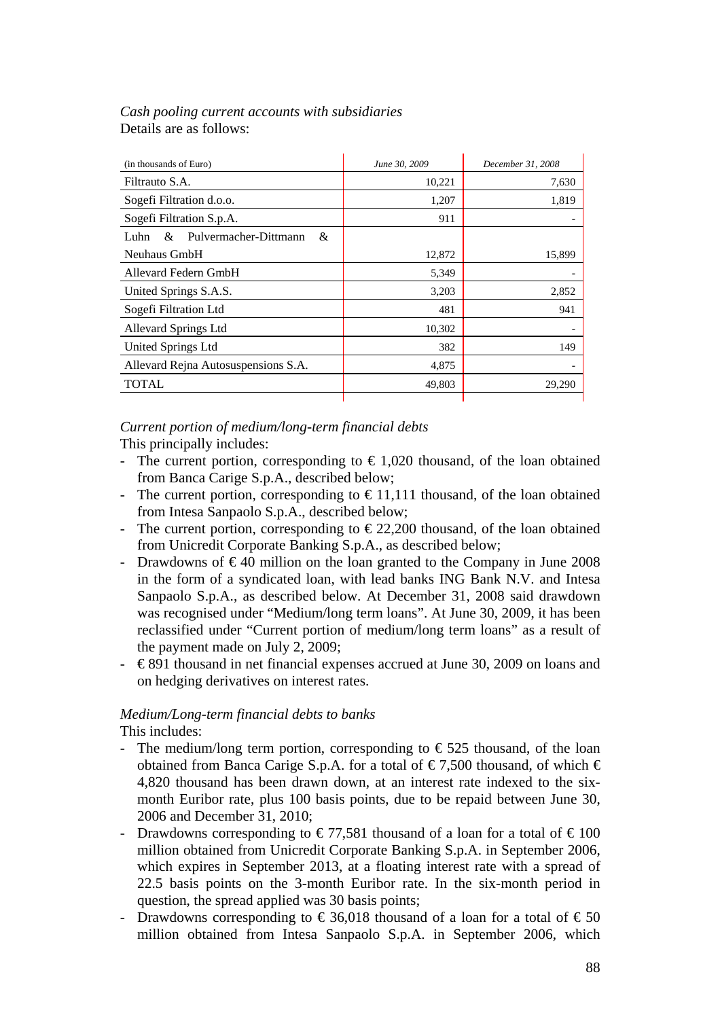# *Cash pooling current accounts with subsidiaries*  Details are as follows:

| (in thousands of Euro)                  | June 30, 2009 | December 31, 2008 |
|-----------------------------------------|---------------|-------------------|
| Filtrauto S.A.                          | 10,221        | 7,630             |
| Sogefi Filtration d.o.o.                | 1,207         | 1,819             |
| Sogefi Filtration S.p.A.                | 911           |                   |
| Pulvermacher-Dittmann<br>&<br>&<br>Luhn |               |                   |
| Neuhaus GmbH                            | 12,872        | 15,899            |
| Allevard Federn GmbH                    | 5,349         |                   |
| United Springs S.A.S.                   | 3,203         | 2,852             |
| Sogefi Filtration Ltd                   | 481           | 941               |
| Allevard Springs Ltd                    | 10,302        |                   |
| United Springs Ltd                      | 382           | 149               |
| Allevard Rejna Autosuspensions S.A.     | 4,875         |                   |
| <b>TOTAL</b>                            | 49,803        | 29,290            |
|                                         |               |                   |

# *Current portion of medium/long-term financial debts*

This principally includes:

- The current portion, corresponding to  $\epsilon$  1,020 thousand, of the loan obtained from Banca Carige S.p.A., described below;
- The current portion, corresponding to  $\epsilon$  11,111 thousand, of the loan obtained from Intesa Sanpaolo S.p.A., described below;
- The current portion, corresponding to  $\epsilon$  22,200 thousand, of the loan obtained from Unicredit Corporate Banking S.p.A., as described below;
- Drawdowns of  $\epsilon$ 40 million on the loan granted to the Company in June 2008 in the form of a syndicated loan, with lead banks ING Bank N.V. and Intesa Sanpaolo S.p.A., as described below. At December 31, 2008 said drawdown was recognised under "Medium/long term loans". At June 30, 2009, it has been reclassified under "Current portion of medium/long term loans" as a result of the payment made on July 2, 2009;
- $\epsilon$  891 thousand in net financial expenses accrued at June 30, 2009 on loans and on hedging derivatives on interest rates.

# *Medium/Long-term financial debts to banks*

This includes:

- The medium/long term portion, corresponding to  $\epsilon$  525 thousand, of the loan obtained from Banca Carige S.p.A. for a total of  $\epsilon$ 7,500 thousand, of which  $\epsilon$ 4,820 thousand has been drawn down, at an interest rate indexed to the sixmonth Euribor rate, plus 100 basis points, due to be repaid between June 30, 2006 and December 31, 2010;
- Drawdowns corresponding to  $\epsilon$ 77,581 thousand of a loan for a total of  $\epsilon$ 100 million obtained from Unicredit Corporate Banking S.p.A. in September 2006, which expires in September 2013, at a floating interest rate with a spread of 22.5 basis points on the 3-month Euribor rate. In the six-month period in question, the spread applied was 30 basis points;
- Drawdowns corresponding to  $\epsilon$  36,018 thousand of a loan for a total of  $\epsilon$  50 million obtained from Intesa Sanpaolo S.p.A. in September 2006, which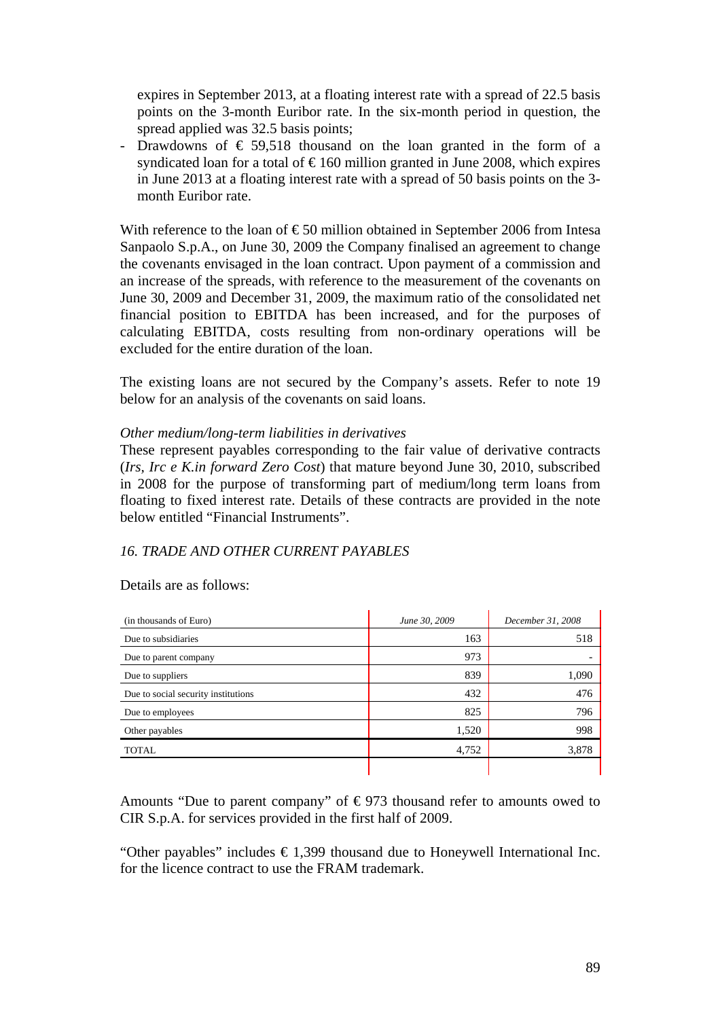expires in September 2013, at a floating interest rate with a spread of 22.5 basis points on the 3-month Euribor rate. In the six-month period in question, the spread applied was 32.5 basis points;

Drawdowns of  $\epsilon$  59,518 thousand on the loan granted in the form of a syndicated loan for a total of  $\epsilon$ 160 million granted in June 2008, which expires in June 2013 at a floating interest rate with a spread of 50 basis points on the 3 month Euribor rate.

With reference to the loan of  $\epsilon$ 50 million obtained in September 2006 from Intesa Sanpaolo S.p.A., on June 30, 2009 the Company finalised an agreement to change the covenants envisaged in the loan contract. Upon payment of a commission and an increase of the spreads, with reference to the measurement of the covenants on June 30, 2009 and December 31, 2009, the maximum ratio of the consolidated net financial position to EBITDA has been increased, and for the purposes of calculating EBITDA, costs resulting from non-ordinary operations will be excluded for the entire duration of the loan.

The existing loans are not secured by the Company's assets. Refer to note 19 below for an analysis of the covenants on said loans.

#### *Other medium/long-term liabilities in derivatives*

These represent payables corresponding to the fair value of derivative contracts (*Irs, Irc e K.in forward Zero Cost*) that mature beyond June 30, 2010, subscribed in 2008 for the purpose of transforming part of medium/long term loans from floating to fixed interest rate. Details of these contracts are provided in the note below entitled "Financial Instruments".

#### *16. TRADE AND OTHER CURRENT PAYABLES*

Details are as follows:

| (in thousands of Euro)              | June 30, 2009 | December 31, 2008 |
|-------------------------------------|---------------|-------------------|
| Due to subsidiaries                 | 163           | 518               |
| Due to parent company               | 973           |                   |
| Due to suppliers                    | 839           | 1,090             |
| Due to social security institutions | 432           | 476               |
| Due to employees                    | 825           | 796               |
| Other payables                      | 1,520         | 998               |
| <b>TOTAL</b>                        | 4,752         | 3,878             |
|                                     |               |                   |

Amounts "Due to parent company" of  $\epsilon$ 973 thousand refer to amounts owed to CIR S.p.A. for services provided in the first half of 2009.

"Other payables" includes  $\epsilon$ 1,399 thousand due to Honeywell International Inc. for the licence contract to use the FRAM trademark.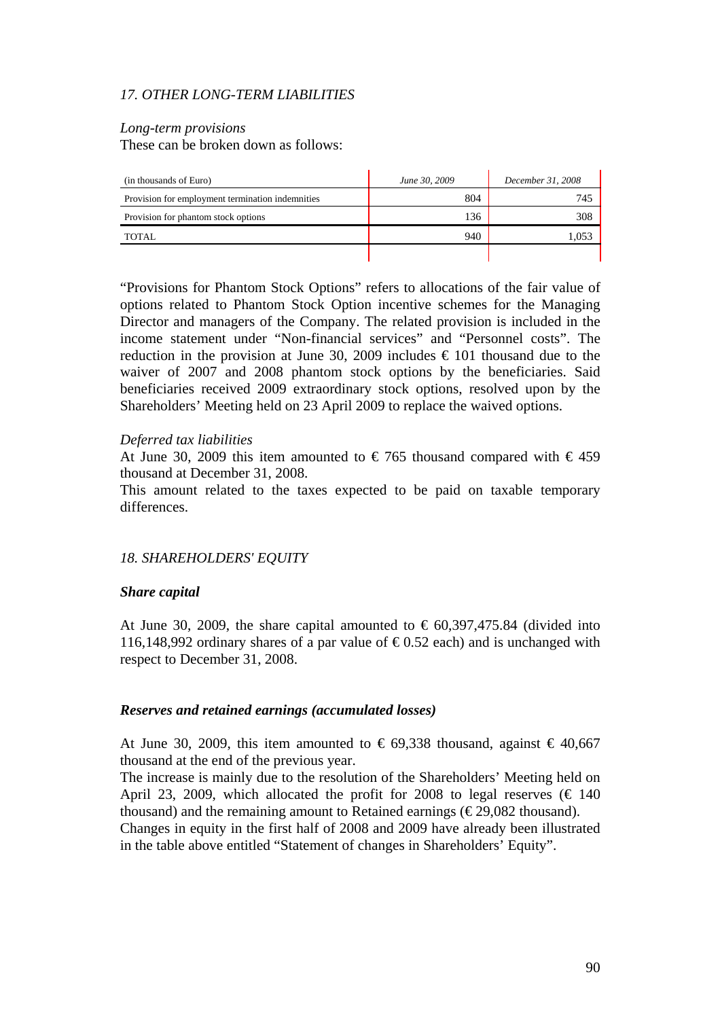# *17. OTHER LONG-TERM LIABILITIES*

#### *Long-term provisions*

These can be broken down as follows:

| (in thousands of Euro)                           | June 30, 2009 | December 31, 2008 |
|--------------------------------------------------|---------------|-------------------|
| Provision for employment termination indemnities | 804           | 745               |
| Provision for phantom stock options              | 136           | 308               |
| TOTAL                                            | 940           | 1,05              |
|                                                  |               |                   |

"Provisions for Phantom Stock Options" refers to allocations of the fair value of options related to Phantom Stock Option incentive schemes for the Managing Director and managers of the Company. The related provision is included in the income statement under "Non-financial services" and "Personnel costs". The reduction in the provision at June 30, 2009 includes  $\epsilon$  101 thousand due to the waiver of 2007 and 2008 phantom stock options by the beneficiaries. Said beneficiaries received 2009 extraordinary stock options, resolved upon by the Shareholders' Meeting held on 23 April 2009 to replace the waived options.

#### *Deferred tax liabilities*

At June 30, 2009 this item amounted to  $\epsilon$  765 thousand compared with  $\epsilon$  459 thousand at December 31, 2008.

This amount related to the taxes expected to be paid on taxable temporary differences.

# *18. SHAREHOLDERS' EQUITY*

#### *Share capital*

At June 30, 2009, the share capital amounted to  $\epsilon$  60,397,475.84 (divided into 116,148,992 ordinary shares of a par value of  $\epsilon$ 0.52 each) and is unchanged with respect to December 31, 2008.

#### *Reserves and retained earnings (accumulated losses)*

At June 30, 2009, this item amounted to  $\epsilon$  69,338 thousand, against  $\epsilon$  40,667 thousand at the end of the previous year.

The increase is mainly due to the resolution of the Shareholders' Meeting held on April 23, 2009, which allocated the profit for 2008 to legal reserves ( $\epsilon$  140 thousand) and the remaining amount to Retained earnings ( $\epsilon$ 29,082 thousand). Changes in equity in the first half of 2008 and 2009 have already been illustrated in the table above entitled "Statement of changes in Shareholders' Equity".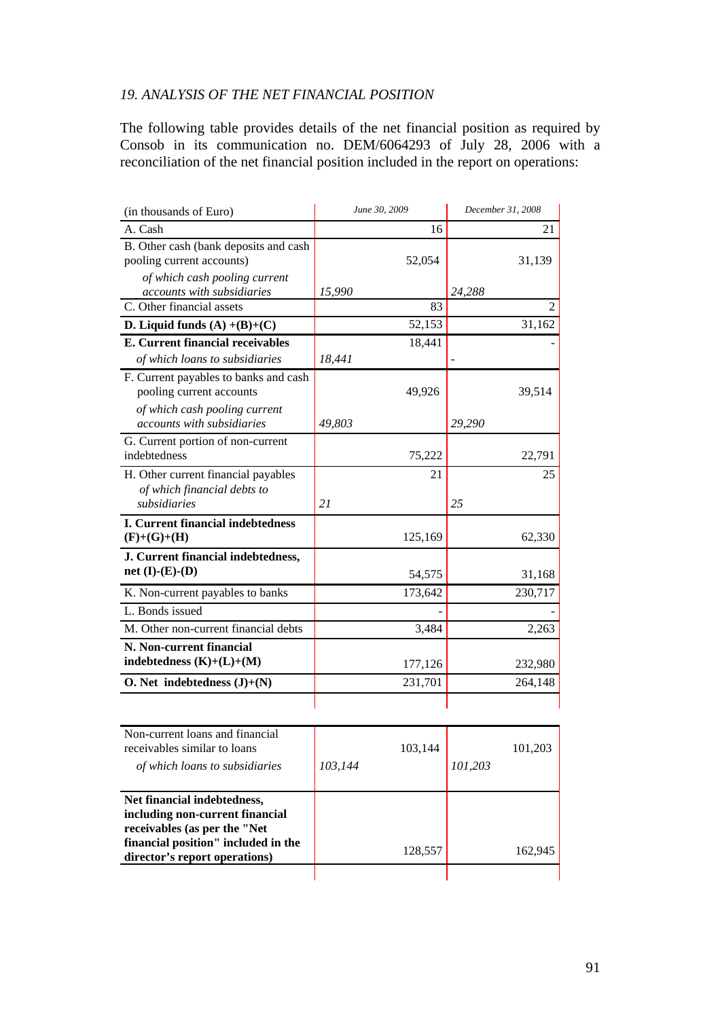# *19. ANALYSIS OF THE NET FINANCIAL POSITION*

The following table provides details of the net financial position as required by Consob in its communication no. DEM/6064293 of July 28, 2006 with a reconciliation of the net financial position included in the report on operations:

| (in thousands of Euro)                  | June 30, 2009 | December 31, 2008 |
|-----------------------------------------|---------------|-------------------|
| A. Cash                                 | 16            | 21                |
| B. Other cash (bank deposits and cash   |               |                   |
| pooling current accounts)               | 52,054        | 31,139            |
| of which cash pooling current           |               |                   |
| accounts with subsidiaries              | 15,990        | 24,288            |
| C. Other financial assets               | 83            | 2                 |
| D. Liquid funds $(A) + (B)+(C)$         | 52,153        | 31,162            |
| <b>E. Current financial receivables</b> | 18,441        |                   |
| of which loans to subsidiaries          | 18,441        |                   |
| F. Current payables to banks and cash   |               |                   |
| pooling current accounts                | 49,926        | 39,514            |
| of which cash pooling current           |               |                   |
| accounts with subsidiaries              | 49,803        | 29,290            |
| G. Current portion of non-current       |               |                   |
| indebtedness                            | 75,222        | 22,791            |
| H. Other current financial payables     | 21            | 25                |
| of which financial debts to             |               |                   |
| subsidiaries                            | 21            | 25                |
| I. Current financial indebtedness       |               |                   |
| $(F)+(G)+(H)$                           | 125,169       | 62,330            |
| J. Current financial indebtedness,      |               |                   |
| net $(I)-(E)-(D)$                       | 54,575        | 31,168            |
| K. Non-current payables to banks        | 173,642       | 230,717           |
| L. Bonds issued                         |               |                   |
| M. Other non-current financial debts    | 3,484         | 2,263             |
| N. Non-current financial                |               |                   |
| indebtedness $(K)+(L)+(M)$              | 177,126       | 232,980           |
| O. Net indebtedness $(J)+(N)$           | 231,701       | 264,148           |
|                                         |               |                   |
|                                         |               |                   |
| Non-current loans and financial         |               |                   |
| receivables similar to loans            | 103,144       | 101,203           |
| of which loans to subsidiaries          | 103,144       | 101,203           |
| Net financial indebtedness,             |               |                   |
| including non-current financial         |               |                   |
| receivables (as per the "Net            |               |                   |
| financial position" included in the     |               |                   |
| director's report operations)           | 128,557       | 162,945           |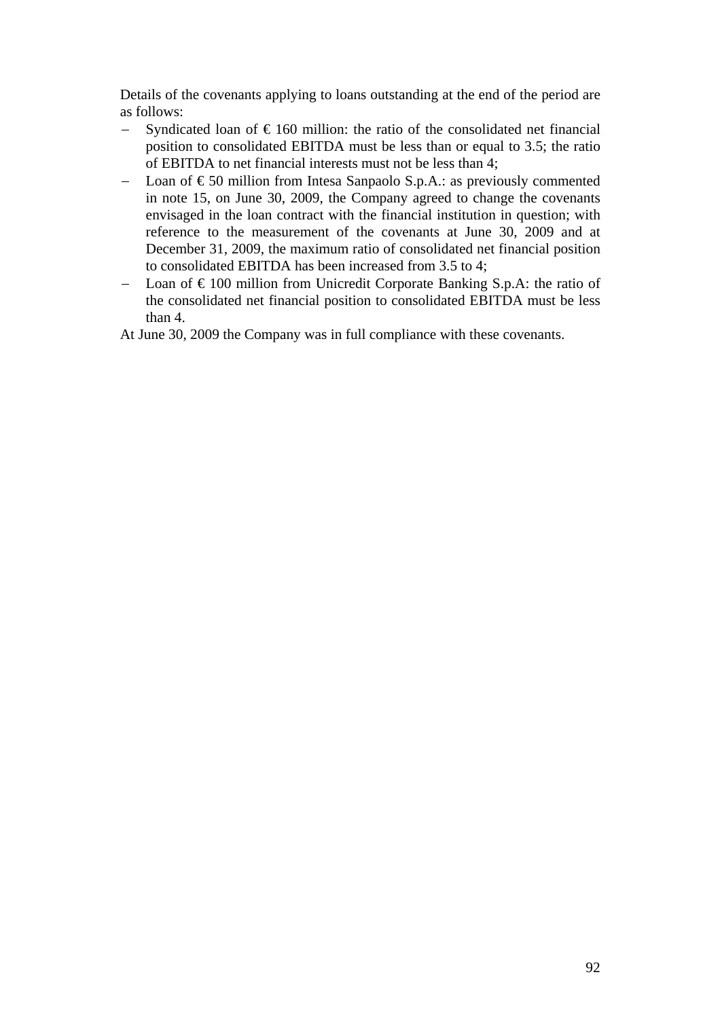Details of the covenants applying to loans outstanding at the end of the period are as follows:

- −Syndicated loan of  $\epsilon$ 160 million: the ratio of the consolidated net financial position to consolidated EBITDA must be less than or equal to 3.5; the ratio of EBITDA to net financial interests must not be less than 4;
- −Loan of  $\epsilon$ 50 million from Intesa Sanpaolo S.p.A.: as previously commented in note 15, on June 30, 2009, the Company agreed to change the covenants envisaged in the loan contract with the financial institution in question; with reference to the measurement of the covenants at June 30, 2009 and at December 31, 2009, the maximum ratio of consolidated net financial position to consolidated EBITDA has been increased from 3.5 to 4;
- −Loan of  $\epsilon$  100 million from Unicredit Corporate Banking S.p.A: the ratio of the consolidated net financial position to consolidated EBITDA must be less than 4.

At June 30, 2009 the Company was in full compliance with these covenants.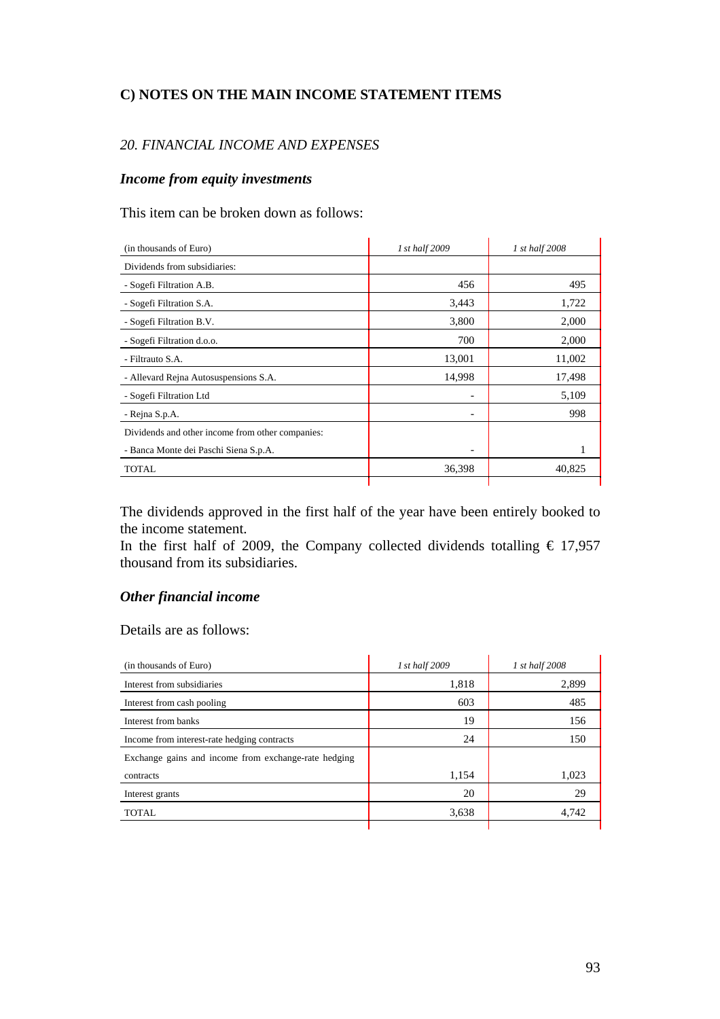# **C) NOTES ON THE MAIN INCOME STATEMENT ITEMS**

# *20. FINANCIAL INCOME AND EXPENSES*

#### *Income from equity investments*

This item can be broken down as follows:

| (in thousands of Euro)                           | 1 st half 2009           | 1 st half 2008 |
|--------------------------------------------------|--------------------------|----------------|
| Dividends from subsidiaries:                     |                          |                |
| - Sogefi Filtration A.B.                         | 456                      | 495            |
| - Sogefi Filtration S.A.                         | 3,443                    | 1,722          |
| - Sogefi Filtration B.V.                         | 3,800                    | 2,000          |
| - Sogefi Filtration d.o.o.                       | 700                      | 2,000          |
| - Filtrauto S.A.                                 | 13,001                   | 11,002         |
| - Allevard Rejna Autosuspensions S.A.            | 14,998                   | 17,498         |
| - Sogefi Filtration Ltd                          | $\overline{\phantom{a}}$ | 5,109          |
| - Rejna S.p.A.                                   |                          | 998            |
| Dividends and other income from other companies: |                          |                |
| - Banca Monte dei Paschi Siena S.p.A.            |                          |                |
| TOTAL                                            | 36,398                   | 40,825         |
|                                                  |                          |                |

The dividends approved in the first half of the year have been entirely booked to the income statement.

In the first half of 2009, the Company collected dividends totalling  $\epsilon$  17,957 thousand from its subsidiaries.

# *Other financial income*

Details are as follows:

| (in thousands of Euro)                               | 1 st half 2009 | 1 st half 2008 |
|------------------------------------------------------|----------------|----------------|
| Interest from subsidiaries                           | 1,818          | 2,899          |
| Interest from cash pooling                           | 603            | 485            |
| Interest from banks                                  | 19             | 156            |
| Income from interest-rate hedging contracts          | 24             | 150            |
| Exchange gains and income from exchange-rate hedging |                |                |
| contracts                                            | 1,154          | 1,023          |
| Interest grants                                      | 20             | 29             |
| <b>TOTAL</b>                                         | 3,638          | 4,742          |
|                                                      |                |                |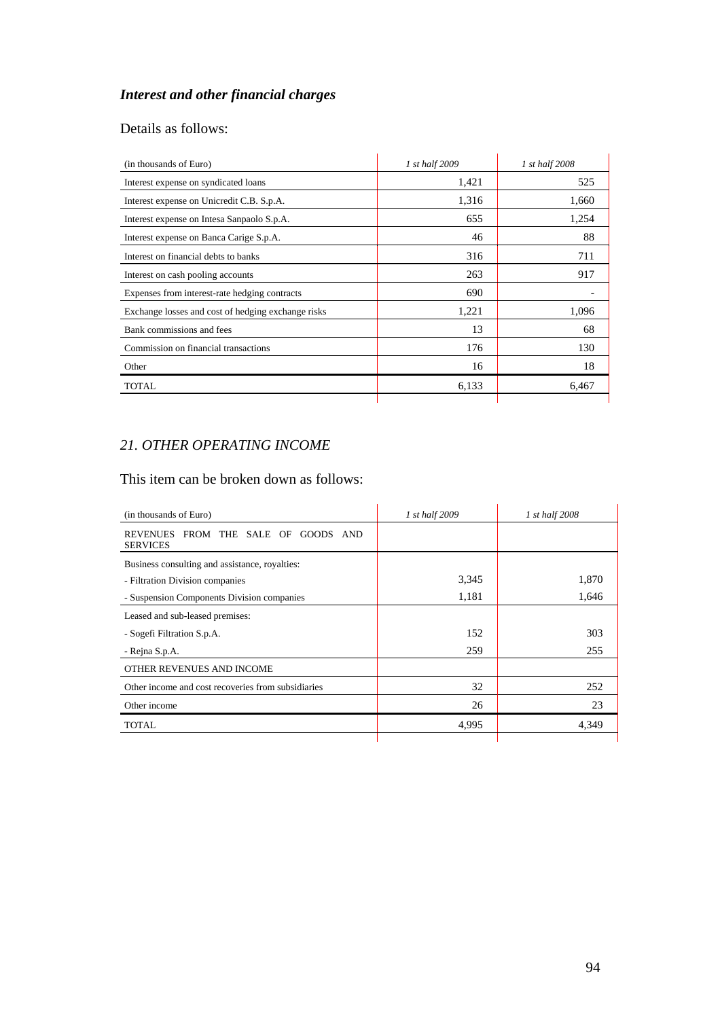# *Interest and other financial charges*

# Details as follows:

| (in thousands of Euro)                             | 1 st half 2009 | 1 st half 2008 |
|----------------------------------------------------|----------------|----------------|
| Interest expense on syndicated loans               | 1,421          | 525            |
| Interest expense on Unicredit C.B. S.p.A.          | 1,316          | 1,660          |
| Interest expense on Intesa Sanpaolo S.p.A.         | 655            | 1,254          |
| Interest expense on Banca Carige S.p.A.            | 46             | 88             |
| Interest on financial debts to banks               | 316            | 711            |
| Interest on cash pooling accounts                  | 263            | 917            |
| Expenses from interest-rate hedging contracts      | 690            |                |
| Exchange losses and cost of hedging exchange risks | 1,221          | 1,096          |
| Bank commissions and fees                          | 13             | 68             |
| Commission on financial transactions               | 176            | 130            |
| Other                                              | 16             | 18             |
| TOTAL                                              | 6,133          | 6,467          |
|                                                    |                |                |

# *21. OTHER OPERATING INCOME*

# This item can be broken down as follows:

| 1 st half 2009 | 1 st half 2008 |
|----------------|----------------|
|                |                |
|                |                |
| 3,345          | 1,870          |
| 1,181          | 1,646          |
|                |                |
| 152            | 303            |
| 259            | 255            |
|                |                |
| 32             | 252            |
| 26             | 23             |
| 4,995          | 4,349          |
|                |                |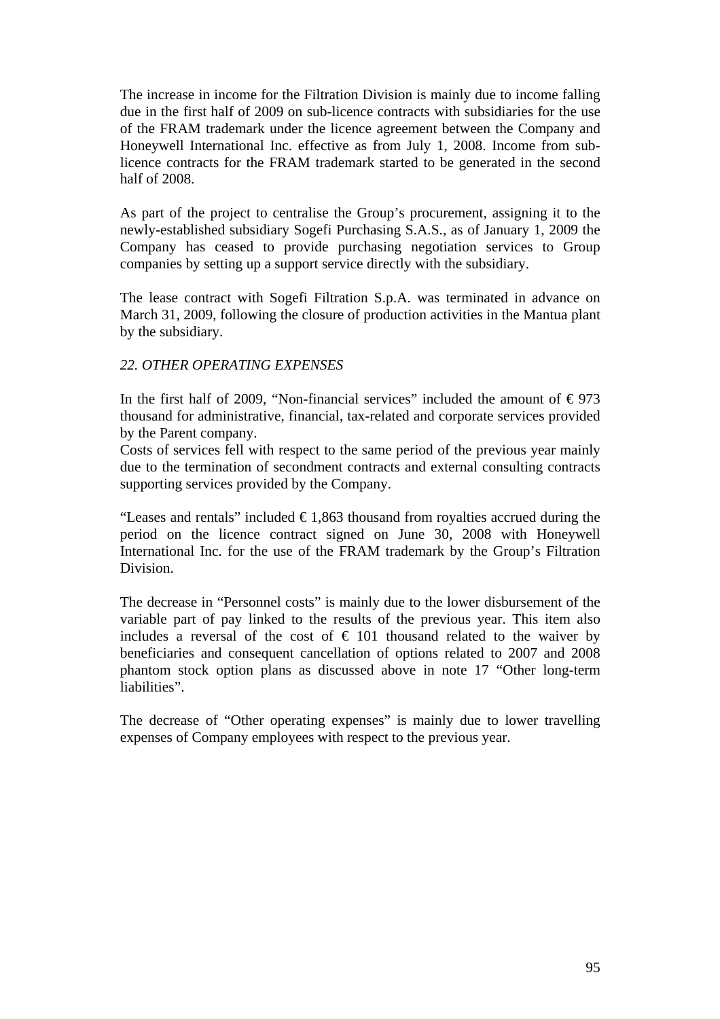The increase in income for the Filtration Division is mainly due to income falling due in the first half of 2009 on sub-licence contracts with subsidiaries for the use of the FRAM trademark under the licence agreement between the Company and Honeywell International Inc. effective as from July 1, 2008. Income from sublicence contracts for the FRAM trademark started to be generated in the second half of 2008.

As part of the project to centralise the Group's procurement, assigning it to the newly-established subsidiary Sogefi Purchasing S.A.S., as of January 1, 2009 the Company has ceased to provide purchasing negotiation services to Group companies by setting up a support service directly with the subsidiary.

The lease contract with Sogefi Filtration S.p.A. was terminated in advance on March 31, 2009, following the closure of production activities in the Mantua plant by the subsidiary.

# *22. OTHER OPERATING EXPENSES*

In the first half of 2009, "Non-financial services" included the amount of  $\epsilon$ 973 thousand for administrative, financial, tax-related and corporate services provided by the Parent company.

Costs of services fell with respect to the same period of the previous year mainly due to the termination of secondment contracts and external consulting contracts supporting services provided by the Company.

"Leases and rentals" included  $\epsilon$ 1,863 thousand from royalties accrued during the period on the licence contract signed on June 30, 2008 with Honeywell International Inc. for the use of the FRAM trademark by the Group's Filtration Division.

The decrease in "Personnel costs" is mainly due to the lower disbursement of the variable part of pay linked to the results of the previous year. This item also includes a reversal of the cost of  $\epsilon$  101 thousand related to the waiver by beneficiaries and consequent cancellation of options related to 2007 and 2008 phantom stock option plans as discussed above in note 17 "Other long-term liabilities".

The decrease of "Other operating expenses" is mainly due to lower travelling expenses of Company employees with respect to the previous year.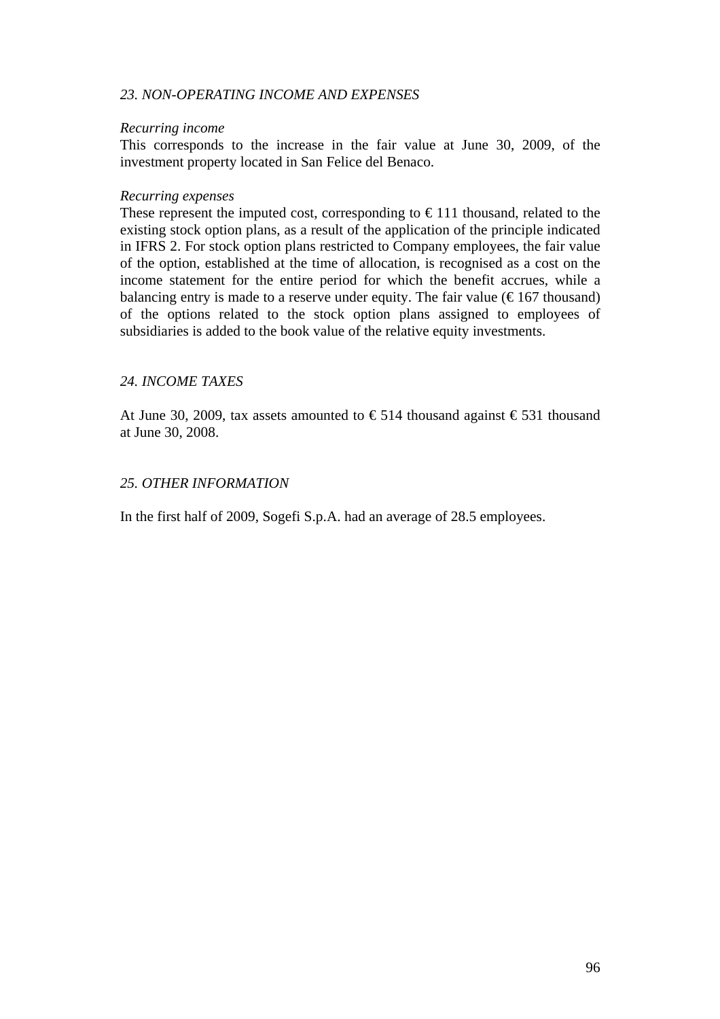#### *23. NON-OPERATING INCOME AND EXPENSES*

#### *Recurring income*

This corresponds to the increase in the fair value at June 30, 2009, of the investment property located in San Felice del Benaco.

#### *Recurring expenses*

These represent the imputed cost, corresponding to  $\epsilon$  111 thousand, related to the existing stock option plans, as a result of the application of the principle indicated in IFRS 2. For stock option plans restricted to Company employees, the fair value of the option, established at the time of allocation, is recognised as a cost on the income statement for the entire period for which the benefit accrues, while a balancing entry is made to a reserve under equity. The fair value  $(\text{\textsterling}167$  thousand) of the options related to the stock option plans assigned to employees of subsidiaries is added to the book value of the relative equity investments.

#### *24. INCOME TAXES*

At June 30, 2009, tax assets amounted to  $\epsilon$  514 thousand against  $\epsilon$  531 thousand at June 30, 2008.

#### *25. OTHER INFORMATION*

In the first half of 2009, Sogefi S.p.A. had an average of 28.5 employees.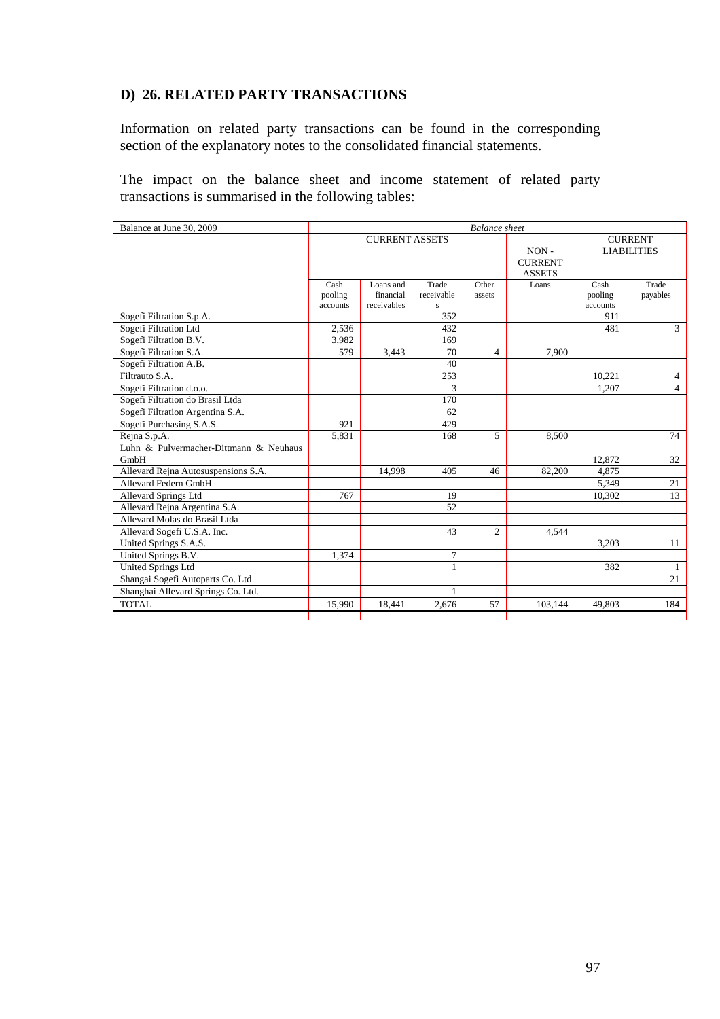## **D) 26. RELATED PARTY TRANSACTIONS**

Information on related party transactions can be found in the corresponding section of the explanatory notes to the consolidated financial statements.

The impact on the balance sheet and income statement of related party transactions is summarised in the following tables:

| Balance at June 30, 2009<br><b>Balance</b> sheet |                             |                                       |                                  |                 |                                            |                                      |                   |
|--------------------------------------------------|-----------------------------|---------------------------------------|----------------------------------|-----------------|--------------------------------------------|--------------------------------------|-------------------|
|                                                  | <b>CURRENT ASSETS</b>       |                                       |                                  |                 | $NON -$<br><b>CURRENT</b><br><b>ASSETS</b> | <b>CURRENT</b><br><b>LIABILITIES</b> |                   |
|                                                  | Cash<br>pooling<br>accounts | Loans and<br>financial<br>receivables | Trade<br>receivable<br>${\bf S}$ | Other<br>assets | Loans                                      | Cash<br>pooling<br>accounts          | Trade<br>payables |
| Sogefi Filtration S.p.A.                         |                             |                                       | 352                              |                 |                                            | 911                                  |                   |
| Sogefi Filtration Ltd                            | 2.536                       |                                       | 432                              |                 |                                            | 481                                  | $\mathfrak{Z}$    |
| Sogefi Filtration B.V.                           | 3,982                       |                                       | 169                              |                 |                                            |                                      |                   |
| Sogefi Filtration S.A.                           | 579                         | 3,443                                 | 70                               | 4               | 7,900                                      |                                      |                   |
| Sogefi Filtration A.B.                           |                             |                                       | 40                               |                 |                                            |                                      |                   |
| Filtrauto S.A.                                   |                             |                                       | 253                              |                 |                                            | 10.221                               | 4                 |
| Sogefi Filtration d.o.o.                         |                             |                                       | 3                                |                 |                                            | 1,207                                | $\overline{4}$    |
| Sogefi Filtration do Brasil Ltda                 |                             |                                       | 170                              |                 |                                            |                                      |                   |
| Sogefi Filtration Argentina S.A.                 |                             |                                       | 62                               |                 |                                            |                                      |                   |
| Sogefi Purchasing S.A.S.                         | 921                         |                                       | 429                              |                 |                                            |                                      |                   |
| Rejna S.p.A.                                     | 5,831                       |                                       | 168                              | 5               | 8,500                                      |                                      | 74                |
| Luhn & Pulvermacher-Dittmann & Neuhaus<br>GmbH   |                             |                                       |                                  |                 |                                            | 12,872                               | 32                |
| Allevard Rejna Autosuspensions S.A.              |                             | 14.998                                | 405                              | 46              | 82,200                                     | 4,875                                |                   |
| Allevard Federn GmbH                             |                             |                                       |                                  |                 |                                            | 5,349                                | 21                |
| <b>Allevard Springs Ltd</b>                      | 767                         |                                       | 19                               |                 |                                            | 10,302                               | 13                |
| Allevard Rejna Argentina S.A.                    |                             |                                       | 52                               |                 |                                            |                                      |                   |
| Allevard Molas do Brasil Ltda                    |                             |                                       |                                  |                 |                                            |                                      |                   |
| Allevard Sogefi U.S.A. Inc.                      |                             |                                       | 43                               | $\overline{c}$  | 4.544                                      |                                      |                   |
| United Springs S.A.S.                            |                             |                                       |                                  |                 |                                            | 3,203                                | 11                |
| United Springs B.V.                              | 1,374                       |                                       | $\overline{7}$                   |                 |                                            |                                      |                   |
| <b>United Springs Ltd</b>                        |                             |                                       | 1                                |                 |                                            | 382                                  | $\mathbf{1}$      |
| Shangai Sogefi Autoparts Co. Ltd                 |                             |                                       |                                  |                 |                                            |                                      | 21                |
| Shanghai Allevard Springs Co. Ltd.               |                             |                                       |                                  |                 |                                            |                                      |                   |
| <b>TOTAL</b>                                     | 15,990                      | 18,441                                | 2,676                            | 57              | 103,144                                    | 49,803                               | 184               |
|                                                  |                             |                                       |                                  |                 |                                            |                                      |                   |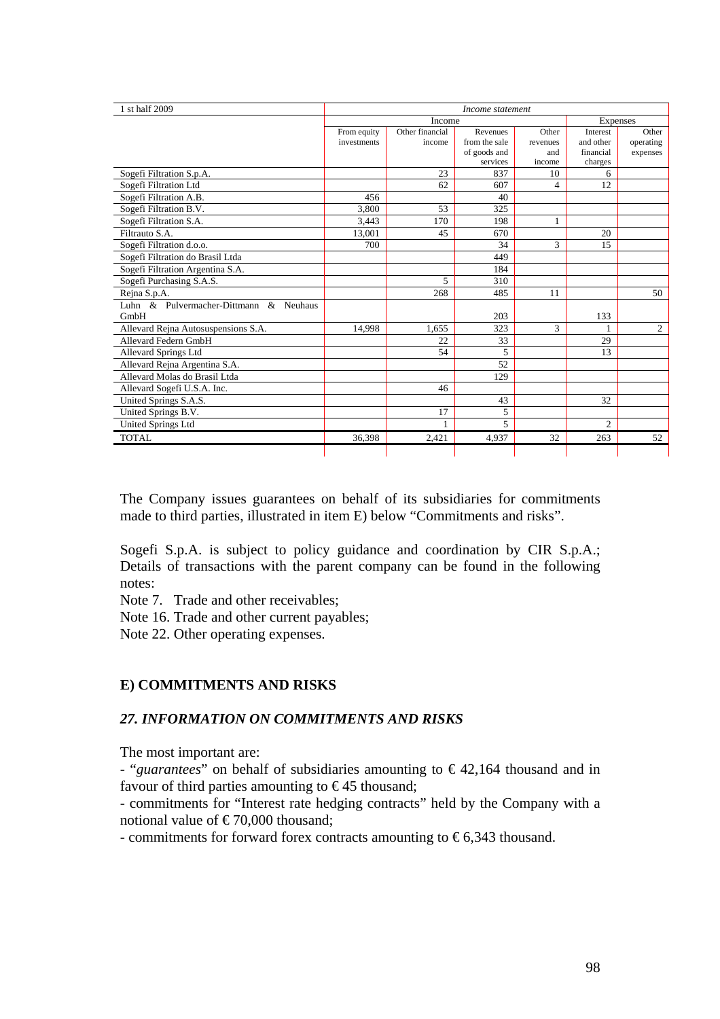|                                                 | From equity<br>investments | Income<br>Other financial<br>income | Revenues      |          |                |           |  |
|-------------------------------------------------|----------------------------|-------------------------------------|---------------|----------|----------------|-----------|--|
|                                                 |                            |                                     |               |          |                | Expenses  |  |
|                                                 |                            |                                     |               | Other    | Interest       | Other     |  |
|                                                 |                            |                                     | from the sale | revenues | and other      | operating |  |
|                                                 |                            |                                     | of goods and  | and      | financial      | expenses  |  |
|                                                 |                            |                                     | services      | income   | charges        |           |  |
| Sogefi Filtration S.p.A.                        |                            | 23                                  | 837           | 10       | 6              |           |  |
| Sogefi Filtration Ltd                           |                            | 62                                  | 607           | 4        | 12             |           |  |
| Sogefi Filtration A.B.                          | 456                        |                                     | 40            |          |                |           |  |
| Sogefi Filtration B.V.                          | 3.800                      | 53                                  | 325           |          |                |           |  |
| Sogefi Filtration S.A.                          | 3,443                      | 170                                 | 198           |          |                |           |  |
| Filtrauto S.A.                                  | 13,001                     | 45                                  | 670           |          | 20             |           |  |
| Sogefi Filtration d.o.o.                        | 700                        |                                     | 34            | 3        | 15             |           |  |
| Sogefi Filtration do Brasil Ltda                |                            |                                     | 449           |          |                |           |  |
| Sogefi Filtration Argentina S.A.                |                            |                                     | 184           |          |                |           |  |
| Sogefi Purchasing S.A.S.                        |                            | 5                                   | 310           |          |                |           |  |
| Rejna S.p.A.                                    |                            | 268                                 | 485           | 11       |                | 50        |  |
| Luhn & Pulvermacher-Dittmann<br>$\&$<br>Neuhaus |                            |                                     |               |          |                |           |  |
| GmbH                                            |                            |                                     | 203           |          | 133            |           |  |
| Allevard Rejna Autosuspensions S.A.             | 14,998                     | 1.655                               | 323           | 3        | 1              | 2         |  |
| Allevard Federn GmbH                            |                            | 22                                  | 33            |          | 29             |           |  |
| Allevard Springs Ltd                            |                            | 54                                  | 5             |          | 13             |           |  |
| Allevard Rejna Argentina S.A.                   |                            |                                     | 52            |          |                |           |  |
| Allevard Molas do Brasil Ltda                   |                            |                                     | 129           |          |                |           |  |
| Allevard Sogefi U.S.A. Inc.                     |                            | 46                                  |               |          |                |           |  |
| United Springs S.A.S.                           |                            |                                     | 43            |          | 32             |           |  |
| United Springs B.V.                             |                            | 17                                  | 5             |          |                |           |  |
| United Springs Ltd                              |                            |                                     | 5             |          | $\mathfrak{D}$ |           |  |
| <b>TOTAL</b>                                    | 36,398                     | 2.421                               | 4,937         | 32       | 263            | 52        |  |

The Company issues guarantees on behalf of its subsidiaries for commitments made to third parties, illustrated in item E) below "Commitments and risks".

Sogefi S.p.A. is subject to policy guidance and coordination by CIR S.p.A.; Details of transactions with the parent company can be found in the following notes:

Note 7. Trade and other receivables;

Note 16. Trade and other current payables;

Note 22. Other operating expenses.

# **E) COMMITMENTS AND RISKS**

#### *27. INFORMATION ON COMMITMENTS AND RISKS*

The most important are:

- "*guarantees*" on behalf of subsidiaries amounting to € 42,164 thousand and in favour of third parties amounting to  $\epsilon$ 45 thousand;

- commitments for "Interest rate hedging contracts" held by the Company with a notional value of  $\epsilon$  70,000 thousand;

- commitments for forward forex contracts amounting to  $\epsilon$ 6,343 thousand.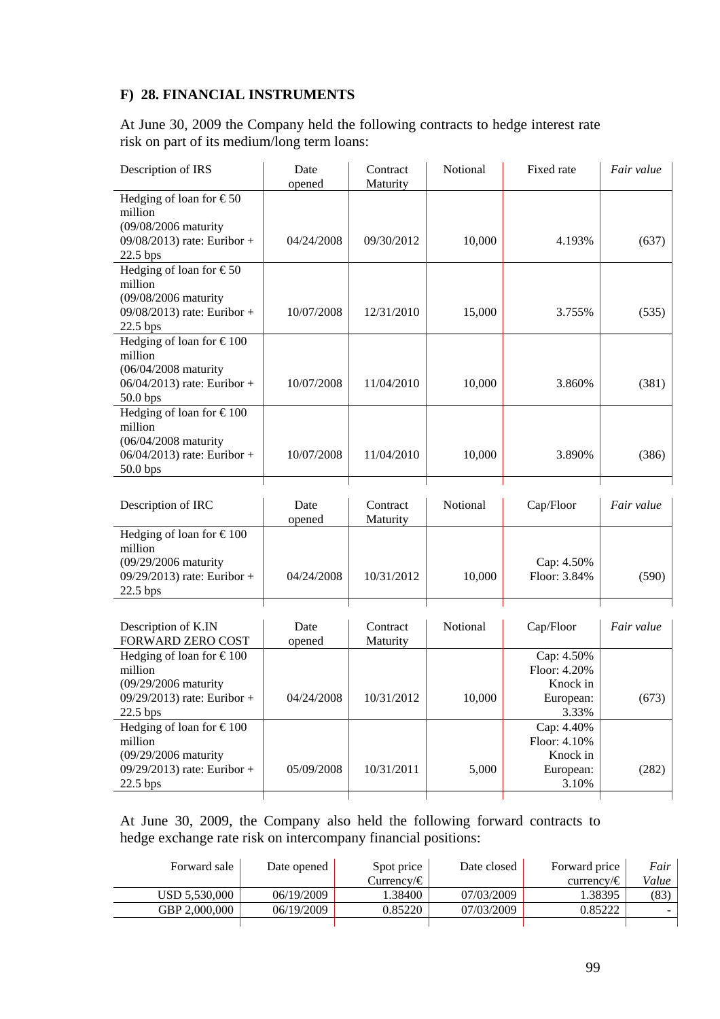# **F) 28. FINANCIAL INSTRUMENTS**

At June 30, 2009 the Company held the following contracts to hedge interest rate risk on part of its medium/long term loans:

| Description of IRS                                  | Date<br>opened | Contract<br>Maturity | Notional | Fixed rate                 | Fair value |
|-----------------------------------------------------|----------------|----------------------|----------|----------------------------|------------|
| Hedging of loan for $\widehat{\in}50$               |                |                      |          |                            |            |
| million                                             |                |                      |          |                            |            |
| (09/08/2006 maturity<br>09/08/2013) rate: Euribor + | 04/24/2008     | 09/30/2012           | 10,000   | 4.193%                     | (637)      |
| 22.5 bps                                            |                |                      |          |                            |            |
| Hedging of loan for $\widehat{\epsilon 50}$         |                |                      |          |                            |            |
| million                                             |                |                      |          |                            |            |
| (09/08/2006 maturity                                |                |                      |          |                            |            |
| 09/08/2013) rate: Euribor +                         | 10/07/2008     | 12/31/2010           | 15,000   | 3.755%                     | (535)      |
| 22.5 bps                                            |                |                      |          |                            |            |
| Hedging of loan for $\text{\textsterling}100$       |                |                      |          |                            |            |
| million<br>(06/04/2008 maturity                     |                |                      |          |                            |            |
| 06/04/2013) rate: Euribor +                         | 10/07/2008     | 11/04/2010           | 10,000   | 3.860%                     | (381)      |
| 50.0 bps                                            |                |                      |          |                            |            |
| Hedging of loan for $\text{\textsterling}100$       |                |                      |          |                            |            |
| million                                             |                |                      |          |                            |            |
| (06/04/2008 maturity                                |                |                      |          |                            |            |
| 06/04/2013) rate: Euribor +                         | 10/07/2008     | 11/04/2010           | 10,000   | 3.890%                     | (386)      |
| 50.0 bps                                            |                |                      |          |                            |            |
|                                                     |                |                      |          |                            |            |
|                                                     |                | Contract             | Notional | Cap/Floor                  | Fair value |
| Description of IRC                                  | Date           |                      |          |                            |            |
|                                                     | opened         | Maturity             |          |                            |            |
| Hedging of loan for €100                            |                |                      |          |                            |            |
| million                                             |                |                      |          |                            |            |
| (09/29/2006 maturity<br>09/29/2013) rate: Euribor + | 04/24/2008     | 10/31/2012           | 10,000   | Cap: 4.50%<br>Floor: 3.84% | (590)      |
| $22.5$ bps                                          |                |                      |          |                            |            |
|                                                     |                |                      |          |                            |            |
| Description of K.IN                                 | Date           | Contract             | Notional | Cap/Floor                  | Fair value |
| FORWARD ZERO COST                                   | opened         | Maturity             |          |                            |            |
| Hedging of loan for $\text{\textsterling}100$       |                |                      |          | Cap: 4.50%                 |            |
| million                                             |                |                      |          | Floor: 4.20%               |            |
| (09/29/2006 maturity                                |                |                      |          | Knock in                   |            |
| 09/29/2013) rate: Euribor +                         | 04/24/2008     | 10/31/2012           | 10,000   | European:                  | (673)      |
| 22.5 bps                                            |                |                      |          | 3.33%                      |            |
| Hedging of loan for $\text{\textsterling}100$       |                |                      |          | Cap: 4.40%                 |            |
| million                                             |                |                      |          | Floor: 4.10%               |            |
| (09/29/2006 maturity<br>09/29/2013) rate: Euribor + | 05/09/2008     | 10/31/2011           | 5,000    | Knock in<br>European:      | (282)      |
| 22.5 bps                                            |                |                      |          | 3.10%                      |            |

At June 30, 2009, the Company also held the following forward contracts to hedge exchange rate risk on intercompany financial positions:

| Forward sale  | Date opened | Spot price      | Date closed | Forward price   | Fair  |
|---------------|-------------|-----------------|-------------|-----------------|-------|
|               |             | Currency/ $\in$ |             | currency/ $\in$ | Value |
| USD 5.530.000 | 06/19/2009  | .38400          | 07/03/2009  | .38395          | (83)  |
| GBP 2.000.000 | 06/19/2009  | 0.85220         | 07/03/2009  | 0.85222         |       |
|               |             |                 |             |                 |       |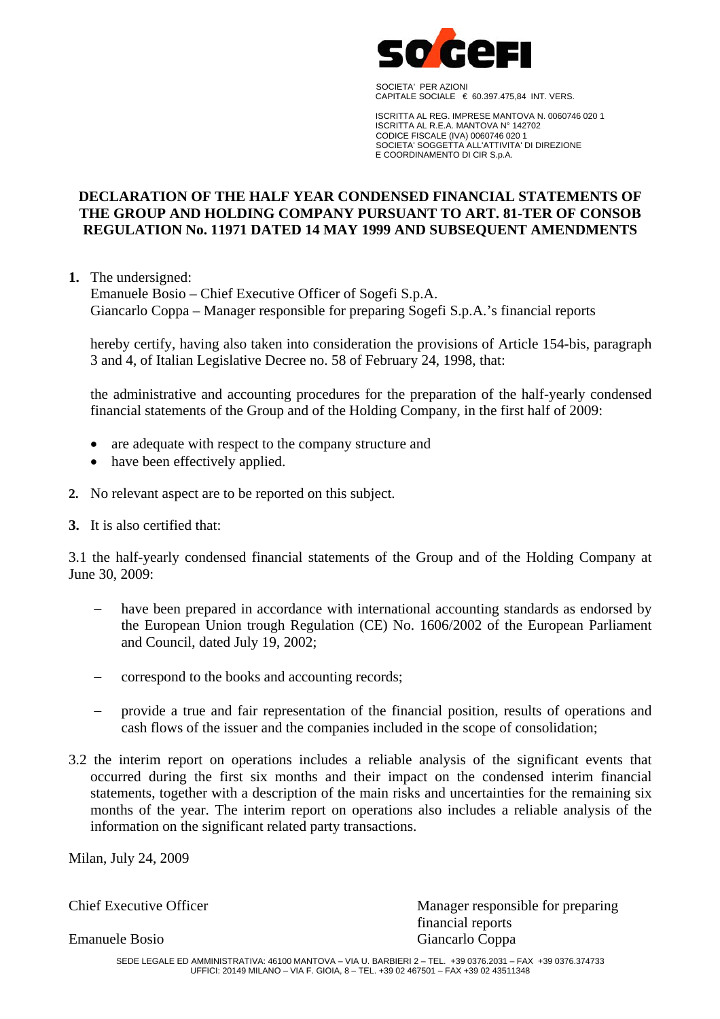

 SOCIETA' PER AZIONI CAPITALE SOCIALE  $\in$  60.397.475,84 INT. VERS.

 ISCRITTA AL REG. IMPRESE MANTOVA N. 0060746 020 1 ISCRITTA AL R.E.A. MANTOVA N° 142702 CODICE FISCALE (IVA) 0060746 020 1 SOCIETA' SOGGETTA ALL'ATTIVITA' DI DIREZIONE E COORDINAMENTO DI CIR S.p.A.

### **DECLARATION OF THE HALF YEAR CONDENSED FINANCIAL STATEMENTS OF THE GROUP AND HOLDING COMPANY PURSUANT TO ART. 81-TER OF CONSOB REGULATION No. 11971 DATED 14 MAY 1999 AND SUBSEQUENT AMENDMENTS**

**1.** The undersigned:

Emanuele Bosio – Chief Executive Officer of Sogefi S.p.A. Giancarlo Coppa – Manager responsible for preparing Sogefi S.p.A.'s financial reports

hereby certify, having also taken into consideration the provisions of Article 154-bis, paragraph 3 and 4, of Italian Legislative Decree no. 58 of February 24, 1998, that:

the administrative and accounting procedures for the preparation of the half-yearly condensed financial statements of the Group and of the Holding Company, in the first half of 2009:

- are adequate with respect to the company structure and
- have been effectively applied.
- **2.** No relevant aspect are to be reported on this subject.
- **3.** It is also certified that:

3.1 the half-yearly condensed financial statements of the Group and of the Holding Company at June 30, 2009:

- have been prepared in accordance with international accounting standards as endorsed by the European Union trough Regulation (CE) No. 1606/2002 of the European Parliament and Council, dated July 19, 2002;
- − correspond to the books and accounting records;
- provide a true and fair representation of the financial position, results of operations and cash flows of the issuer and the companies included in the scope of consolidation;
- 3.2 the interim report on operations includes a reliable analysis of the significant events that occurred during the first six months and their impact on the condensed interim financial statements, together with a description of the main risks and uncertainties for the remaining six months of the year. The interim report on operations also includes a reliable analysis of the information on the significant related party transactions.

Milan, July 24, 2009

Chief Executive Officer Manager responsible for preparing financial reports Emanuele Bosio Giancarlo Coppa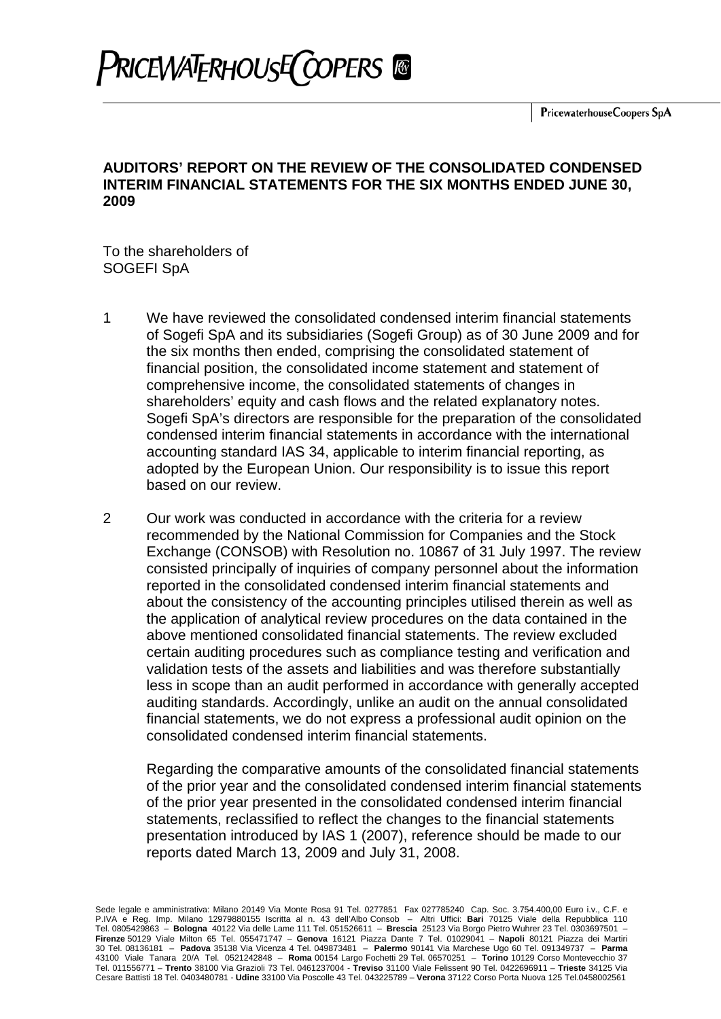

# **PRICEWATERHOUSE COPERS**

#### **AUDITORS' REPORT ON THE REVIEW OF THE CONSOLIDATED CONDENSED INTERIM FINANCIAL STATEMENTS FOR THE SIX MONTHS ENDED JUNE 30, 2009**

To the shareholders of SOGEFI SpA

- 1 We have reviewed the consolidated condensed interim financial statements of Sogefi SpA and its subsidiaries (Sogefi Group) as of 30 June 2009 and for the six months then ended, comprising the consolidated statement of financial position, the consolidated income statement and statement of comprehensive income, the consolidated statements of changes in shareholders' equity and cash flows and the related explanatory notes. Sogefi SpA's directors are responsible for the preparation of the consolidated condensed interim financial statements in accordance with the international accounting standard IAS 34, applicable to interim financial reporting, as adopted by the European Union. Our responsibility is to issue this report based on our review.
- 2 Our work was conducted in accordance with the criteria for a review recommended by the National Commission for Companies and the Stock Exchange (CONSOB) with Resolution no. 10867 of 31 July 1997. The review consisted principally of inquiries of company personnel about the information reported in the consolidated condensed interim financial statements and about the consistency of the accounting principles utilised therein as well as the application of analytical review procedures on the data contained in the above mentioned consolidated financial statements. The review excluded certain auditing procedures such as compliance testing and verification and validation tests of the assets and liabilities and was therefore substantially less in scope than an audit performed in accordance with generally accepted auditing standards. Accordingly, unlike an audit on the annual consolidated financial statements, we do not express a professional audit opinion on the consolidated condensed interim financial statements.

Regarding the comparative amounts of the consolidated financial statements of the prior year and the consolidated condensed interim financial statements of the prior year presented in the consolidated condensed interim financial statements, reclassified to reflect the changes to the financial statements presentation introduced by IAS 1 (2007), reference should be made to our reports dated March 13, 2009 and July 31, 2008.

Sede legale e amministrativa: Milano 20149 Via Monte Rosa 91 Tel. 0277851 Fax 027785240 Cap. Soc. 3.754.400,00 Euro i.v., C.F. e P.IVA e Reg. Imp. Milano 12979880155 Iscritta al n. 43 dell'Albo Consob – Altri Uffici: **Bari** 70125 Viale della Repubblica 110 Tel. 0805429863 – **Bologna** 40122 Via delle Lame 111 Tel. 051526611 – **Brescia** 25123 Via Borgo Pietro Wuhrer 23 Tel. 0303697501 – **Firenze** 50129 Viale Milton 65 Tel. 055471747 – **Genova** 16121 Piazza Dante 7 Tel. 01029041 – **Napoli** 80121 Piazza dei Martiri 30 Tel. 08136181 – **Padova** 35138 Via Vicenza 4 Tel. 049873481 – **Palermo** 90141 Via Marchese Ugo 60 Tel. 091349737 – **Parma**  43100 Viale Tanara 20/A Tel. 0521242848 – **Roma** 00154 Largo Fochetti 29 Tel. 06570251 – **Torino** 10129 Corso Montevecchio 37 Tel. 011556771 – **Trento** 38100 Via Grazioli 73 Tel. 0461237004 - **Treviso** 31100 Viale Felissent 90 Tel. 0422696911 – **Trieste** 34125 Via Cesare Battisti 18 Tel. 0403480781 - **Udine** 33100 Via Poscolle 43 Tel. 043225789 – **Verona** 37122 Corso Porta Nuova 125 Tel.0458002561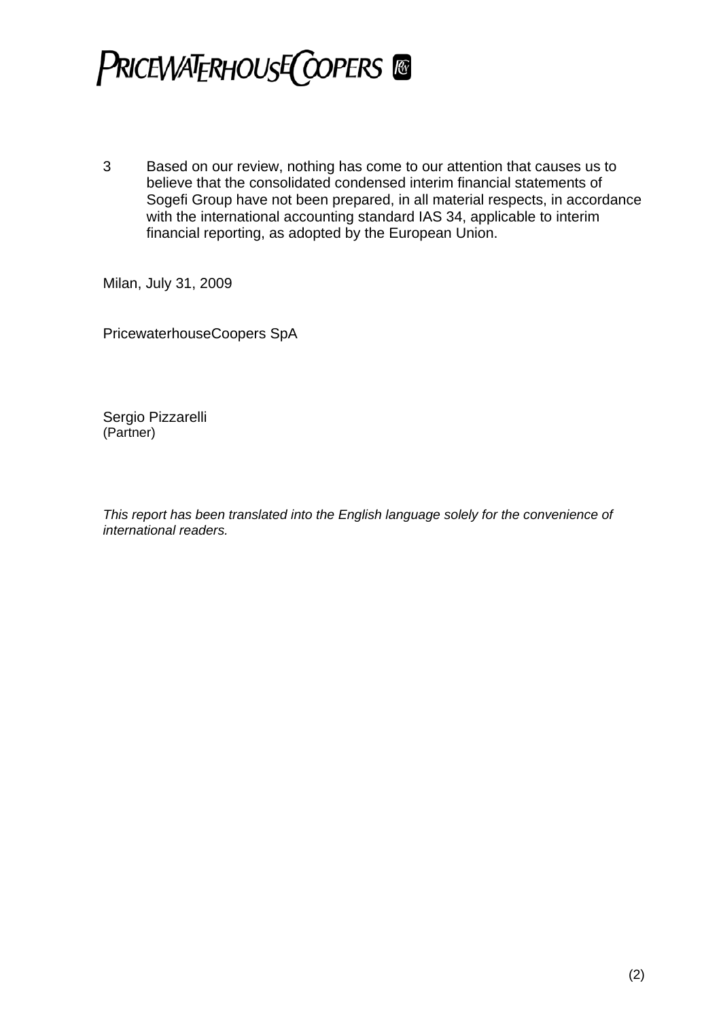

3 Based on our review, nothing has come to our attention that causes us to believe that the consolidated condensed interim financial statements of Sogefi Group have not been prepared, in all material respects, in accordance with the international accounting standard IAS 34, applicable to interim financial reporting, as adopted by the European Union.

Milan, July 31, 2009

PricewaterhouseCoopers SpA

Sergio Pizzarelli (Partner)

*This report has been translated into the English language solely for the convenience of international readers.*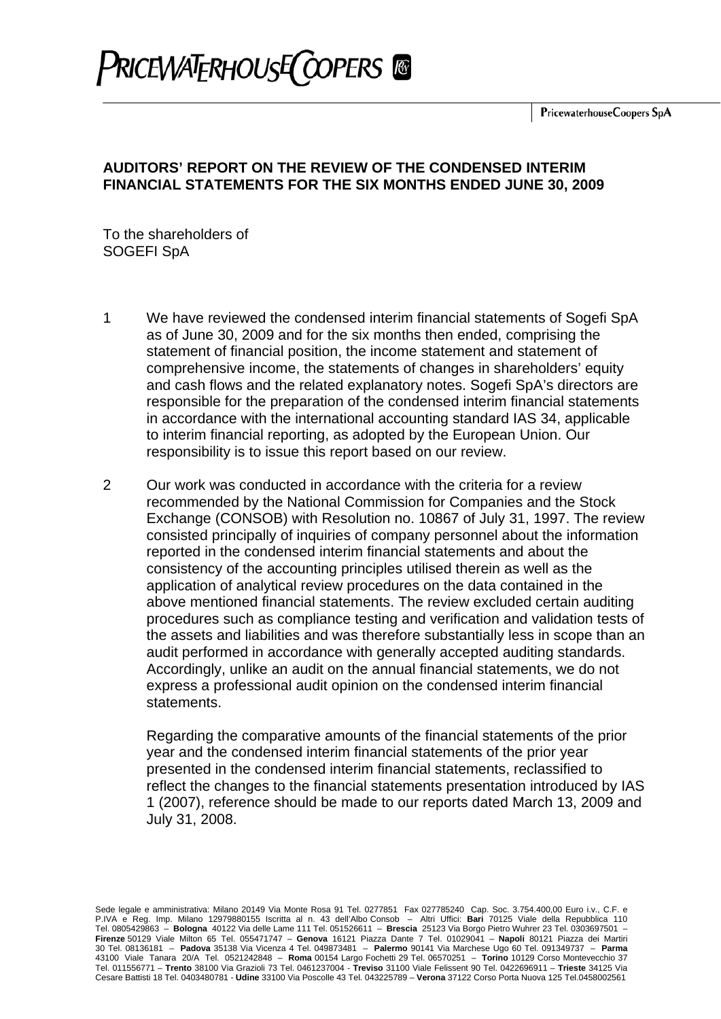

# **AUDITORS' REPORT ON THE REVIEW OF THE CONDENSED INTERIM FINANCIAL STATEMENTS FOR THE SIX MONTHS ENDED JUNE 30, 2009**

To the shareholders of SOGEFI SpA

- 1 We have reviewed the condensed interim financial statements of Sogefi SpA as of June 30, 2009 and for the six months then ended, comprising the statement of financial position, the income statement and statement of comprehensive income, the statements of changes in shareholders' equity and cash flows and the related explanatory notes. Sogefi SpA's directors are responsible for the preparation of the condensed interim financial statements in accordance with the international accounting standard IAS 34, applicable to interim financial reporting, as adopted by the European Union. Our responsibility is to issue this report based on our review.
- 2 Our work was conducted in accordance with the criteria for a review recommended by the National Commission for Companies and the Stock Exchange (CONSOB) with Resolution no. 10867 of July 31, 1997. The review consisted principally of inquiries of company personnel about the information reported in the condensed interim financial statements and about the consistency of the accounting principles utilised therein as well as the application of analytical review procedures on the data contained in the above mentioned financial statements. The review excluded certain auditing procedures such as compliance testing and verification and validation tests of the assets and liabilities and was therefore substantially less in scope than an audit performed in accordance with generally accepted auditing standards. Accordingly, unlike an audit on the annual financial statements, we do not express a professional audit opinion on the condensed interim financial statements.

Regarding the comparative amounts of the financial statements of the prior year and the condensed interim financial statements of the prior year presented in the condensed interim financial statements, reclassified to reflect the changes to the financial statements presentation introduced by IAS 1 (2007), reference should be made to our reports dated March 13, 2009 and July 31, 2008.

Sede legale e amministrativa: Milano 20149 Via Monte Rosa 91 Tel. 0277851 Fax 027785240 Cap. Soc. 3.754.400,00 Euro i.v., C.F. e P.IVA e Reg. Imp. Milano 12979880155 Iscritta al n. 43 dell'Albo Consob – Altri Uffici: **Bari** 70125 Viale della Repubblica 110 Tel. 0805429863 – **Bologna** 40122 Via delle Lame 111 Tel. 051526611 – **Brescia** 25123 Via Borgo Pietro Wuhrer 23 Tel. 0303697501 – **Firenze** 50129 Viale Milton 65 Tel. 055471747 – **Genova** 16121 Piazza Dante 7 Tel. 01029041 – **Napoli** 80121 Piazza dei Martiri 30 Tel. 08136181 – **Padova** 35138 Via Vicenza 4 Tel. 049873481 – **Palermo** 90141 Via Marchese Ugo 60 Tel. 091349737 – **Parma**  43100 Viale Tanara 20/A Tel. 0521242848 – **Roma** 00154 Largo Fochetti 29 Tel. 06570251 – **Torino** 10129 Corso Montevecchio 37 Tel. 011556771 – **Trento** 38100 Via Grazioli 73 Tel. 0461237004 - **Treviso** 31100 Viale Felissent 90 Tel. 0422696911 – **Trieste** 34125 Via Cesare Battisti 18 Tel. 0403480781 - **Udine** 33100 Via Poscolle 43 Tel. 043225789 – **Verona** 37122 Corso Porta Nuova 125 Tel.0458002561